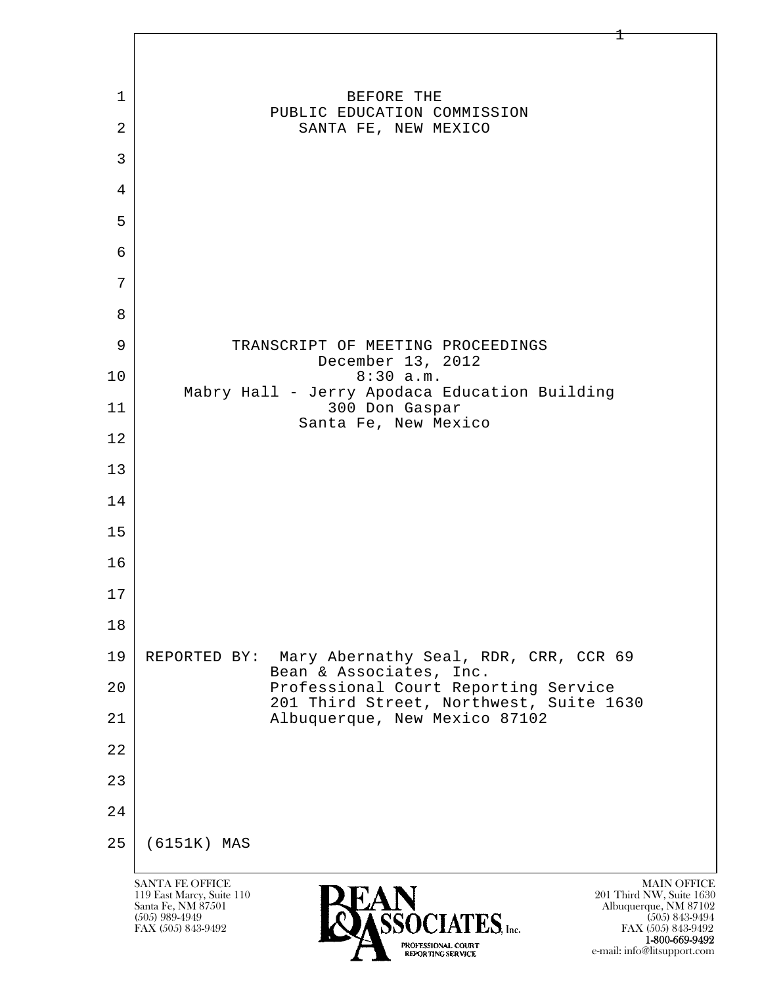

 1-800-669-9492 e-mail: info@litsupport.com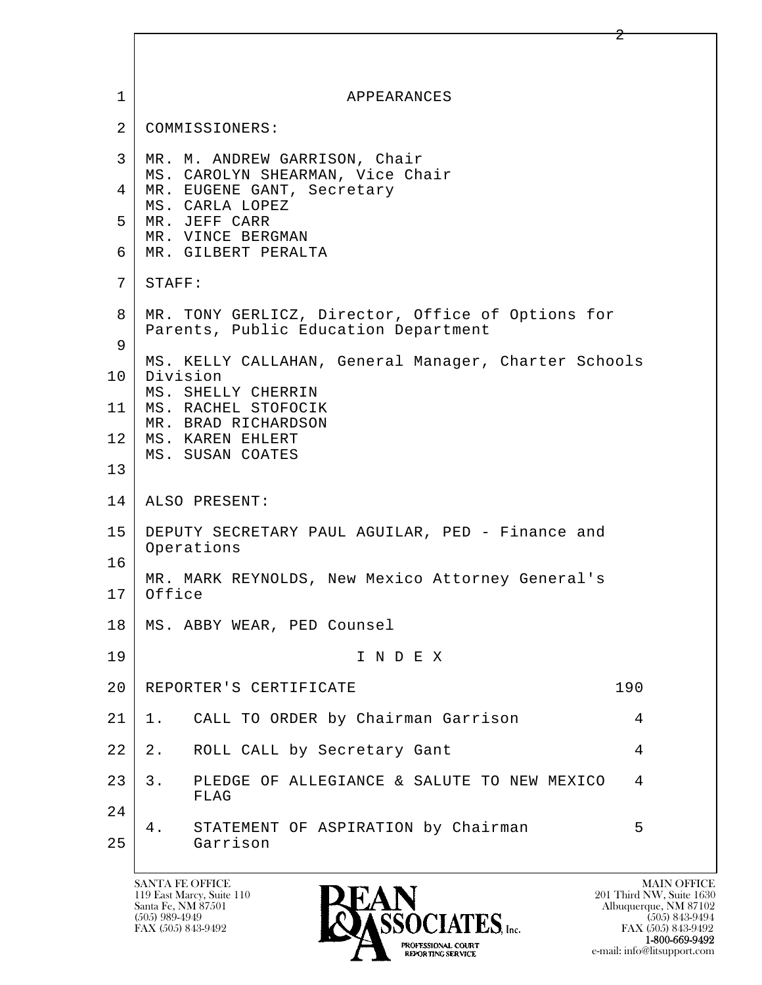| $\mathbf{1}$    | APPEARANCES                                                                               |
|-----------------|-------------------------------------------------------------------------------------------|
| $\overline{2}$  | COMMISSIONERS:                                                                            |
| 3               | MR. M. ANDREW GARRISON, Chair<br>MS. CAROLYN SHEARMAN, Vice Chair                         |
| 4               | MR. EUGENE GANT, Secretary<br>MS. CARLA LOPEZ                                             |
| 5               | MR. JEFF CARR<br>MR. VINCE BERGMAN                                                        |
| 6               | MR. GILBERT PERALTA                                                                       |
| 7               | STAFF:                                                                                    |
| 8               | MR. TONY GERLICZ, Director, Office of Options for<br>Parents, Public Education Department |
| 9               | MS. KELLY CALLAHAN, General Manager, Charter Schools                                      |
| 10              | Division<br>MS. SHELLY CHERRIN                                                            |
| 11              | MS. RACHEL STOFOCIK<br>MR. BRAD RICHARDSON                                                |
| 12 <sub>2</sub> | MS. KAREN EHLERT<br>MS. SUSAN COATES                                                      |
| 13              |                                                                                           |
| 14              | ALSO PRESENT:                                                                             |
| 15              | DEPUTY SECRETARY PAUL AGUILAR, PED - Finance and<br>Operations                            |
| 16              | MR. MARK REYNOLDS, New Mexico Attorney General's                                          |
| 17              | Office                                                                                    |
| 18              | MS. ABBY WEAR, PED Counsel                                                                |
| 19              | INDEX                                                                                     |
| 20              | 190<br>REPORTER'S CERTIFICATE                                                             |
| 21              | CALL TO ORDER by Chairman Garrison<br>4<br>1.                                             |
| 22              | ROLL CALL by Secretary Gant<br>$2$ .<br>4                                                 |
| 23              | 3.<br>PLEDGE OF ALLEGIANCE & SALUTE TO NEW MEXICO<br>4<br>FLAG                            |
| 24              | STATEMENT OF ASPIRATION by Chairman<br>5<br>4.                                            |
| 25              | Garrison                                                                                  |

Г

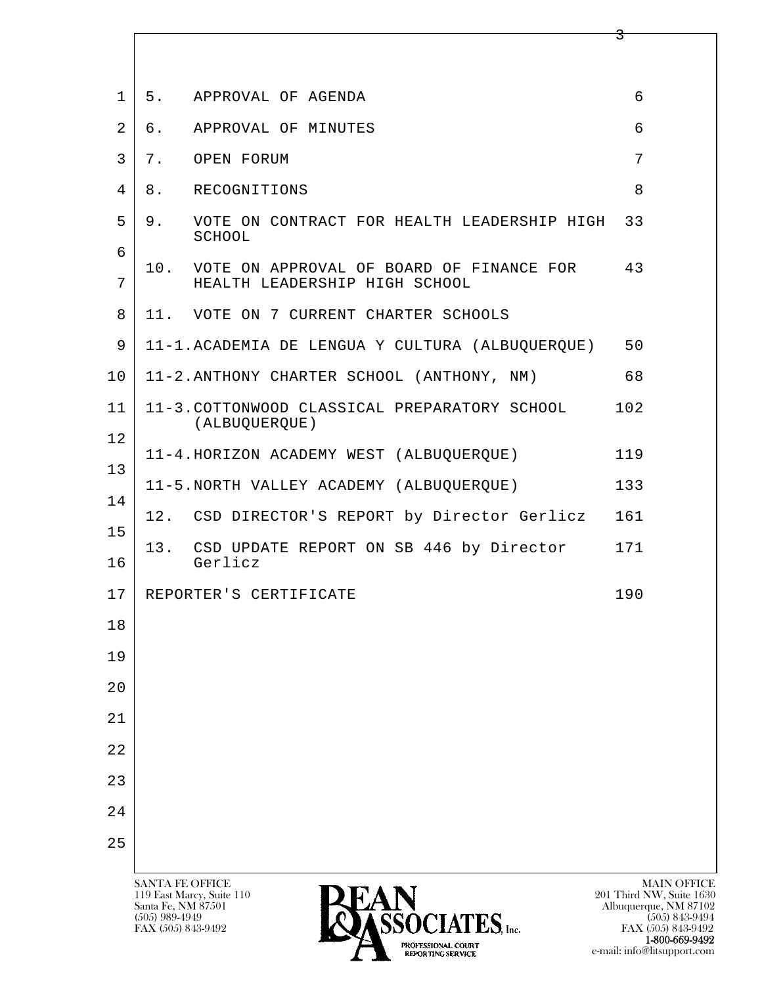| $\mathbf 1$     |                 | 5. APPROVAL OF AGENDA                                          | 6                  |
|-----------------|-----------------|----------------------------------------------------------------|--------------------|
| 2               |                 | 6. APPROVAL OF MINUTES                                         | 6                  |
| 3               |                 | 7. OPEN FORUM                                                  | 7                  |
| $\overline{4}$  | 8.              | RECOGNITIONS                                                   | 8                  |
| 5               | 9.              | VOTE ON CONTRACT FOR HEALTH LEADERSHIP HIGH<br>SCHOOL          | 33                 |
| 6               |                 | 10. VOTE ON APPROVAL OF BOARD OF FINANCE FOR 43                |                    |
| 7               |                 | HEALTH LEADERSHIP HIGH SCHOOL                                  |                    |
| 8               |                 | 11. VOTE ON 7 CURRENT CHARTER SCHOOLS                          |                    |
| 9               |                 | 11-1.ACADEMIA DE LENGUA Y CULTURA (ALBUQUERQUE)                | 50                 |
| 10 <sub>o</sub> |                 | 11-2. ANTHONY CHARTER SCHOOL (ANTHONY, NM)                     | 68                 |
| 11              |                 | 11-3. COTTONWOOD CLASSICAL PREPARATORY SCHOOL<br>(ALBUQUERQUE) | 102                |
| 12              |                 | 11-4.HORIZON ACADEMY WEST (ALBUQUERQUE)                        | 119                |
| 13              |                 | 11-5.NORTH VALLEY ACADEMY (ALBUQUERQUE)                        | 133                |
| 14              |                 | 12. CSD DIRECTOR'S REPORT by Director Gerlicz                  | 161                |
| 15              | 13.             | CSD UPDATE REPORT ON SB 446 by Director                        | 171                |
| 16              |                 | Gerlicz                                                        |                    |
| 17              |                 | REPORTER'S CERTIFICATE                                         | 190                |
| 18              |                 |                                                                |                    |
| 19              |                 |                                                                |                    |
| 20              |                 |                                                                |                    |
| 21              |                 |                                                                |                    |
| 22              |                 |                                                                |                    |
| 23              |                 |                                                                |                    |
| 24              |                 |                                                                |                    |
| 25              |                 |                                                                |                    |
|                 | SANTA FE OFFICE | ---                                                            | <b>MAIN OFFICE</b> |

 $\overline{\mathbf{3}}$ 

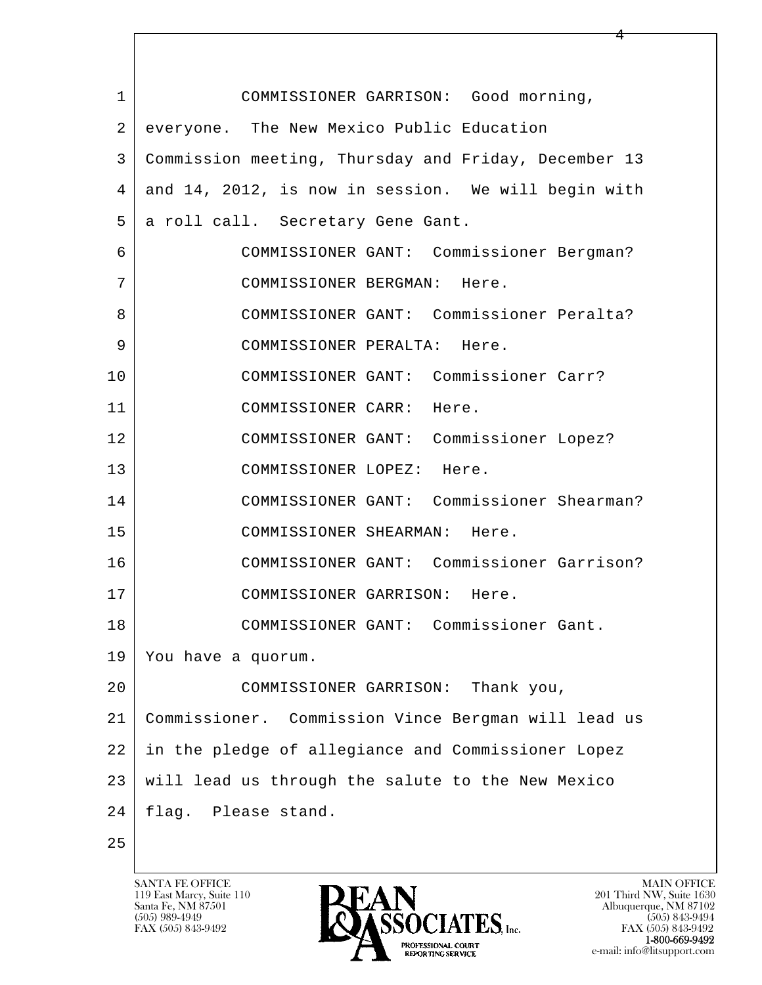l  $\overline{\phantom{a}}$  1 COMMISSIONER GARRISON: Good morning, 2 everyone. The New Mexico Public Education 3 Commission meeting, Thursday and Friday, December 13 4 and 14, 2012, is now in session. We will begin with 5 | a roll call. Secretary Gene Gant. 6 COMMISSIONER GANT: Commissioner Bergman? 7 COMMISSIONER BERGMAN: Here. 8 COMMISSIONER GANT: Commissioner Peralta? 9 COMMISSIONER PERALTA: Here. 10 COMMISSIONER GANT: Commissioner Carr? 11 COMMISSIONER CARR: Here. 12 COMMISSIONER GANT: Commissioner Lopez? 13 COMMISSIONER LOPEZ: Here. 14 COMMISSIONER GANT: Commissioner Shearman? 15 COMMISSIONER SHEARMAN: Here. 16 COMMISSIONER GANT: Commissioner Garrison? 17 COMMISSIONER GARRISON: Here. 18 COMMISSIONER GANT: Commissioner Gant. 19 You have a quorum. 20 COMMISSIONER GARRISON: Thank you, 21 Commissioner. Commission Vince Bergman will lead us 22 in the pledge of allegiance and Commissioner Lopez 23 will lead us through the salute to the New Mexico 24 | flag. Please stand. 25

119 East Marcy, Suite 110<br>Santa Fe, NM 87501

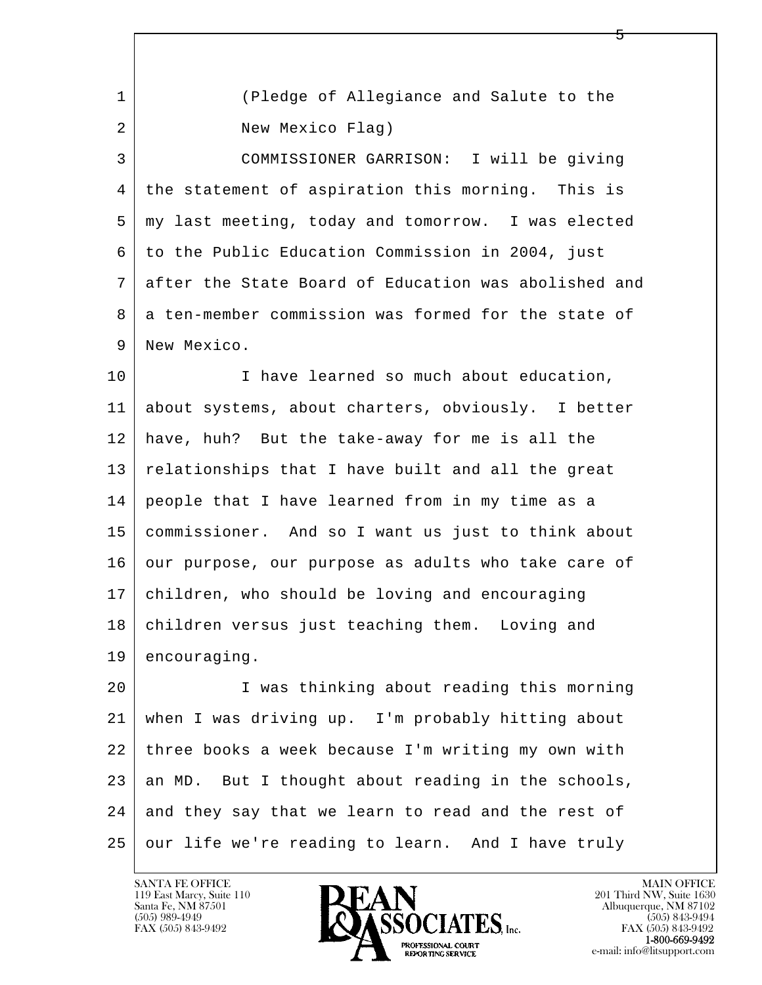| 1  | (Pledge of Allegiance and Salute to the              |
|----|------------------------------------------------------|
| 2  | New Mexico Flag)                                     |
| 3  | COMMISSIONER GARRISON: I will be giving              |
| 4  | the statement of aspiration this morning. This is    |
| 5  | my last meeting, today and tomorrow. I was elected   |
| 6  | to the Public Education Commission in 2004, just     |
| 7  | after the State Board of Education was abolished and |
| 8  | a ten-member commission was formed for the state of  |
| 9  | New Mexico.                                          |
| 10 | I have learned so much about education,              |
| 11 | about systems, about charters, obviously. I better   |
| 12 | have, huh? But the take-away for me is all the       |
| 13 | relationships that I have built and all the great    |
| 14 | people that I have learned from in my time as a      |
| 15 | commissioner. And so I want us just to think about   |
| 16 | our purpose, our purpose as adults who take care of  |
| 17 | children, who should be loving and encouraging       |
| 18 | children versus just teaching them. Loving and       |
| 19 | encouraging.                                         |
| 20 | I was thinking about reading this morning            |
| 21 | when I was driving up. I'm probably hitting about    |
| 22 | three books a week because I'm writing my own with   |
| 23 | an MD. But I thought about reading in the schools,   |
| 24 | and they say that we learn to read and the rest of   |
| 25 | our life we're reading to learn. And I have truly    |

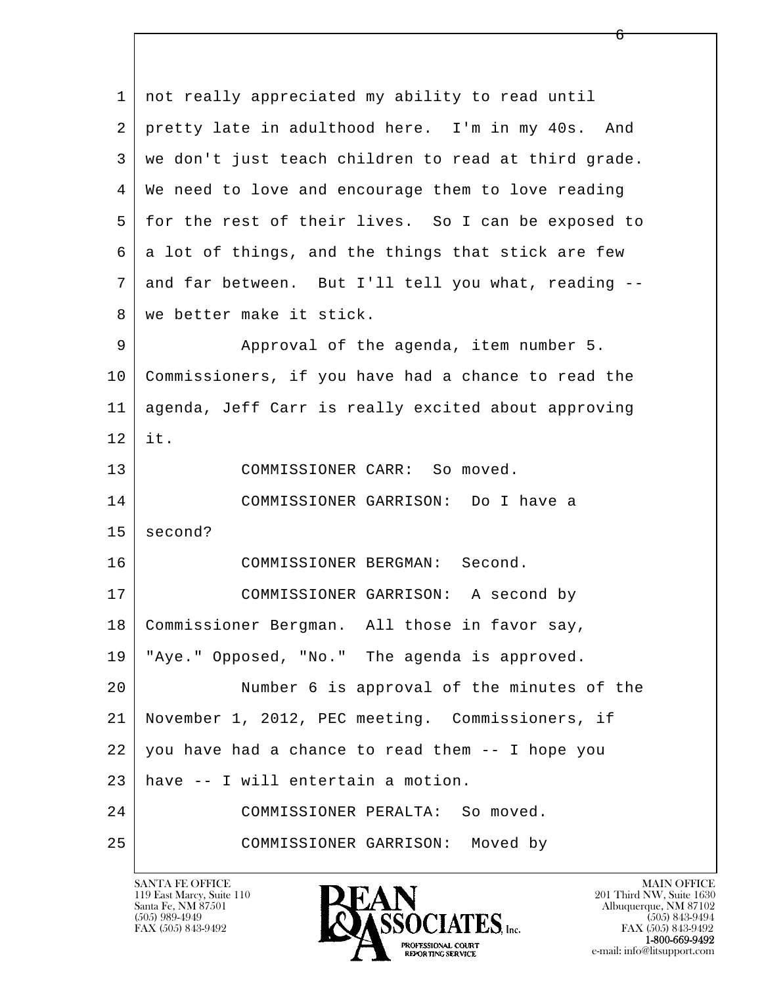l  $\overline{\phantom{a}}$  1 not really appreciated my ability to read until 2 pretty late in adulthood here. I'm in my 40s. And 3 we don't just teach children to read at third grade. 4 We need to love and encourage them to love reading 5 for the rest of their lives. So I can be exposed to  $6$  a lot of things, and the things that stick are few 7 and far between. But I'll tell you what, reading -- 8 we better make it stick. 9 Approval of the agenda, item number 5. 10 Commissioners, if you have had a chance to read the 11 agenda, Jeff Carr is really excited about approving 12 it. 13 COMMISSIONER CARR: So moved. 14 COMMISSIONER GARRISON: Do I have a  $15$  second? 16 COMMISSIONER BERGMAN: Second. 17 COMMISSIONER GARRISON: A second by 18 Commissioner Bergman. All those in favor say, 19 "Aye." Opposed, "No." The agenda is approved. 20 Number 6 is approval of the minutes of the 21 November 1, 2012, PEC meeting. Commissioners, if  $22$  you have had a chance to read them  $-$  I hope you 23 have -- I will entertain a motion. 24 COMMISSIONER PERALTA: So moved. 25 COMMISSIONER GARRISON: Moved by

119 East Marcy, Suite 110<br>Santa Fe, NM 87501



FAX (505) 843-9492 FAX (505) 843-9492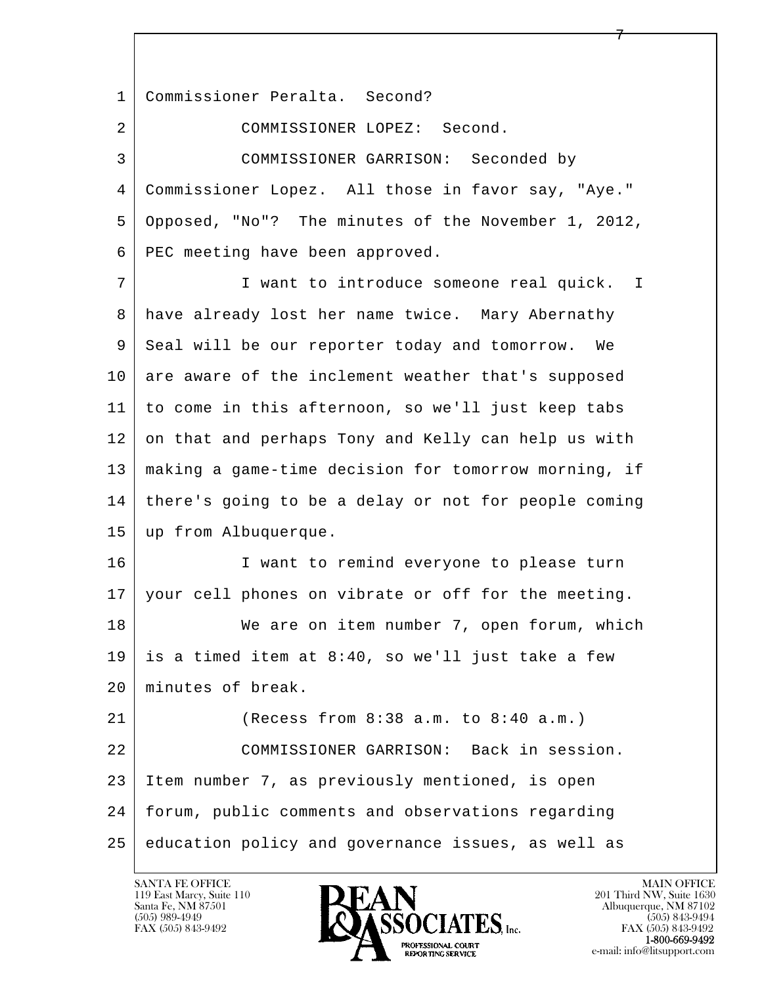l  $\overline{\phantom{a}}$  1 Commissioner Peralta. Second? 2 COMMISSIONER LOPEZ: Second. 3 COMMISSIONER GARRISON: Seconded by 4 Commissioner Lopez. All those in favor say, "Aye." 5 Opposed, "No"? The minutes of the November 1, 2012, 6 PEC meeting have been approved. 7 I want to introduce someone real quick. I 8 have already lost her name twice. Mary Abernathy 9 Seal will be our reporter today and tomorrow. We 10 are aware of the inclement weather that's supposed 11 to come in this afternoon, so we'll just keep tabs 12 on that and perhaps Tony and Kelly can help us with 13 making a game-time decision for tomorrow morning, if 14 there's going to be a delay or not for people coming 15 up from Albuquerque. 16 I want to remind everyone to please turn 17 | your cell phones on vibrate or off for the meeting. 18 We are on item number 7, open forum, which 19 is a timed item at  $8:40$ , so we'll just take a few 20 minutes of break. 21 (Recess from 8:38 a.m. to 8:40 a.m.) 22 COMMISSIONER GARRISON: Back in session. 23 Item number 7, as previously mentioned, is open 24 forum, public comments and observations regarding 25 education policy and governance issues, as well as

 $\overline{7}$ 

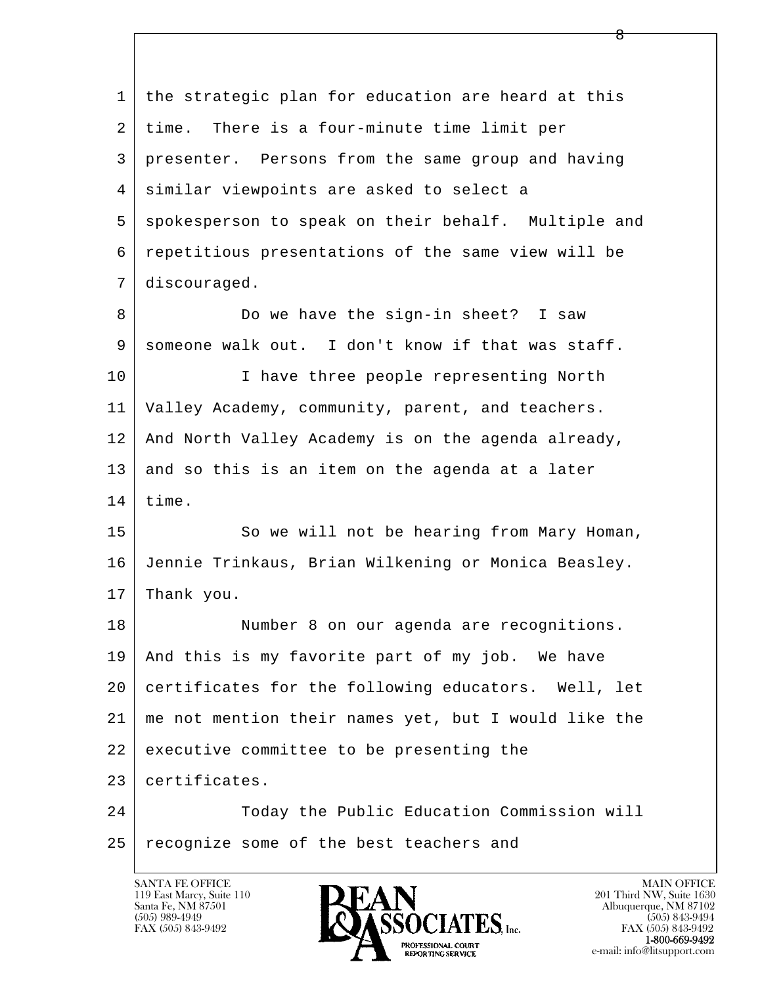l  $\overline{\phantom{a}}$  1 the strategic plan for education are heard at this 2 | time. There is a four-minute time limit per 3 presenter. Persons from the same group and having 4 similar viewpoints are asked to select a 5 spokesperson to speak on their behalf. Multiple and 6 repetitious presentations of the same view will be 7 discouraged. 8 Do we have the sign-in sheet? I saw 9 someone walk out. I don't know if that was staff. 10 | I have three people representing North 11 Valley Academy, community, parent, and teachers. 12 And North Valley Academy is on the agenda already,  $13$  and so this is an item on the agenda at a later  $14$  time. 15 | So we will not be hearing from Mary Homan, 16 Jennie Trinkaus, Brian Wilkening or Monica Beasley.  $17$  Thank you. 18 Number 8 on our agenda are recognitions. 19 And this is my favorite part of my job. We have 20 certificates for the following educators. Well, let 21 me not mention their names yet, but I would like the 22 executive committee to be presenting the 23 certificates. 24 Today the Public Education Commission will 25 recognize some of the best teachers and

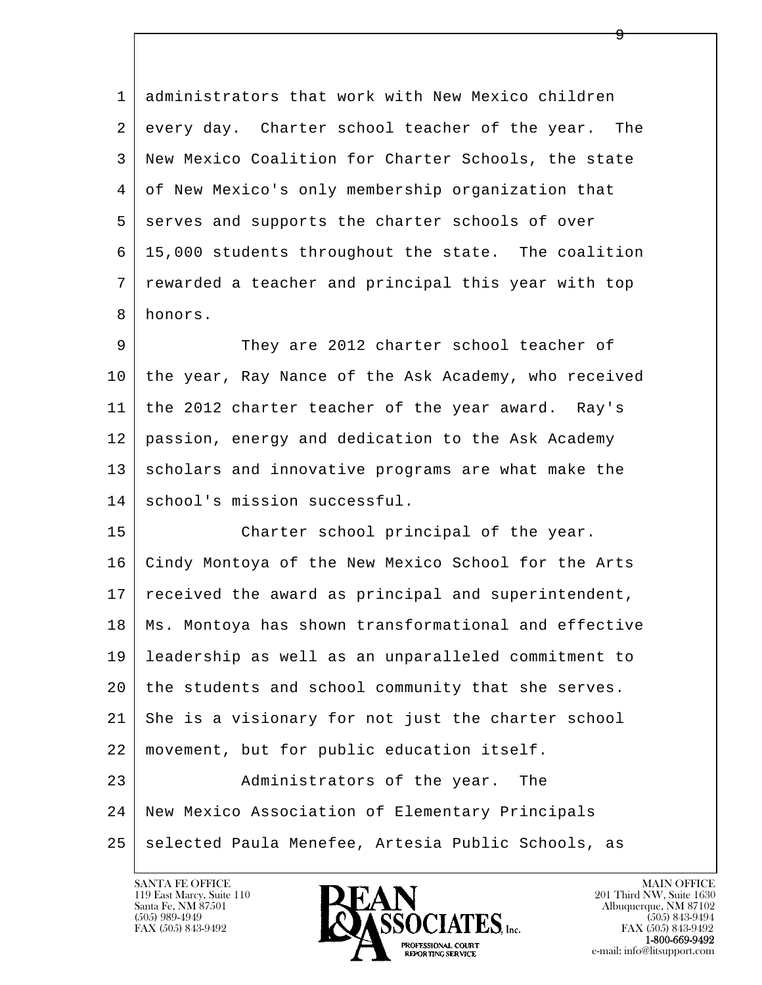1 administrators that work with New Mexico children 2 every day. Charter school teacher of the year. The 3 New Mexico Coalition for Charter Schools, the state 4 of New Mexico's only membership organization that 5 serves and supports the charter schools of over 6 15,000 students throughout the state. The coalition 7 rewarded a teacher and principal this year with top 8 honors.

 $\overline{9}$ 

 9 They are 2012 charter school teacher of 10 the year, Ray Nance of the Ask Academy, who received 11 the 2012 charter teacher of the year award. Ray's 12 passion, energy and dedication to the Ask Academy 13 scholars and innovative programs are what make the 14 school's mission successful.

l  $\overline{\phantom{a}}$ 15 Charter school principal of the year. 16 Cindy Montoya of the New Mexico School for the Arts 17 received the award as principal and superintendent, 18 Ms. Montoya has shown transformational and effective 19 leadership as well as an unparalleled commitment to 20 the students and school community that she serves. 21 She is a visionary for not just the charter school 22 movement, but for public education itself. 23 | Administrators of the year. The 24 New Mexico Association of Elementary Principals

25 selected Paula Menefee, Artesia Public Schools, as

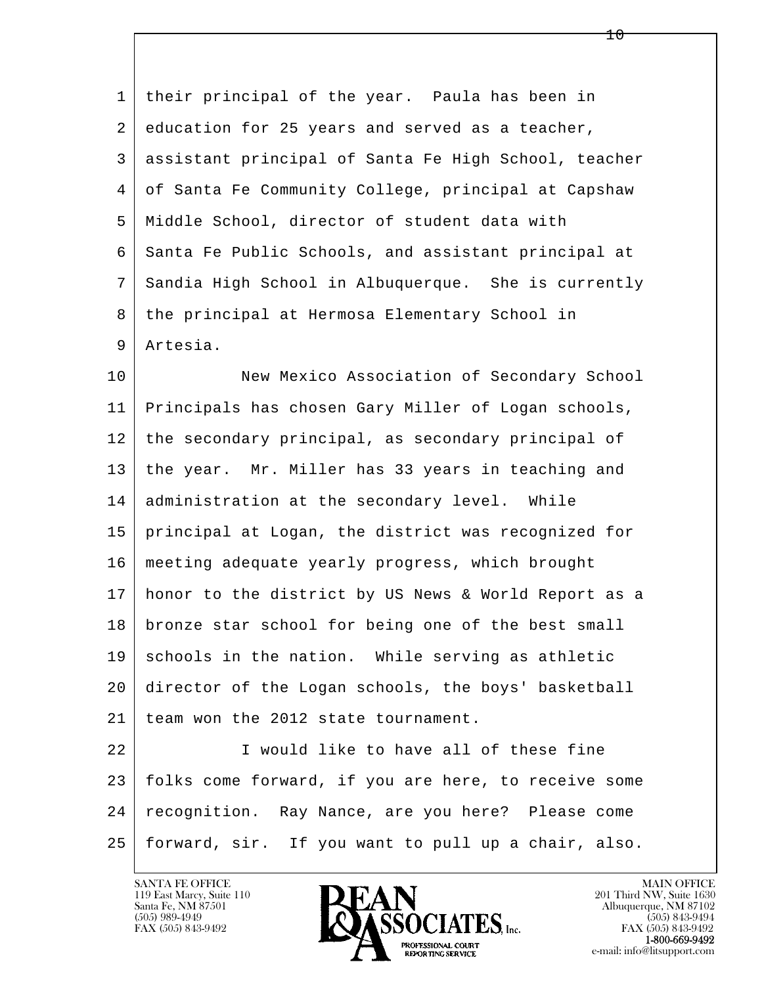1 their principal of the year. Paula has been in 2 education for 25 years and served as a teacher, 3 assistant principal of Santa Fe High School, teacher 4 of Santa Fe Community College, principal at Capshaw 5 Middle School, director of student data with 6 Santa Fe Public Schools, and assistant principal at 7 Sandia High School in Albuquerque. She is currently 8 the principal at Hermosa Elementary School in 9 Artesia.

10 New Mexico Association of Secondary School 11 Principals has chosen Gary Miller of Logan schools, 12 the secondary principal, as secondary principal of 13 the year. Mr. Miller has 33 years in teaching and 14 administration at the secondary level. While 15 principal at Logan, the district was recognized for 16 meeting adequate yearly progress, which brought 17 honor to the district by US News & World Report as a 18 bronze star school for being one of the best small 19 schools in the nation. While serving as athletic 20 director of the Logan schools, the boys' basketball 21 team won the 2012 state tournament.

l  $\overline{\phantom{a}}$  22 I would like to have all of these fine 23 folks come forward, if you are here, to receive some 24 recognition. Ray Nance, are you here? Please come 25 forward, sir. If you want to pull up a chair, also.

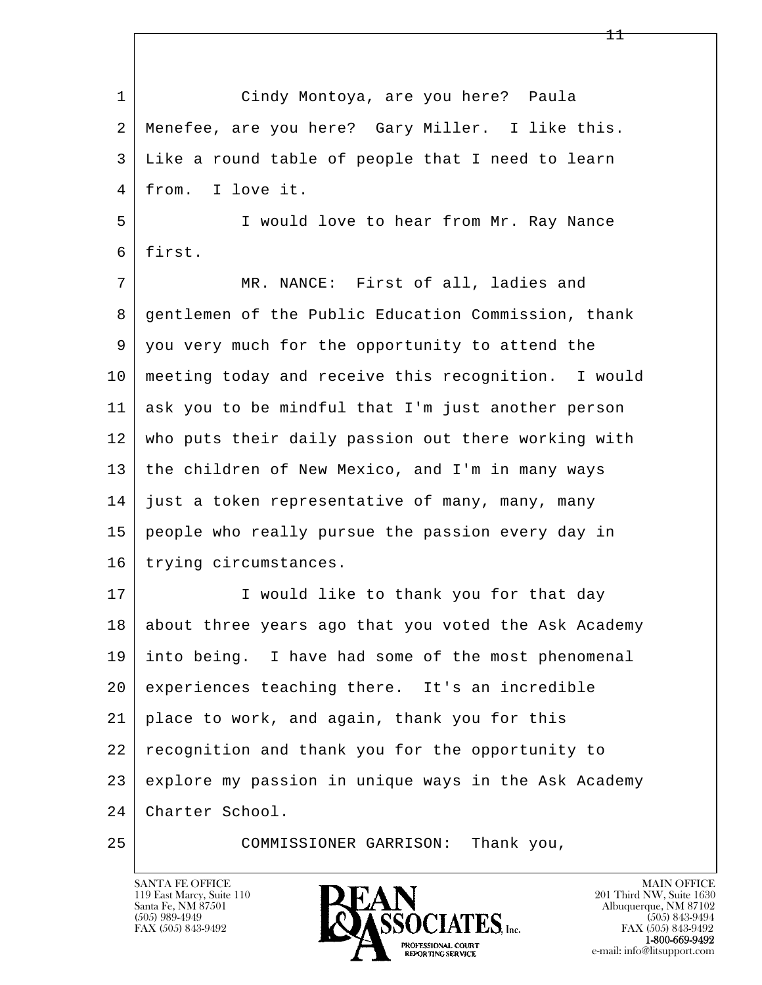l  $\overline{\phantom{a}}$  1 Cindy Montoya, are you here? Paula 2 Menefee, are you here? Gary Miller. I like this. 3 Like a round table of people that I need to learn 4 from. I love it. 5 I would love to hear from Mr. Ray Nance 6 first. 7 MR. NANCE: First of all, ladies and 8 gentlemen of the Public Education Commission, thank 9 you very much for the opportunity to attend the 10 meeting today and receive this recognition. I would 11 ask you to be mindful that I'm just another person 12 who puts their daily passion out there working with 13 the children of New Mexico, and I'm in many ways 14 just a token representative of many, many, many 15 people who really pursue the passion every day in 16 trying circumstances. 17 | I would like to thank you for that day 18 about three years ago that you voted the Ask Academy 19 into being. I have had some of the most phenomenal 20 experiences teaching there. It's an incredible 21 place to work, and again, thank you for this 22 recognition and thank you for the opportunity to 23 explore my passion in unique ways in the Ask Academy 24 Charter School. 25 COMMISSIONER GARRISON: Thank you,

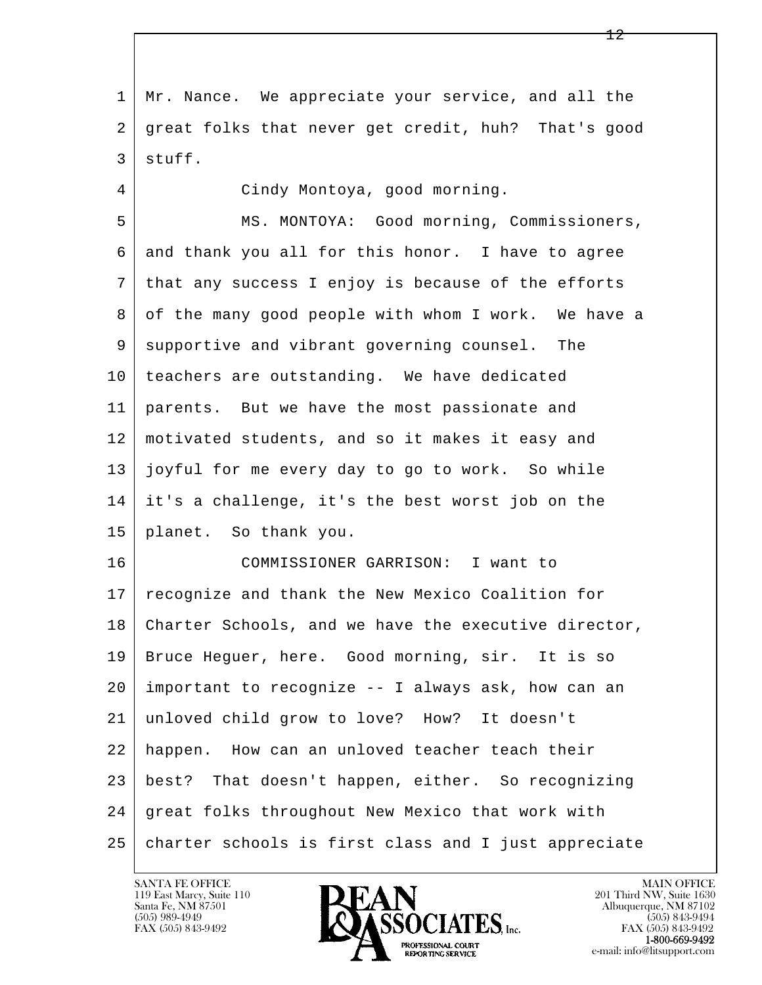l  $\overline{\phantom{a}}$  1 Mr. Nance. We appreciate your service, and all the 2 great folks that never get credit, huh? That's good 3 stuff. 4 Cindy Montoya, good morning. 5 MS. MONTOYA: Good morning, Commissioners, 6 and thank you all for this honor. I have to agree 7 that any success I enjoy is because of the efforts 8 of the many good people with whom I work. We have a 9 | supportive and vibrant governing counsel. The 10 teachers are outstanding. We have dedicated 11 parents. But we have the most passionate and 12 motivated students, and so it makes it easy and 13 joyful for me every day to go to work. So while 14 it's a challenge, it's the best worst job on the 15 planet. So thank you. 16 COMMISSIONER GARRISON: I want to 17 recognize and thank the New Mexico Coalition for 18 Charter Schools, and we have the executive director, 19 Bruce Heguer, here. Good morning, sir. It is so 20 important to recognize -- I always ask, how can an 21 unloved child grow to love? How? It doesn't 22 happen. How can an unloved teacher teach their 23 best? That doesn't happen, either. So recognizing 24 great folks throughout New Mexico that work with 25 charter schools is first class and I just appreciate

119 East Marcy, Suite 110<br>Santa Fe, NM 87501

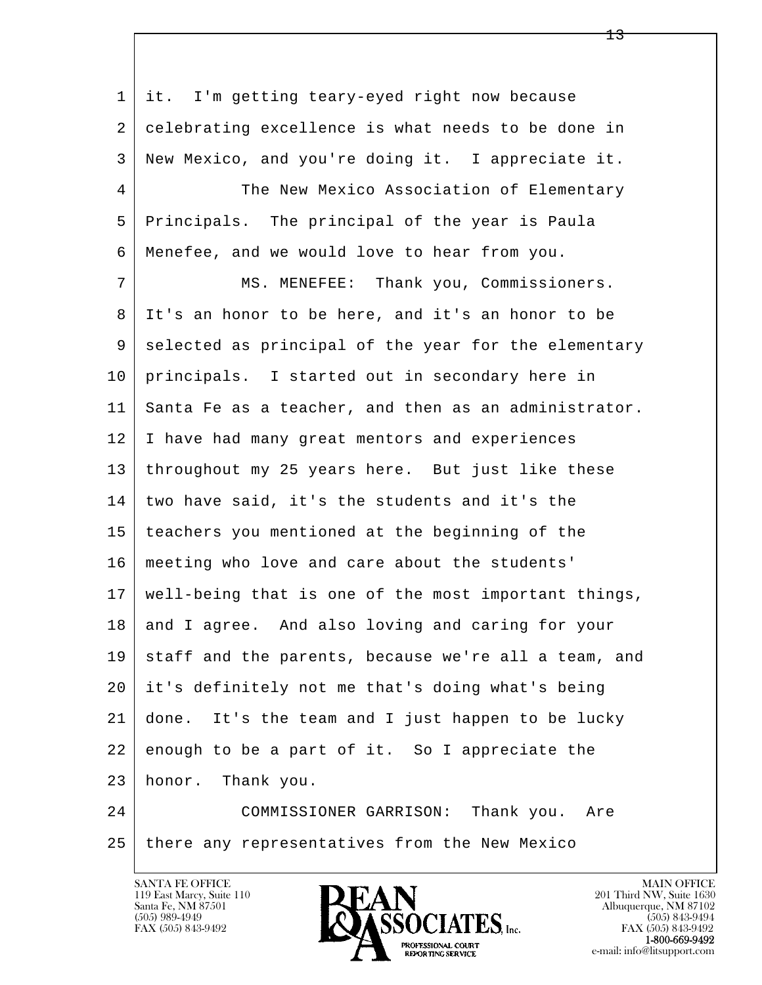l  $\overline{\phantom{a}}$ 1 it. I'm getting teary-eyed right now because 2 celebrating excellence is what needs to be done in 3 New Mexico, and you're doing it. I appreciate it. 4 The New Mexico Association of Elementary 5 Principals. The principal of the year is Paula 6 Menefee, and we would love to hear from you. 7 MS. MENEFEE: Thank you, Commissioners. 8 It's an honor to be here, and it's an honor to be 9 selected as principal of the year for the elementary 10 principals. I started out in secondary here in 11 Santa Fe as a teacher, and then as an administrator. 12 I have had many great mentors and experiences 13 throughout my 25 years here. But just like these 14 two have said, it's the students and it's the 15 teachers you mentioned at the beginning of the 16 meeting who love and care about the students' 17 well-being that is one of the most important things, 18 and I agree. And also loving and caring for your 19 staff and the parents, because we're all a team, and 20 it's definitely not me that's doing what's being 21 done. It's the team and I just happen to be lucky 22 enough to be a part of it. So I appreciate the 23 honor. Thank you. 24 COMMISSIONER GARRISON: Thank you. Are

25 there any representatives from the New Mexico



FAX (505) 843-9492<br>**1-800-669-9492**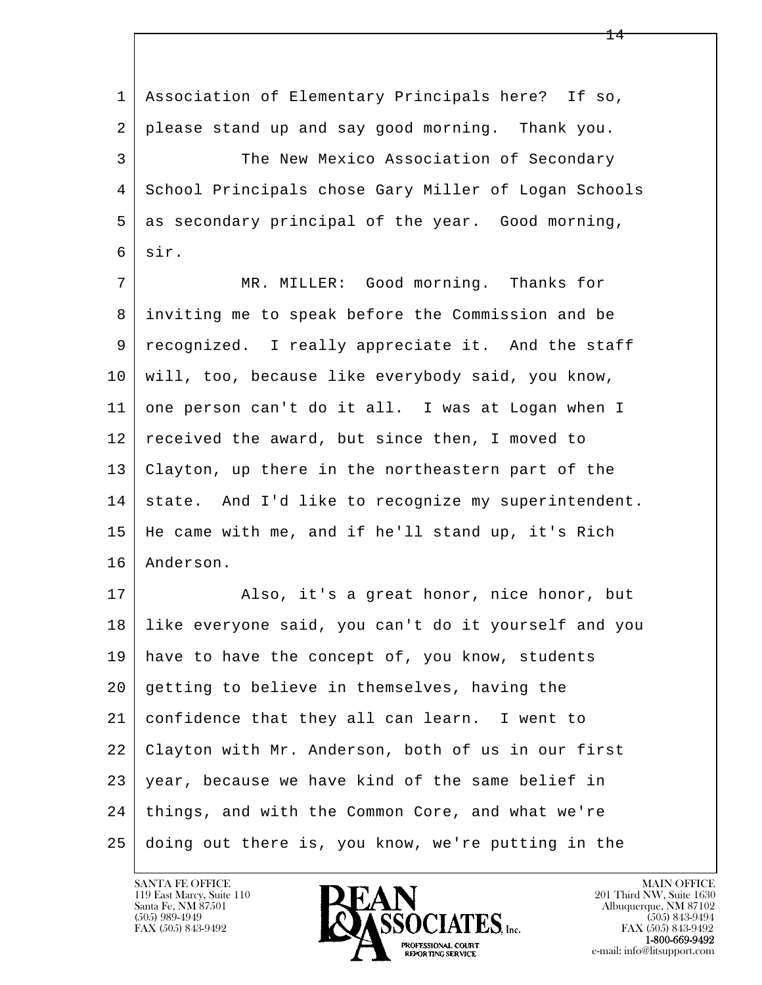l  $\overline{\phantom{a}}$  1 Association of Elementary Principals here? If so, 2 please stand up and say good morning. Thank you. 3 The New Mexico Association of Secondary 4 School Principals chose Gary Miller of Logan Schools 5 as secondary principal of the year. Good morning, 6 sir. 7 MR. MILLER: Good morning. Thanks for 8 inviting me to speak before the Commission and be 9 recognized. I really appreciate it. And the staff 10 will, too, because like everybody said, you know, 11 one person can't do it all. I was at Logan when I 12 received the award, but since then, I moved to 13 Clayton, up there in the northeastern part of the 14 | state. And I'd like to recognize my superintendent. 15 He came with me, and if he'll stand up, it's Rich 16 Anderson. 17 | Also, it's a great honor, nice honor, but 18 like everyone said, you can't do it yourself and you 19 have to have the concept of, you know, students 20 getting to believe in themselves, having the 21 confidence that they all can learn. I went to 22 Clayton with Mr. Anderson, both of us in our first 23 year, because we have kind of the same belief in 24 things, and with the Common Core, and what we're 25 doing out there is, you know, we're putting in the

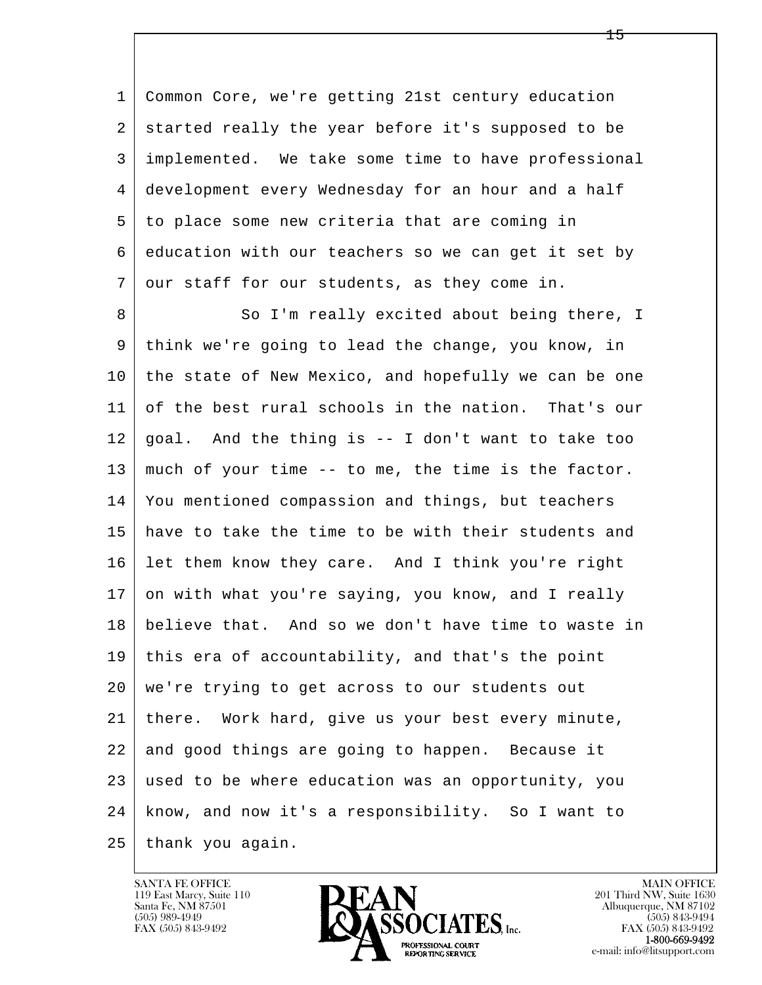1 Common Core, we're getting 21st century education 2 started really the year before it's supposed to be 3 implemented. We take some time to have professional 4 development every Wednesday for an hour and a half 5 to place some new criteria that are coming in 6 education with our teachers so we can get it set by 7 our staff for our students, as they come in.

l  $\overline{\phantom{a}}$ 8 So I'm really excited about being there, I 9 think we're going to lead the change, you know, in 10 the state of New Mexico, and hopefully we can be one 11 of the best rural schools in the nation. That's our  $12$  goal. And the thing is  $-$  I don't want to take too 13 much of your time -- to me, the time is the factor. 14 You mentioned compassion and things, but teachers 15 have to take the time to be with their students and 16 let them know they care. And I think you're right 17 on with what you're saying, you know, and I really 18 believe that. And so we don't have time to waste in 19 this era of accountability, and that's the point 20 we're trying to get across to our students out 21 there. Work hard, give us your best every minute, 22 and good things are going to happen. Because it 23 used to be where education was an opportunity, you 24 know, and now it's a responsibility. So I want to 25 thank you again.

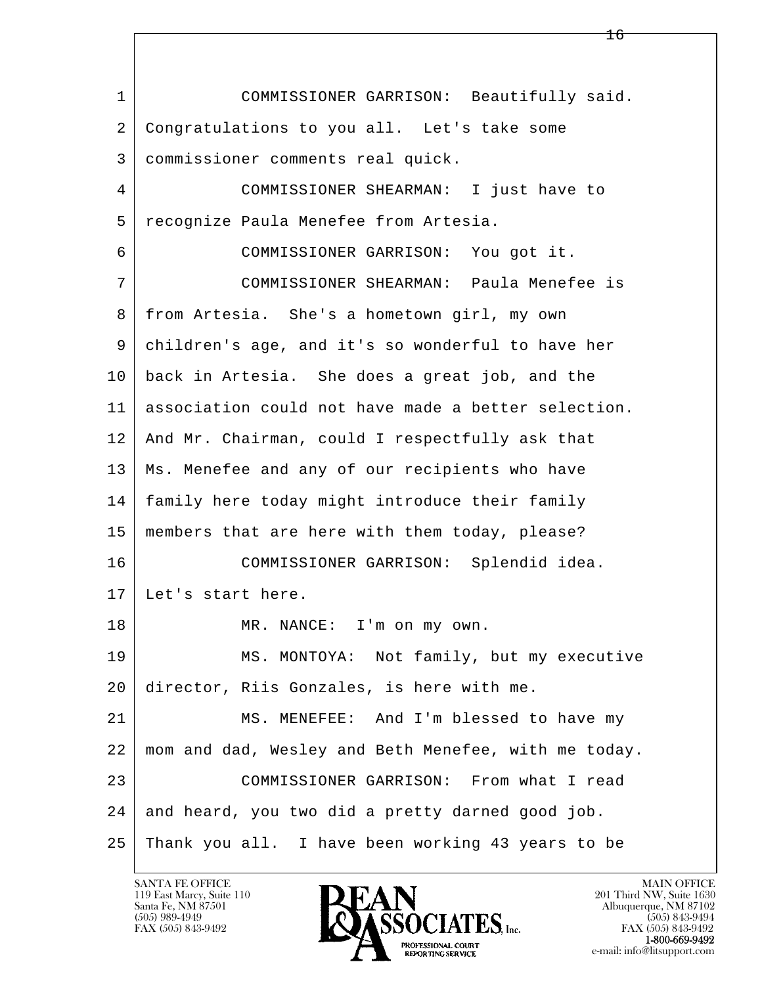l  $\overline{\phantom{a}}$  1 COMMISSIONER GARRISON: Beautifully said. 2 Congratulations to you all. Let's take some 3 commissioner comments real quick. 4 COMMISSIONER SHEARMAN: I just have to 5 recognize Paula Menefee from Artesia. 6 COMMISSIONER GARRISON: You got it. 7 COMMISSIONER SHEARMAN: Paula Menefee is 8 from Artesia. She's a hometown girl, my own 9 children's age, and it's so wonderful to have her 10 back in Artesia. She does a great job, and the 11 association could not have made a better selection. 12 And Mr. Chairman, could I respectfully ask that 13 Ms. Menefee and any of our recipients who have 14 family here today might introduce their family 15 members that are here with them today, please? 16 COMMISSIONER GARRISON: Splendid idea. 17 Let's start here. 18 MR. NANCE: I'm on my own. 19 MS. MONTOYA: Not family, but my executive 20 director, Riis Gonzales, is here with me. 21 MS. MENEFEE: And I'm blessed to have my 22 mom and dad, Wesley and Beth Menefee, with me today. 23 COMMISSIONER GARRISON: From what I read 24 and heard, you two did a pretty darned good job. 25 Thank you all. I have been working 43 years to be

119 East Marcy, Suite 110<br>Santa Fe, NM 87501

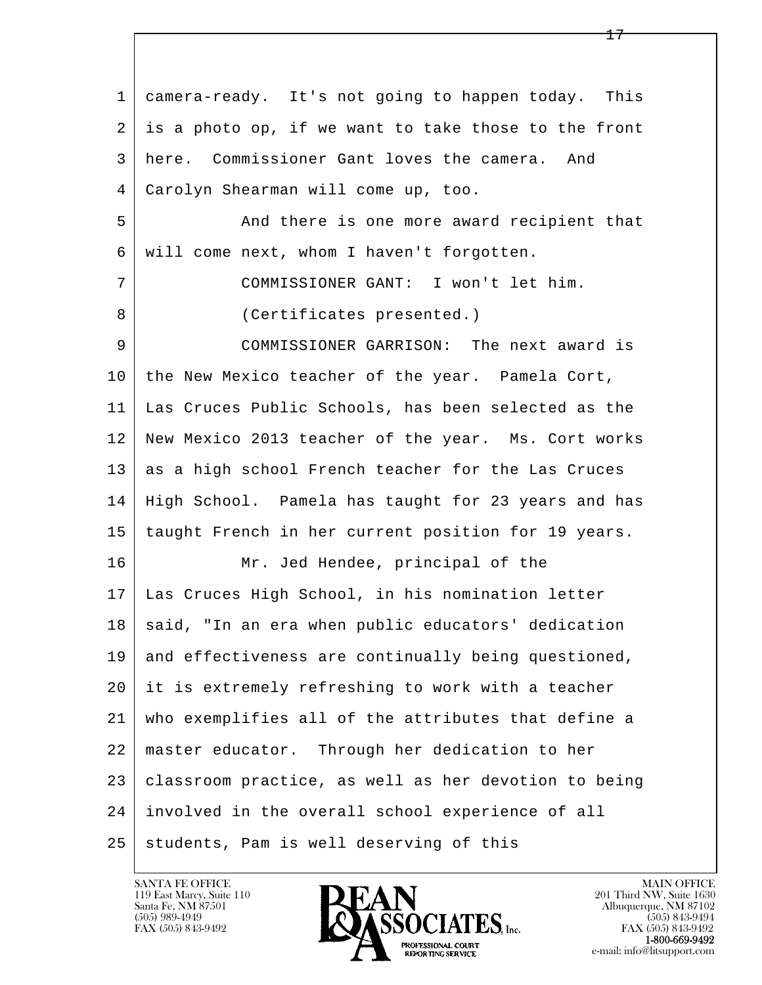| 1  | camera-ready. It's not going to happen today. This   |
|----|------------------------------------------------------|
| 2  | is a photo op, if we want to take those to the front |
| 3  | here. Commissioner Gant loves the camera. And        |
| 4  | Carolyn Shearman will come up, too.                  |
| 5  | And there is one more award recipient that           |
| 6  | will come next, whom I haven't forgotten.            |
| 7  | COMMISSIONER GANT: I won't let him.                  |
| 8  | (Certificates presented.)                            |
| 9  | COMMISSIONER GARRISON: The next award is             |
| 10 | the New Mexico teacher of the year. Pamela Cort,     |
| 11 | Las Cruces Public Schools, has been selected as the  |
| 12 | New Mexico 2013 teacher of the year. Ms. Cort works  |
| 13 | as a high school French teacher for the Las Cruces   |
| 14 | High School. Pamela has taught for 23 years and has  |
| 15 | taught French in her current position for 19 years.  |
| 16 | Mr. Jed Hendee, principal of the                     |
| 17 | Las Cruces High School, in his nomination letter     |
| 18 | said, "In an era when public educators' dedication   |
| 19 | and effectiveness are continually being questioned,  |
| 20 | it is extremely refreshing to work with a teacher    |
| 21 | who exemplifies all of the attributes that define a  |
| 22 | master educator. Through her dedication to her       |
| 23 | classroom practice, as well as her devotion to being |
| 24 | involved in the overall school experience of all     |
| 25 | students, Pam is well deserving of this              |

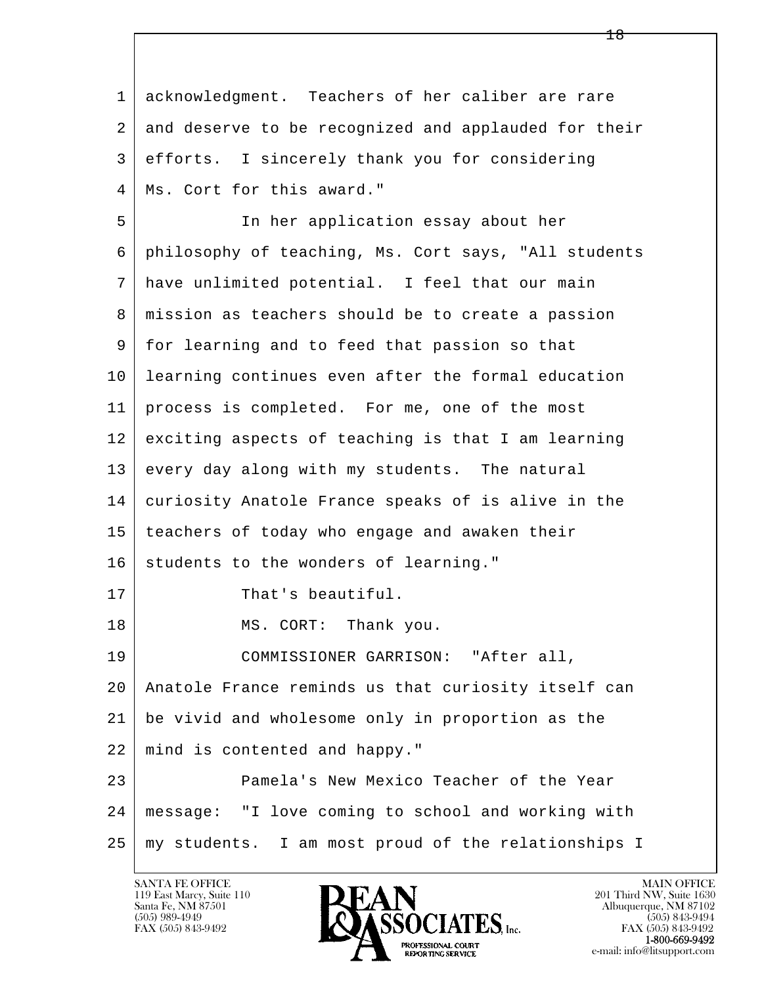l  $\overline{\phantom{a}}$  1 acknowledgment. Teachers of her caliber are rare 2 and deserve to be recognized and applauded for their 3 efforts. I sincerely thank you for considering 4 | Ms. Cort for this award." 5 In her application essay about her 6 philosophy of teaching, Ms. Cort says, "All students 7 have unlimited potential. I feel that our main 8 mission as teachers should be to create a passion 9 for learning and to feed that passion so that 10 learning continues even after the formal education 11 process is completed. For me, one of the most 12 exciting aspects of teaching is that I am learning 13 every day along with my students. The natural 14 curiosity Anatole France speaks of is alive in the 15 | teachers of today who engage and awaken their 16 students to the wonders of learning." 17 That's beautiful. 18 MS. CORT: Thank you. 19 COMMISSIONER GARRISON: "After all, 20 Anatole France reminds us that curiosity itself can 21 be vivid and wholesome only in proportion as the 22 mind is contented and happy." 23 **Pamela's New Mexico Teacher of the Year**  24 message: "I love coming to school and working with 25 my students. I am most proud of the relationships I

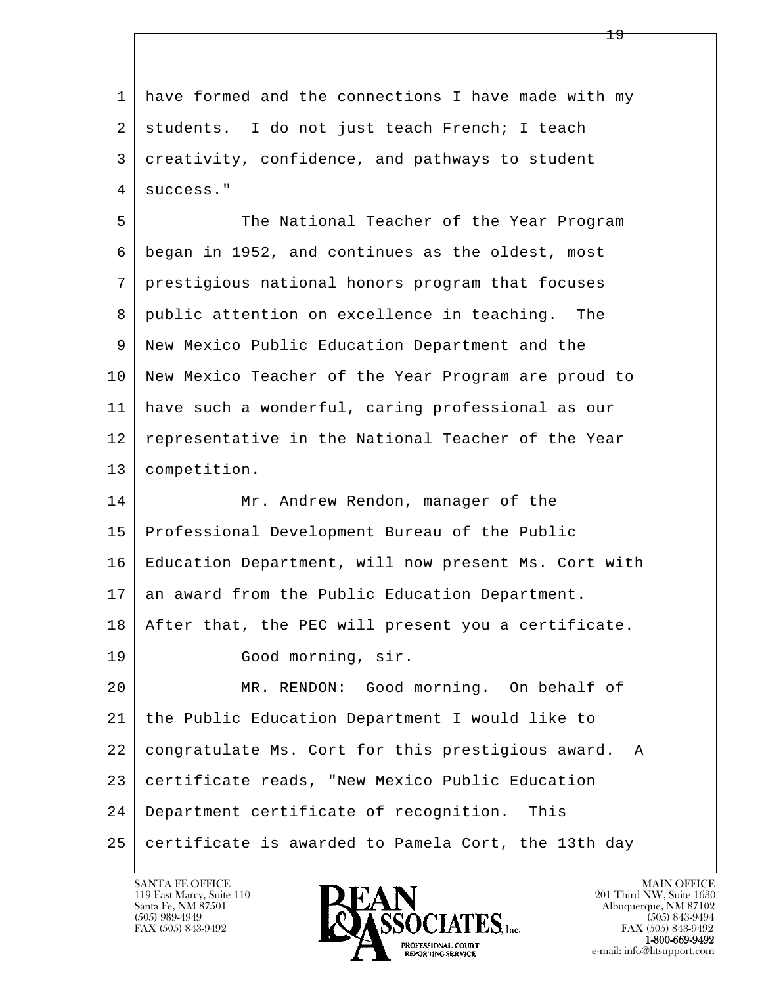l  $\overline{\phantom{a}}$  1 have formed and the connections I have made with my 2 students. I do not just teach French; I teach 3 creativity, confidence, and pathways to student 4 success." 5 The National Teacher of the Year Program 6 began in 1952, and continues as the oldest, most 7 prestigious national honors program that focuses 8 public attention on excellence in teaching. The 9 New Mexico Public Education Department and the 10 New Mexico Teacher of the Year Program are proud to 11 have such a wonderful, caring professional as our 12 representative in the National Teacher of the Year 13 competition. 14 Mr. Andrew Rendon, manager of the 15 Professional Development Bureau of the Public 16 | Education Department, will now present Ms. Cort with 17 an award from the Public Education Department. 18 After that, the PEC will present you a certificate. 19 Good morning, sir. 20 MR. RENDON: Good morning. On behalf of 21 the Public Education Department I would like to 22 congratulate Ms. Cort for this prestigious award. A 23 certificate reads, "New Mexico Public Education 24 Department certificate of recognition. This 25 certificate is awarded to Pamela Cort, the 13th day

119 East Marcy, Suite 110<br>Santa Fe, NM 87501

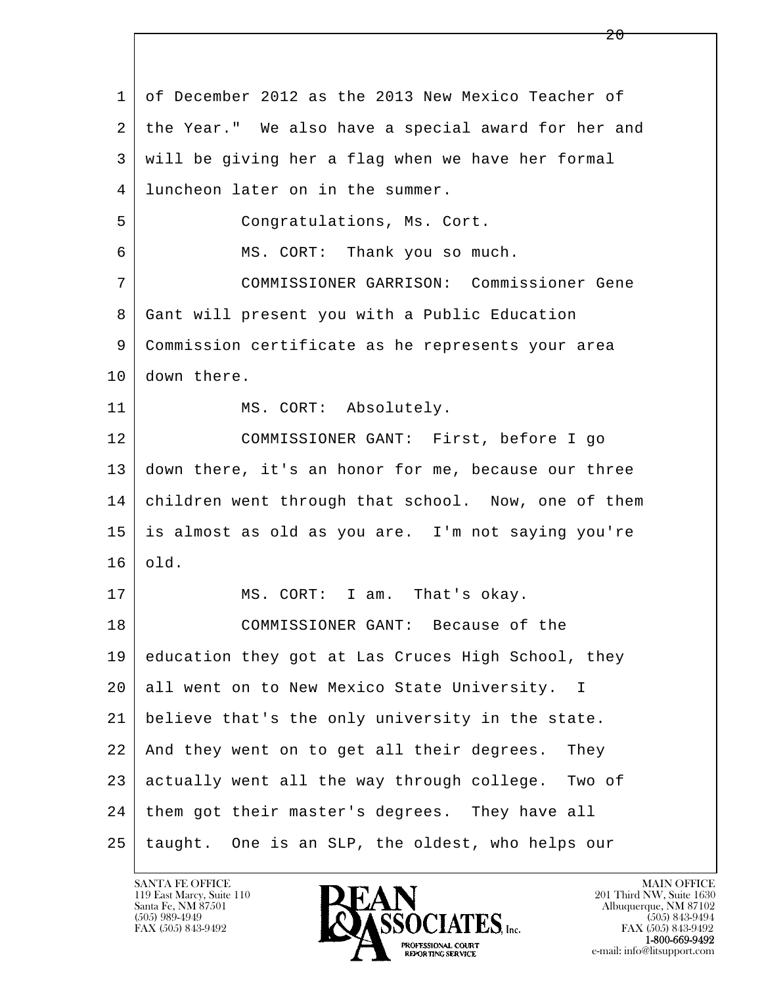l  $\overline{\phantom{a}}$  1 of December 2012 as the 2013 New Mexico Teacher of 2 the Year." We also have a special award for her and 3 will be giving her a flag when we have her formal 4 luncheon later on in the summer. 5 Congratulations, Ms. Cort. 6 MS. CORT: Thank you so much. 7 COMMISSIONER GARRISON: Commissioner Gene 8 Gant will present you with a Public Education 9 Commission certificate as he represents your area 10 down there. 11 | MS. CORT: Absolutely. 12 COMMISSIONER GANT: First, before I go 13 down there, it's an honor for me, because our three 14 children went through that school. Now, one of them 15 is almost as old as you are. I'm not saying you're 16 old. 17 | MS. CORT: I am. That's okay. 18 COMMISSIONER GANT: Because of the 19 education they got at Las Cruces High School, they 20 all went on to New Mexico State University. I 21 believe that's the only university in the state. 22 And they went on to get all their degrees. They 23 actually went all the way through college. Two of 24 | them got their master's degrees. They have all 25 taught. One is an SLP, the oldest, who helps our

119 East Marcy, Suite 110<br>Santa Fe, NM 87501

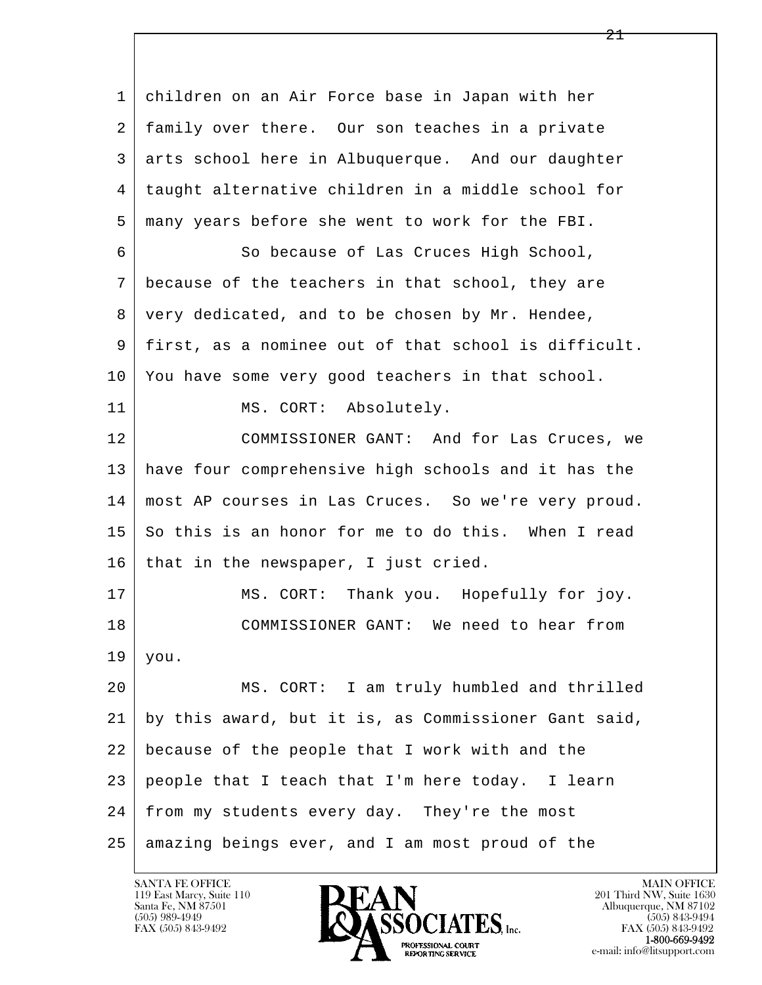l  $\overline{\phantom{a}}$  1 children on an Air Force base in Japan with her 2 family over there. Our son teaches in a private 3 arts school here in Albuquerque. And our daughter 4 taught alternative children in a middle school for 5 many years before she went to work for the FBI. 6 So because of Las Cruces High School, 7 because of the teachers in that school, they are 8 very dedicated, and to be chosen by Mr. Hendee, 9 first, as a nominee out of that school is difficult. 10 You have some very good teachers in that school. 11 MS. CORT: Absolutely. 12 COMMISSIONER GANT: And for Las Cruces, we 13 have four comprehensive high schools and it has the 14 most AP courses in Las Cruces. So we're very proud. 15 So this is an honor for me to do this. When I read  $16$  that in the newspaper, I just cried. 17 | MS. CORT: Thank you. Hopefully for joy. 18 COMMISSIONER GANT: We need to hear from  $19$  you. 20 MS. CORT: I am truly humbled and thrilled 21 by this award, but it is, as Commissioner Gant said, 22 because of the people that I work with and the 23 people that I teach that I'm here today. I learn 24 from my students every day. They're the most  $25$  amazing beings ever, and I am most proud of the

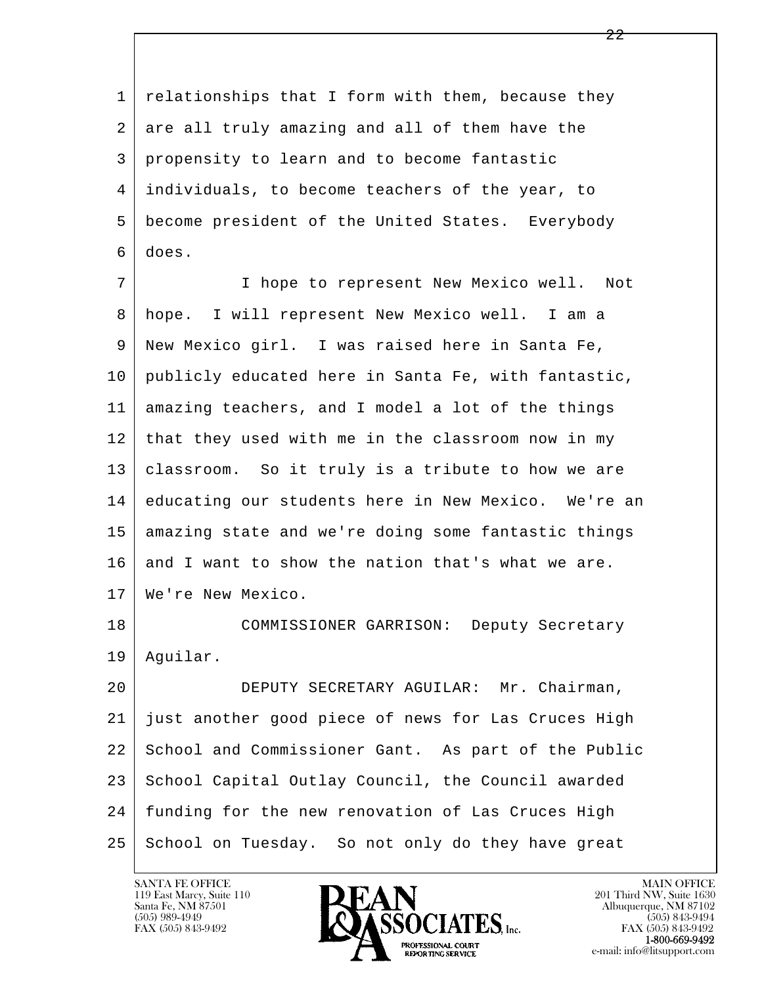1 relationships that I form with them, because they 2 are all truly amazing and all of them have the 3 propensity to learn and to become fantastic 4 individuals, to become teachers of the year, to 5 become president of the United States. Everybody 6 does.

 7 I hope to represent New Mexico well. Not 8 hope. I will represent New Mexico well. I am a 9 New Mexico girl. I was raised here in Santa Fe, 10 publicly educated here in Santa Fe, with fantastic, 11 amazing teachers, and I model a lot of the things 12 that they used with me in the classroom now in my 13 classroom. So it truly is a tribute to how we are 14 educating our students here in New Mexico. We're an 15 amazing state and we're doing some fantastic things 16 and I want to show the nation that's what we are. 17 We're New Mexico.

 18 COMMISSIONER GARRISON: Deputy Secretary 19 Aguilar.

l  $\overline{\phantom{a}}$  20 DEPUTY SECRETARY AGUILAR: Mr. Chairman, 21 just another good piece of news for Las Cruces High 22 School and Commissioner Gant. As part of the Public 23 School Capital Outlay Council, the Council awarded 24 funding for the new renovation of Las Cruces High 25 School on Tuesday. So not only do they have great

119 East Marcy, Suite 110<br>Santa Fe, NM 87501

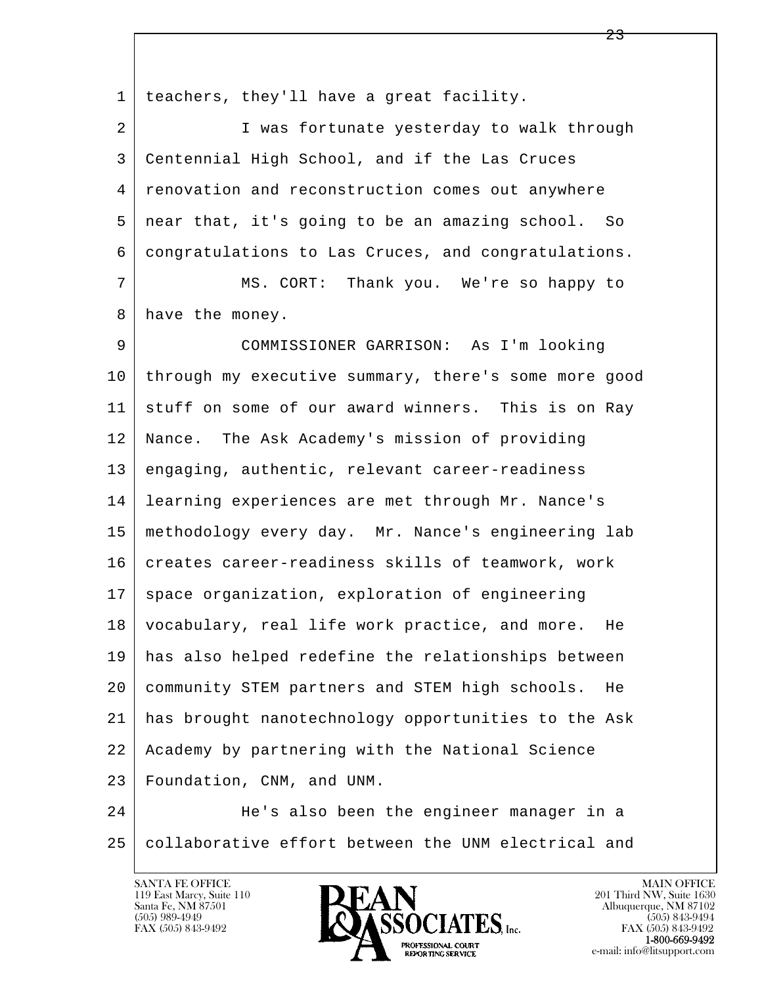l 1 teachers, they'll have a great facility. 2 | I was fortunate yesterday to walk through 3 Centennial High School, and if the Las Cruces 4 renovation and reconstruction comes out anywhere 5 near that, it's going to be an amazing school. So 6 congratulations to Las Cruces, and congratulations. 7 MS. CORT: Thank you. We're so happy to 8 have the money. 9 COMMISSIONER GARRISON: As I'm looking 10 through my executive summary, there's some more good 11 stuff on some of our award winners. This is on Ray 12 Nance. The Ask Academy's mission of providing 13 engaging, authentic, relevant career-readiness 14 learning experiences are met through Mr. Nance's 15 methodology every day. Mr. Nance's engineering lab 16 creates career-readiness skills of teamwork, work 17 space organization, exploration of engineering 18 vocabulary, real life work practice, and more. He 19 has also helped redefine the relationships between 20 community STEM partners and STEM high schools. He 21 has brought nanotechnology opportunities to the Ask 22 Academy by partnering with the National Science 23 Foundation, CNM, and UNM. 24 He's also been the engineer manager in a

 $\overline{\phantom{a}}$ 25 collaborative effort between the UNM electrical and

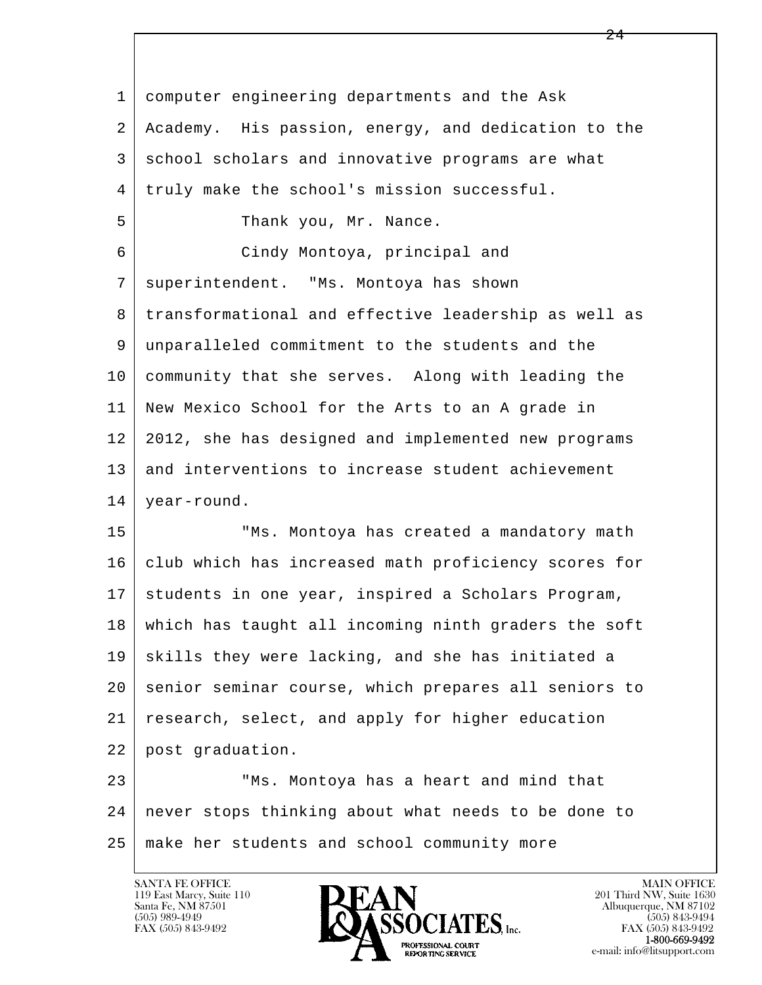l  $\overline{\phantom{a}}$  1 computer engineering departments and the Ask 2 Academy. His passion, energy, and dedication to the 3 school scholars and innovative programs are what 4 truly make the school's mission successful. 5 S Thank you, Mr. Nance. 6 Cindy Montoya, principal and 7 superintendent. "Ms. Montoya has shown 8 transformational and effective leadership as well as 9 unparalleled commitment to the students and the 10 community that she serves. Along with leading the 11 New Mexico School for the Arts to an A grade in 12 2012, she has designed and implemented new programs 13 and interventions to increase student achievement 14 year-round. 15 | TMS. Montoya has created a mandatory math 16 club which has increased math proficiency scores for 17 | students in one year, inspired a Scholars Program, 18 which has taught all incoming ninth graders the soft 19 | skills they were lacking, and she has initiated a 20 senior seminar course, which prepares all seniors to 21 research, select, and apply for higher education 22 post graduation. 23 | TMS. Montoya has a heart and mind that 24 never stops thinking about what needs to be done to

 $\overline{24}$ 

25 make her students and school community more

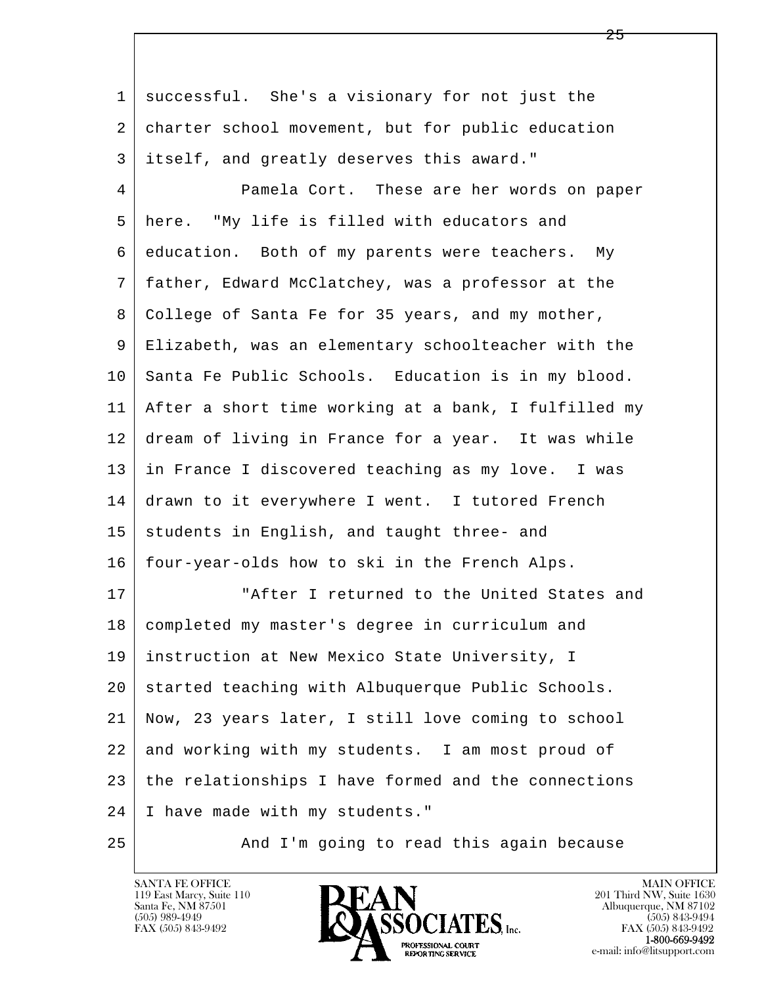l  $\overline{\phantom{a}}$  1 successful. She's a visionary for not just the 2 charter school movement, but for public education 3 itself, and greatly deserves this award." 4 Pamela Cort. These are her words on paper 5 here. "My life is filled with educators and 6 education. Both of my parents were teachers. My 7 father, Edward McClatchey, was a professor at the 8 College of Santa Fe for 35 years, and my mother, 9 Elizabeth, was an elementary schoolteacher with the 10 Santa Fe Public Schools. Education is in my blood. 11 After a short time working at a bank, I fulfilled my 12 dream of living in France for a year. It was while 13 in France I discovered teaching as my love. I was 14 drawn to it everywhere I went. I tutored French 15 students in English, and taught three- and 16 four-year-olds how to ski in the French Alps. 17 | The "After I returned to the United States and 18 | completed my master's degree in curriculum and 19 instruction at New Mexico State University, I 20 started teaching with Albuquerque Public Schools. 21 Now, 23 years later, I still love coming to school 22 and working with my students. I am most proud of 23 the relationships I have formed and the connections 24 I have made with my students." 25 And I'm going to read this again because

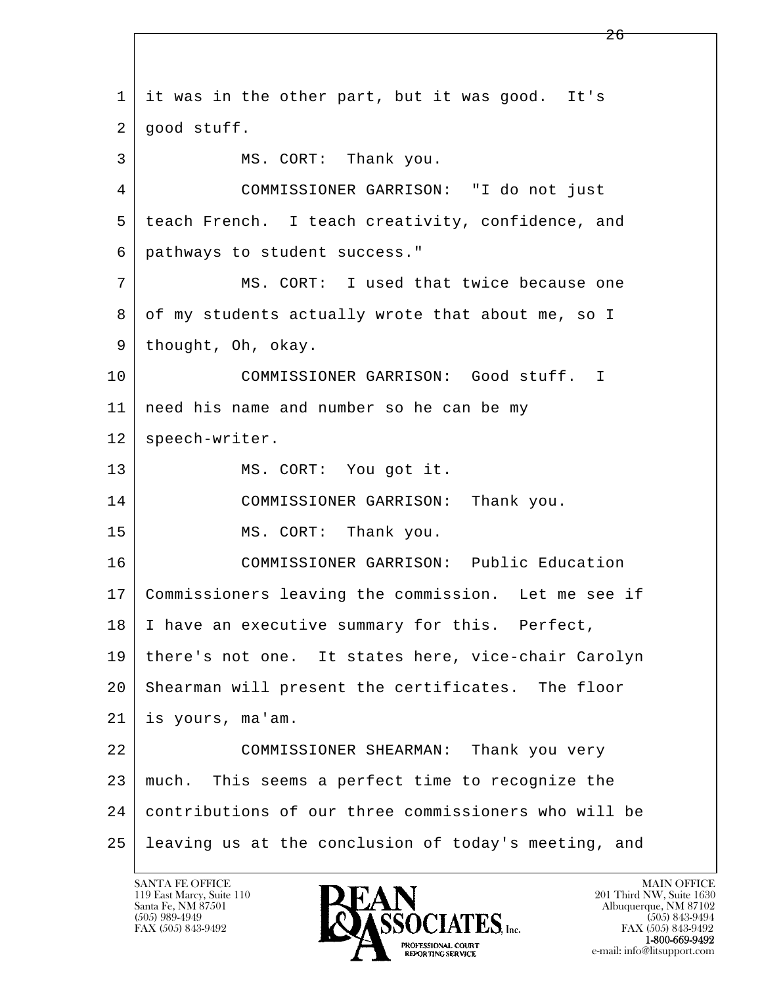l  $\overline{\phantom{a}}$  1 it was in the other part, but it was good. It's  $2 \mid$  good stuff. 3 MS. CORT: Thank you. 4 COMMISSIONER GARRISON: "I do not just 5 teach French. I teach creativity, confidence, and 6 pathways to student success." 7 | MS. CORT: I used that twice because one 8 of my students actually wrote that about me, so I 9 thought, Oh, okay. 10 COMMISSIONER GARRISON: Good stuff. I 11 | need his name and number so he can be my 12 | speech-writer. 13 MS. CORT: You got it. 14 COMMISSIONER GARRISON: Thank you. 15 MS. CORT: Thank you. 16 COMMISSIONER GARRISON: Public Education 17 Commissioners leaving the commission. Let me see if 18 | I have an executive summary for this. Perfect, 19 there's not one. It states here, vice-chair Carolyn 20 Shearman will present the certificates. The floor 21 is yours, ma'am. 22 COMMISSIONER SHEARMAN: Thank you very 23 | much. This seems a perfect time to recognize the 24 contributions of our three commissioners who will be 25 leaving us at the conclusion of today's meeting, and

119 East Marcy, Suite 110<br>Santa Fe, NM 87501

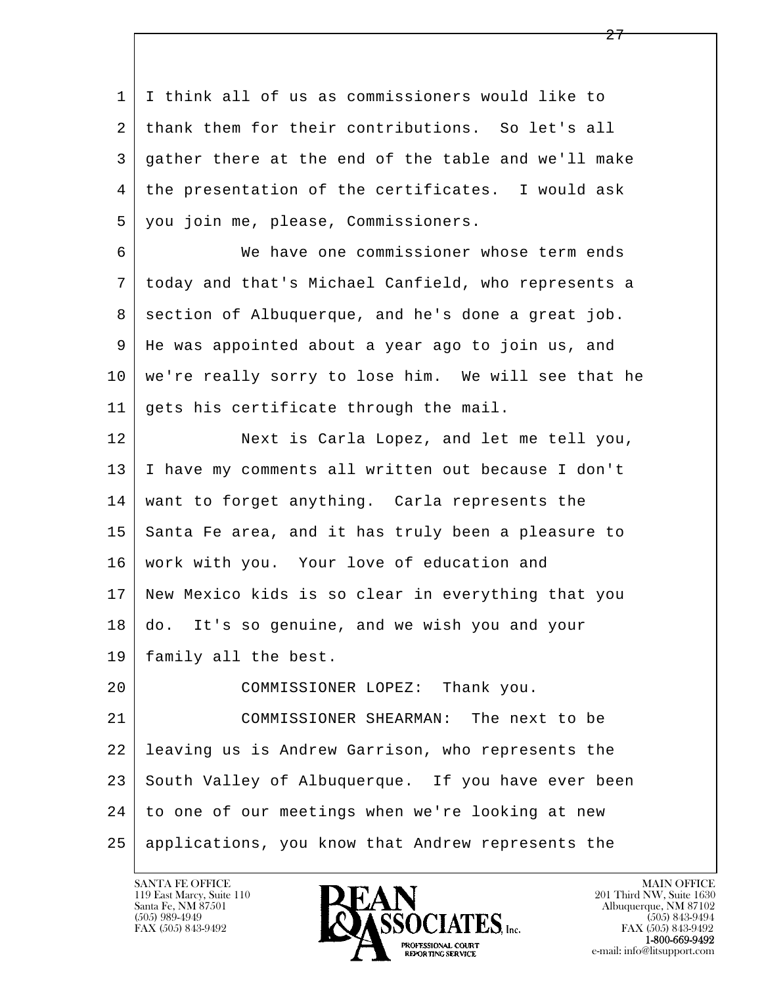l  $\overline{\phantom{a}}$  1 I think all of us as commissioners would like to 2 thank them for their contributions. So let's all 3 gather there at the end of the table and we'll make 4 the presentation of the certificates. I would ask 5 you join me, please, Commissioners. 6 We have one commissioner whose term ends 7 today and that's Michael Canfield, who represents a 8 section of Albuquerque, and he's done a great job. 9 He was appointed about a year ago to join us, and 10 we're really sorry to lose him. We will see that he 11 gets his certificate through the mail. 12 Next is Carla Lopez, and let me tell you, 13 I have my comments all written out because I don't 14 want to forget anything. Carla represents the 15 Santa Fe area, and it has truly been a pleasure to 16 | work with you. Your love of education and 17 New Mexico kids is so clear in everything that you 18 do. It's so genuine, and we wish you and your 19 family all the best. 20 COMMISSIONER LOPEZ: Thank you. 21 COMMISSIONER SHEARMAN: The next to be 22 leaving us is Andrew Garrison, who represents the 23 South Valley of Albuquerque. If you have ever been 24 to one of our meetings when we're looking at new 25 applications, you know that Andrew represents the

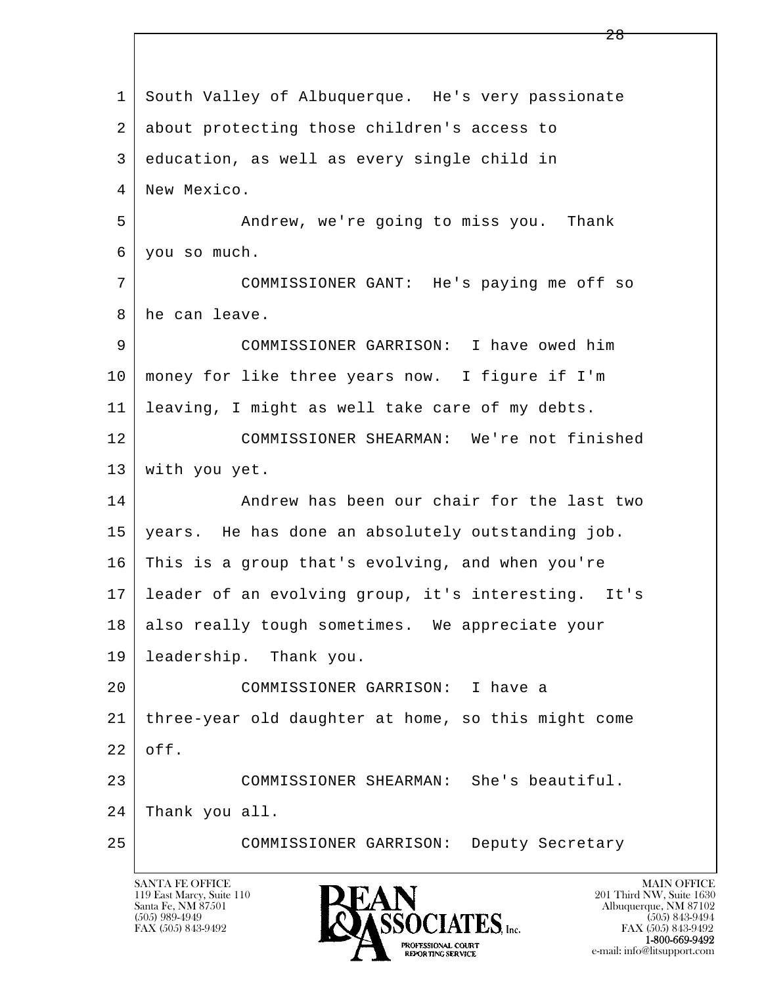l  $\overline{\phantom{a}}$  1 South Valley of Albuquerque. He's very passionate 2 about protecting those children's access to 3 education, as well as every single child in 4 | New Mexico. 5 Andrew, we're going to miss you. Thank 6 you so much. 7 COMMISSIONER GANT: He's paying me off so 8 he can leave. 9 COMMISSIONER GARRISON: I have owed him 10 money for like three years now. I figure if I'm 11 leaving, I might as well take care of my debts. 12 COMMISSIONER SHEARMAN: We're not finished 13 with you yet. 14 Andrew has been our chair for the last two 15 years. He has done an absolutely outstanding job. 16 This is a group that's evolving, and when you're 17 leader of an evolving group, it's interesting. It's 18 also really tough sometimes. We appreciate your 19 leadership. Thank you. 20 COMMISSIONER GARRISON: I have a 21 three-year old daughter at home, so this might come  $22$  off. 23 COMMISSIONER SHEARMAN: She's beautiful. 24 Thank you all. 25 COMMISSIONER GARRISON: Deputy Secretary

119 East Marcy, Suite 110<br>Santa Fe, NM 87501

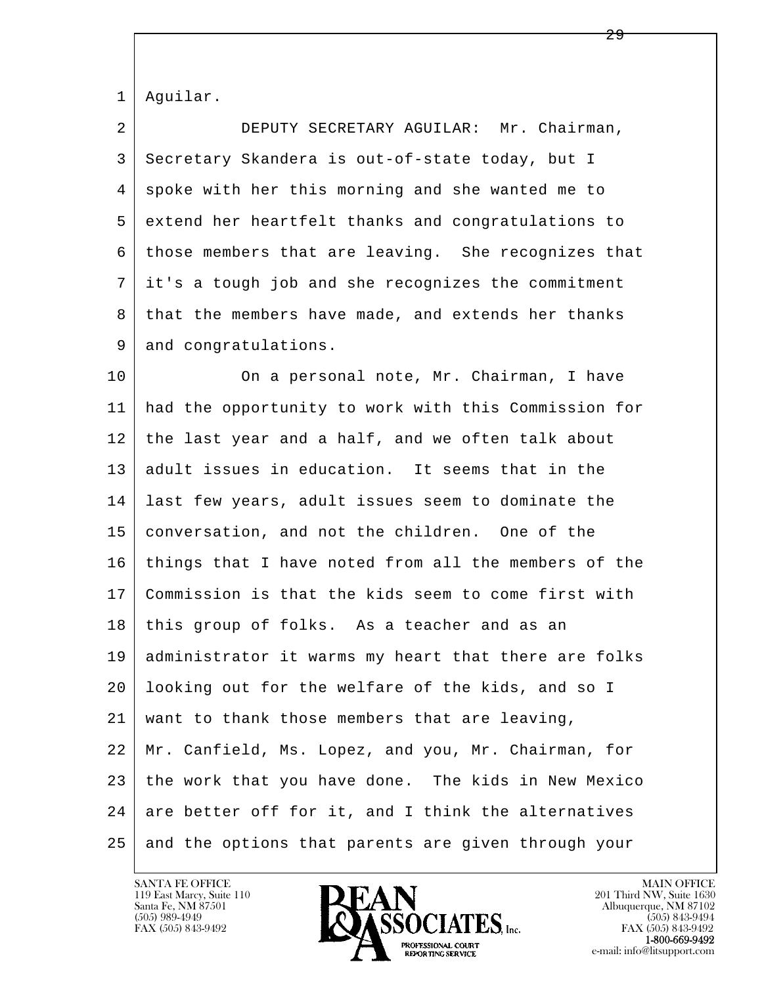1 Aguilar.

 2 DEPUTY SECRETARY AGUILAR: Mr. Chairman, 3 Secretary Skandera is out-of-state today, but I 4 spoke with her this morning and she wanted me to 5 extend her heartfelt thanks and congratulations to 6 those members that are leaving. She recognizes that 7 it's a tough job and she recognizes the commitment 8 | that the members have made, and extends her thanks 9 and congratulations.

l  $\overline{\phantom{a}}$ 10 On a personal note, Mr. Chairman, I have 11 had the opportunity to work with this Commission for 12 the last year and a half, and we often talk about 13 adult issues in education. It seems that in the 14 last few years, adult issues seem to dominate the 15 conversation, and not the children. One of the 16 | things that I have noted from all the members of the 17 Commission is that the kids seem to come first with 18 this group of folks. As a teacher and as an 19 administrator it warms my heart that there are folks 20 looking out for the welfare of the kids, and so I 21 want to thank those members that are leaving, 22 Mr. Canfield, Ms. Lopez, and you, Mr. Chairman, for 23 the work that you have done. The kids in New Mexico  $24$  are better off for it, and I think the alternatives 25 and the options that parents are given through your

119 East Marcy, Suite 110<br>Santa Fe, NM 87501

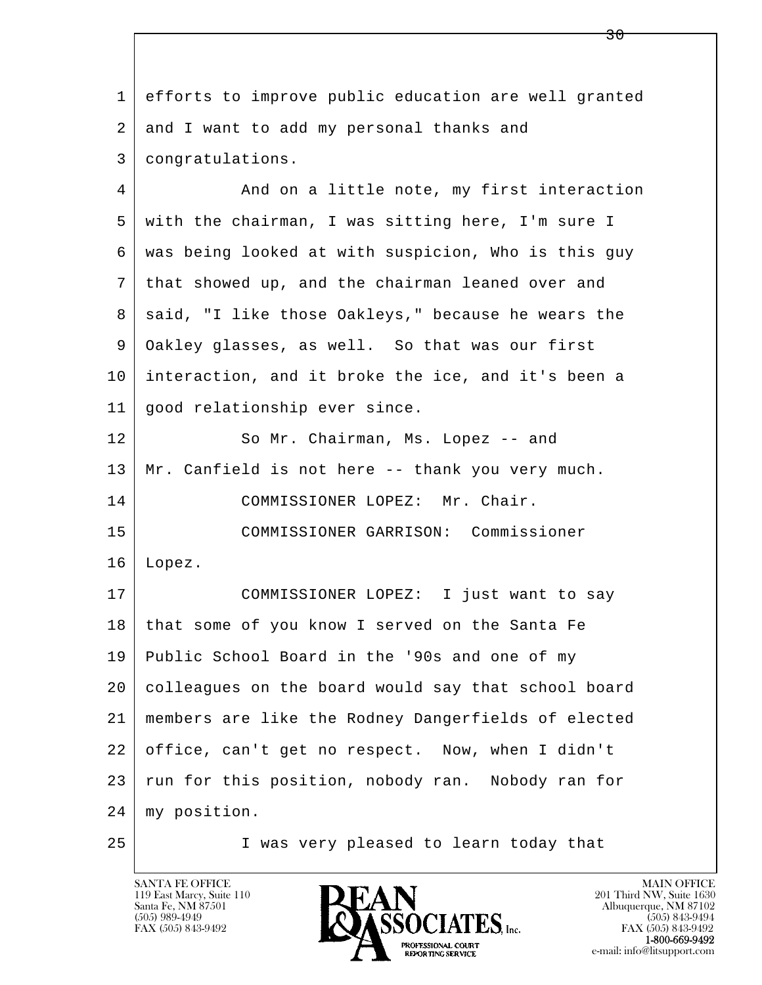l  $\overline{\phantom{a}}$  1 efforts to improve public education are well granted 2 and I want to add my personal thanks and 3 congratulations. 4 And on a little note, my first interaction 5 with the chairman, I was sitting here, I'm sure I 6 was being looked at with suspicion, Who is this guy 7 that showed up, and the chairman leaned over and 8 | said, "I like those Oakleys," because he wears the 9 Oakley glasses, as well. So that was our first 10 interaction, and it broke the ice, and it's been a 11 good relationship ever since. 12 So Mr. Chairman, Ms. Lopez -- and 13 Mr. Canfield is not here -- thank you very much. 14 COMMISSIONER LOPEZ: Mr. Chair. 15 COMMISSIONER GARRISON: Commissioner 16 Lopez. 17 COMMISSIONER LOPEZ: I just want to say 18 that some of you know I served on the Santa Fe 19 Public School Board in the '90s and one of my 20 colleagues on the board would say that school board 21 members are like the Rodney Dangerfields of elected 22 office, can't get no respect. Now, when I didn't 23 run for this position, nobody ran. Nobody ran for 24 my position. 25 I was very pleased to learn today that

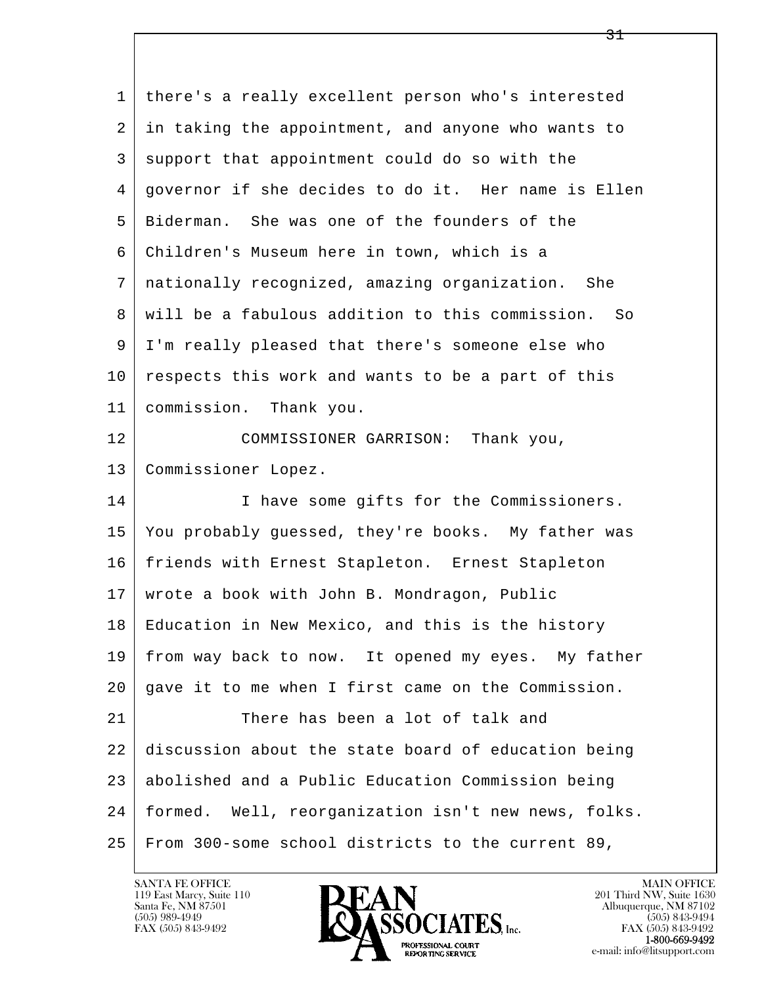l  $\overline{\phantom{a}}$  1 there's a really excellent person who's interested 2 in taking the appointment, and anyone who wants to 3 support that appointment could do so with the 4 governor if she decides to do it. Her name is Ellen 5 Biderman. She was one of the founders of the 6 Children's Museum here in town, which is a 7 nationally recognized, amazing organization. She 8 will be a fabulous addition to this commission. So 9 I'm really pleased that there's someone else who  $10$  respects this work and wants to be a part of this 11 commission. Thank you. 12 COMMISSIONER GARRISON: Thank you, 13 Commissioner Lopez. 14 I have some gifts for the Commissioners. 15 You probably guessed, they're books. My father was 16 friends with Ernest Stapleton. Ernest Stapleton 17 | wrote a book with John B. Mondragon, Public 18 Education in New Mexico, and this is the history 19 from way back to now. It opened my eyes. My father 20 gave it to me when I first came on the Commission. 21 There has been a lot of talk and 22 discussion about the state board of education being 23 abolished and a Public Education Commission being 24 formed. Well, reorganization isn't new news, folks. 25 From 300-some school districts to the current 89,

119 East Marcy, Suite 110<br>Santa Fe, NM 87501



<u>31</u>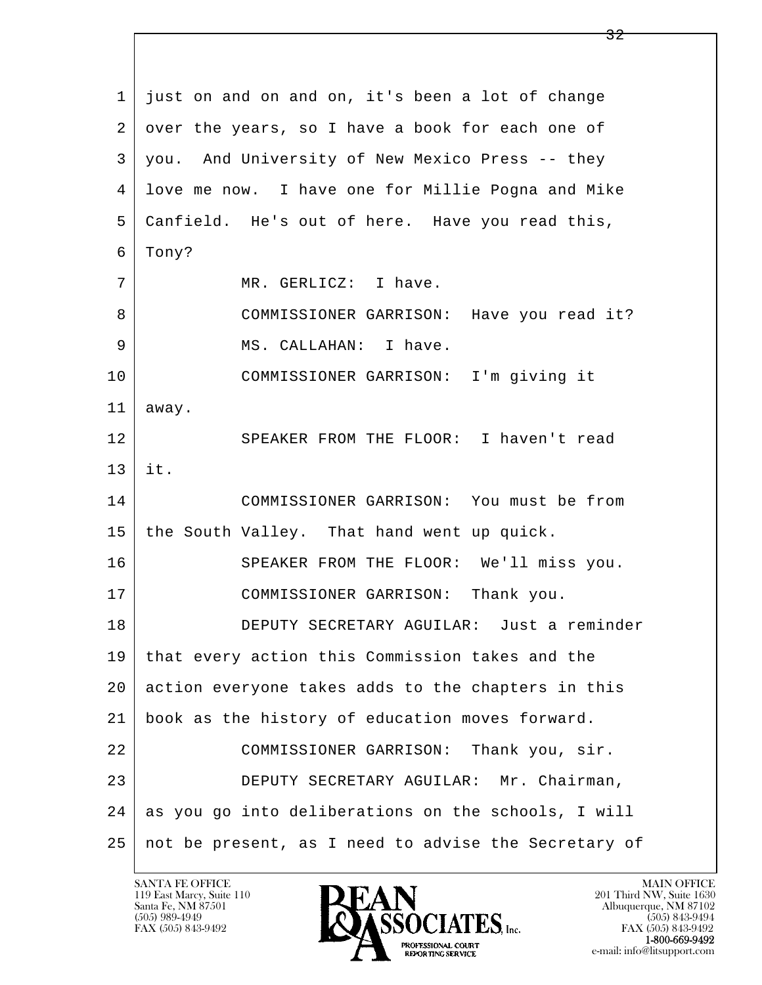l  $\overline{\phantom{a}}$  1 just on and on and on, it's been a lot of change 2 over the years, so I have a book for each one of 3 you. And University of New Mexico Press -- they 4 love me now. I have one for Millie Pogna and Mike 5 Canfield. He's out of here. Have you read this, 6 Tony? 7 | MR. GERLICZ: I have. 8 COMMISSIONER GARRISON: Have you read it? 9 | MS. CALLAHAN: I have. 10 COMMISSIONER GARRISON: I'm giving it 11 away. 12 SPEAKER FROM THE FLOOR: I haven't read 13 it. 14 COMMISSIONER GARRISON: You must be from 15 | the South Valley. That hand went up quick. 16 SPEAKER FROM THE FLOOR: We'll miss you. 17 COMMISSIONER GARRISON: Thank you. 18 DEPUTY SECRETARY AGUILAR: Just a reminder 19 that every action this Commission takes and the 20 action everyone takes adds to the chapters in this 21 book as the history of education moves forward. 22 COMMISSIONER GARRISON: Thank you, sir. 23 DEPUTY SECRETARY AGUILAR: Mr. Chairman, 24 as you go into deliberations on the schools, I will 25 not be present, as I need to advise the Secretary of

119 East Marcy, Suite 110<br>Santa Fe, NM 87501



FAX (505) 843-9492 FAX (505) 843-9492 e-mail: info@litsupport.com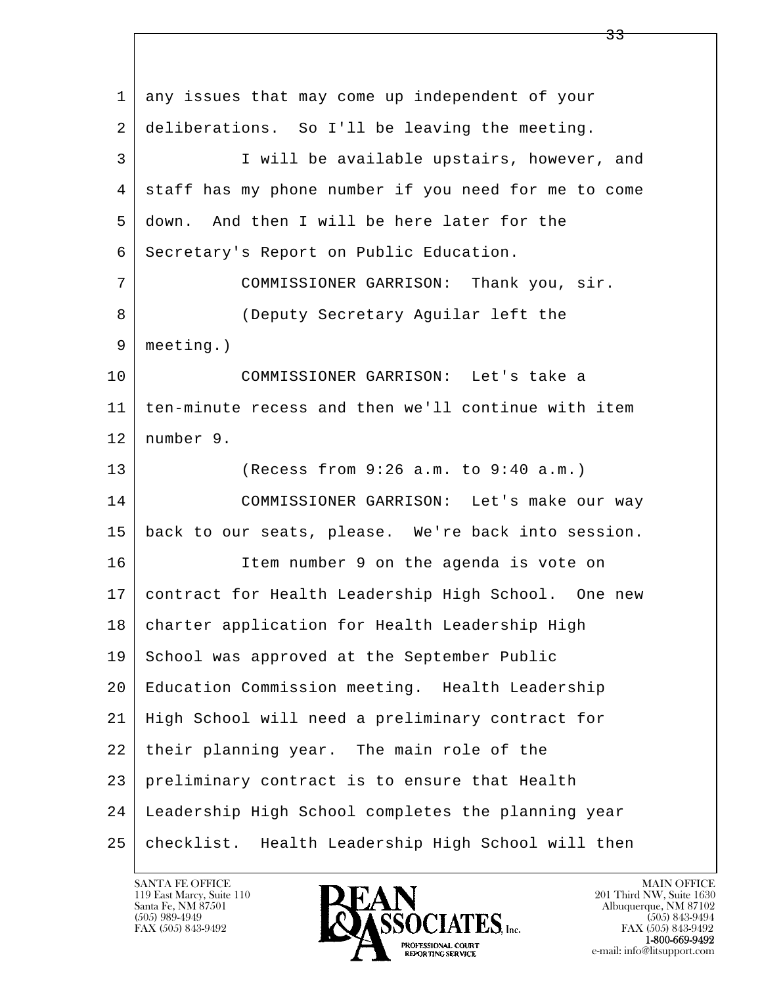l  $\overline{\phantom{a}}$  1 any issues that may come up independent of your 2 deliberations. So I'll be leaving the meeting. 3 I will be available upstairs, however, and 4 staff has my phone number if you need for me to come 5 down. And then I will be here later for the 6 | Secretary's Report on Public Education. 7 COMMISSIONER GARRISON: Thank you, sir. 8 (Deputy Secretary Aguilar left the 9 meeting.) 10 COMMISSIONER GARRISON: Let's take a 11 ten-minute recess and then we'll continue with item 12 number 9. 13 (Recess from 9:26 a.m. to 9:40 a.m.) 14 COMMISSIONER GARRISON: Let's make our way 15 back to our seats, please. We're back into session. 16 Item number 9 on the agenda is vote on 17 contract for Health Leadership High School. One new 18 | charter application for Health Leadership High 19 School was approved at the September Public 20 Education Commission meeting. Health Leadership 21 High School will need a preliminary contract for 22 their planning year. The main role of the 23 preliminary contract is to ensure that Health 24 Leadership High School completes the planning year 25 checklist. Health Leadership High School will then

119 East Marcy, Suite 110<br>Santa Fe, NM 87501

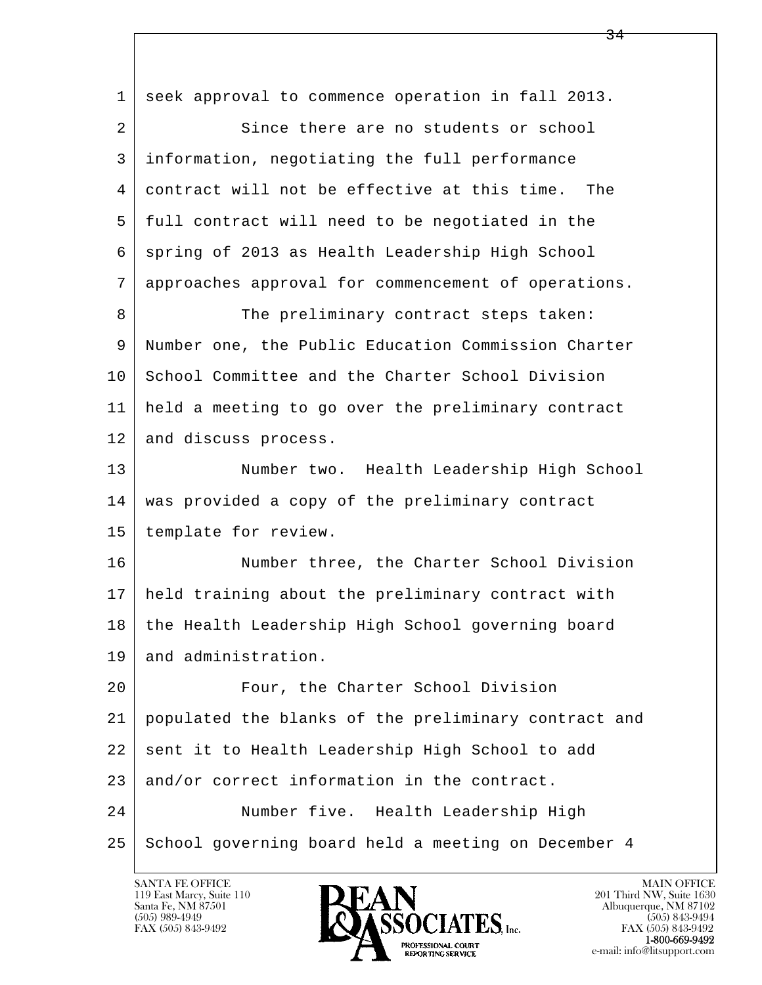| $\mathbf{1}$ | seek approval to commence operation in fall 2013.    |
|--------------|------------------------------------------------------|
| 2            | Since there are no students or school                |
| 3            | information, negotiating the full performance        |
| 4            | contract will not be effective at this time. The     |
| 5            | full contract will need to be negotiated in the      |
| 6            | spring of 2013 as Health Leadership High School      |
| 7            | approaches approval for commencement of operations.  |
| 8            | The preliminary contract steps taken:                |
| 9            | Number one, the Public Education Commission Charter  |
| 10           | School Committee and the Charter School Division     |
| 11           | held a meeting to go over the preliminary contract   |
| 12           | and discuss process.                                 |
| 13           | Number two. Health Leadership High School            |
| 14           | was provided a copy of the preliminary contract      |
| 15           | template for review.                                 |
| 16           | Number three, the Charter School Division            |
| 17           | held training about the preliminary contract with    |
| 18           | the Health Leadership High School governing board    |
| 19           | and administration.                                  |
| 20           | Four, the Charter School Division                    |
| 21           | populated the blanks of the preliminary contract and |
| 22           | sent it to Health Leadership High School to add      |
| 23           | and/or correct information in the contract.          |
| 24           | Number five. Health Leadership High                  |
| 25           | School governing board held a meeting on December 4  |

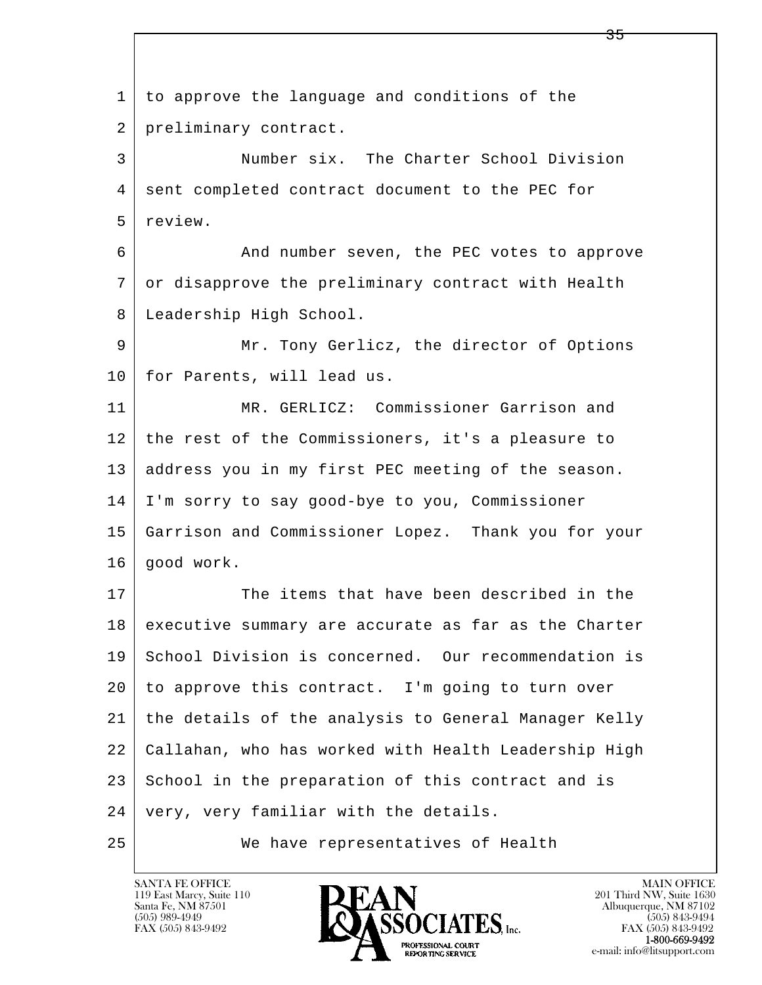l  $\overline{\phantom{a}}$  1 to approve the language and conditions of the 2 preliminary contract. 3 Number six. The Charter School Division 4 sent completed contract document to the PEC for 5 review. 6 And number seven, the PEC votes to approve 7 or disapprove the preliminary contract with Health 8 Leadership High School. 9 Mr. Tony Gerlicz, the director of Options 10 for Parents, will lead us. 11 MR. GERLICZ: Commissioner Garrison and 12 the rest of the Commissioners, it's a pleasure to 13 address you in my first PEC meeting of the season. 14 I'm sorry to say good-bye to you, Commissioner 15 Garrison and Commissioner Lopez. Thank you for your  $16$  qood work. 17 The items that have been described in the 18 executive summary are accurate as far as the Charter 19 School Division is concerned. Our recommendation is 20 to approve this contract. I'm going to turn over 21 the details of the analysis to General Manager Kelly 22 Callahan, who has worked with Health Leadership High 23 School in the preparation of this contract and is 24 | very, very familiar with the details. 25 We have representatives of Health

119 East Marcy, Suite 110<br>Santa Fe, NM 87501

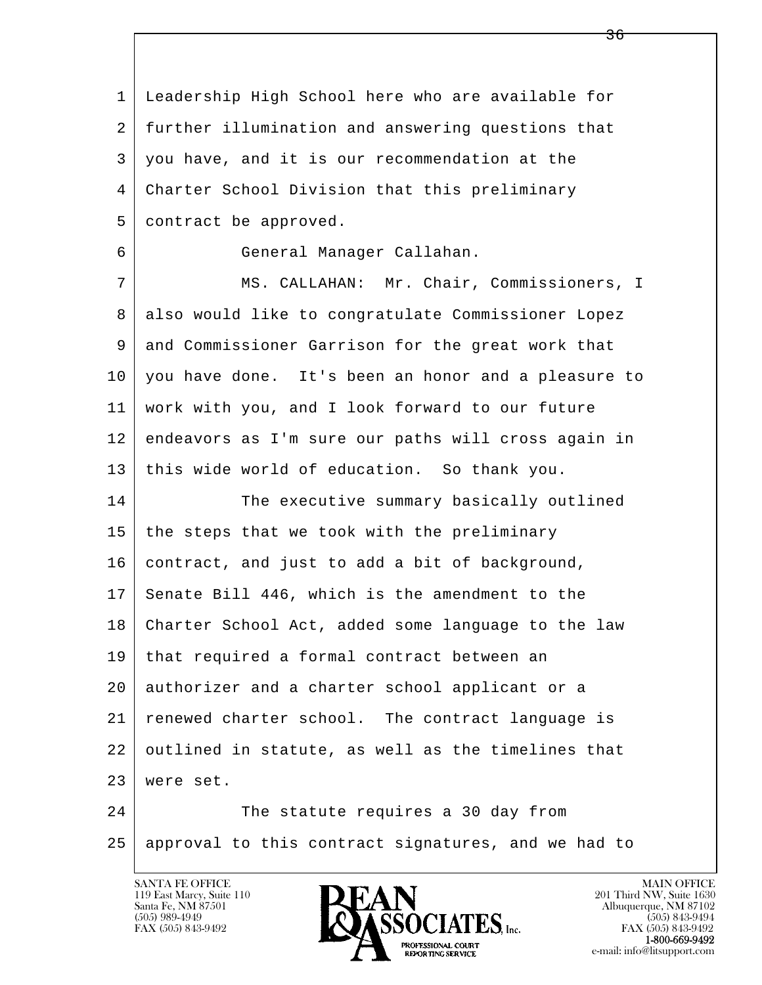l  $\overline{\phantom{a}}$  1 Leadership High School here who are available for 2 further illumination and answering questions that 3 you have, and it is our recommendation at the 4 Charter School Division that this preliminary 5 contract be approved. 6 General Manager Callahan. 7 MS. CALLAHAN: Mr. Chair, Commissioners, I 8 also would like to congratulate Commissioner Lopez 9 and Commissioner Garrison for the great work that 10 you have done. It's been an honor and a pleasure to 11 work with you, and I look forward to our future 12 endeavors as I'm sure our paths will cross again in 13 this wide world of education. So thank you. 14 The executive summary basically outlined  $15$  the steps that we took with the preliminary 16 contract, and just to add a bit of background, 17 Senate Bill 446, which is the amendment to the 18 Charter School Act, added some language to the law 19 that required a formal contract between an 20 authorizer and a charter school applicant or a 21 renewed charter school. The contract language is 22 outlined in statute, as well as the timelines that 23 were set. 24 The statute requires a 30 day from 25 approval to this contract signatures, and we had to

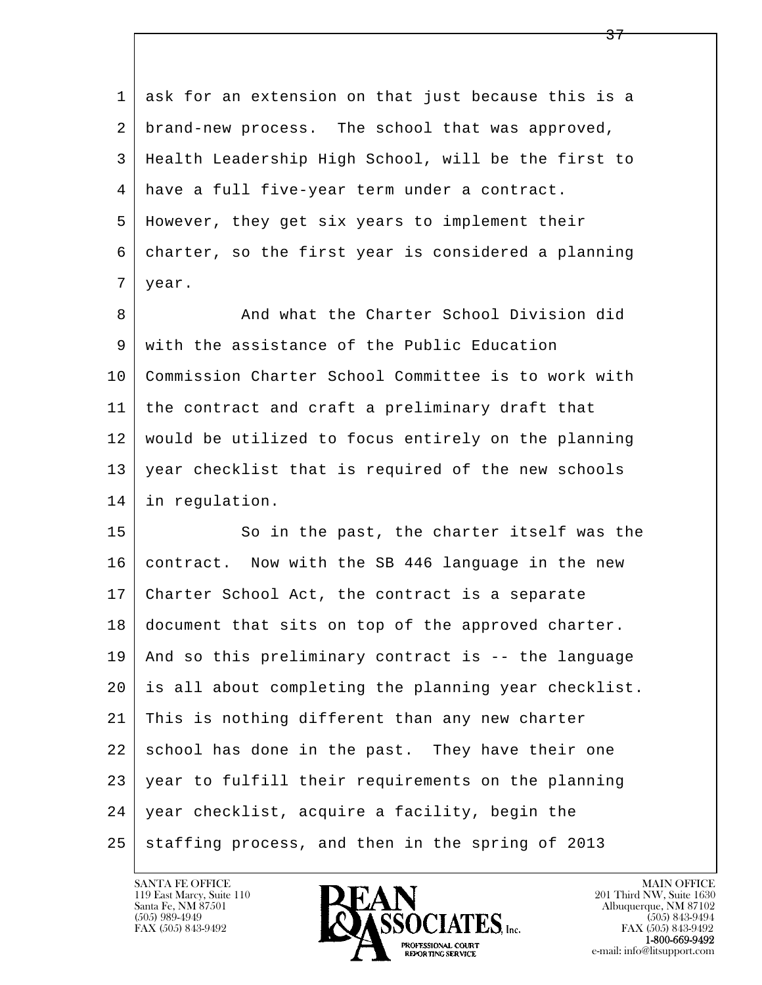l  $\overline{\phantom{a}}$  1 ask for an extension on that just because this is a 2 brand-new process. The school that was approved, 3 Health Leadership High School, will be the first to 4 have a full five-year term under a contract. 5 However, they get six years to implement their 6 charter, so the first year is considered a planning 7 year. 8 And what the Charter School Division did 9 with the assistance of the Public Education 10 Commission Charter School Committee is to work with 11 the contract and craft a preliminary draft that 12 would be utilized to focus entirely on the planning 13 year checklist that is required of the new schools 14 in regulation. 15 | So in the past, the charter itself was the 16 contract. Now with the SB 446 language in the new 17 Charter School Act, the contract is a separate 18 document that sits on top of the approved charter. 19 And so this preliminary contract is -- the language 20 is all about completing the planning year checklist. 21 This is nothing different than any new charter 22 school has done in the past. They have their one 23 year to fulfill their requirements on the planning 24 year checklist, acquire a facility, begin the  $25$  staffing process, and then in the spring of 2013

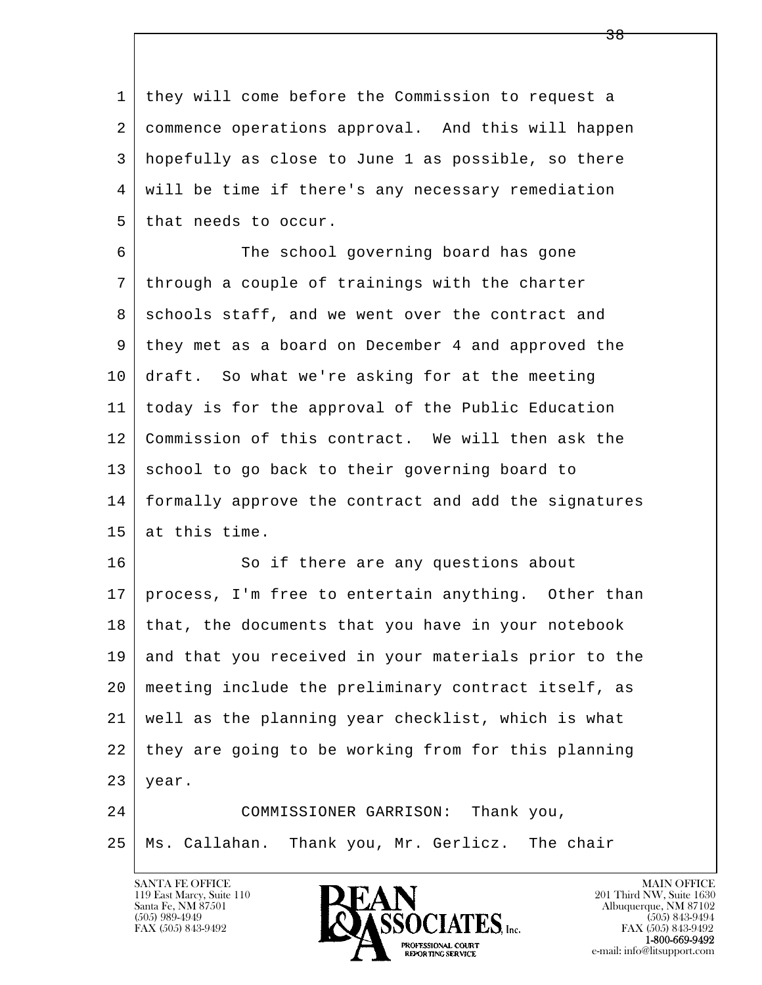1 they will come before the Commission to request a 2 commence operations approval. And this will happen 3 hopefully as close to June 1 as possible, so there 4 will be time if there's any necessary remediation  $5$  that needs to occur.

 6 The school governing board has gone 7 through a couple of trainings with the charter 8 schools staff, and we went over the contract and 9 they met as a board on December 4 and approved the 10 draft. So what we're asking for at the meeting 11 today is for the approval of the Public Education 12 Commission of this contract. We will then ask the 13 school to go back to their governing board to 14 formally approve the contract and add the signatures 15 at this time.

16 So if there are any questions about 17 | process, I'm free to entertain anything. Other than 18 | that, the documents that you have in your notebook 19 and that you received in your materials prior to the 20 meeting include the preliminary contract itself, as 21 well as the planning year checklist, which is what 22 they are going to be working from for this planning  $23$  year.

l  $\overline{\phantom{a}}$  24 COMMISSIONER GARRISON: Thank you, 25 Ms. Callahan. Thank you, Mr. Gerlicz. The chair

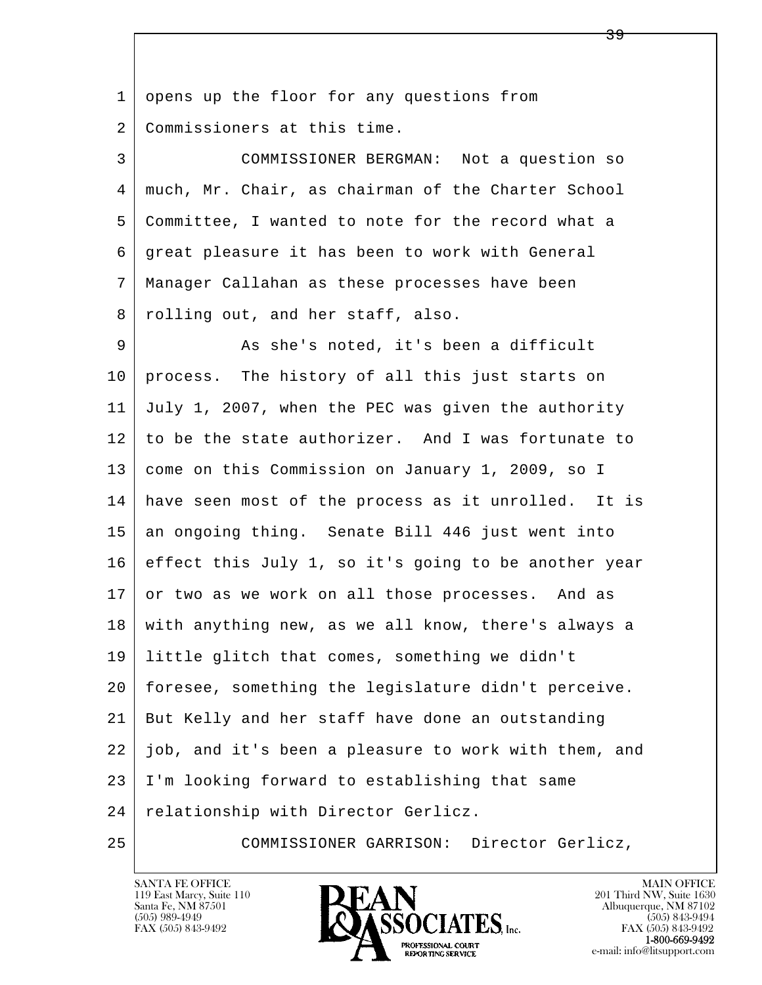l  $\overline{\phantom{a}}$ 1 opens up the floor for any questions from 2 Commissioners at this time. 3 COMMISSIONER BERGMAN: Not a question so 4 much, Mr. Chair, as chairman of the Charter School 5 Committee, I wanted to note for the record what a 6 great pleasure it has been to work with General 7 Manager Callahan as these processes have been 8 rolling out, and her staff, also. 9 As she's noted, it's been a difficult 10 process. The history of all this just starts on 11 July 1, 2007, when the PEC was given the authority 12 to be the state authorizer. And I was fortunate to 13 come on this Commission on January 1, 2009, so I 14 have seen most of the process as it unrolled. It is 15 an ongoing thing. Senate Bill 446 just went into 16 effect this July 1, so it's going to be another year 17 or two as we work on all those processes. And as 18 with anything new, as we all know, there's always a 19 little glitch that comes, something we didn't 20 foresee, something the legislature didn't perceive. 21 But Kelly and her staff have done an outstanding 22 job, and it's been a pleasure to work with them, and 23 I'm looking forward to establishing that same 24 | relationship with Director Gerlicz. 25 COMMISSIONER GARRISON: Director Gerlicz,

119 East Marcy, Suite 110<br>Santa Fe, NM 87501

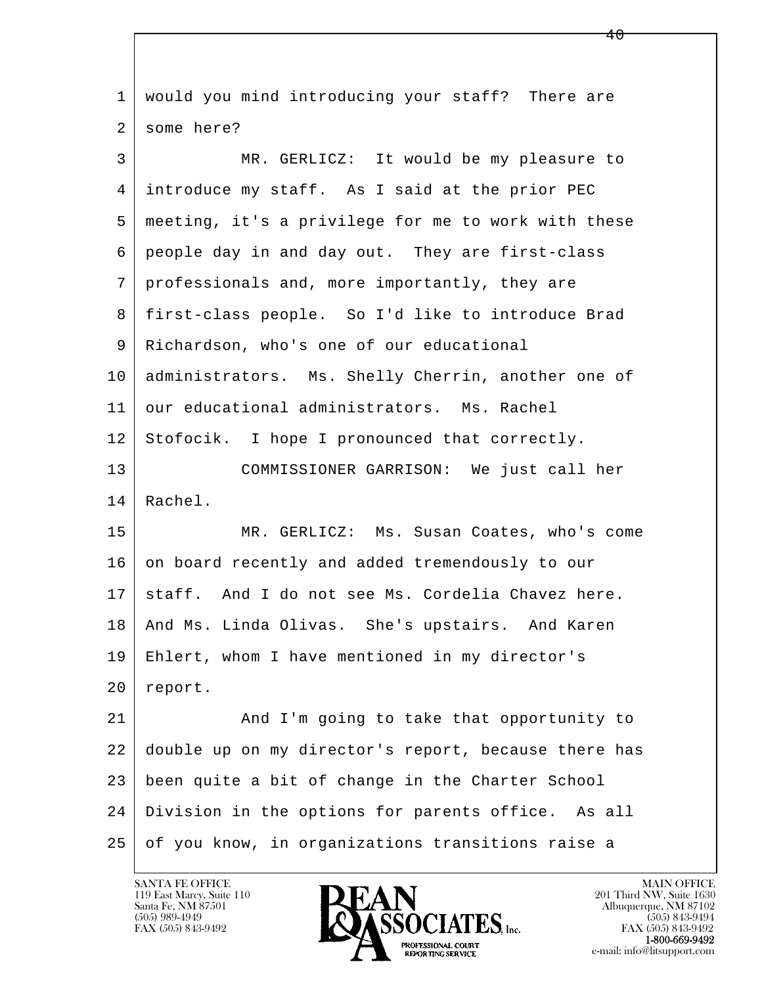| 1  | would you mind introducing your staff? There are     |
|----|------------------------------------------------------|
| 2  | some here?                                           |
| 3  | MR. GERLICZ: It would be my pleasure to              |
| 4  | introduce my staff. As I said at the prior PEC       |
| 5  | meeting, it's a privilege for me to work with these  |
| 6  | people day in and day out. They are first-class      |
| 7  | professionals and, more importantly, they are        |
| 8  | first-class people. So I'd like to introduce Brad    |
| 9  | Richardson, who's one of our educational             |
| 10 | administrators. Ms. Shelly Cherrin, another one of   |
| 11 | our educational administrators. Ms. Rachel           |
| 12 | Stofocik. I hope I pronounced that correctly.        |
| 13 | COMMISSIONER GARRISON: We just call her              |
| 14 | Rachel.                                              |
| 15 | MR. GERLICZ: Ms. Susan Coates, who's come            |
| 16 | on board recently and added tremendously to our      |
| 17 | staff. And I do not see Ms. Cordelia Chavez here.    |
| 18 | And Ms. Linda Olivas. She's upstairs. And Karen      |
| 19 | Ehlert, whom I have mentioned in my director's       |
| 20 | report.                                              |
| 21 | And I'm going to take that opportunity to            |
| 22 | double up on my director's report, because there has |
| 23 | been quite a bit of change in the Charter School     |
| 24 | Division in the options for parents office. As all   |
| 25 | of you know, in organizations transitions raise a    |

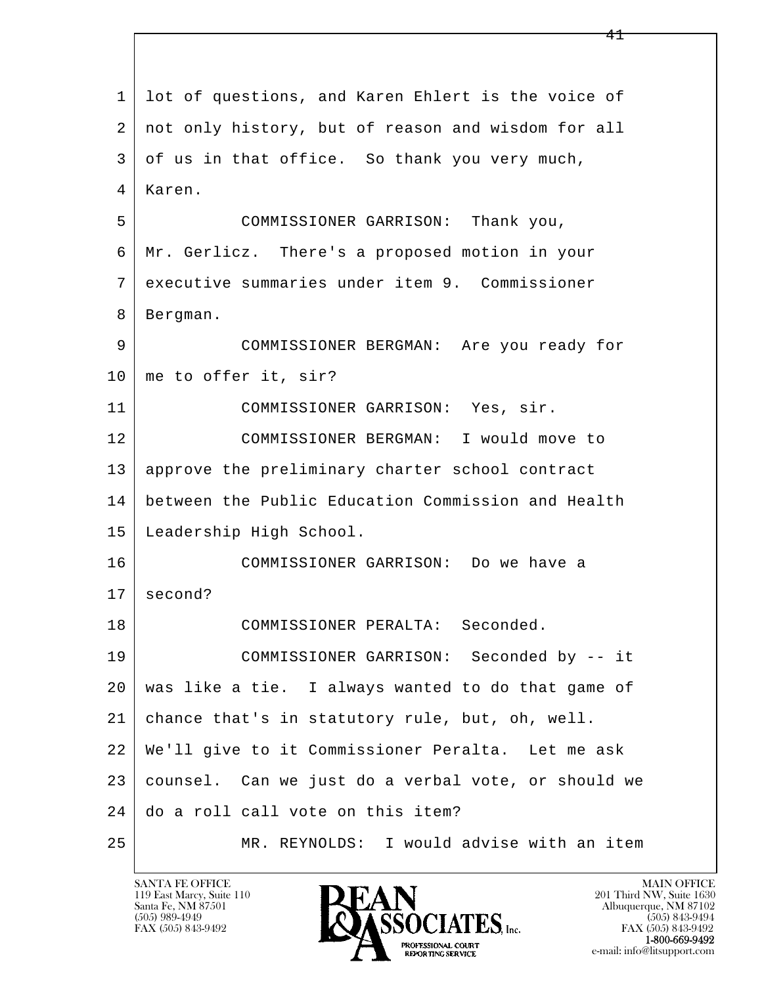l  $\overline{\phantom{a}}$  1 lot of questions, and Karen Ehlert is the voice of 2 not only history, but of reason and wisdom for all 3 of us in that office. So thank you very much, 4 Karen. 5 COMMISSIONER GARRISON: Thank you, 6 Mr. Gerlicz. There's a proposed motion in your 7 executive summaries under item 9. Commissioner 8 | Bergman. 9 COMMISSIONER BERGMAN: Are you ready for 10 | me to offer it, sir? 11 COMMISSIONER GARRISON: Yes, sir. 12 COMMISSIONER BERGMAN: I would move to 13 approve the preliminary charter school contract 14 between the Public Education Commission and Health 15 Leadership High School. 16 COMMISSIONER GARRISON: Do we have a  $17 \mid$  second? 18 COMMISSIONER PERALTA: Seconded. 19 COMMISSIONER GARRISON: Seconded by -- it 20 was like a tie. I always wanted to do that game of 21 chance that's in statutory rule, but, oh, well. 22 We'll give to it Commissioner Peralta. Let me ask 23 counsel. Can we just do a verbal vote, or should we 24 do a roll call vote on this item? 25 MR. REYNOLDS: I would advise with an item

119 East Marcy, Suite 110<br>Santa Fe, NM 87501

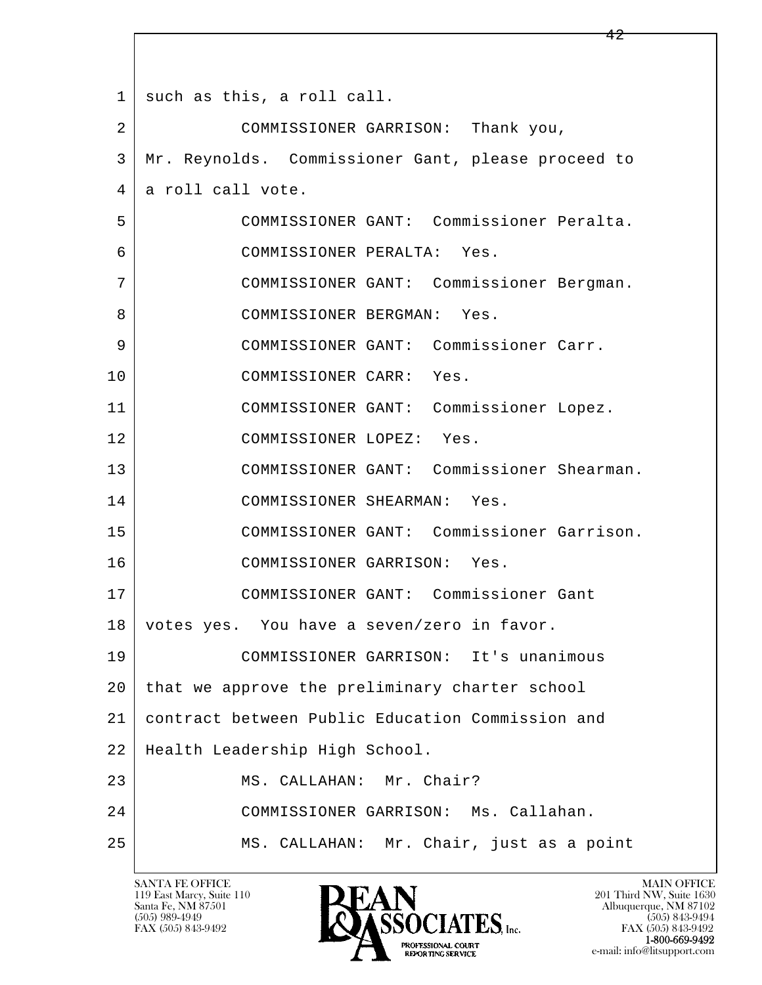l  $\overline{\phantom{a}}$ 1 such as this, a roll call. 2 COMMISSIONER GARRISON: Thank you, 3 Mr. Reynolds. Commissioner Gant, please proceed to 4 a roll call vote. 5 COMMISSIONER GANT: Commissioner Peralta. 6 COMMISSIONER PERALTA: Yes. 7 COMMISSIONER GANT: Commissioner Bergman. 8 | COMMISSIONER BERGMAN: Yes. 9 COMMISSIONER GANT: Commissioner Carr. 10 COMMISSIONER CARR: Yes. 11 COMMISSIONER GANT: Commissioner Lopez. 12 COMMISSIONER LOPEZ: Yes. 13 COMMISSIONER GANT: Commissioner Shearman. 14 COMMISSIONER SHEARMAN: Yes. 15 COMMISSIONER GANT: Commissioner Garrison. 16 COMMISSIONER GARRISON: Yes. 17 COMMISSIONER GANT: Commissioner Gant 18 | votes yes. You have a seven/zero in favor. 19 COMMISSIONER GARRISON: It's unanimous 20 | that we approve the preliminary charter school 21 contract between Public Education Commission and 22 Health Leadership High School. 23 MS. CALLAHAN: Mr. Chair? 24 COMMISSIONER GARRISON: Ms. Callahan. 25 MS. CALLAHAN: Mr. Chair, just as a point

119 East Marcy, Suite 110<br>Santa Fe, NM 87501

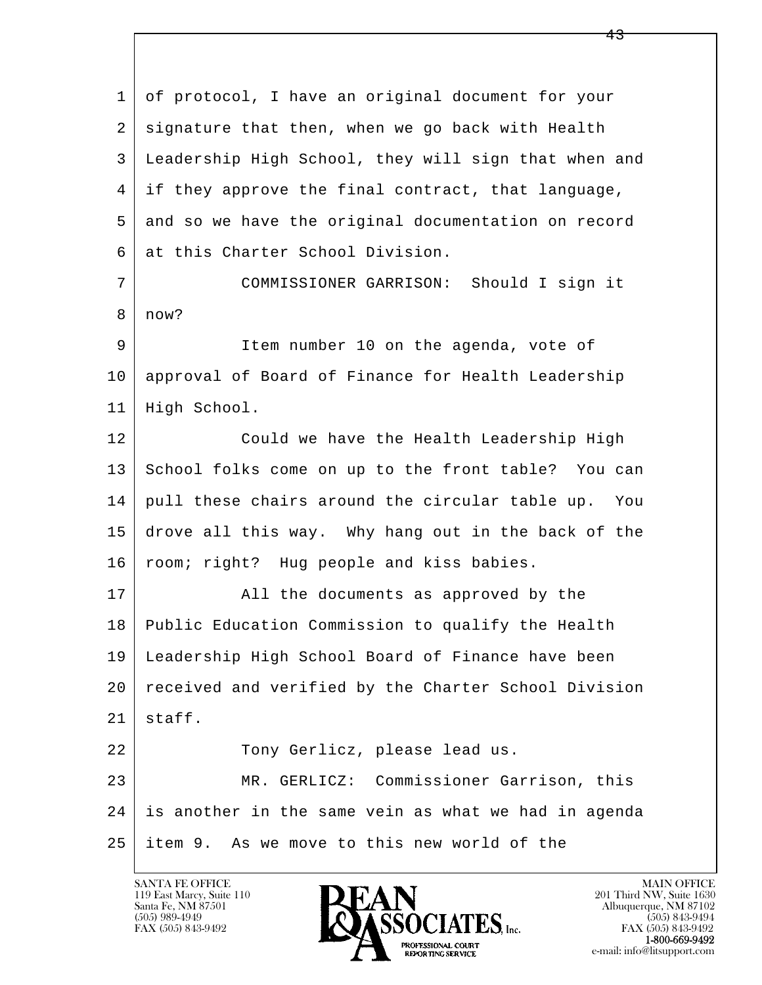l  $\overline{\phantom{a}}$  1 of protocol, I have an original document for your 2 signature that then, when we go back with Health 3 Leadership High School, they will sign that when and 4 if they approve the final contract, that language, 5 and so we have the original documentation on record 6 at this Charter School Division. 7 COMMISSIONER GARRISON: Should I sign it 8 now? 9 Item number 10 on the agenda, vote of 10 approval of Board of Finance for Health Leadership 11 High School. 12 Could we have the Health Leadership High 13 School folks come on up to the front table? You can 14 pull these chairs around the circular table up. You 15 drove all this way. Why hang out in the back of the 16 | room; right? Hug people and kiss babies. 17 | All the documents as approved by the 18 Public Education Commission to qualify the Health 19 Leadership High School Board of Finance have been 20 received and verified by the Charter School Division  $21$  staff. 22 Tony Gerlicz, please lead us. 23 MR. GERLICZ: Commissioner Garrison, this 24 is another in the same vein as what we had in agenda 25 item 9. As we move to this new world of the

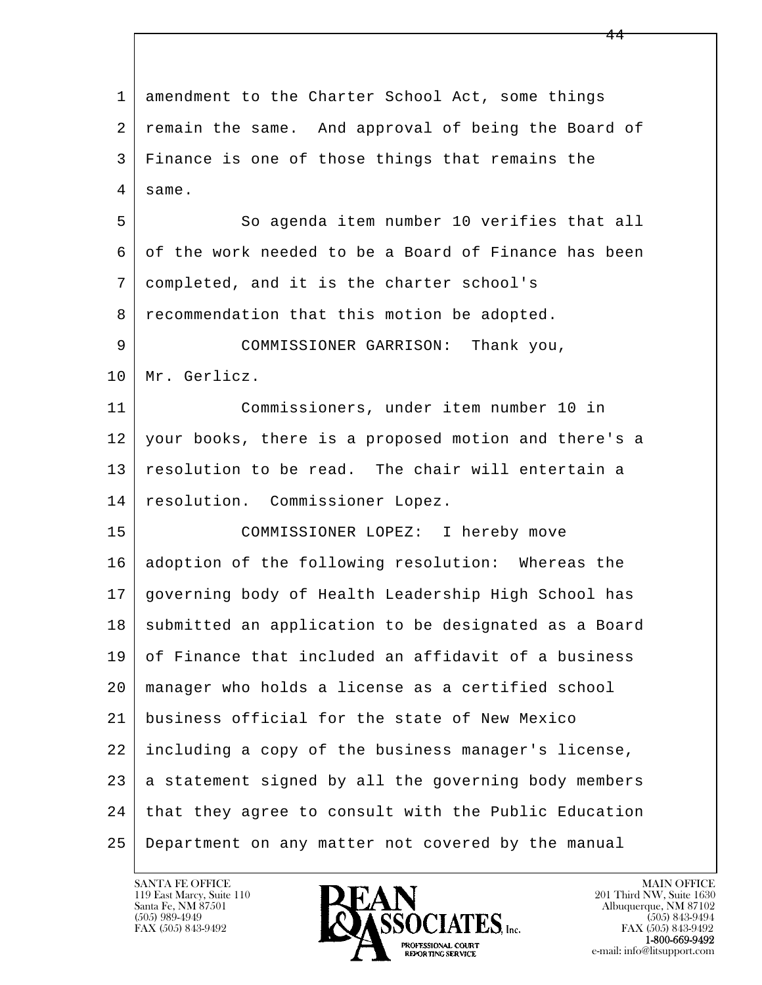l  $\overline{\phantom{a}}$ 1 amendment to the Charter School Act, some things 2 | remain the same. And approval of being the Board of 3 Finance is one of those things that remains the 4 same. 5 So agenda item number 10 verifies that all 6 of the work needed to be a Board of Finance has been 7 completed, and it is the charter school's 8 recommendation that this motion be adopted. 9 COMMISSIONER GARRISON: Thank you, 10 Mr. Gerlicz. 11 Commissioners, under item number 10 in 12 your books, there is a proposed motion and there's a 13 resolution to be read. The chair will entertain a 14 resolution. Commissioner Lopez. 15 COMMISSIONER LOPEZ: I hereby move 16 adoption of the following resolution: Whereas the 17 governing body of Health Leadership High School has 18 | submitted an application to be designated as a Board 19 of Finance that included an affidavit of a business 20 manager who holds a license as a certified school 21 business official for the state of New Mexico 22 including a copy of the business manager's license,  $23$  a statement signed by all the governing body members 24 | that they agree to consult with the Public Education 25 Department on any matter not covered by the manual

119 East Marcy, Suite 110<br>Santa Fe, NM 87501

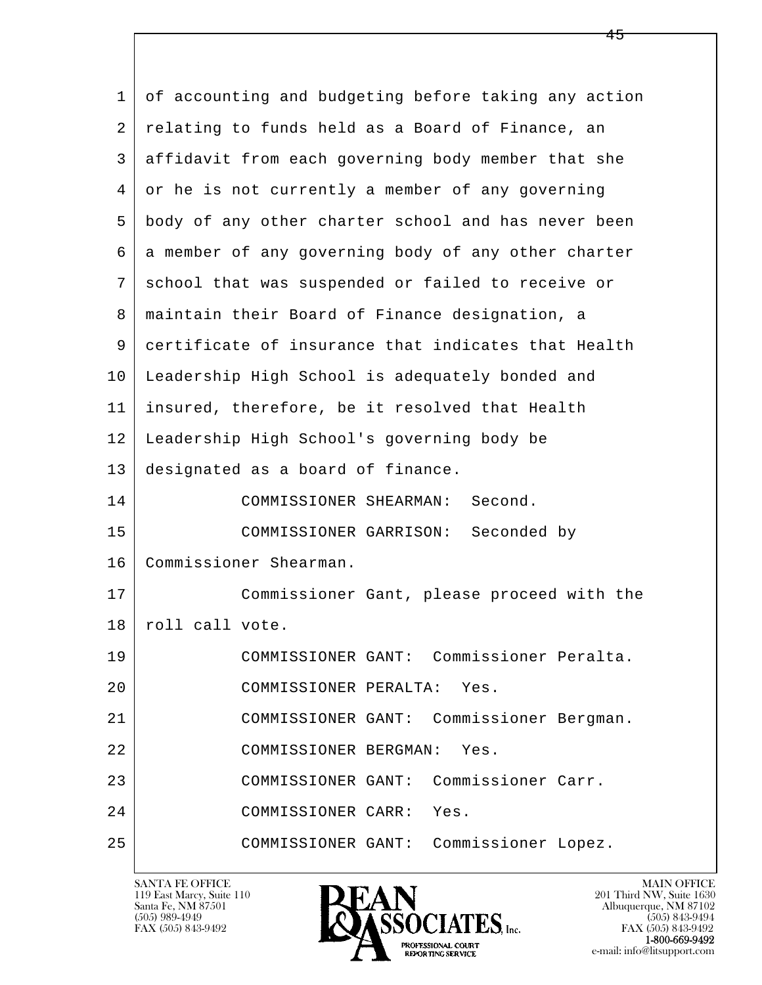| $\mathbf{1}$ | of accounting and budgeting before taking any action |
|--------------|------------------------------------------------------|
| 2            | relating to funds held as a Board of Finance, an     |
| 3            | affidavit from each governing body member that she   |
| 4            | or he is not currently a member of any governing     |
| 5            | body of any other charter school and has never been  |
| 6            | a member of any governing body of any other charter  |
| 7            | school that was suspended or failed to receive or    |
| 8            | maintain their Board of Finance designation, a       |
| 9            | certificate of insurance that indicates that Health  |
| 10           | Leadership High School is adequately bonded and      |
| 11           | insured, therefore, be it resolved that Health       |
| 12           | Leadership High School's governing body be           |
| 13           | designated as a board of finance.                    |
| 14           | COMMISSIONER SHEARMAN:<br>Second.                    |
| 15           | COMMISSIONER GARRISON: Seconded by                   |
| 16           | Commissioner Shearman.                               |
| 17           | Commissioner Gant, please proceed with the           |
| 18           | roll call vote.                                      |
| 19           | COMMISSIONER GANT: Commissioner Peralta.             |
| 20           | COMMISSIONER PERALTA:<br>Yes.                        |
| 21           | COMMISSIONER GANT: Commissioner Bergman.             |
| 22           | COMMISSIONER BERGMAN:<br>Yes.                        |
| 23           | Commissioner Carr.<br>COMMISSIONER GANT:             |
| 24           | COMMISSIONER CARR:<br>Yes.                           |
| 25           | Commissioner Lopez.<br>COMMISSIONER GANT:            |

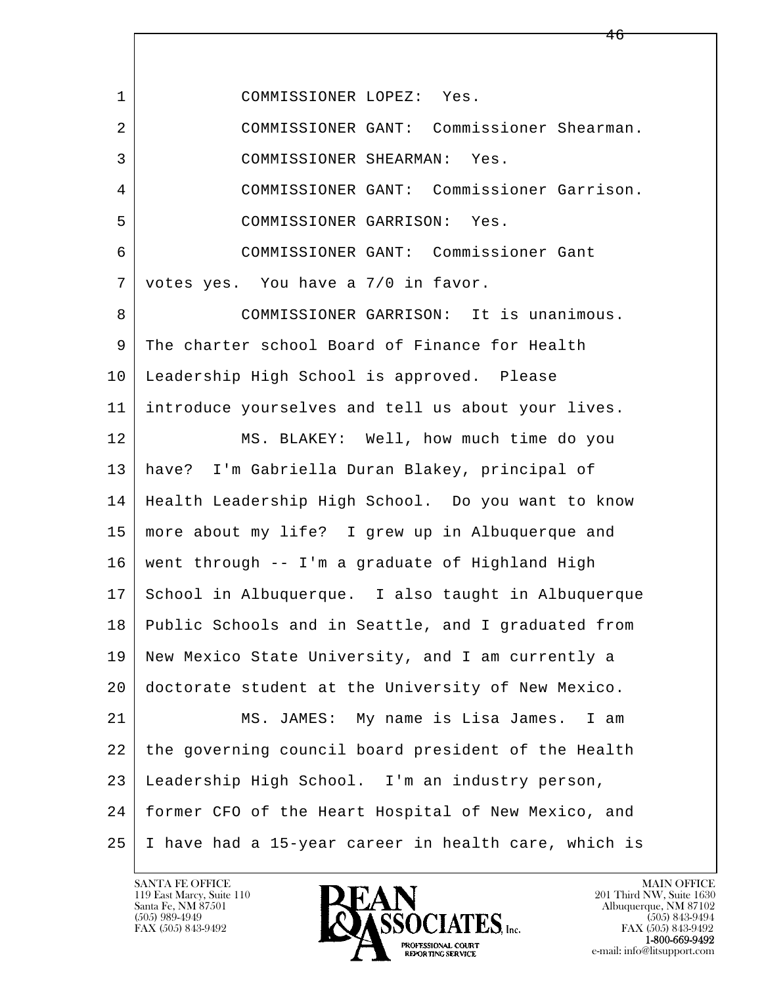l  $\overline{\phantom{a}}$  1 COMMISSIONER LOPEZ: Yes. 2 COMMISSIONER GANT: Commissioner Shearman. 3 COMMISSIONER SHEARMAN: Yes. 4 COMMISSIONER GANT: Commissioner Garrison. 5 COMMISSIONER GARRISON: Yes. 6 COMMISSIONER GANT: Commissioner Gant 7 votes yes. You have a 7/0 in favor. 8 COMMISSIONER GARRISON: It is unanimous. 9 The charter school Board of Finance for Health 10 Leadership High School is approved. Please 11 introduce yourselves and tell us about your lives. 12 MS. BLAKEY: Well, how much time do you 13 have? I'm Gabriella Duran Blakey, principal of 14 Health Leadership High School. Do you want to know 15 more about my life? I grew up in Albuquerque and 16 went through -- I'm a graduate of Highland High 17 School in Albuquerque. I also taught in Albuquerque 18 Public Schools and in Seattle, and I graduated from 19 New Mexico State University, and I am currently a 20 doctorate student at the University of New Mexico. 21 MS. JAMES: My name is Lisa James. I am 22 the governing council board president of the Health 23 Leadership High School. I'm an industry person, 24 former CFO of the Heart Hospital of New Mexico, and 25 I have had a 15-year career in health care, which is

119 East Marcy, Suite 110<br>Santa Fe, NM 87501

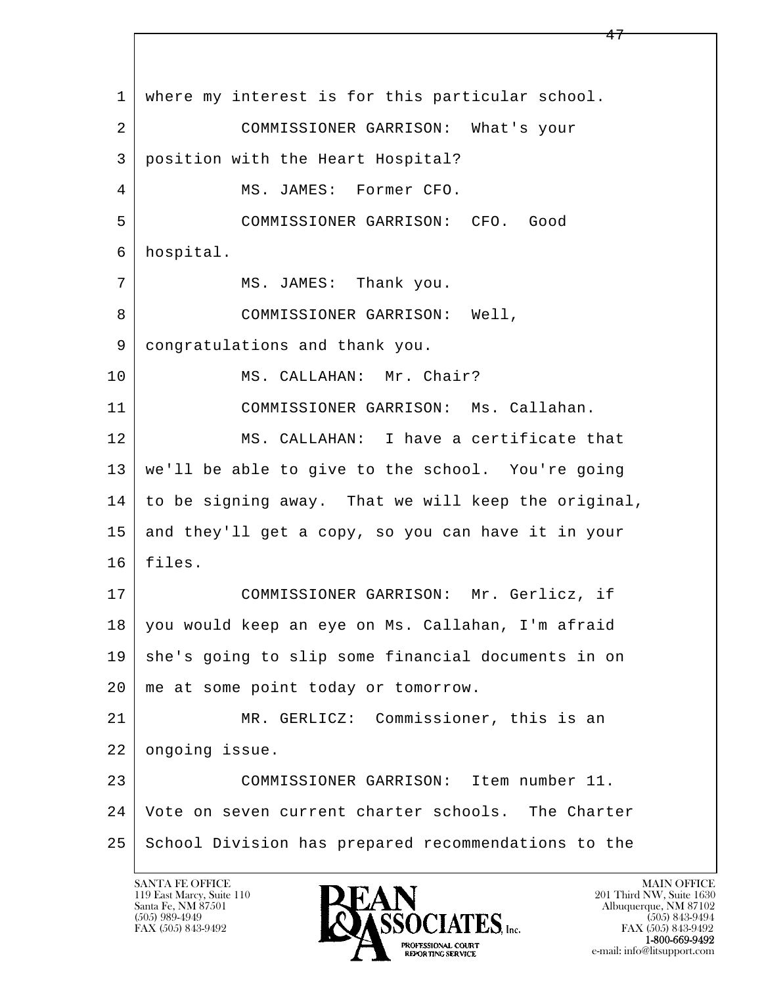l  $\overline{\phantom{a}}$  1 where my interest is for this particular school. 2 COMMISSIONER GARRISON: What's your 3 position with the Heart Hospital? 4 MS. JAMES: Former CFO. 5 COMMISSIONER GARRISON: CFO. Good 6 hospital. 7 | MS. JAMES: Thank you. 8 | COMMISSIONER GARRISON: Well, 9 congratulations and thank you. 10 | MS. CALLAHAN: Mr. Chair? 11 COMMISSIONER GARRISON: Ms. Callahan. 12 MS. CALLAHAN: I have a certificate that 13 we'll be able to give to the school. You're going 14 to be signing away. That we will keep the original, 15 and they'll get a copy, so you can have it in your 16 files. 17 COMMISSIONER GARRISON: Mr. Gerlicz, if 18 you would keep an eye on Ms. Callahan, I'm afraid 19 she's going to slip some financial documents in on 20 | me at some point today or tomorrow. 21 MR. GERLICZ: Commissioner, this is an 22 ongoing issue. 23 COMMISSIONER GARRISON: Item number 11. 24 Vote on seven current charter schools. The Charter 25 School Division has prepared recommendations to the

119 East Marcy, Suite 110<br>Santa Fe, NM 87501

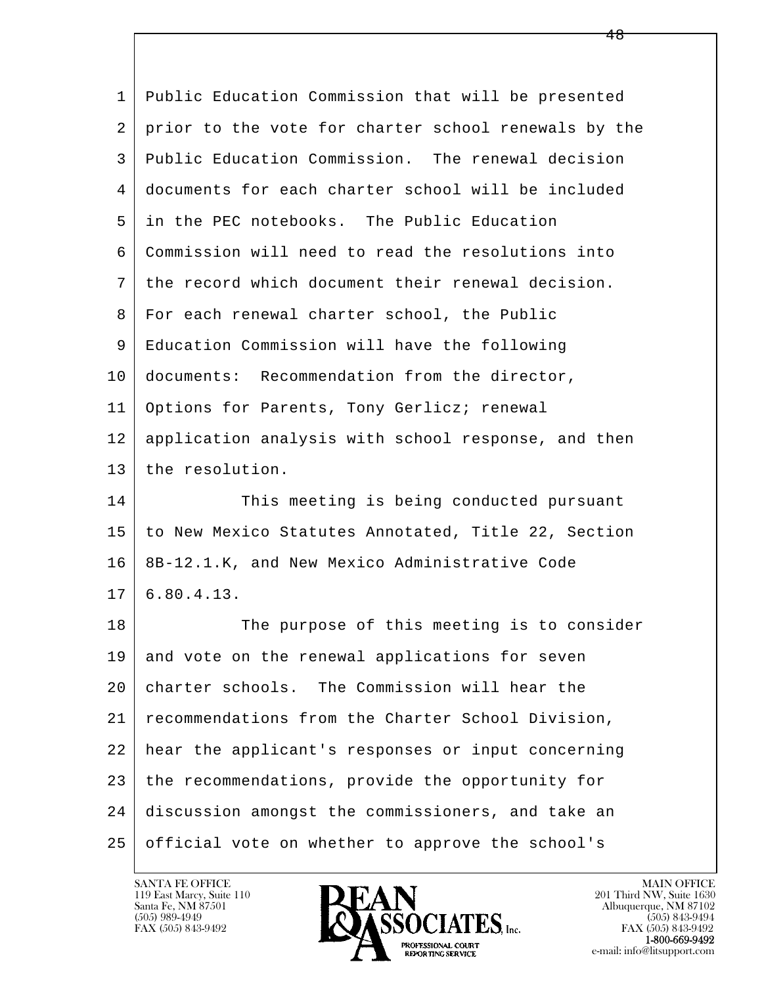| 1  | Public Education Commission that will be presented   |
|----|------------------------------------------------------|
| 2  | prior to the vote for charter school renewals by the |
| 3  | Public Education Commission. The renewal decision    |
| 4  | documents for each charter school will be included   |
| 5  | in the PEC notebooks. The Public Education           |
| 6  | Commission will need to read the resolutions into    |
| 7  | the record which document their renewal decision.    |
| 8  | For each renewal charter school, the Public          |
| 9  | Education Commission will have the following         |
| 10 | documents: Recommendation from the director,         |
| 11 | Options for Parents, Tony Gerlicz; renewal           |
| 12 | application analysis with school response, and then  |
| 13 | the resolution.                                      |
| 14 | This meeting is being conducted pursuant             |
| 15 | to New Mexico Statutes Annotated, Title 22, Section  |
| 16 | 8B-12.1.K, and New Mexico Administrative Code        |
| 17 | 6.80.4.13.                                           |
| 18 | The purpose of this meeting is to consider           |
| 19 | and vote on the renewal applications for seven       |
| 20 | charter schools. The Commission will hear the        |
| 21 | recommendations from the Charter School Division,    |
| 22 | hear the applicant's responses or input concerning   |
| 23 | the recommendations, provide the opportunity for     |
| 24 | discussion amongst the commissioners, and take an    |
| 25 | official vote on whether to approve the school's     |

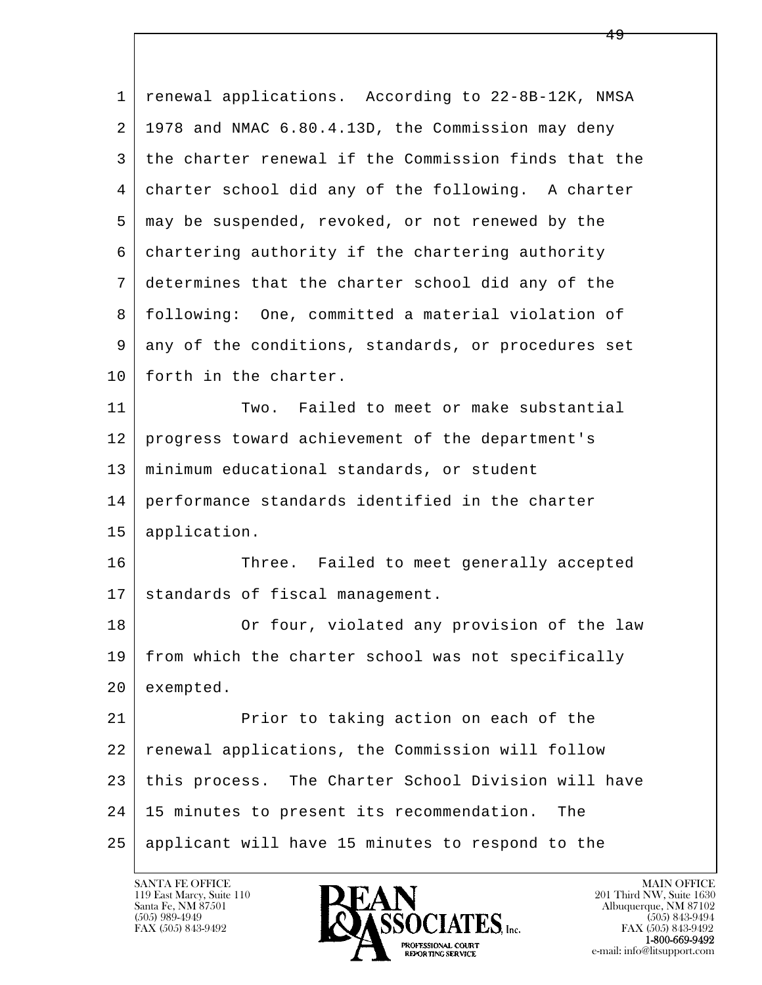| 1  | renewal applications. According to 22-8B-12K, NMSA   |
|----|------------------------------------------------------|
| 2  | 1978 and NMAC 6.80.4.13D, the Commission may deny    |
| 3  | the charter renewal if the Commission finds that the |
| 4  | charter school did any of the following. A charter   |
| 5  | may be suspended, revoked, or not renewed by the     |
| 6  | chartering authority if the chartering authority     |
| 7  | determines that the charter school did any of the    |
| 8  | following: One, committed a material violation of    |
| 9  | any of the conditions, standards, or procedures set  |
| 10 | forth in the charter.                                |
| 11 | Two. Failed to meet or make substantial              |
| 12 | progress toward achievement of the department's      |
| 13 | minimum educational standards, or student            |
| 14 | performance standards identified in the charter      |
| 15 | application.                                         |
| 16 | Three. Failed to meet generally accepted             |
| 17 | standards of fiscal management.                      |
| 18 | Or four, violated any provision of the law           |
| 19 | from which the charter school was not specifically   |
| 20 | exempted.                                            |
| 21 | Prior to taking action on each of the                |
| 22 | renewal applications, the Commission will follow     |
| 23 | this process. The Charter School Division will have  |
| 24 | 15 minutes to present its recommendation.<br>The     |
| 25 | applicant will have 15 minutes to respond to the     |

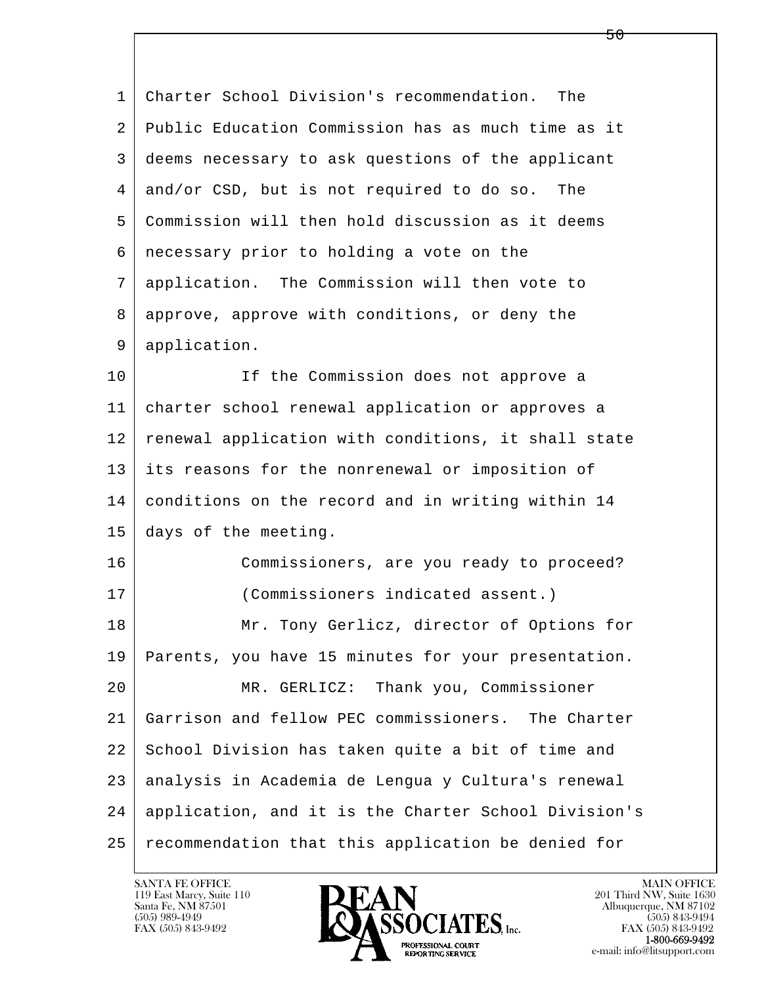l  $\overline{\phantom{a}}$  1 Charter School Division's recommendation. The 2 Public Education Commission has as much time as it 3 deems necessary to ask questions of the applicant 4 and/or CSD, but is not required to do so. The 5 Commission will then hold discussion as it deems 6 necessary prior to holding a vote on the 7 application. The Commission will then vote to 8 approve, approve with conditions, or deny the 9 application. 10 If the Commission does not approve a 11 charter school renewal application or approves a 12 renewal application with conditions, it shall state 13 its reasons for the nonrenewal or imposition of 14 conditions on the record and in writing within 14 15 days of the meeting. 16 Commissioners, are you ready to proceed? 17 (Commissioners indicated assent.) 18 Mr. Tony Gerlicz, director of Options for 19 Parents, you have 15 minutes for your presentation. 20 MR. GERLICZ: Thank you, Commissioner 21 Garrison and fellow PEC commissioners. The Charter 22 School Division has taken quite a bit of time and 23 analysis in Academia de Lengua y Cultura's renewal 24 application, and it is the Charter School Division's 25 | recommendation that this application be denied for

119 East Marcy, Suite 110<br>Santa Fe, NM 87501

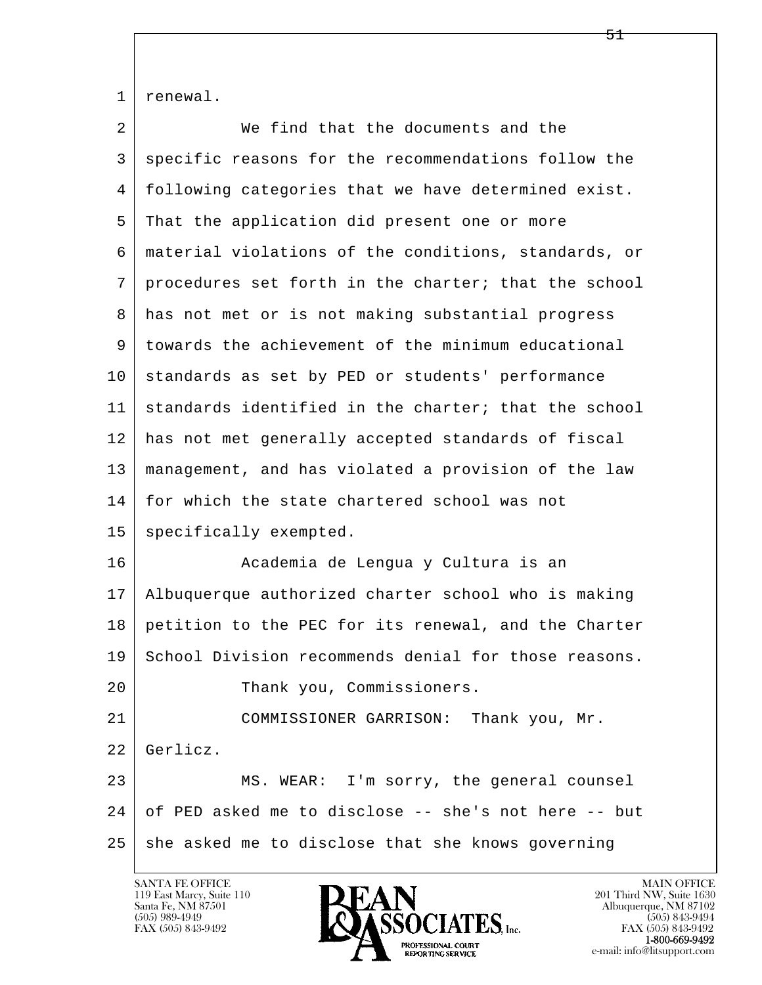1 | renewal.

| We find that the documents and the                   |
|------------------------------------------------------|
| specific reasons for the recommendations follow the  |
| following categories that we have determined exist.  |
| That the application did present one or more         |
| material violations of the conditions, standards, or |
| procedures set forth in the charter; that the school |
| has not met or is not making substantial progress    |
| towards the achievement of the minimum educational   |
| standards as set by PED or students' performance     |
| standards identified in the charter; that the school |
| has not met generally accepted standards of fiscal   |
| management, and has violated a provision of the law  |
| for which the state chartered school was not         |
| specifically exempted.                               |
| Academia de Lengua y Cultura is an                   |
| Albuquerque authorized charter school who is making  |
| petition to the PEC for its renewal, and the Charter |
| School Division recommends denial for those reasons. |
| Thank you, Commissioners.                            |
| COMMISSIONER GARRISON: Thank you, Mr.                |
| Gerlicz.                                             |
| MS. WEAR: I'm sorry, the general counsel             |
| of PED asked me to disclose -- she's not here -- but |
| she asked me to disclose that she knows governing    |
|                                                      |

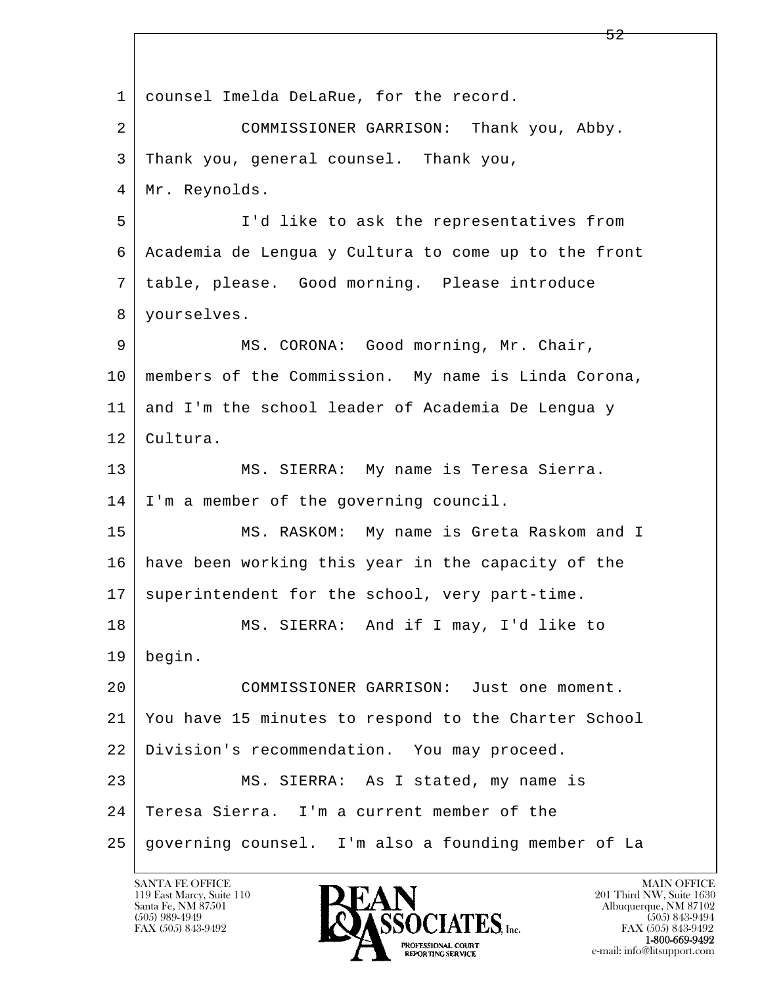l  $\overline{\phantom{a}}$  1 counsel Imelda DeLaRue, for the record. 2 COMMISSIONER GARRISON: Thank you, Abby. 3 Thank you, general counsel. Thank you, 4 Mr. Reynolds. 5 I'd like to ask the representatives from 6 Academia de Lengua y Cultura to come up to the front 7 table, please. Good morning. Please introduce 8 yourselves. 9 | MS. CORONA: Good morning, Mr. Chair, 10 members of the Commission. My name is Linda Corona, 11 and I'm the school leader of Academia De Lengua y 12 Cultura. 13 | MS. SIERRA: My name is Teresa Sierra. 14 I'm a member of the governing council. 15 | MS. RASKOM: My name is Greta Raskom and I 16 have been working this year in the capacity of the 17 superintendent for the school, very part-time. 18 MS. SIERRA: And if I may, I'd like to 19 begin. 20 COMMISSIONER GARRISON: Just one moment. 21 You have 15 minutes to respond to the Charter School 22 Division's recommendation. You may proceed. 23 MS. SIERRA: As I stated, my name is 24 Teresa Sierra. I'm a current member of the 25 governing counsel. I'm also a founding member of La

119 East Marcy, Suite 110<br>Santa Fe, NM 87501



FAX (505) 843-9492 FAX (505) 843-9492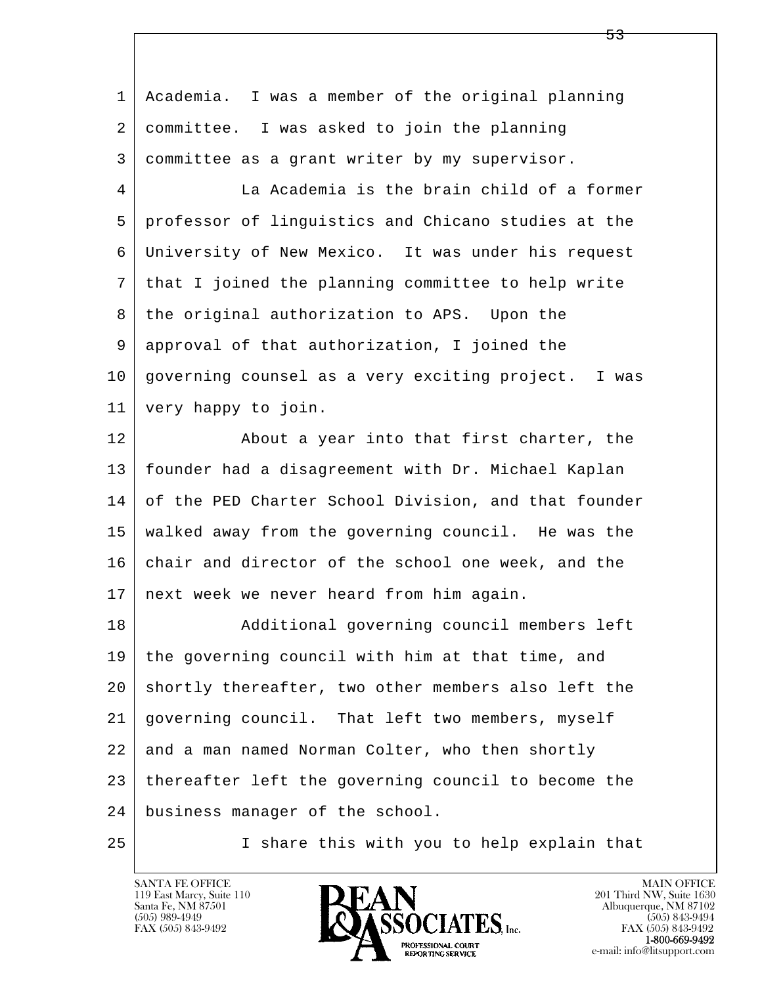| 1  | Academia. I was a member of the original planning    |
|----|------------------------------------------------------|
| 2  | committee. I was asked to join the planning          |
| 3  | committee as a grant writer by my supervisor.        |
| 4  | La Academia is the brain child of a former           |
| 5  | professor of linguistics and Chicano studies at the  |
| 6  | University of New Mexico. It was under his request   |
| 7  | that I joined the planning committee to help write   |
| 8  | the original authorization to APS. Upon the          |
| 9  | approval of that authorization, I joined the         |
| 10 | governing counsel as a very exciting project. I was  |
| 11 | very happy to join.                                  |
| 12 | About a year into that first charter, the            |
| 13 | founder had a disagreement with Dr. Michael Kaplan   |
| 14 | of the PED Charter School Division, and that founder |
| 15 | walked away from the governing council. He was the   |
| 16 | chair and director of the school one week, and the   |
| 17 | next week we never heard from him again.             |
| 18 | Additional governing council members left            |
| 19 | the governing council with him at that time, and     |
| 20 | shortly thereafter, two other members also left the  |
| 21 | governing council. That left two members, myself     |
| 22 | and a man named Norman Colter, who then shortly      |
| 23 | thereafter left the governing council to become the  |
| 24 | business manager of the school.                      |
| 25 | I share this with you to help explain that           |

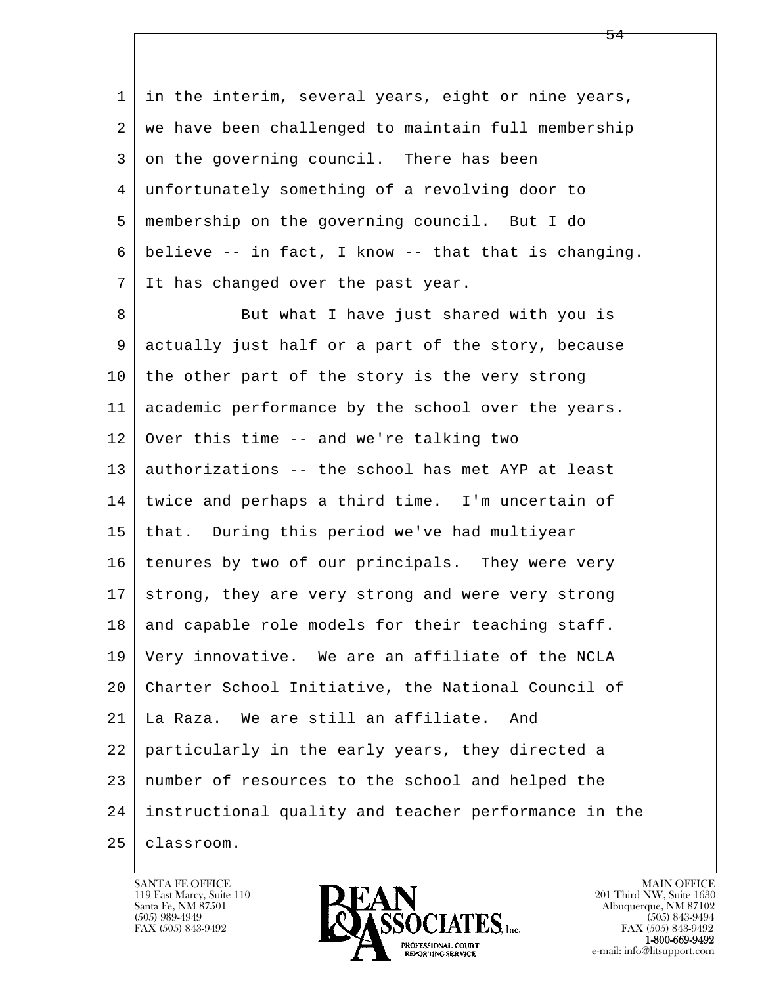l  $\overline{\phantom{a}}$ 1 in the interim, several years, eight or nine years, 2 | we have been challenged to maintain full membership 3 on the governing council. There has been 4 unfortunately something of a revolving door to 5 membership on the governing council. But I do 6 believe -- in fact, I know -- that that is changing. 7 It has changed over the past year. 8 But what I have just shared with you is 9 actually just half or a part of the story, because  $10$  the other part of the story is the very strong 11 academic performance by the school over the years. 12 Over this time -- and we're talking two 13 authorizations -- the school has met AYP at least 14 twice and perhaps a third time. I'm uncertain of 15 that. During this period we've had multiyear 16 | tenures by two of our principals. They were very 17 strong, they are very strong and were very strong 18 and capable role models for their teaching staff. 19 Very innovative. We are an affiliate of the NCLA 20 Charter School Initiative, the National Council of 21 La Raza. We are still an affiliate. And 22 particularly in the early years, they directed a 23 number of resources to the school and helped the 24 instructional quality and teacher performance in the 25 classroom.



 $\sim$  54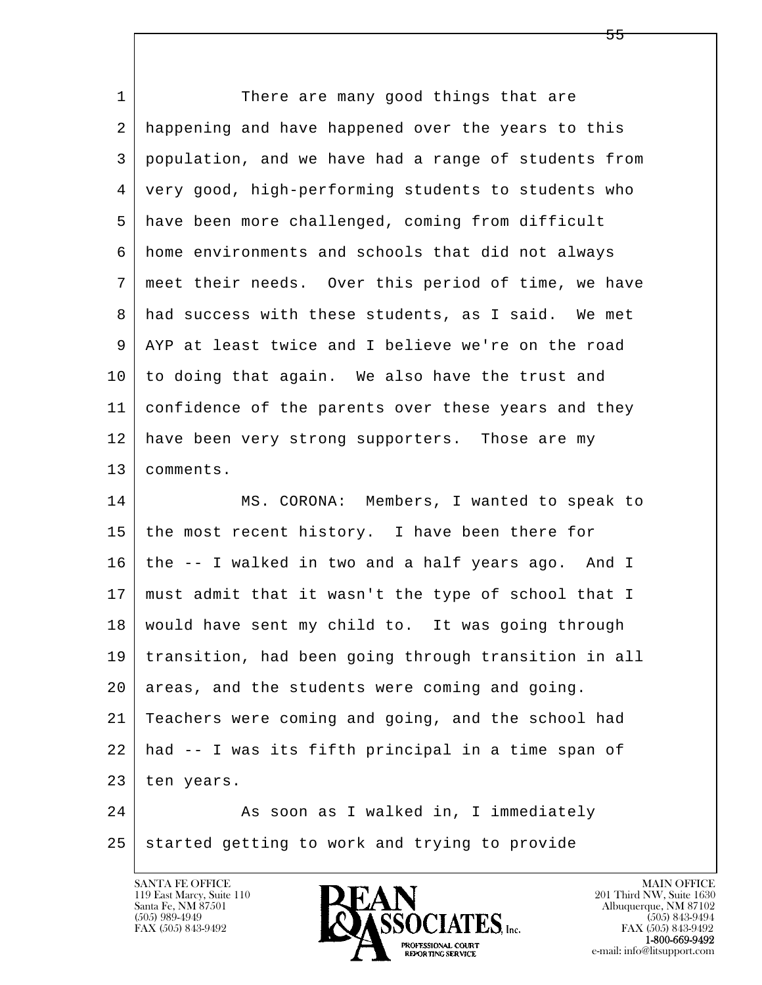| 1  | There are many good things that are                  |
|----|------------------------------------------------------|
| 2  | happening and have happened over the years to this   |
| 3  | population, and we have had a range of students from |
| 4  | very good, high-performing students to students who  |
| 5  | have been more challenged, coming from difficult     |
| 6  | home environments and schools that did not always    |
| 7  | meet their needs. Over this period of time, we have  |
| 8  | had success with these students, as I said. We met   |
| 9  | AYP at least twice and I believe we're on the road   |
| 10 | to doing that again. We also have the trust and      |
| 11 | confidence of the parents over these years and they  |
| 12 | have been very strong supporters. Those are my       |
| 13 | comments.                                            |
| 14 | MS. CORONA: Members, I wanted to speak to            |
| 15 | the most recent history. I have been there for       |
| 16 | the -- I walked in two and a half years ago. And I   |
| 17 | must admit that it wasn't the type of school that I  |
| 18 | would have sent my child to. It was going through    |
| 19 | transition, had been going through transition in all |
| 20 | areas, and the students were coming and going.       |
| 21 | Teachers were coming and going, and the school had   |
| 22 | had -- I was its fifth principal in a time span of   |
| 23 | ten years.                                           |
| 24 | As soon as I walked in, I immediately                |
| 25 | started getting to work and trying to provide        |

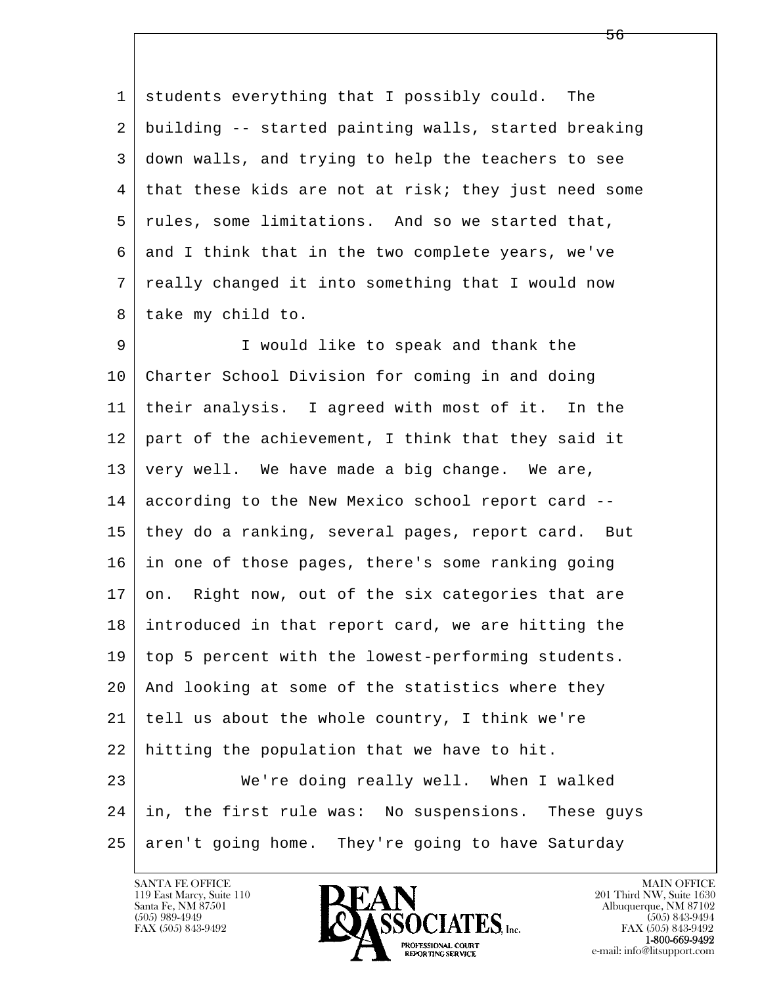1 students everything that I possibly could. The 2 building -- started painting walls, started breaking 3 down walls, and trying to help the teachers to see 4 that these kids are not at risk; they just need some 5 | rules, some limitations. And so we started that, 6 and I think that in the two complete years, we've 7 really changed it into something that I would now 8 | take my child to.

l  $\overline{\phantom{a}}$  9 I would like to speak and thank the 10 Charter School Division for coming in and doing 11 their analysis. I agreed with most of it. In the 12 part of the achievement, I think that they said it 13 | very well. We have made a big change. We are, 14 according to the New Mexico school report card -- 15 they do a ranking, several pages, report card. But 16 in one of those pages, there's some ranking going 17 on. Right now, out of the six categories that are 18 introduced in that report card, we are hitting the 19 top 5 percent with the lowest-performing students. 20 And looking at some of the statistics where they 21 tell us about the whole country, I think we're 22 hitting the population that we have to hit. 23 We're doing really well. When I walked 24 in, the first rule was: No suspensions. These guys 25 aren't going home. They're going to have Saturday

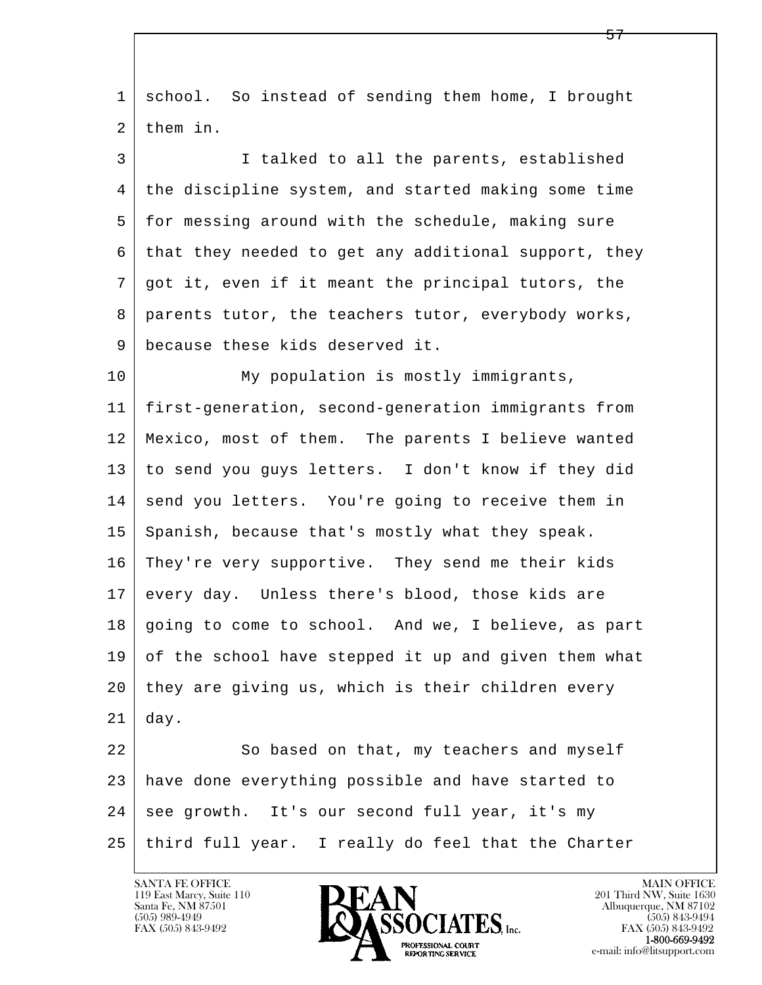l  $\overline{\phantom{a}}$  1 school. So instead of sending them home, I brought 2 them in. 3 I talked to all the parents, established 4 the discipline system, and started making some time 5 for messing around with the schedule, making sure 6 that they needed to get any additional support, they 7 got it, even if it meant the principal tutors, the 8 parents tutor, the teachers tutor, everybody works, 9 because these kids deserved it. 10 My population is mostly immigrants, 11 first-generation, second-generation immigrants from 12 Mexico, most of them. The parents I believe wanted 13 to send you guys letters. I don't know if they did 14 send you letters. You're going to receive them in 15 | Spanish, because that's mostly what they speak. 16 They're very supportive. They send me their kids 17 every day. Unless there's blood, those kids are 18 going to come to school. And we, I believe, as part 19 of the school have stepped it up and given them what 20 they are giving us, which is their children every  $21$  day. 22 So based on that, my teachers and myself 23 have done everything possible and have started to 24 see growth. It's our second full year, it's my 25 third full year. I really do feel that the Charter

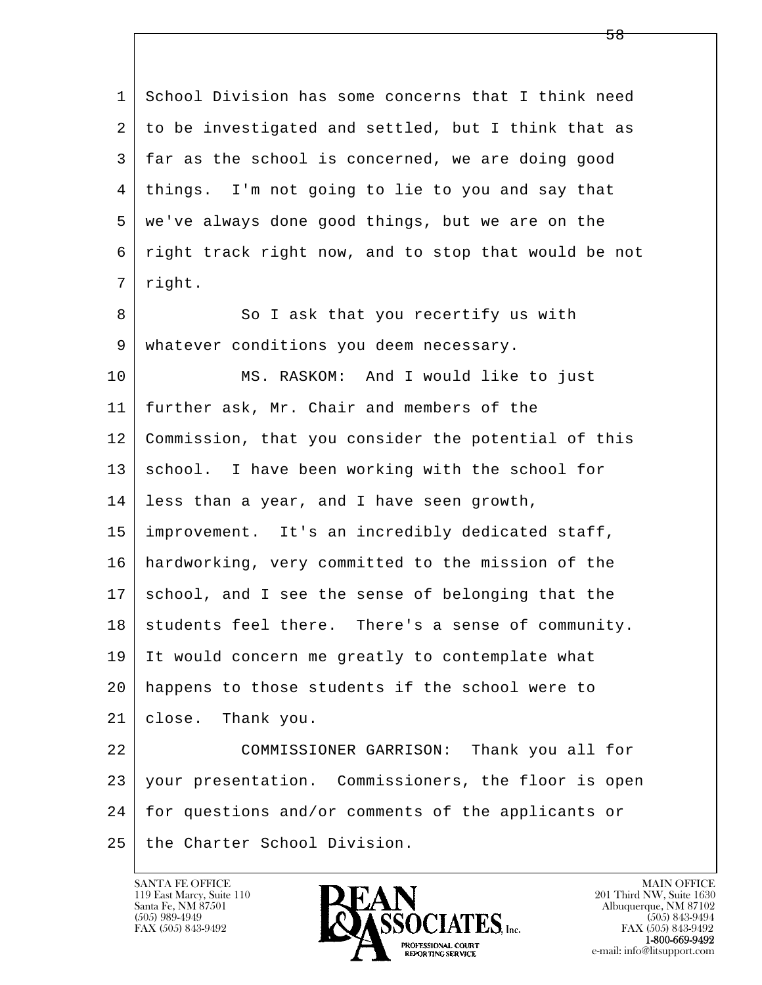| $\mathbf{1}$   | School Division has some concerns that I think need  |
|----------------|------------------------------------------------------|
| 2              | to be investigated and settled, but I think that as  |
| 3              | far as the school is concerned, we are doing good    |
| $\overline{4}$ | things. I'm not going to lie to you and say that     |
| 5              | we've always done good things, but we are on the     |
| 6              | right track right now, and to stop that would be not |
| 7              | right.                                               |
| 8              | So I ask that you recertify us with                  |
| 9              | whatever conditions you deem necessary.              |
| 10             | MS. RASKOM: And I would like to just                 |
| 11             | further ask, Mr. Chair and members of the            |
| 12             | Commission, that you consider the potential of this  |
| 13             | school. I have been working with the school for      |
| 14             | less than a year, and I have seen growth,            |
| 15             | improvement. It's an incredibly dedicated staff,     |
| 16             | hardworking, very committed to the mission of the    |
| 17             | school, and I see the sense of belonging that the    |
| 18             | students feel there. There's a sense of community.   |
| 19             | It would concern me greatly to contemplate what      |
| 20             | happens to those students if the school were to      |
| 21             | Thank you.<br>close.                                 |
| 22             | COMMISSIONER GARRISON: Thank you all for             |
| 23             | your presentation. Commissioners, the floor is open  |
| 24             | for questions and/or comments of the applicants or   |
| 25             | the Charter School Division.                         |

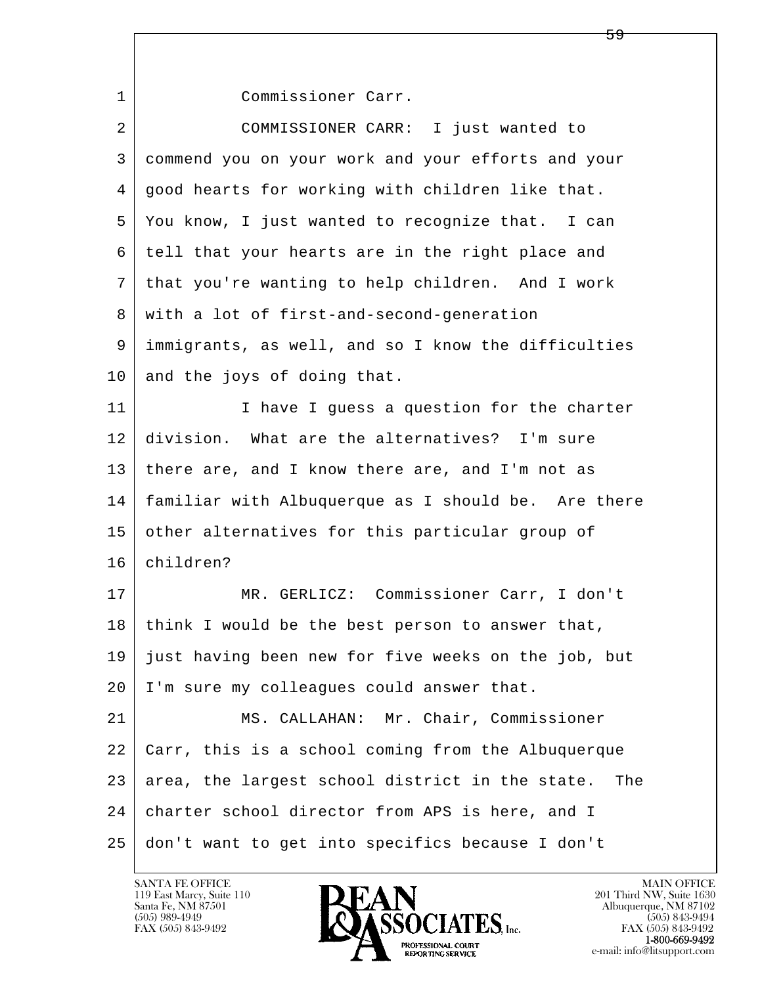l  $\overline{\phantom{a}}$  1 Commissioner Carr. 2 COMMISSIONER CARR: I just wanted to 3 commend you on your work and your efforts and your 4 good hearts for working with children like that. 5 You know, I just wanted to recognize that. I can 6 tell that your hearts are in the right place and 7 that you're wanting to help children. And I work 8 with a lot of first-and-second-generation 9 immigrants, as well, and so I know the difficulties 10 and the joys of doing that. 11 I I have I guess a question for the charter 12 division. What are the alternatives? I'm sure 13 there are, and I know there are, and I'm not as 14 familiar with Albuquerque as I should be. Are there 15 other alternatives for this particular group of 16 children? 17 MR. GERLICZ: Commissioner Carr, I don't 18 think I would be the best person to answer that, 19 just having been new for five weeks on the job, but 20 | I'm sure my colleagues could answer that. 21 | MS. CALLAHAN: Mr. Chair, Commissioner 22 Carr, this is a school coming from the Albuquerque 23 area, the largest school district in the state. The 24 charter school director from APS is here, and I 25 don't want to get into specifics because I don't

59

119 East Marcy, Suite 110<br>Santa Fe, NM 87501

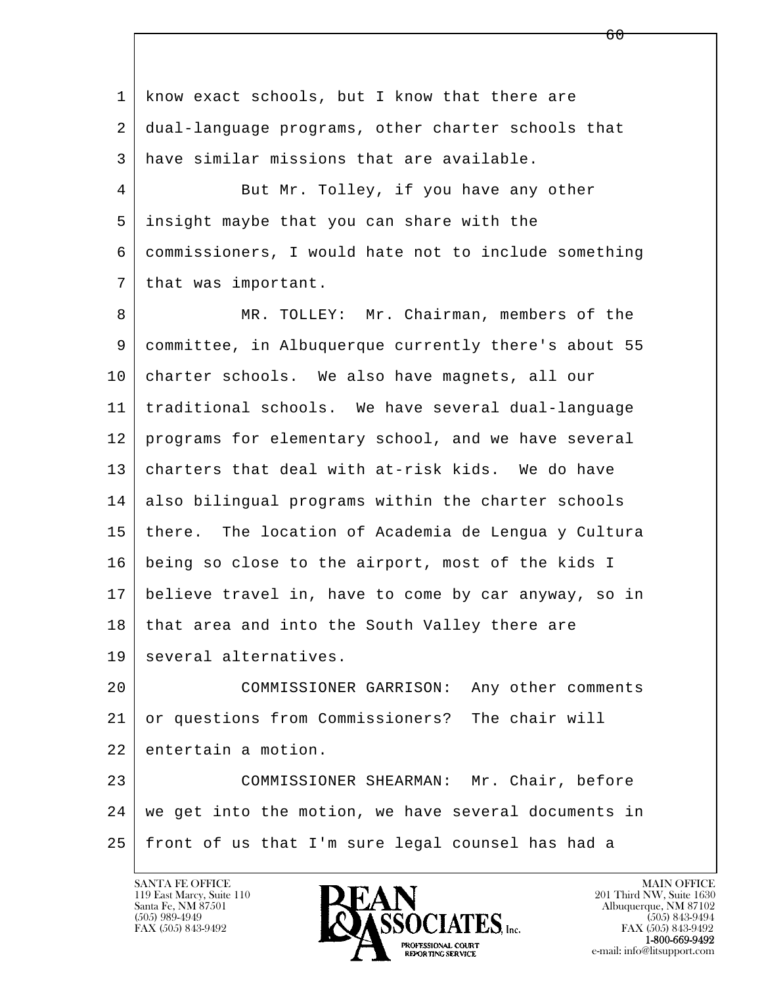l  $\overline{\phantom{a}}$ 1 know exact schools, but I know that there are 2 dual-language programs, other charter schools that 3 have similar missions that are available. 4 But Mr. Tolley, if you have any other 5 insight maybe that you can share with the 6 commissioners, I would hate not to include something 7 that was important. 8 MR. TOLLEY: Mr. Chairman, members of the 9 committee, in Albuquerque currently there's about 55 10 charter schools. We also have magnets, all our 11 traditional schools. We have several dual-language 12 programs for elementary school, and we have several 13 charters that deal with at-risk kids. We do have 14 also bilingual programs within the charter schools 15 there. The location of Academia de Lengua y Cultura 16 being so close to the airport, most of the kids I 17 believe travel in, have to come by car anyway, so in 18 that area and into the South Valley there are 19 | several alternatives. 20 COMMISSIONER GARRISON: Any other comments 21 or questions from Commissioners? The chair will 22 entertain a motion. 23 COMMISSIONER SHEARMAN: Mr. Chair, before 24 we get into the motion, we have several documents in 25 front of us that I'm sure legal counsel has had a

 $\overline{60}$ 

119 East Marcy, Suite 110<br>Santa Fe, NM 87501

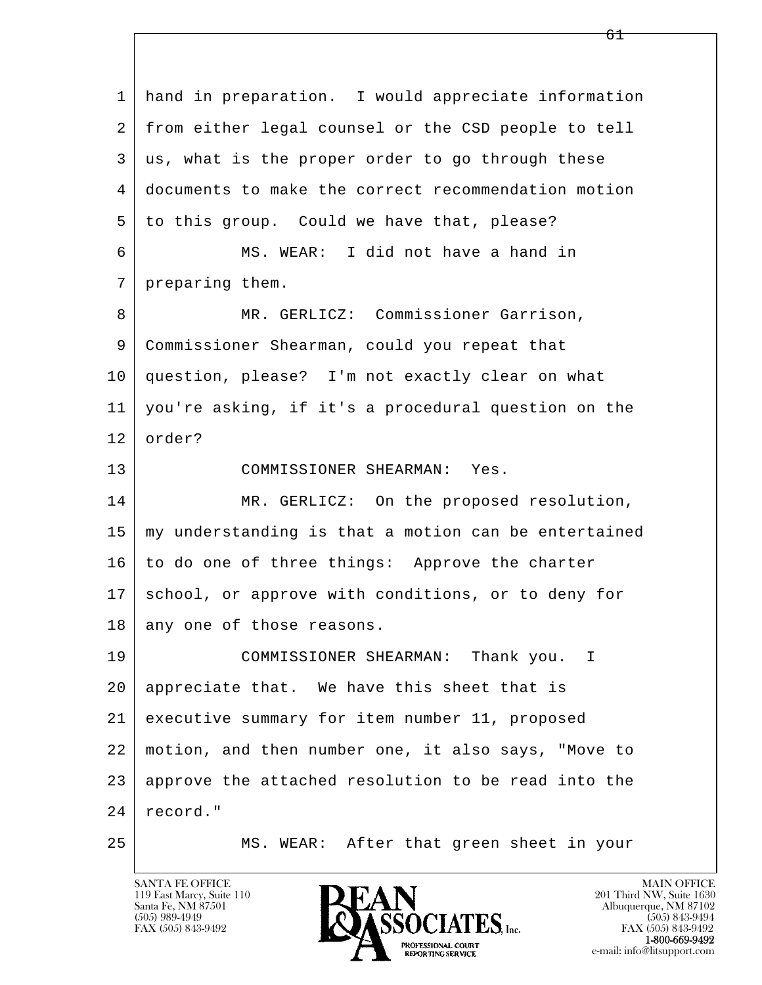l  $\overline{\phantom{a}}$  1 hand in preparation. I would appreciate information 2 from either legal counsel or the CSD people to tell 3 us, what is the proper order to go through these 4 documents to make the correct recommendation motion 5 to this group. Could we have that, please? 6 MS. WEAR: I did not have a hand in 7 preparing them. 8 MR. GERLICZ: Commissioner Garrison, 9 Commissioner Shearman, could you repeat that 10 question, please? I'm not exactly clear on what 11 you're asking, if it's a procedural question on the 12 order? 13 COMMISSIONER SHEARMAN: Yes. 14 MR. GERLICZ: On the proposed resolution,  $15$  my understanding is that a motion can be entertained  $16$  to do one of three things: Approve the charter 17 school, or approve with conditions, or to deny for 18 any one of those reasons. 19 COMMISSIONER SHEARMAN: Thank you. I 20 appreciate that. We have this sheet that is 21 executive summary for item number 11, proposed 22 motion, and then number one, it also says, "Move to 23 approve the attached resolution to be read into the 24 record." 25 MS. WEAR: After that green sheet in your

119 East Marcy, Suite 110<br>Santa Fe, NM 87501

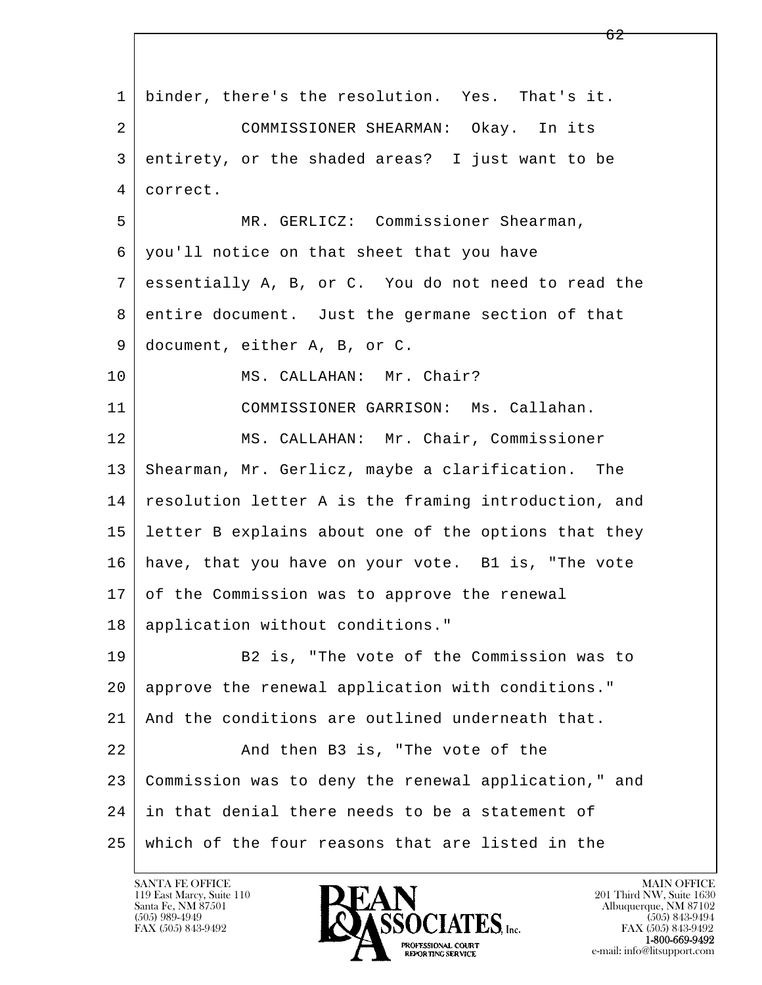l  $\overline{\phantom{a}}$  1 binder, there's the resolution. Yes. That's it. 2 COMMISSIONER SHEARMAN: Okay. In its 3 entirety, or the shaded areas? I just want to be 4 correct. 5 MR. GERLICZ: Commissioner Shearman, 6 you'll notice on that sheet that you have 7 essentially A, B, or C. You do not need to read the 8 entire document. Just the germane section of that 9 document, either A, B, or C. 10 | MS. CALLAHAN: Mr. Chair? 11 COMMISSIONER GARRISON: Ms. Callahan. 12 | MS. CALLAHAN: Mr. Chair, Commissioner 13 Shearman, Mr. Gerlicz, maybe a clarification. The 14 resolution letter A is the framing introduction, and 15 letter B explains about one of the options that they 16 have, that you have on your vote. B1 is, "The vote 17 of the Commission was to approve the renewal 18 application without conditions." 19 B2 is, "The vote of the Commission was to 20 approve the renewal application with conditions." 21 | And the conditions are outlined underneath that. 22 And then B3 is, "The vote of the 23 Commission was to deny the renewal application," and 24 in that denial there needs to be a statement of 25 which of the four reasons that are listed in the

119 East Marcy, Suite 110<br>Santa Fe, NM 87501

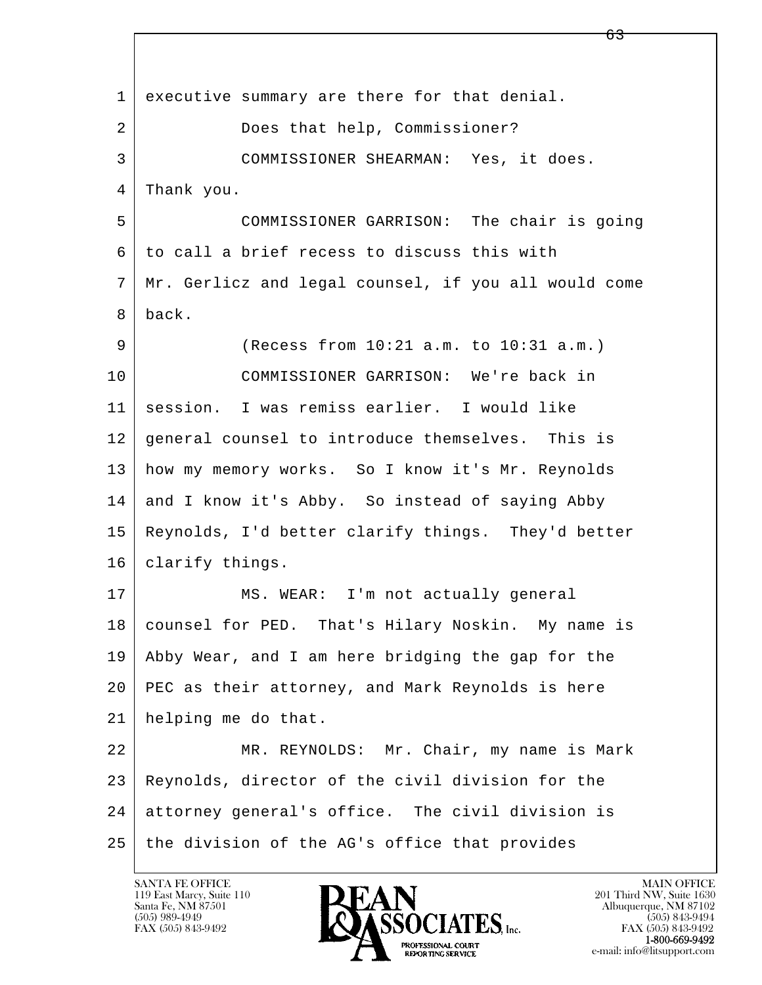l  $\overline{\phantom{a}}$  1 executive summary are there for that denial. 2 Does that help, Commissioner? 3 COMMISSIONER SHEARMAN: Yes, it does. 4 Thank you. 5 COMMISSIONER GARRISON: The chair is going 6 to call a brief recess to discuss this with 7 Mr. Gerlicz and legal counsel, if you all would come 8 back. 9 (Recess from 10:21 a.m. to 10:31 a.m.) 10 COMMISSIONER GARRISON: We're back in 11 session. I was remiss earlier. I would like 12 general counsel to introduce themselves. This is 13 how my memory works. So I know it's Mr. Reynolds 14 and I know it's Abby. So instead of saying Abby 15 Reynolds, I'd better clarify things. They'd better 16 | clarify things. 17 | MS. WEAR: I'm not actually general 18 | counsel for PED. That's Hilary Noskin. My name is 19 Abby Wear, and I am here bridging the gap for the 20 PEC as their attorney, and Mark Reynolds is here 21 helping me do that. 22 MR. REYNOLDS: Mr. Chair, my name is Mark 23 Reynolds, director of the civil division for the 24 attorney general's office. The civil division is 25 the division of the AG's office that provides

119 East Marcy, Suite 110<br>Santa Fe, NM 87501



FAX (505) 843-9492<br>**1-800-669-9492**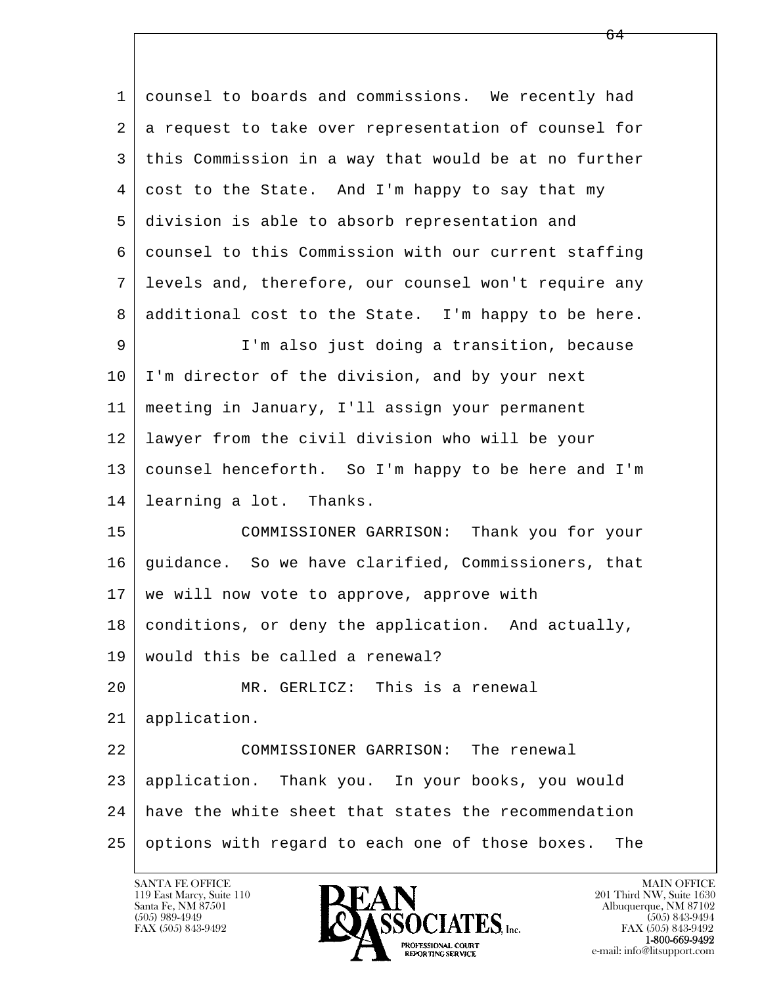l  $\overline{\phantom{a}}$  1 counsel to boards and commissions. We recently had 2 a request to take over representation of counsel for 3 this Commission in a way that would be at no further 4 cost to the State. And I'm happy to say that my 5 division is able to absorb representation and 6 counsel to this Commission with our current staffing 7 levels and, therefore, our counsel won't require any 8 additional cost to the State. I'm happy to be here. 9 | I'm also just doing a transition, because 10 I'm director of the division, and by your next 11 meeting in January, I'll assign your permanent 12 lawyer from the civil division who will be your 13 counsel henceforth. So I'm happy to be here and I'm 14 learning a lot. Thanks. 15 COMMISSIONER GARRISON: Thank you for your 16 guidance. So we have clarified, Commissioners, that 17 | we will now vote to approve, approve with 18 conditions, or deny the application. And actually, 19 would this be called a renewal? 20 MR. GERLICZ: This is a renewal 21 application. 22 | COMMISSIONER GARRISON: The renewal 23 application. Thank you. In your books, you would 24 have the white sheet that states the recommendation 25 options with regard to each one of those boxes. The

 $\sim$  64

119 East Marcy, Suite 110<br>Santa Fe, NM 87501

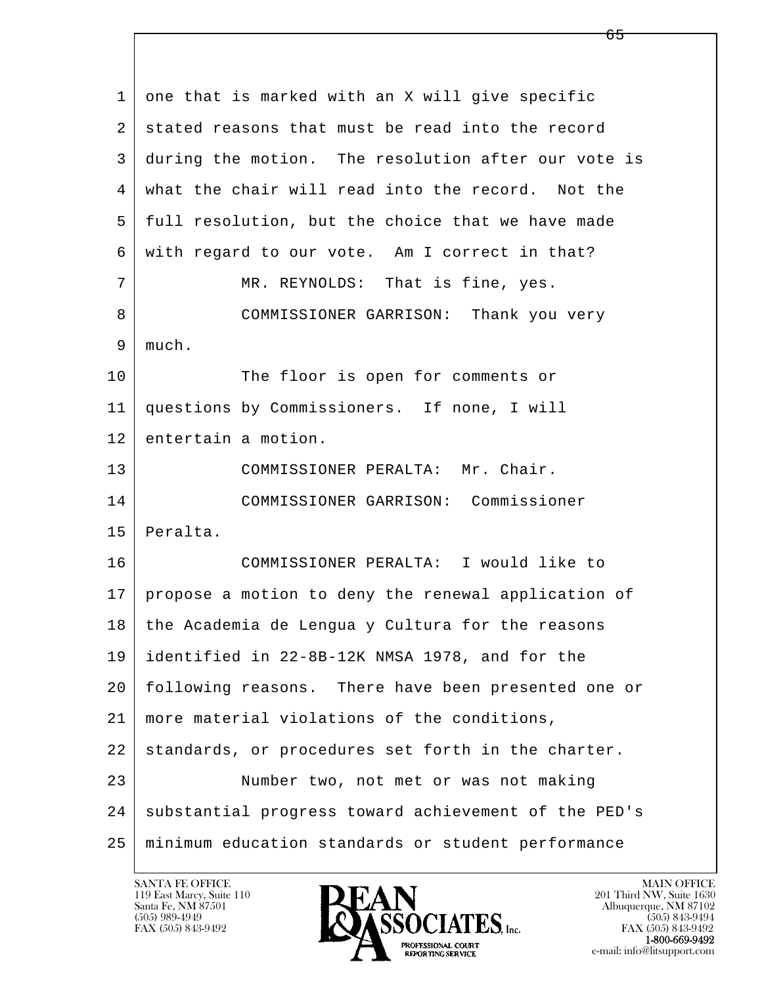l  $\overline{\phantom{a}}$  1 one that is marked with an X will give specific 2 stated reasons that must be read into the record 3 during the motion. The resolution after our vote is 4 what the chair will read into the record. Not the 5 full resolution, but the choice that we have made 6 with regard to our vote. Am I correct in that? 7 MR. REYNOLDS: That is fine, yes. 8 COMMISSIONER GARRISON: Thank you very 9 much. 10 The floor is open for comments or 11 questions by Commissioners. If none, I will 12 entertain a motion. 13 COMMISSIONER PERALTA: Mr. Chair. 14 COMMISSIONER GARRISON: Commissioner 15 Peralta. 16 COMMISSIONER PERALTA: I would like to 17 propose a motion to deny the renewal application of 18 the Academia de Lengua y Cultura for the reasons 19 identified in 22-8B-12K NMSA 1978, and for the 20 following reasons. There have been presented one or 21 more material violations of the conditions, 22 standards, or procedures set forth in the charter. 23 Number two, not met or was not making 24 | substantial progress toward achievement of the PED's 25 minimum education standards or student performance

119 East Marcy, Suite 110<br>Santa Fe, NM 87501

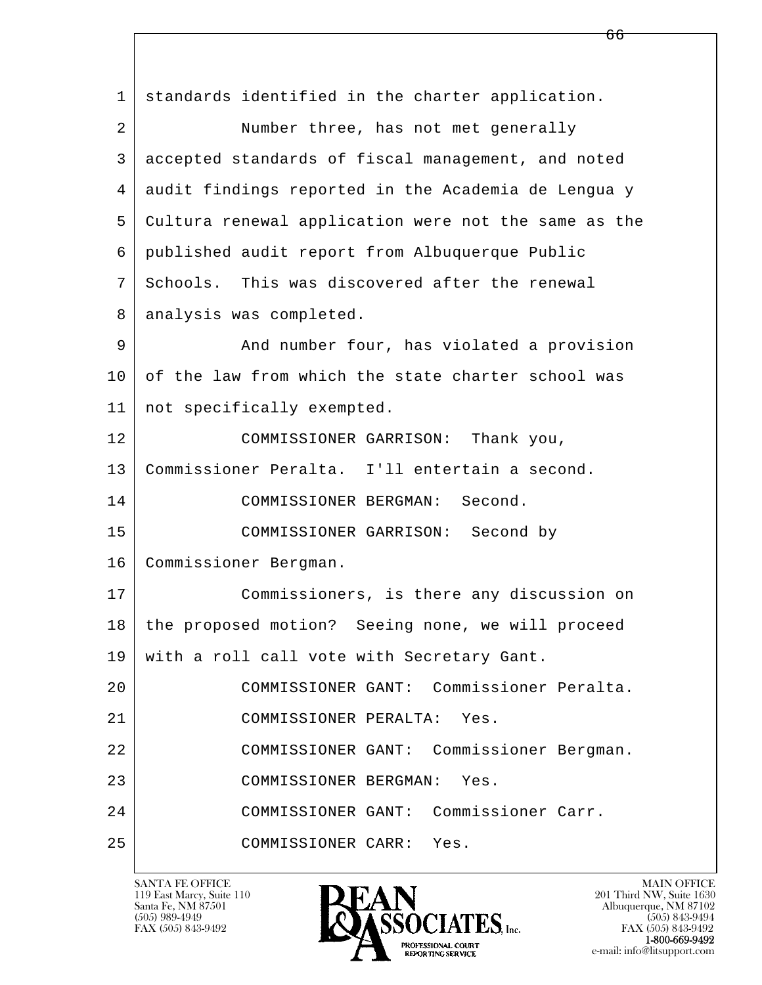l  $\overline{\phantom{a}}$  1 standards identified in the charter application. 2 Number three, has not met generally 3 accepted standards of fiscal management, and noted 4 audit findings reported in the Academia de Lengua y 5 Cultura renewal application were not the same as the 6 published audit report from Albuquerque Public 7 Schools. This was discovered after the renewal 8 analysis was completed. 9 And number four, has violated a provision 10 of the law from which the state charter school was 11 not specifically exempted. 12 COMMISSIONER GARRISON: Thank you, 13 Commissioner Peralta. I'll entertain a second. 14 COMMISSIONER BERGMAN: Second. 15 COMMISSIONER GARRISON: Second by 16 | Commissioner Bergman. 17 Commissioners, is there any discussion on 18 the proposed motion? Seeing none, we will proceed 19 with a roll call vote with Secretary Gant. 20 COMMISSIONER GANT: Commissioner Peralta. 21 COMMISSIONER PERALTA: Yes. 22 COMMISSIONER GANT: Commissioner Bergman. 23 COMMISSIONER BERGMAN: Yes. 24 COMMISSIONER GANT: Commissioner Carr. 25 COMMISSIONER CARR: Yes.

119 East Marcy, Suite 110<br>Santa Fe, NM 87501



FAX (505) 843-9492<br>**1-800-669-9492**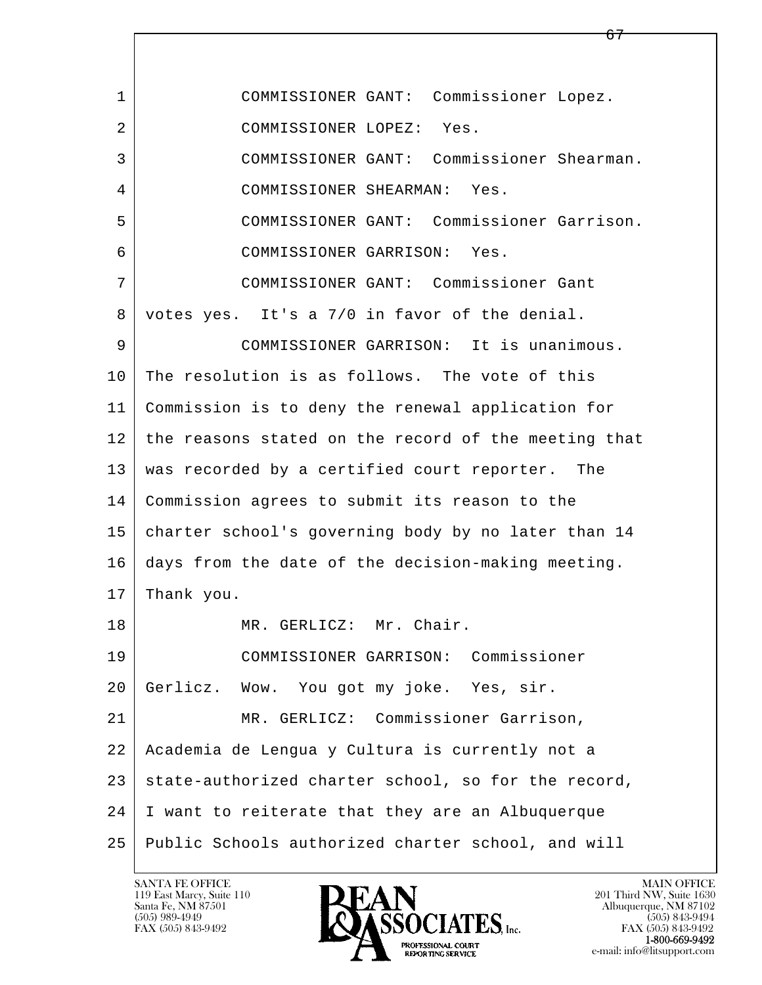| $\mathbf{1}$ | COMMISSIONER GANT: Commissioner Lopez.               |
|--------------|------------------------------------------------------|
| 2            | COMMISSIONER LOPEZ: Yes.                             |
| 3            | COMMISSIONER GANT: Commissioner Shearman.            |
| 4            | COMMISSIONER SHEARMAN: Yes.                          |
| 5            | COMMISSIONER GANT: Commissioner Garrison.            |
| 6            | COMMISSIONER GARRISON: Yes.                          |
| 7            | COMMISSIONER GANT: Commissioner Gant                 |
| 8            | votes yes. It's a 7/0 in favor of the denial.        |
| 9            | COMMISSIONER GARRISON: It is unanimous.              |
| 10           | The resolution is as follows. The vote of this       |
| 11           | Commission is to deny the renewal application for    |
| 12           | the reasons stated on the record of the meeting that |
| 13           | was recorded by a certified court reporter. The      |
| 14           | Commission agrees to submit its reason to the        |
| 15           | charter school's governing body by no later than 14  |
| 16           | days from the date of the decision-making meeting.   |
| 17           | Thank you.                                           |
| 18           | MR. GERLICZ: Mr. Chair.                              |
| 19           | COMMISSIONER GARRISON: Commissioner                  |
| 20           | Gerlicz. Wow. You got my joke. Yes, sir.             |
| 21           | MR. GERLICZ: Commissioner Garrison,                  |
| 22           | Academia de Lengua y Cultura is currently not a      |
| 23           | state-authorized charter school, so for the record,  |
| 24           | I want to reiterate that they are an Albuquerque     |
| 25           | Public Schools authorized charter school, and will   |

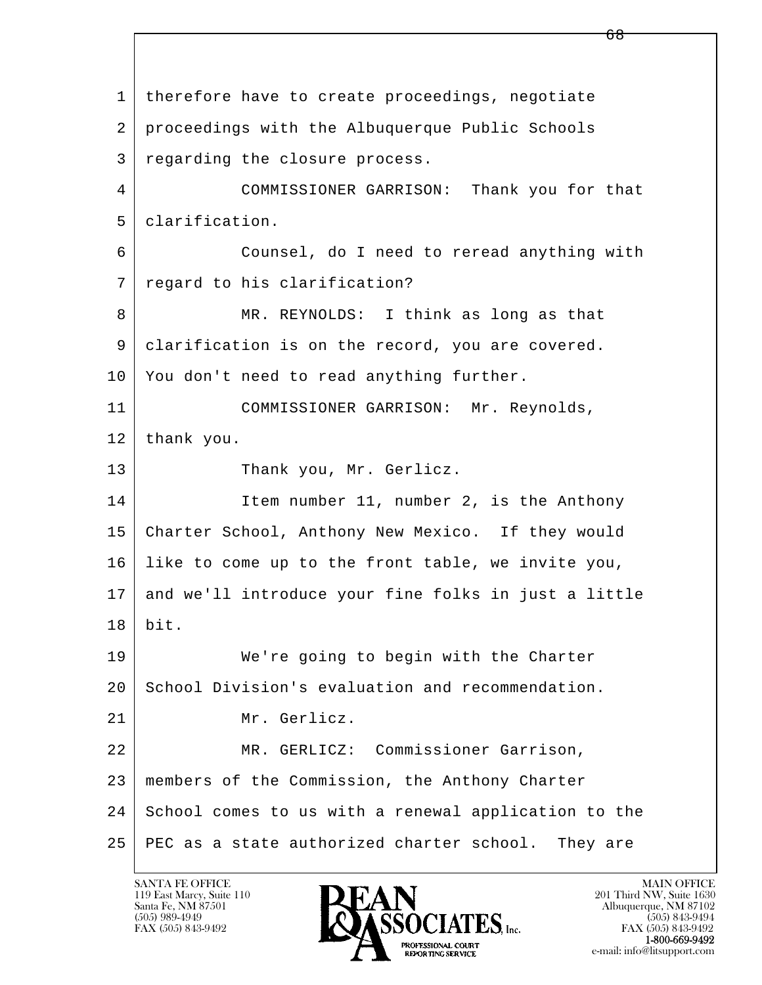l  $\overline{\phantom{a}}$  1 therefore have to create proceedings, negotiate 2 proceedings with the Albuquerque Public Schools 3 regarding the closure process. 4 COMMISSIONER GARRISON: Thank you for that 5 clarification. 6 Counsel, do I need to reread anything with 7 regard to his clarification? 8 MR. REYNOLDS: I think as long as that 9 clarification is on the record, you are covered. 10 You don't need to read anything further. 11 COMMISSIONER GARRISON: Mr. Reynolds, 12 thank you. 13 Thank you, Mr. Gerlicz. 14 Item number 11, number 2, is the Anthony 15 Charter School, Anthony New Mexico. If they would 16 like to come up to the front table, we invite you, 17 and we'll introduce your fine folks in just a little 18 bit. 19 We're going to begin with the Charter 20 School Division's evaluation and recommendation. 21 Mr. Gerlicz. 22 MR. GERLICZ: Commissioner Garrison, 23 members of the Commission, the Anthony Charter 24 School comes to us with a renewal application to the 25 PEC as a state authorized charter school. They are

119 East Marcy, Suite 110<br>Santa Fe, NM 87501

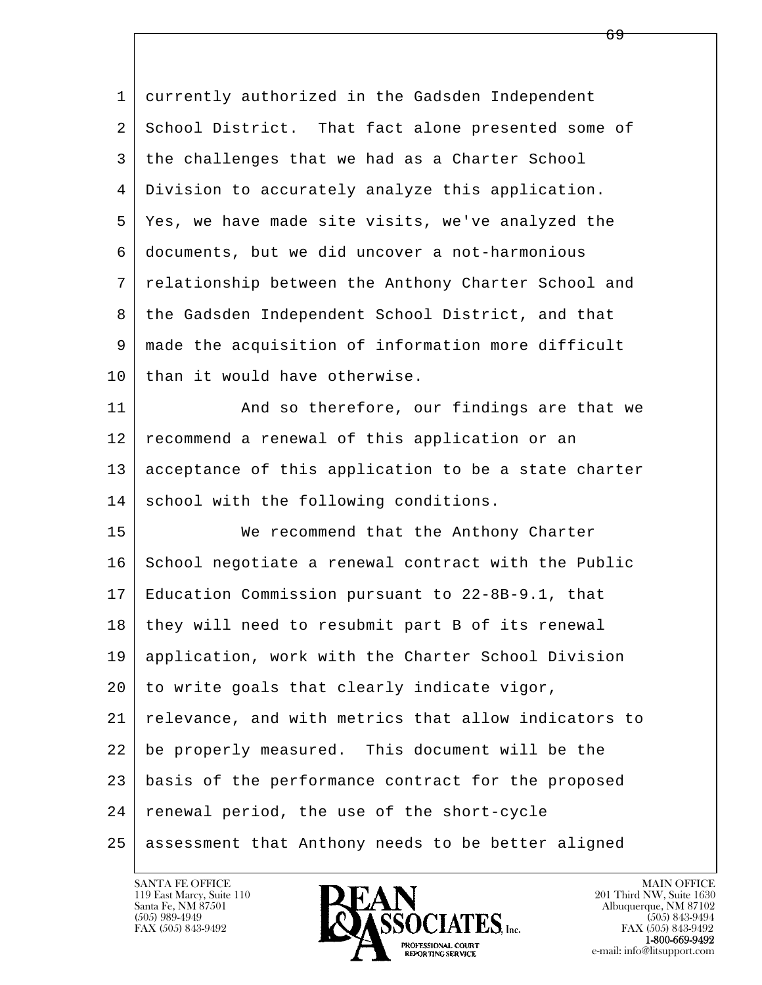l  $\overline{\phantom{a}}$  1 currently authorized in the Gadsden Independent 2 School District. That fact alone presented some of 3 the challenges that we had as a Charter School 4 Division to accurately analyze this application. 5 Yes, we have made site visits, we've analyzed the 6 documents, but we did uncover a not-harmonious 7 relationship between the Anthony Charter School and 8 the Gadsden Independent School District, and that 9 made the acquisition of information more difficult  $10$  than it would have otherwise. 11 | And so therefore, our findings are that we 12 recommend a renewal of this application or an 13 acceptance of this application to be a state charter 14 school with the following conditions. 15 We recommend that the Anthony Charter 16 School negotiate a renewal contract with the Public 17 Education Commission pursuant to 22-8B-9.1, that 18 | they will need to resubmit part B of its renewal 19 application, work with the Charter School Division  $20$  to write goals that clearly indicate vigor, 21 relevance, and with metrics that allow indicators to 22 be properly measured. This document will be the 23 basis of the performance contract for the proposed 24 renewal period, the use of the short-cycle 25 assessment that Anthony needs to be better aligned

 $\overline{69}$ 

119 East Marcy, Suite 110<br>Santa Fe, NM 87501

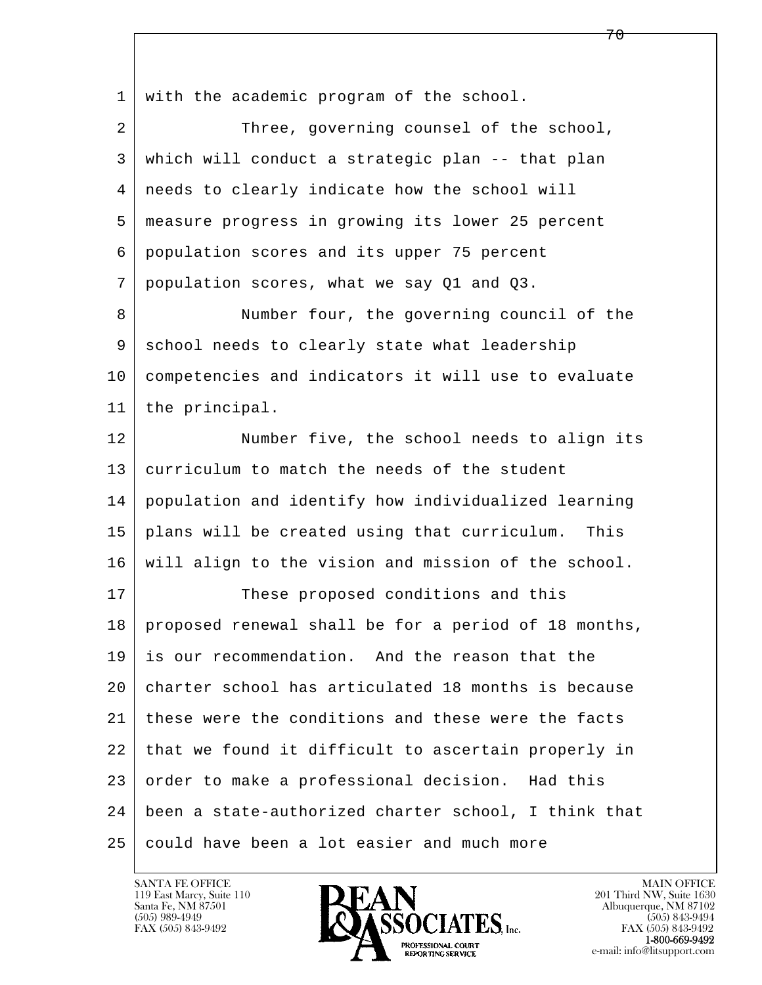l  $\overline{\phantom{a}}$ 1 with the academic program of the school. 2 Three, governing counsel of the school, 3 which will conduct a strategic plan -- that plan 4 needs to clearly indicate how the school will 5 measure progress in growing its lower 25 percent 6 population scores and its upper 75 percent 7 population scores, what we say Q1 and Q3. 8 Number four, the governing council of the 9 school needs to clearly state what leadership 10 competencies and indicators it will use to evaluate 11 the principal. 12 | Number five, the school needs to align its 13 curriculum to match the needs of the student 14 population and identify how individualized learning 15 plans will be created using that curriculum. This 16 will align to the vision and mission of the school. 17 These proposed conditions and this 18 proposed renewal shall be for a period of 18 months, 19 is our recommendation. And the reason that the 20 charter school has articulated 18 months is because 21 these were the conditions and these were the facts 22 that we found it difficult to ascertain properly in 23 order to make a professional decision. Had this 24 been a state-authorized charter school, I think that 25 could have been a lot easier and much more

119 East Marcy, Suite 110<br>Santa Fe, NM 87501

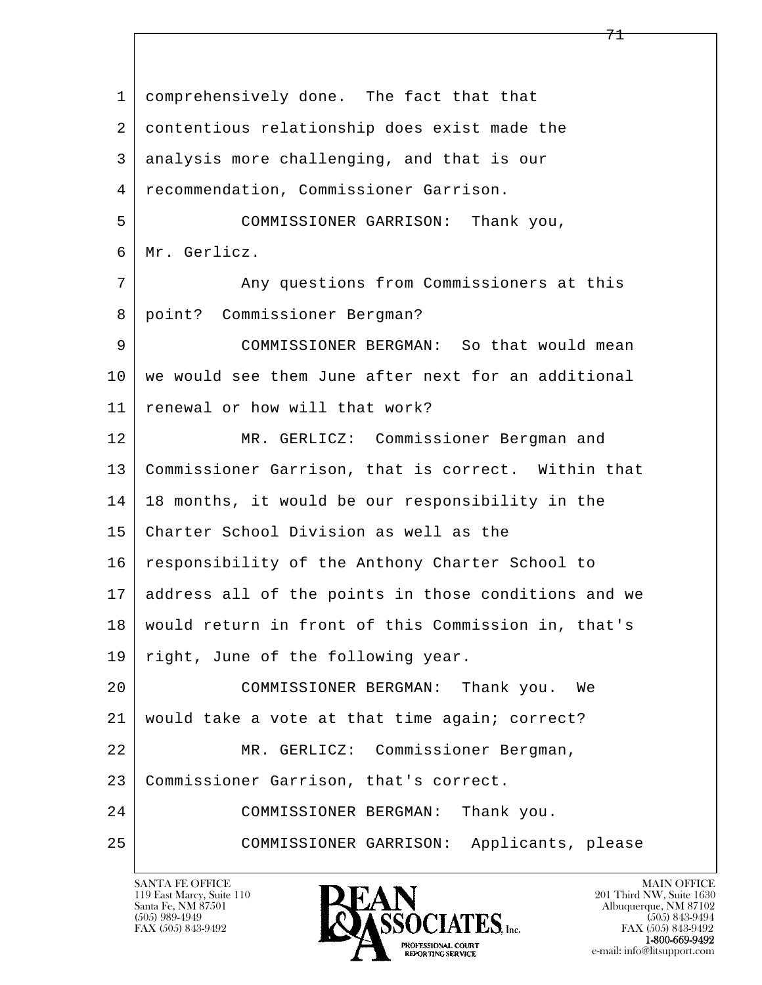l  $\overline{\phantom{a}}$ 1 comprehensively done. The fact that that 2 contentious relationship does exist made the 3 analysis more challenging, and that is our 4 recommendation, Commissioner Garrison. 5 COMMISSIONER GARRISON: Thank you, 6 Mr. Gerlicz. 7 Any questions from Commissioners at this 8 point? Commissioner Bergman? 9 COMMISSIONER BERGMAN: So that would mean 10 | we would see them June after next for an additional 11 renewal or how will that work? 12 MR. GERLICZ: Commissioner Bergman and 13 Commissioner Garrison, that is correct. Within that 14 18 months, it would be our responsibility in the 15 Charter School Division as well as the 16 | responsibility of the Anthony Charter School to 17 address all of the points in those conditions and we 18 would return in front of this Commission in, that's 19 | right, June of the following year. 20 COMMISSIONER BERGMAN: Thank you. We 21 would take a vote at that time again; correct? 22 MR. GERLICZ: Commissioner Bergman, 23 Commissioner Garrison, that's correct. 24 COMMISSIONER BERGMAN: Thank you. 25 COMMISSIONER GARRISON: Applicants, please

119 East Marcy, Suite 110<br>Santa Fe, NM 87501

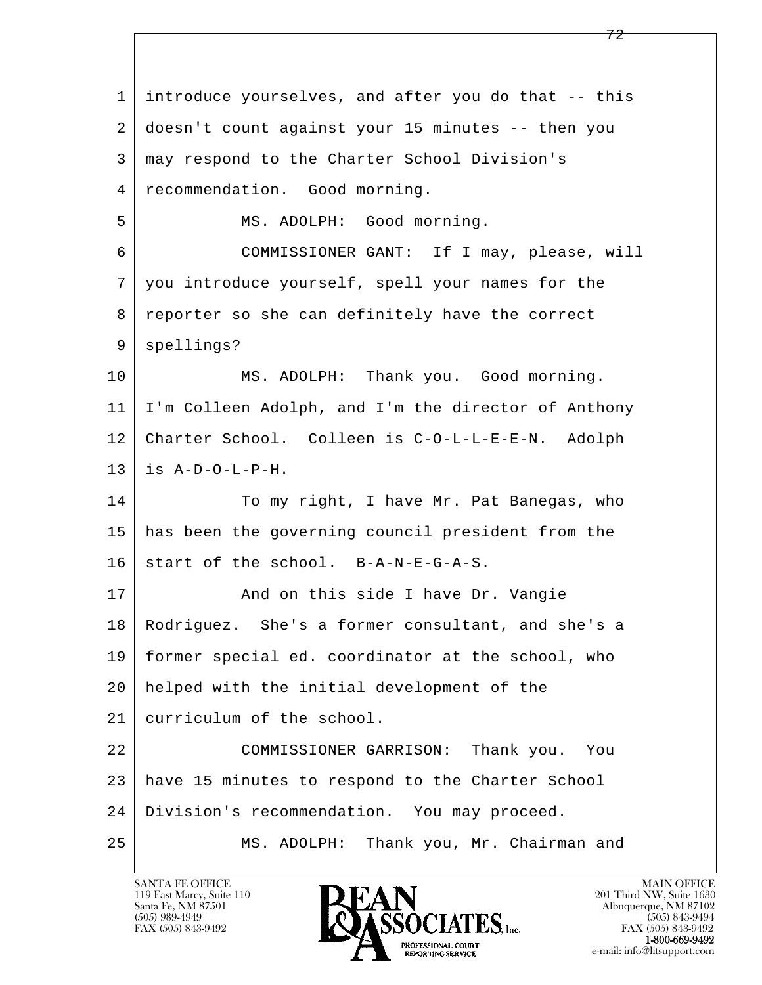l  $\overline{\phantom{a}}$  1 introduce yourselves, and after you do that -- this 2 doesn't count against your 15 minutes -- then you 3 may respond to the Charter School Division's 4 recommendation. Good morning. 5 | MS. ADOLPH: Good morning. 6 COMMISSIONER GANT: If I may, please, will 7 you introduce yourself, spell your names for the 8 reporter so she can definitely have the correct 9 spellings? 10 | MS. ADOLPH: Thank you. Good morning. 11 I'm Colleen Adolph, and I'm the director of Anthony 12 Charter School. Colleen is C-O-L-L-E-E-N. Adolph  $13$  is  $A-D-O-L-P-H$ . 14 To my right, I have Mr. Pat Banegas, who 15 has been the governing council president from the  $16$  start of the school. B-A-N-E-G-A-S. 17 | The Mand on this side I have Dr. Vangie 18 Rodriguez. She's a former consultant, and she's a 19 former special ed. coordinator at the school, who 20 helped with the initial development of the 21 curriculum of the school. 22 COMMISSIONER GARRISON: Thank you. You 23 have 15 minutes to respond to the Charter School 24 Division's recommendation. You may proceed. 25 MS. ADOLPH: Thank you, Mr. Chairman and

119 East Marcy, Suite 110<br>Santa Fe, NM 87501

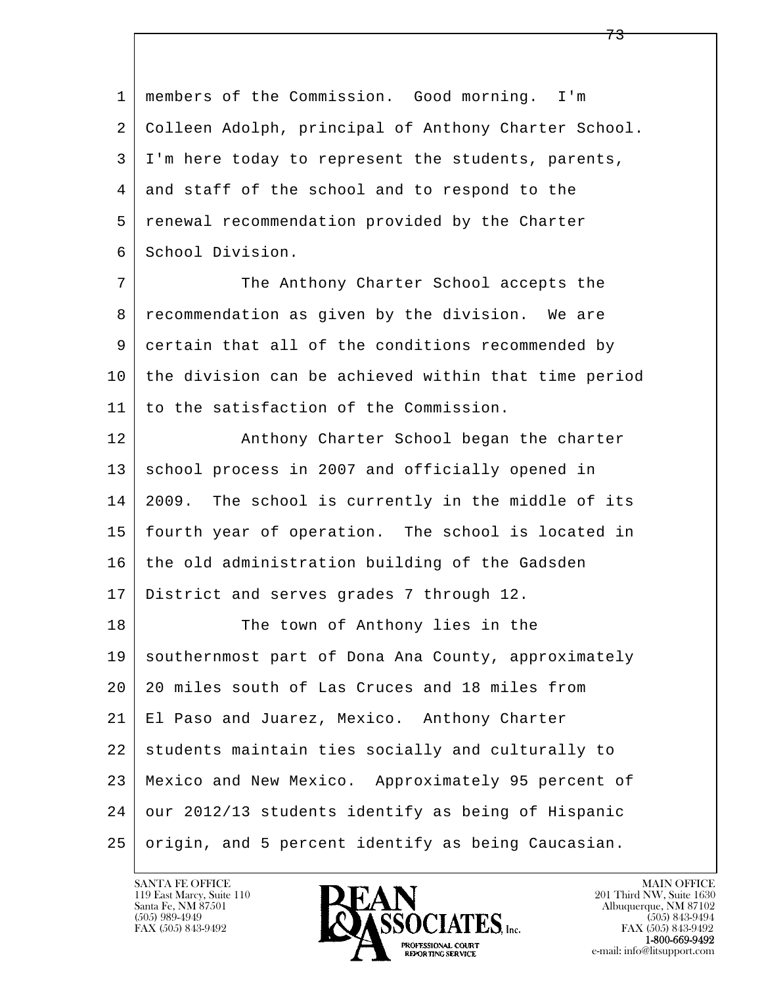| 1  | members of the Commission. Good morning. I'm         |
|----|------------------------------------------------------|
| 2  | Colleen Adolph, principal of Anthony Charter School. |
| 3  | I'm here today to represent the students, parents,   |
| 4  | and staff of the school and to respond to the        |
| 5  | renewal recommendation provided by the Charter       |
| 6  | School Division.                                     |
| 7  | The Anthony Charter School accepts the               |
| 8  | recommendation as given by the division. We are      |
| 9  | certain that all of the conditions recommended by    |
| 10 | the division can be achieved within that time period |
| 11 | to the satisfaction of the Commission.               |
| 12 | Anthony Charter School began the charter             |
| 13 | school process in 2007 and officially opened in      |
| 14 | 2009. The school is currently in the middle of its   |
| 15 | fourth year of operation. The school is located in   |
| 16 | the old administration building of the Gadsden       |
| 17 | District and serves grades 7 through 12.             |
| 18 | The town of Anthony lies in the                      |
| 19 | southernmost part of Dona Ana County, approximately  |
| 20 | 20 miles south of Las Cruces and 18 miles from       |
| 21 | El Paso and Juarez, Mexico. Anthony Charter          |
| 22 | students maintain ties socially and culturally to    |
| 23 | Mexico and New Mexico. Approximately 95 percent of   |
| 24 | our 2012/13 students identify as being of Hispanic   |
| 25 | origin, and 5 percent identify as being Caucasian.   |

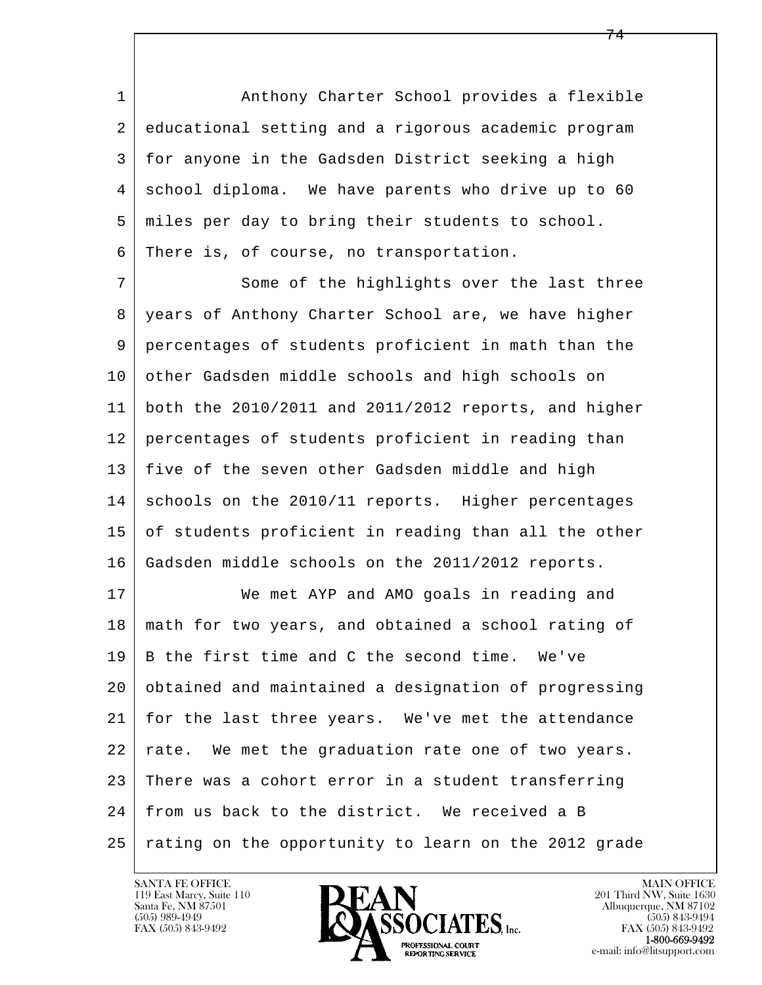1 Anthony Charter School provides a flexible 2 educational setting and a rigorous academic program 3 for anyone in the Gadsden District seeking a high 4 school diploma. We have parents who drive up to 60 5 miles per day to bring their students to school. 6 There is, of course, no transportation.

7 Some of the highlights over the last three 8 years of Anthony Charter School are, we have higher 9 percentages of students proficient in math than the 10 other Gadsden middle schools and high schools on 11 both the 2010/2011 and 2011/2012 reports, and higher 12 percentages of students proficient in reading than 13 five of the seven other Gadsden middle and high 14 schools on the 2010/11 reports. Higher percentages 15 of students proficient in reading than all the other 16 Gadsden middle schools on the 2011/2012 reports.

l  $\overline{\phantom{a}}$ 17 We met AYP and AMO goals in reading and 18 math for two years, and obtained a school rating of 19 B the first time and C the second time. We've 20 obtained and maintained a designation of progressing 21 for the last three years. We've met the attendance 22 rate. We met the graduation rate one of two years. 23 There was a cohort error in a student transferring 24 from us back to the district. We received a B 25 rating on the opportunity to learn on the 2012 grade

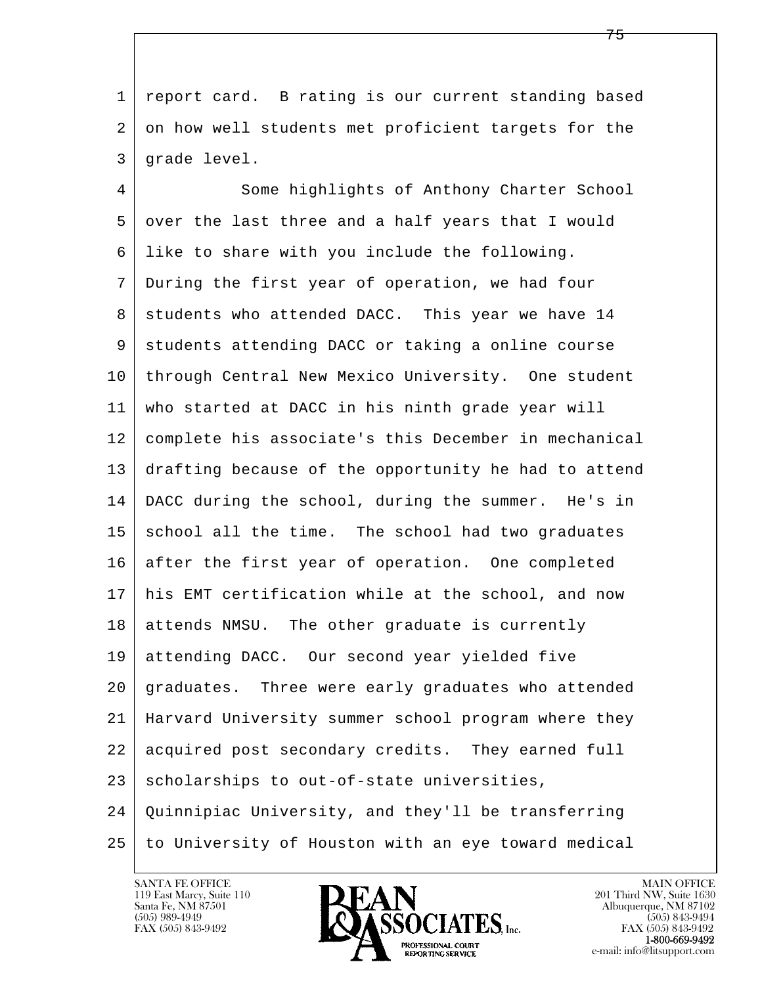1 report card. B rating is our current standing based 2 | on how well students met proficient targets for the 3 grade level.

l  $\overline{\phantom{a}}$ 4 Some highlights of Anthony Charter School 5 over the last three and a half years that I would 6 like to share with you include the following. 7 During the first year of operation, we had four 8 students who attended DACC. This year we have 14 9 students attending DACC or taking a online course 10 through Central New Mexico University. One student 11 who started at DACC in his ninth grade year will 12 complete his associate's this December in mechanical 13 drafting because of the opportunity he had to attend 14 DACC during the school, during the summer. He's in 15 school all the time. The school had two graduates 16 after the first year of operation. One completed 17 his EMT certification while at the school, and now 18 attends NMSU. The other graduate is currently 19 attending DACC. Our second year yielded five 20 graduates. Three were early graduates who attended 21 Harvard University summer school program where they 22 acquired post secondary credits. They earned full  $23$  scholarships to out-of-state universities, 24 Quinnipiac University, and they'll be transferring 25 to University of Houston with an eye toward medical

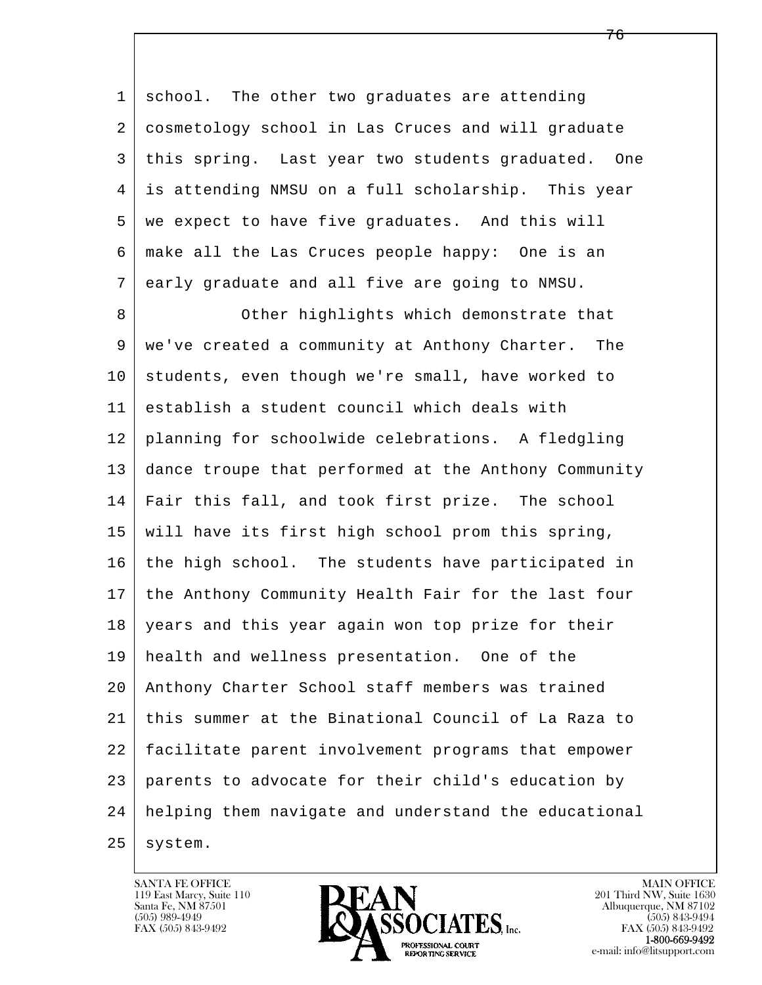1 school. The other two graduates are attending 2 cosmetology school in Las Cruces and will graduate 3 this spring. Last year two students graduated. One 4 is attending NMSU on a full scholarship. This year 5 we expect to have five graduates. And this will 6 make all the Las Cruces people happy: One is an 7 early graduate and all five are going to NMSU. 8 Other highlights which demonstrate that 9 we've created a community at Anthony Charter. The

l  $\overline{\phantom{a}}$ 10 students, even though we're small, have worked to 11 establish a student council which deals with 12 planning for schoolwide celebrations. A fledgling 13 dance troupe that performed at the Anthony Community 14 Fair this fall, and took first prize. The school 15 will have its first high school prom this spring, 16 the high school. The students have participated in 17 the Anthony Community Health Fair for the last four 18 years and this year again won top prize for their 19 health and wellness presentation. One of the 20 Anthony Charter School staff members was trained 21 this summer at the Binational Council of La Raza to 22 facilitate parent involvement programs that empower 23 parents to advocate for their child's education by 24 helping them navigate and understand the educational

 $25$  system.

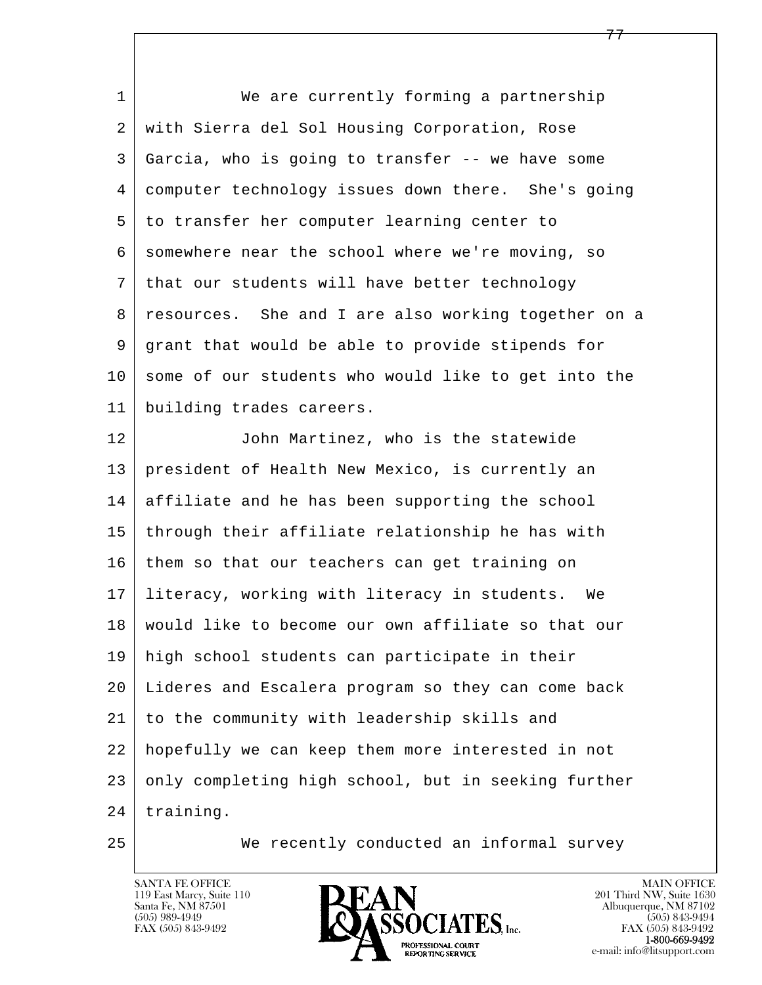l  $\overline{\phantom{a}}$  1 We are currently forming a partnership 2 with Sierra del Sol Housing Corporation, Rose 3 Garcia, who is going to transfer -- we have some 4 computer technology issues down there. She's going 5 to transfer her computer learning center to 6 somewhere near the school where we're moving, so 7 that our students will have better technology 8 resources. She and I are also working together on a 9 grant that would be able to provide stipends for 10 some of our students who would like to get into the 11 building trades careers. 12 John Martinez, who is the statewide 13 president of Health New Mexico, is currently an 14 affiliate and he has been supporting the school 15 through their affiliate relationship he has with 16 them so that our teachers can get training on 17 literacy, working with literacy in students. We 18 would like to become our own affiliate so that our 19 high school students can participate in their 20 Lideres and Escalera program so they can come back 21 to the community with leadership skills and 22 hopefully we can keep them more interested in not 23 only completing high school, but in seeking further 24 | training.

<u>277 - Emily Barbara, american proposar a strong and a strong and a strong and a strong and a strong and a strong and a strong and a strong and a strong and a strong and a strong and a strong and a strong and a strong and </u>

25 We recently conducted an informal survey

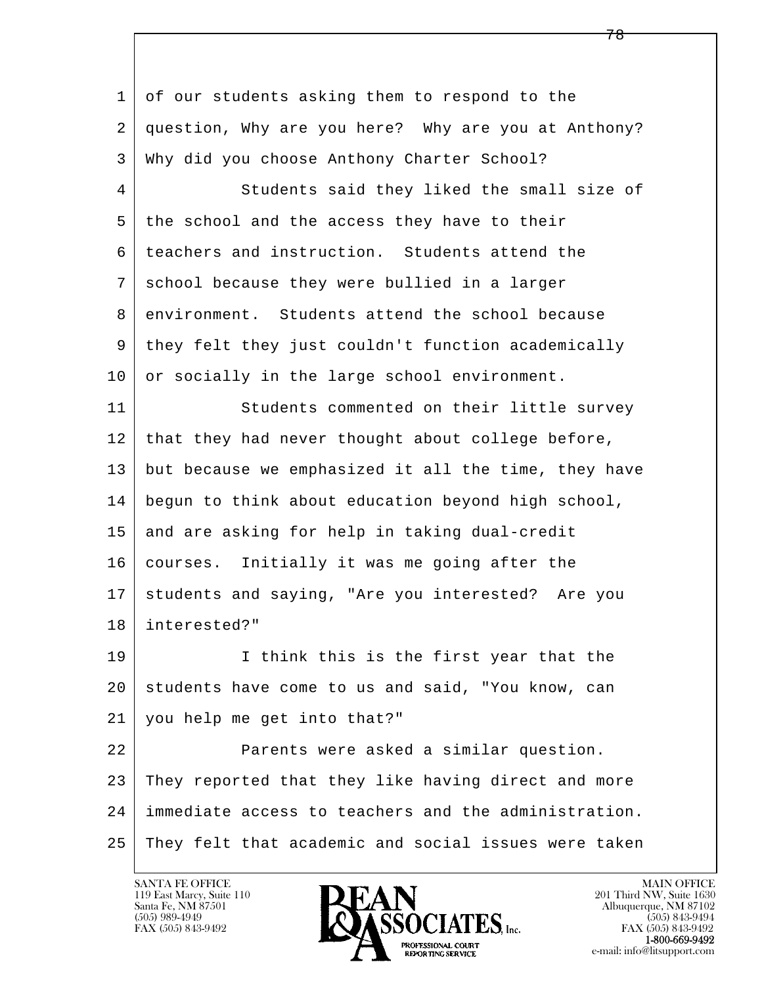l  $\overline{\phantom{a}}$ 1 of our students asking them to respond to the 2 question, Why are you here? Why are you at Anthony? 3 Why did you choose Anthony Charter School? 4 Students said they liked the small size of 5 the school and the access they have to their 6 teachers and instruction. Students attend the 7 school because they were bullied in a larger 8 environment. Students attend the school because 9 they felt they just couldn't function academically 10 or socially in the large school environment. 11 Students commented on their little survey 12 that they had never thought about college before, 13 but because we emphasized it all the time, they have 14 begun to think about education beyond high school, 15 and are asking for help in taking dual-credit 16 courses. Initially it was me going after the 17 students and saying, "Are you interested? Are you 18 interested?" 19 I think this is the first year that the 20 students have come to us and said, "You know, can 21 you help me get into that?" 22 **Parents were asked a similar question.**  23 They reported that they like having direct and more 24 immediate access to teachers and the administration. 25 They felt that academic and social issues were taken

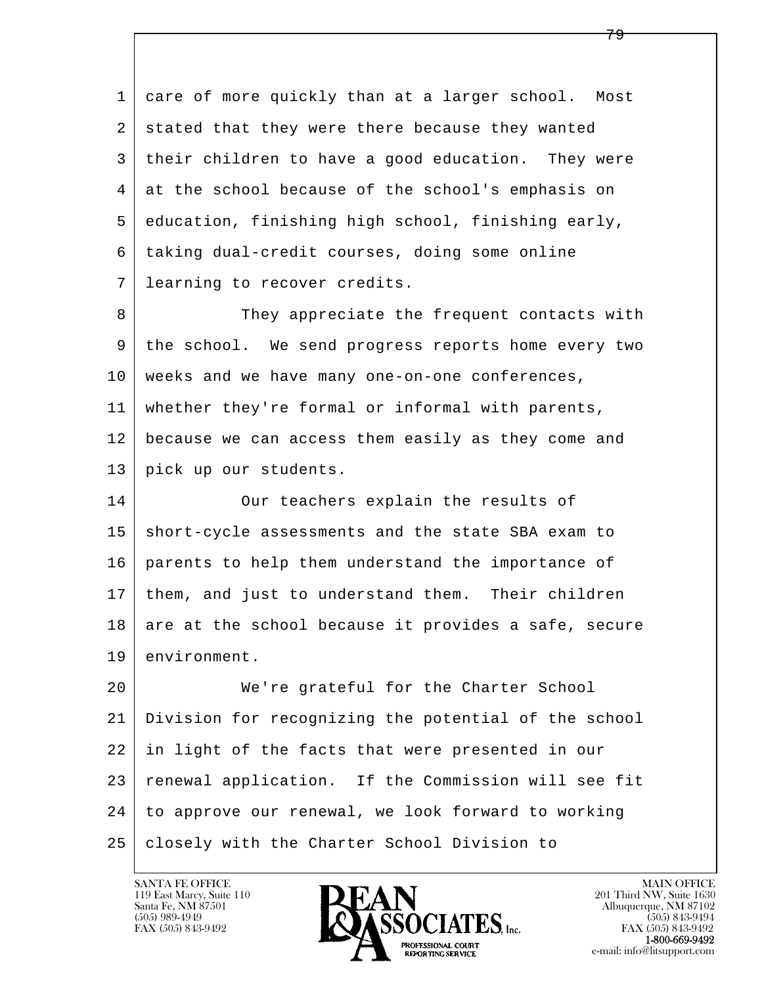l  $\overline{\phantom{a}}$  1 care of more quickly than at a larger school. Most 2 stated that they were there because they wanted 3 their children to have a good education. They were 4 at the school because of the school's emphasis on 5 education, finishing high school, finishing early, 6 taking dual-credit courses, doing some online 7 learning to recover credits. 8 They appreciate the frequent contacts with 9 the school. We send progress reports home every two 10 weeks and we have many one-on-one conferences, 11 whether they're formal or informal with parents, 12 because we can access them easily as they come and 13 pick up our students. 14 Our teachers explain the results of 15 short-cycle assessments and the state SBA exam to 16 parents to help them understand the importance of 17 them, and just to understand them. Their children  $18$  are at the school because it provides a safe, secure 19 environment. 20 We're grateful for the Charter School 21 Division for recognizing the potential of the school 22 in light of the facts that were presented in our 23 renewal application. If the Commission will see fit 24 to approve our renewal, we look forward to working

25 closely with the Charter School Division to

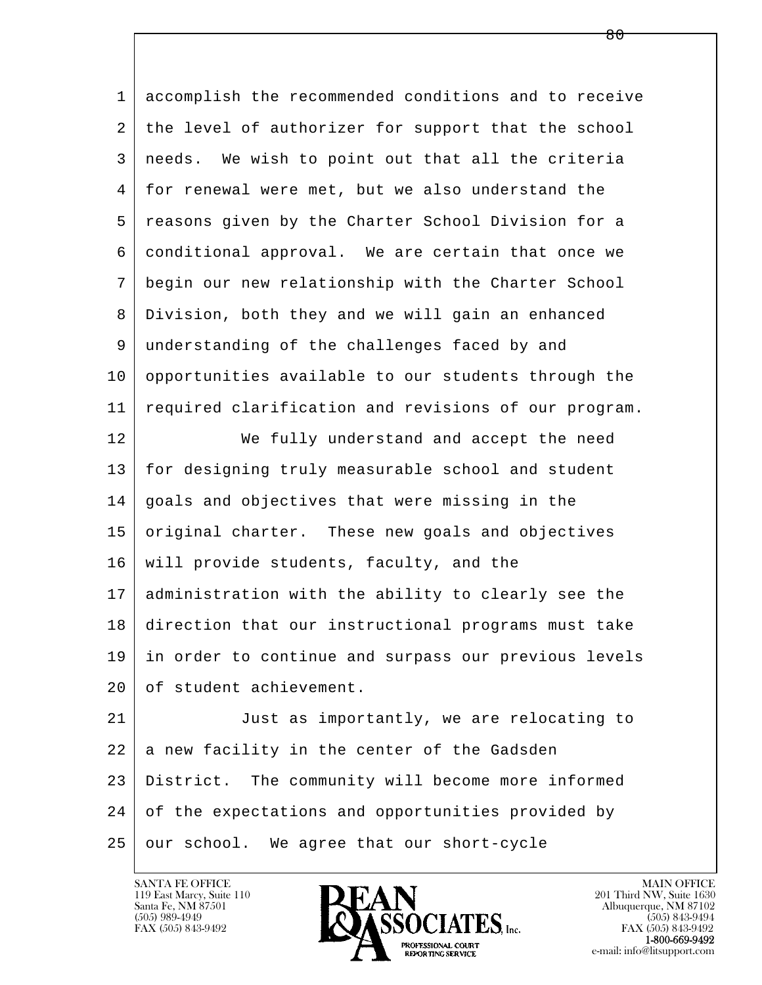l  $\overline{\phantom{a}}$  1 accomplish the recommended conditions and to receive 2 | the level of authorizer for support that the school 3 needs. We wish to point out that all the criteria 4 for renewal were met, but we also understand the 5 reasons given by the Charter School Division for a 6 conditional approval. We are certain that once we 7 begin our new relationship with the Charter School 8 Division, both they and we will gain an enhanced 9 understanding of the challenges faced by and 10 opportunities available to our students through the 11 required clarification and revisions of our program. 12 We fully understand and accept the need 13 for designing truly measurable school and student 14 goals and objectives that were missing in the 15 original charter. These new goals and objectives 16 will provide students, faculty, and the 17 administration with the ability to clearly see the 18 direction that our instructional programs must take 19 in order to continue and surpass our previous levels 20 of student achievement. 21 Just as importantly, we are relocating to  $22$  a new facility in the center of the Gadsden 23 District. The community will become more informed 24 of the expectations and opportunities provided by

 $25$  our school. We agree that our short-cycle

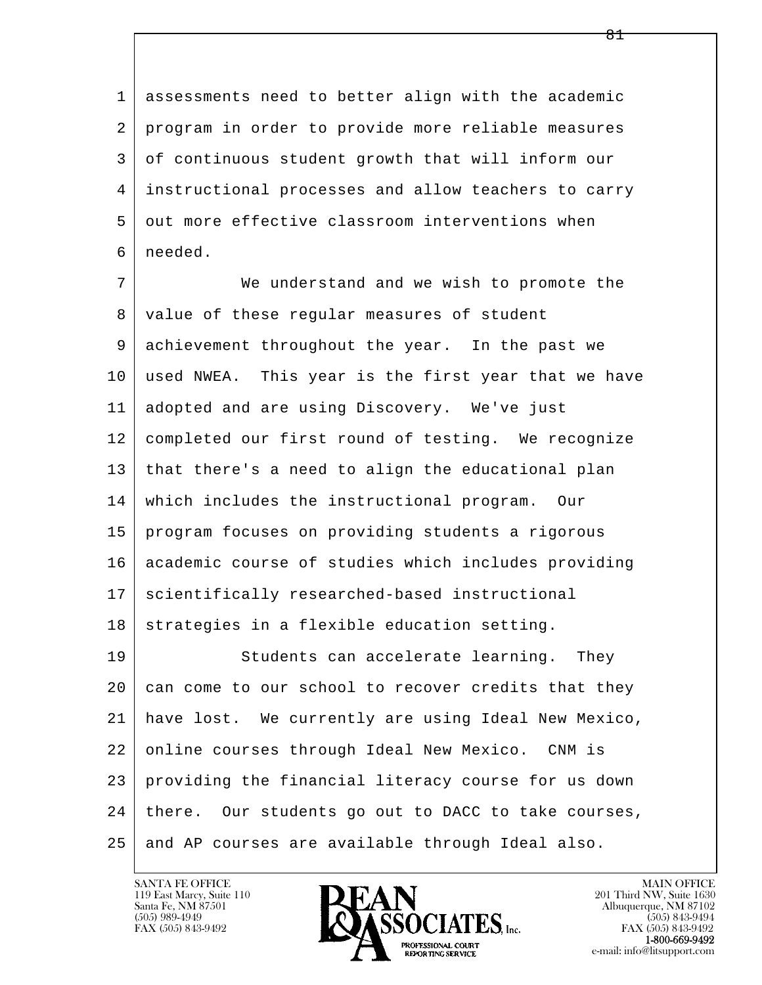1 assessments need to better align with the academic 2 program in order to provide more reliable measures 3 of continuous student growth that will inform our 4 instructional processes and allow teachers to carry 5 out more effective classroom interventions when 6 needed.

l  $\overline{\phantom{a}}$  7 We understand and we wish to promote the 8 value of these regular measures of student 9 achievement throughout the year. In the past we 10 used NWEA. This year is the first year that we have 11 adopted and are using Discovery. We've just 12 completed our first round of testing. We recognize 13 that there's a need to align the educational plan 14 which includes the instructional program. Our 15 program focuses on providing students a rigorous 16 academic course of studies which includes providing 17 | scientifically researched-based instructional  $18$  strategies in a flexible education setting. 19 Students can accelerate learning. They  $20$  can come to our school to recover credits that they 21 have lost. We currently are using Ideal New Mexico, 22 | online courses through Ideal New Mexico. CNM is 23 providing the financial literacy course for us down  $24$  there. Our students go out to DACC to take courses,

25 and AP courses are available through Ideal also.

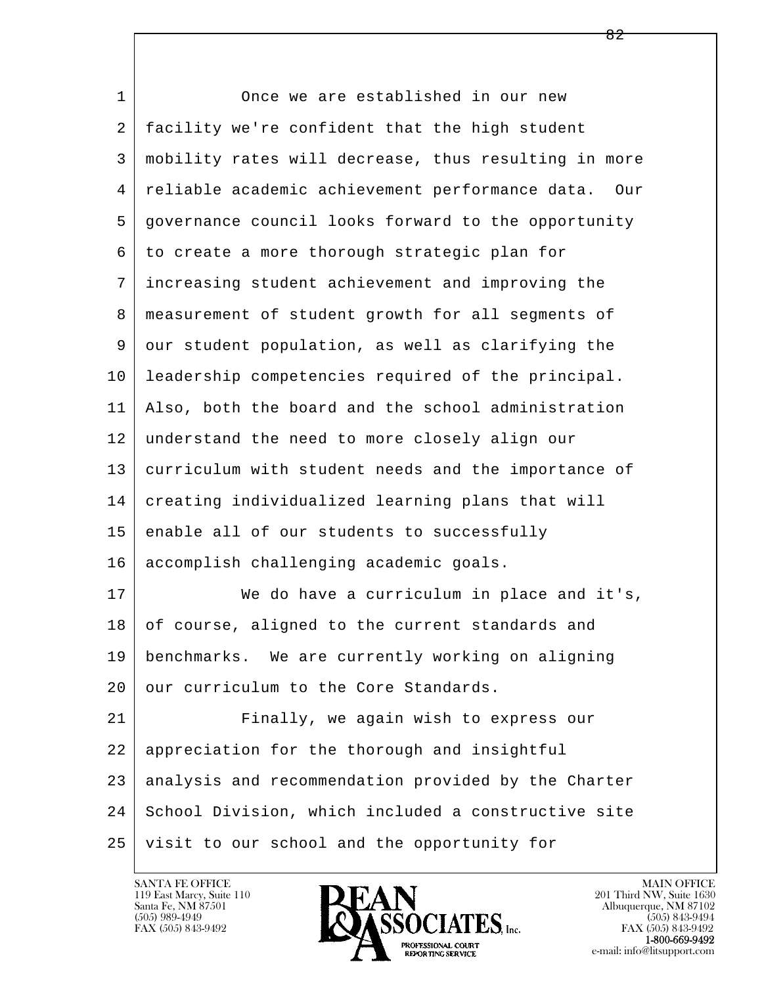l  $\overline{\phantom{a}}$ 1 Once we are established in our new 2 facility we're confident that the high student 3 mobility rates will decrease, thus resulting in more 4 reliable academic achievement performance data. Our 5 governance council looks forward to the opportunity 6 to create a more thorough strategic plan for 7 increasing student achievement and improving the 8 measurement of student growth for all segments of 9 our student population, as well as clarifying the 10 leadership competencies required of the principal. 11 Also, both the board and the school administration 12 understand the need to more closely align our 13 curriculum with student needs and the importance of 14 creating individualized learning plans that will 15 enable all of our students to successfully 16 accomplish challenging academic goals. 17 We do have a curriculum in place and it's, 18 of course, aligned to the current standards and 19 benchmarks. We are currently working on aligning 20 our curriculum to the Core Standards. 21 Finally, we again wish to express our 22 | appreciation for the thorough and insightful 23 analysis and recommendation provided by the Charter 24 School Division, which included a constructive site 25 visit to our school and the opportunity for



FAX (505) 843-9492<br>1-800-669-9492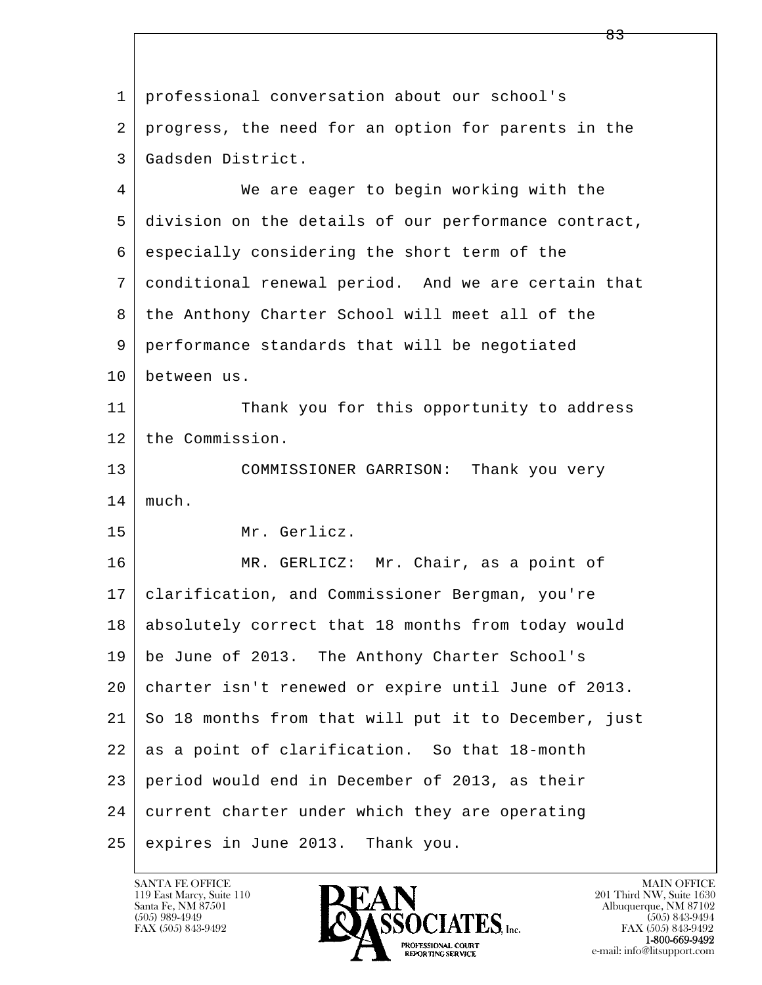l  $\overline{\phantom{a}}$  1 professional conversation about our school's 2 progress, the need for an option for parents in the 3 Gadsden District. 4 We are eager to begin working with the 5 division on the details of our performance contract, 6 especially considering the short term of the 7 conditional renewal period. And we are certain that 8 the Anthony Charter School will meet all of the 9 performance standards that will be negotiated 10 between us. 11 Thank you for this opportunity to address 12 the Commission. 13 COMMISSIONER GARRISON: Thank you very 14 much. 15 Mr. Gerlicz. 16 MR. GERLICZ: Mr. Chair, as a point of 17 clarification, and Commissioner Bergman, you're 18 absolutely correct that 18 months from today would 19 be June of 2013. The Anthony Charter School's 20 charter isn't renewed or expire until June of 2013. 21 So 18 months from that will put it to December, just 22 as a point of clarification. So that 18-month 23 period would end in December of 2013, as their 24 current charter under which they are operating 25 expires in June 2013. Thank you.

119 East Marcy, Suite 110<br>Santa Fe, NM 87501

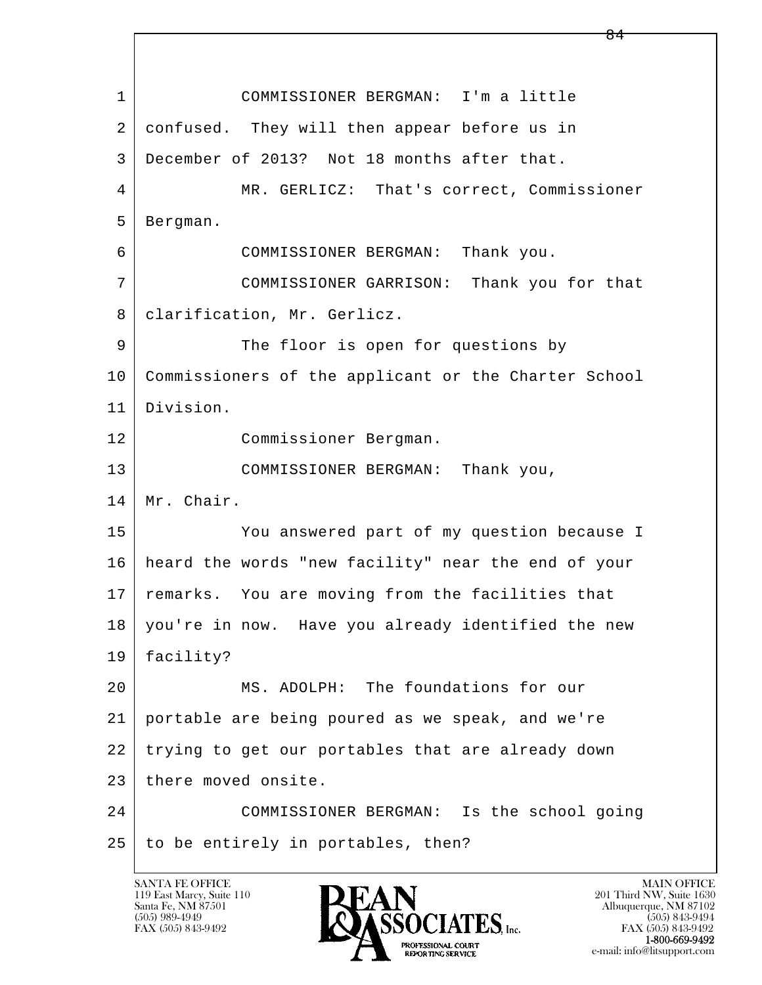l  $\overline{\phantom{a}}$  1 COMMISSIONER BERGMAN: I'm a little 2 confused. They will then appear before us in 3 December of 2013? Not 18 months after that. 4 MR. GERLICZ: That's correct, Commissioner 5 Bergman. 6 COMMISSIONER BERGMAN: Thank you. 7 COMMISSIONER GARRISON: Thank you for that 8 | clarification, Mr. Gerlicz. 9 The floor is open for questions by 10 Commissioners of the applicant or the Charter School 11 Division. 12 Commissioner Bergman. 13 COMMISSIONER BERGMAN: Thank you, 14 Mr. Chair. 15 You answered part of my question because I 16 heard the words "new facility" near the end of your 17 remarks. You are moving from the facilities that 18 you're in now. Have you already identified the new 19 facility? 20 MS. ADOLPH: The foundations for our 21 portable are being poured as we speak, and we're 22 trying to get our portables that are already down 23 | there moved onsite. 24 COMMISSIONER BERGMAN: Is the school going  $25$  to be entirely in portables, then?

119 East Marcy, Suite 110<br>Santa Fe, NM 87501

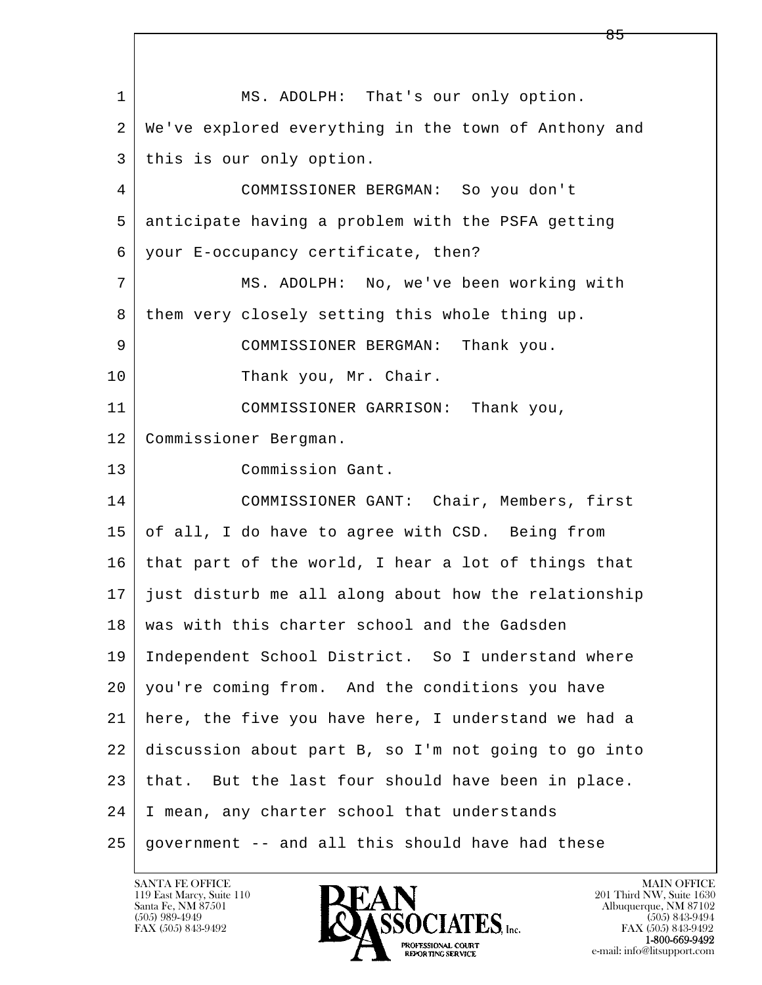l  $\overline{\phantom{a}}$ 1 MS. ADOLPH: That's our only option. 2 We've explored everything in the town of Anthony and 3 this is our only option. 4 COMMISSIONER BERGMAN: So you don't 5 anticipate having a problem with the PSFA getting 6 your E-occupancy certificate, then? 7 MS. ADOLPH: No, we've been working with 8 them very closely setting this whole thing up. 9 COMMISSIONER BERGMAN: Thank you. 10 Thank you, Mr. Chair. 11 COMMISSIONER GARRISON: Thank you, 12 Commissioner Bergman. 13 Commission Gant. 14 COMMISSIONER GANT: Chair, Members, first 15 of all, I do have to agree with CSD. Being from 16 that part of the world, I hear a lot of things that 17 just disturb me all along about how the relationship 18 | was with this charter school and the Gadsden 19 Independent School District. So I understand where 20 you're coming from. And the conditions you have 21 here, the five you have here, I understand we had a 22 discussion about part B, so I'm not going to go into 23 that. But the last four should have been in place. 24 I mean, any charter school that understands  $25$  government -- and all this should have had these

119 East Marcy, Suite 110<br>Santa Fe, NM 87501



FAX (505) 843-9492<br>1-800-669-9492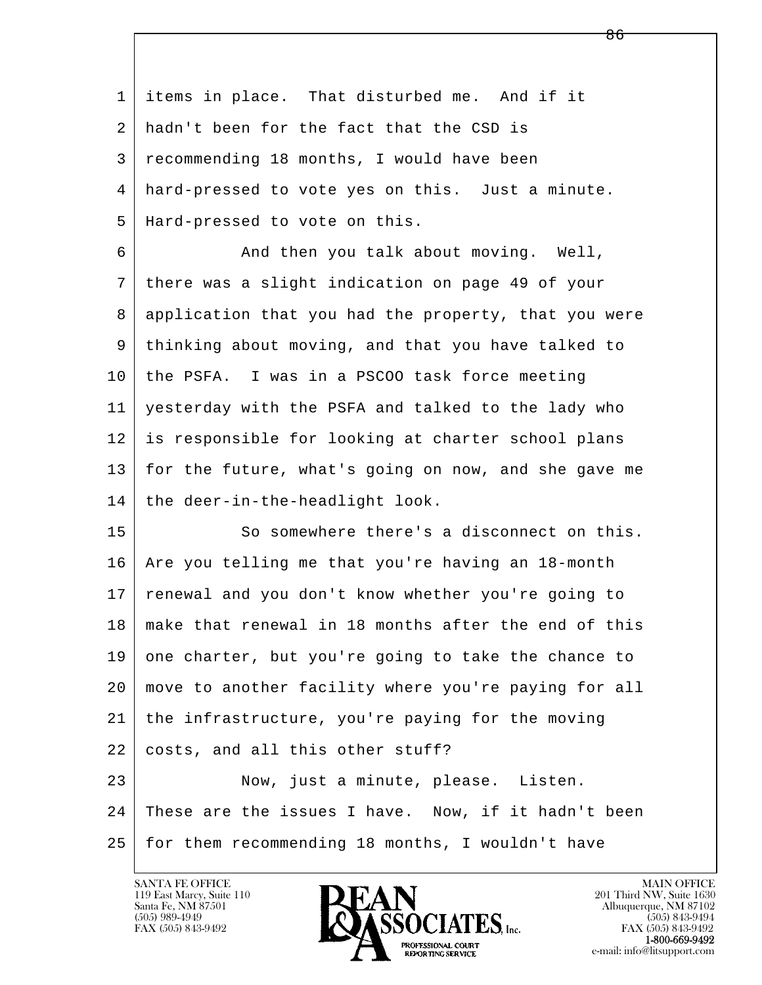1 items in place. That disturbed me. And if it 2 hadn't been for the fact that the CSD is 3 recommending 18 months, I would have been 4 hard-pressed to vote yes on this. Just a minute. 5 Hard-pressed to vote on this. 6 And then you talk about moving. Well,

 7 there was a slight indication on page 49 of your 8 application that you had the property, that you were 9 thinking about moving, and that you have talked to 10 the PSFA. I was in a PSCOO task force meeting 11 yesterday with the PSFA and talked to the lady who 12 is responsible for looking at charter school plans 13 for the future, what's going on now, and she gave me  $14$  the deer-in-the-headlight look.

l  $\overline{\phantom{a}}$ 15 So somewhere there's a disconnect on this. 16 | Are you telling me that you're having an 18-month 17 renewal and you don't know whether you're going to 18 make that renewal in 18 months after the end of this 19 one charter, but you're going to take the chance to 20 move to another facility where you're paying for all 21 the infrastructure, you're paying for the moving 22 costs, and all this other stuff? 23 Now, just a minute, please. Listen. 24 These are the issues I have. Now, if it hadn't been 25 for them recommending 18 months, I wouldn't have

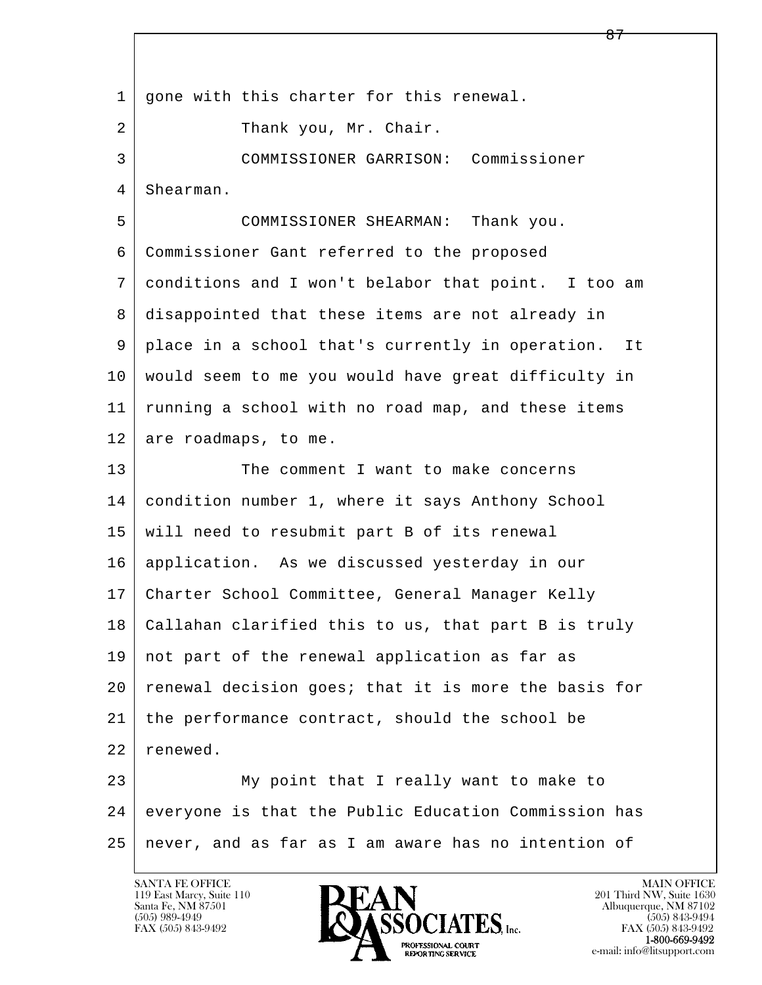l  $\overline{\phantom{a}}$ 1 | gone with this charter for this renewal. 2 | Thank you, Mr. Chair. 3 COMMISSIONER GARRISON: Commissioner 4 | Shearman. 5 COMMISSIONER SHEARMAN: Thank you. 6 Commissioner Gant referred to the proposed 7 conditions and I won't belabor that point. I too am 8 disappointed that these items are not already in 9 place in a school that's currently in operation. It 10 would seem to me you would have great difficulty in 11 running a school with no road map, and these items 12 are roadmaps, to me. 13 The comment I want to make concerns 14 condition number 1, where it says Anthony School 15 will need to resubmit part B of its renewal 16 application. As we discussed yesterday in our 17 Charter School Committee, General Manager Kelly 18 Callahan clarified this to us, that part B is truly 19 not part of the renewal application as far as 20 | renewal decision goes; that it is more the basis for 21 the performance contract, should the school be 22 renewed. 23 My point that I really want to make to 24 everyone is that the Public Education Commission has 25 never, and as far as I am aware has no intention of

<u>87 — Estados III.a, política e a continuada e a seu estado e a continuada e a seu estado e a seu estado e a s</u>

119 East Marcy, Suite 110<br>Santa Fe, NM 87501

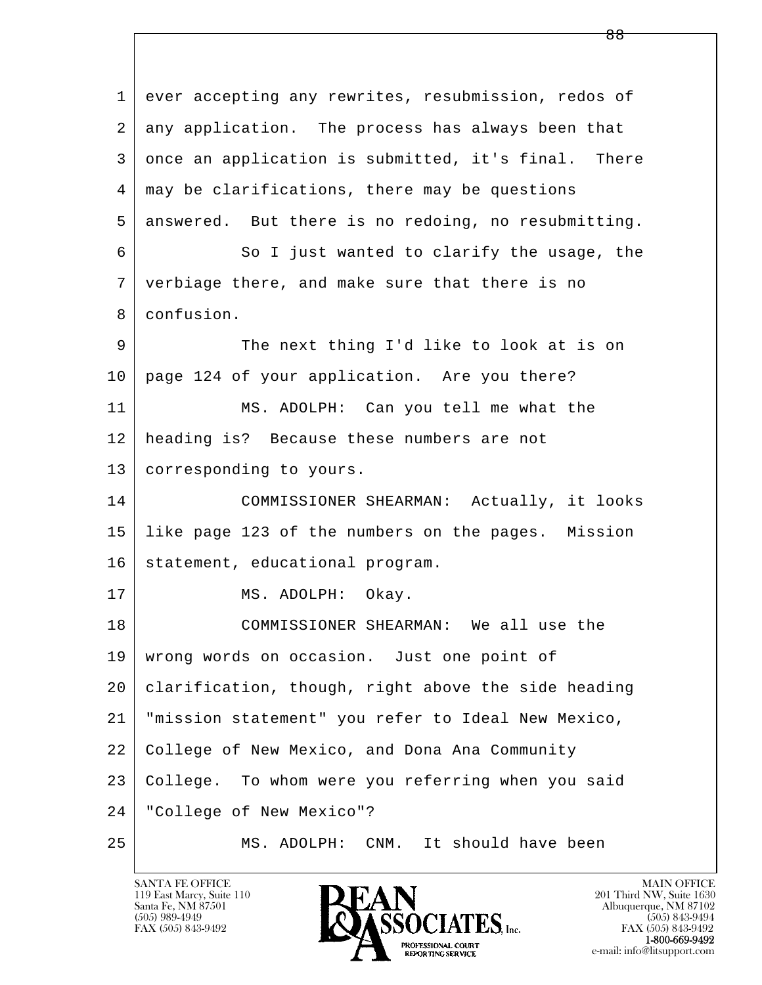l  $\overline{\phantom{a}}$ 1 ever accepting any rewrites, resubmission, redos of 2 any application. The process has always been that 3 once an application is submitted, it's final. There 4 may be clarifications, there may be questions 5 answered. But there is no redoing, no resubmitting. 6 So I just wanted to clarify the usage, the 7 verbiage there, and make sure that there is no 8 confusion. 9 The next thing I'd like to look at is on 10 page 124 of your application. Are you there? 11 MS. ADOLPH: Can you tell me what the 12 heading is? Because these numbers are not 13 | corresponding to yours. 14 COMMISSIONER SHEARMAN: Actually, it looks 15 like page 123 of the numbers on the pages. Mission 16 statement, educational program. 17 | MS. ADOLPH: Okay. 18 COMMISSIONER SHEARMAN: We all use the 19 | wrong words on occasion. Just one point of 20 clarification, though, right above the side heading 21 "mission statement" you refer to Ideal New Mexico, 22 College of New Mexico, and Dona Ana Community 23 College. To whom were you referring when you said 24 "College of New Mexico"? 25 MS. ADOLPH: CNM. It should have been

119 East Marcy, Suite 110<br>Santa Fe, NM 87501

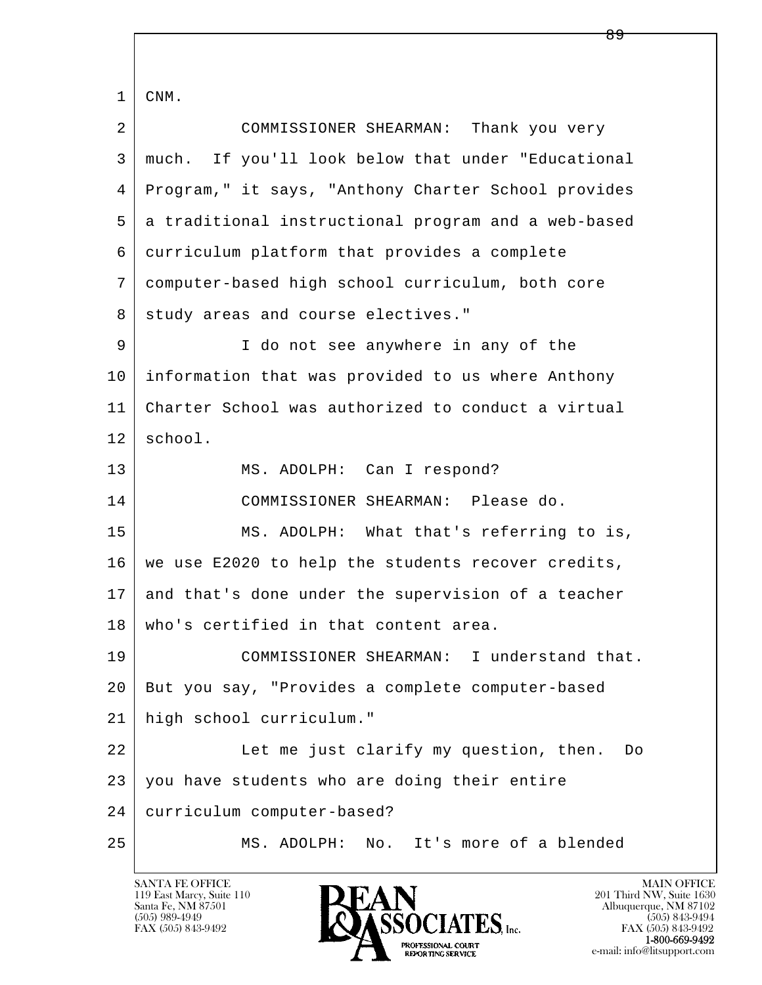| 1  | CNM.                                                |
|----|-----------------------------------------------------|
| 2  | COMMISSIONER SHEARMAN: Thank you very               |
| 3  | much. If you'll look below that under "Educational  |
| 4  | Program," it says, "Anthony Charter School provides |
| 5  | a traditional instructional program and a web-based |
| 6  | curriculum platform that provides a complete        |
| 7  | computer-based high school curriculum, both core    |
| 8  | study areas and course electives."                  |
| 9  | I do not see anywhere in any of the                 |
| 10 | information that was provided to us where Anthony   |
| 11 | Charter School was authorized to conduct a virtual  |
| 12 | school.                                             |
| 13 | MS. ADOLPH: Can I respond?                          |
| 14 | COMMISSIONER SHEARMAN: Please do.                   |
| 15 | MS. ADOLPH: What that's referring to is,            |
| 16 | we use E2020 to help the students recover credits,  |
| 17 | and that's done under the supervision of a teacher  |
| 18 | who's certified in that content area.               |
| 19 | COMMISSIONER SHEARMAN: I understand that.           |
| 20 | But you say, "Provides a complete computer-based    |
| 21 | high school curriculum."                            |
| 22 | Let me just clarify my question, then.<br>Do        |
| 23 | you have students who are doing their entire        |
| 24 | curriculum computer-based?                          |
| 25 | It's more of a blended<br>MS. ADOLPH:<br>No.        |

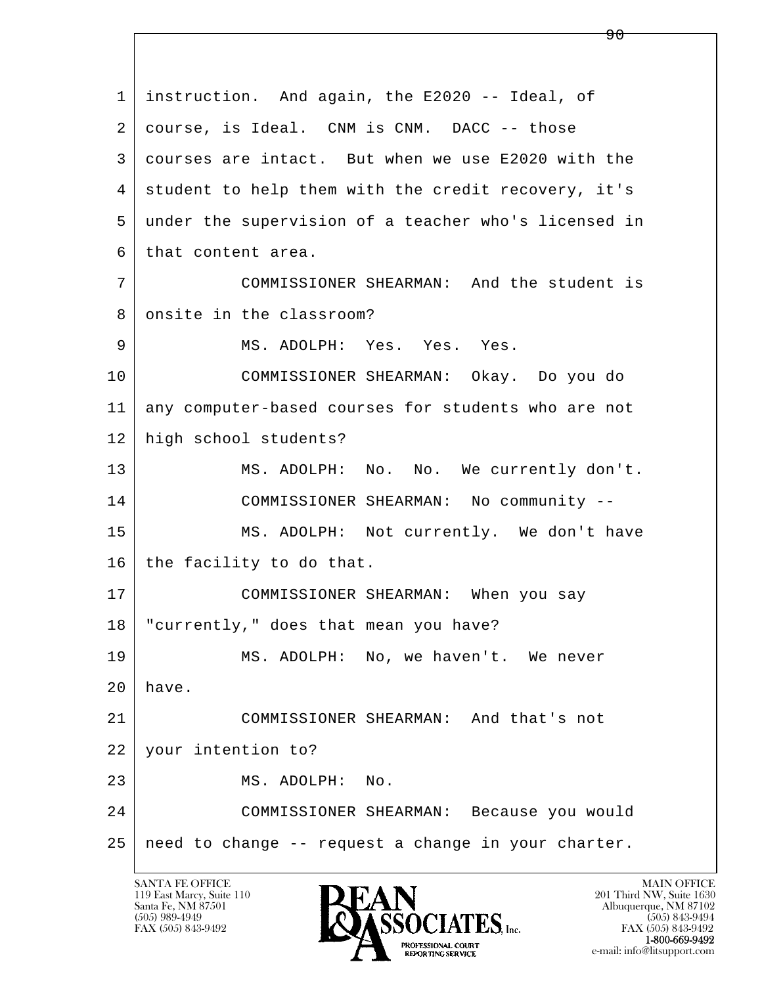l  $\overline{\phantom{a}}$  1 instruction. And again, the E2020 -- Ideal, of 2 course, is Ideal. CNM is CNM. DACC -- those 3 courses are intact. But when we use E2020 with the 4 student to help them with the credit recovery, it's 5 under the supervision of a teacher who's licensed in  $6$  that content area. 7 COMMISSIONER SHEARMAN: And the student is 8 onsite in the classroom? 9 | MS. ADOLPH: Yes. Yes. Yes. 10 COMMISSIONER SHEARMAN: Okay. Do you do 11 any computer-based courses for students who are not 12 high school students? 13 | MS. ADOLPH: No. No. We currently don't. 14 COMMISSIONER SHEARMAN: No community -- 15 | MS. ADOLPH: Not currently. We don't have 16 the facility to do that. 17 | COMMISSIONER SHEARMAN: When you say 18 "currently," does that mean you have? 19 | MS. ADOLPH: No, we haven't. We never  $20$  have. 21 COMMISSIONER SHEARMAN: And that's not 22 your intention to? 23 MS. ADOLPH: No. 24 COMMISSIONER SHEARMAN: Because you would 25 need to change -- request a change in your charter.

119 East Marcy, Suite 110<br>Santa Fe, NM 87501

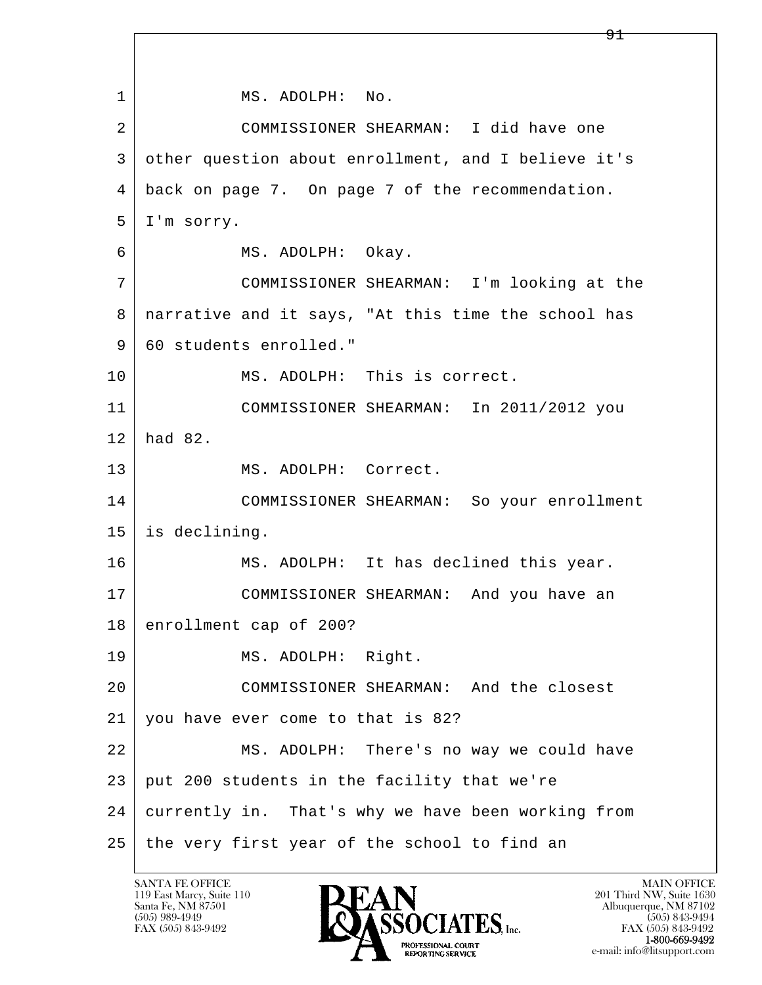l  $\overline{\phantom{a}}$ 1 MS. ADOLPH: No. 2 COMMISSIONER SHEARMAN: I did have one 3 other question about enrollment, and I believe it's 4 back on page 7. On page 7 of the recommendation. 5 I'm sorry. 6 | MS. ADOLPH: Okay. 7 COMMISSIONER SHEARMAN: I'm looking at the 8 narrative and it says, "At this time the school has 9 60 students enrolled." 10 MS. ADOLPH: This is correct. 11 COMMISSIONER SHEARMAN: In 2011/2012 you 12 had 82. 13 MS. ADOLPH: Correct. 14 COMMISSIONER SHEARMAN: So your enrollment 15 is declining. 16 MS. ADOLPH: It has declined this year. 17 COMMISSIONER SHEARMAN: And you have an 18 enrollment cap of 200? 19 | MS. ADOLPH: Right. 20 COMMISSIONER SHEARMAN: And the closest 21 you have ever come to that is 82? 22 MS. ADOLPH: There's no way we could have 23 put 200 students in the facility that we're 24 currently in. That's why we have been working from  $25$  the very first year of the school to find an

119 East Marcy, Suite 110<br>Santa Fe, NM 87501

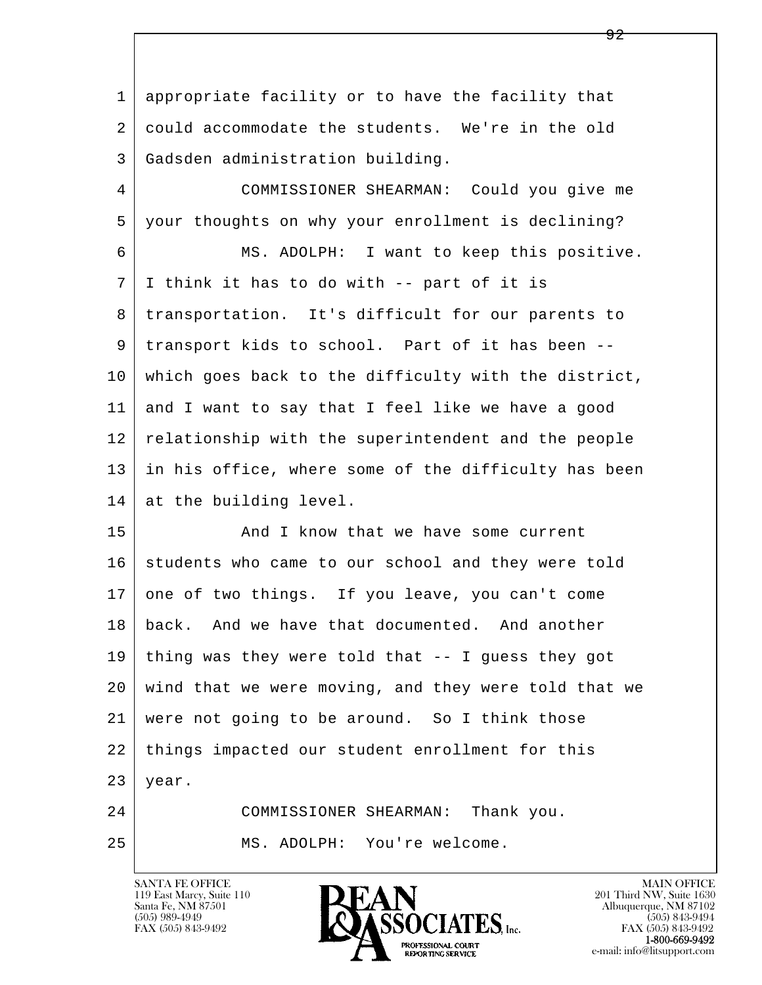1 appropriate facility or to have the facility that 2 could accommodate the students. We're in the old 3 Gadsden administration building.

 4 COMMISSIONER SHEARMAN: Could you give me 5 your thoughts on why your enrollment is declining? 6 MS. ADOLPH: I want to keep this positive. 7 I think it has to do with -- part of it is 8 transportation. It's difficult for our parents to 9 transport kids to school. Part of it has been -- 10 which goes back to the difficulty with the district, 11 and I want to say that I feel like we have a good 12 relationship with the superintendent and the people 13 in his office, where some of the difficulty has been 14 at the building level.

l  $\overline{\phantom{a}}$ 15 And I know that we have some current 16 students who came to our school and they were told 17 one of two things. If you leave, you can't come 18 back. And we have that documented. And another 19 thing was they were told that -- I guess they got 20 wind that we were moving, and they were told that we 21 were not going to be around. So I think those 22 things impacted our student enrollment for this  $23$  year. 24 COMMISSIONER SHEARMAN: Thank you.

25 MS. ADOLPH: You're welcome.

119 East Marcy, Suite 110<br>Santa Fe, NM 87501



FAX (505) 843-9492<br>**1-800-669-9492**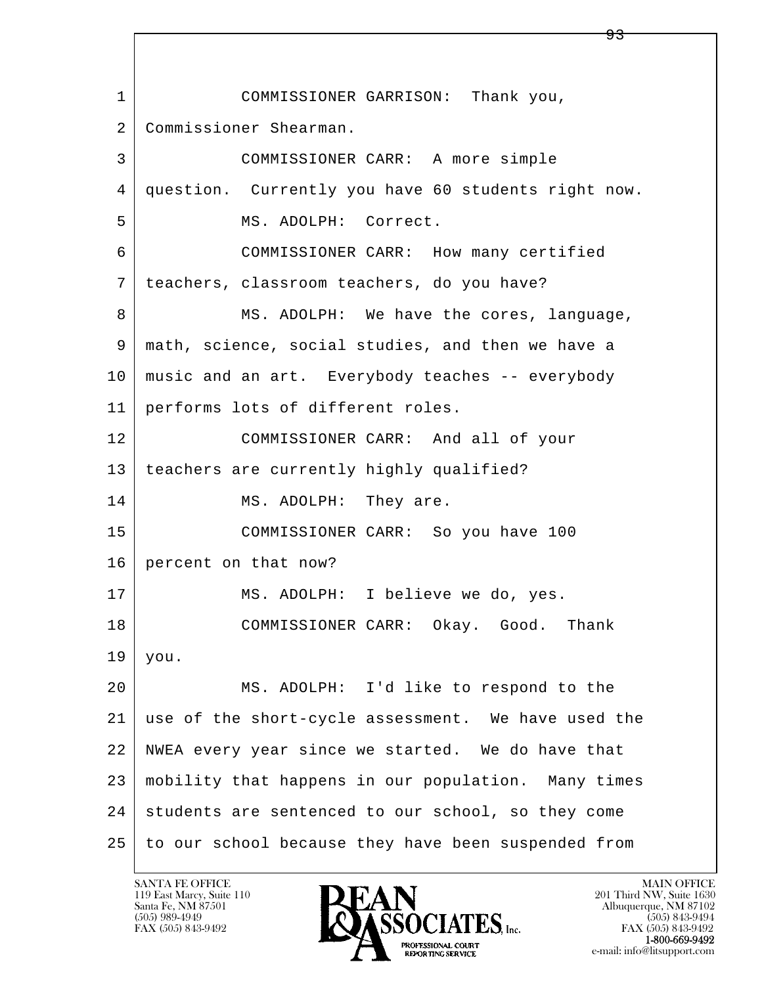l  $\overline{\phantom{a}}$  1 COMMISSIONER GARRISON: Thank you, 2 Commissioner Shearman. 3 COMMISSIONER CARR: A more simple 4 question. Currently you have 60 students right now. 5 MS. ADOLPH: Correct. 6 COMMISSIONER CARR: How many certified 7 teachers, classroom teachers, do you have? 8 | MS. ADOLPH: We have the cores, language, 9 math, science, social studies, and then we have a 10 music and an art. Everybody teaches -- everybody 11 performs lots of different roles. 12 COMMISSIONER CARR: And all of your 13 teachers are currently highly qualified? 14 MS. ADOLPH: They are. 15 COMMISSIONER CARR: So you have 100 16 percent on that now? 17 | MS. ADOLPH: I believe we do, yes. 18 COMMISSIONER CARR: Okay. Good. Thank  $19$  you. 20 MS. ADOLPH: I'd like to respond to the 21 use of the short-cycle assessment. We have used the 22 NWEA every year since we started. We do have that 23 mobility that happens in our population. Many times 24 students are sentenced to our school, so they come 25 to our school because they have been suspended from

119 East Marcy, Suite 110<br>Santa Fe, NM 87501



<u>93</u>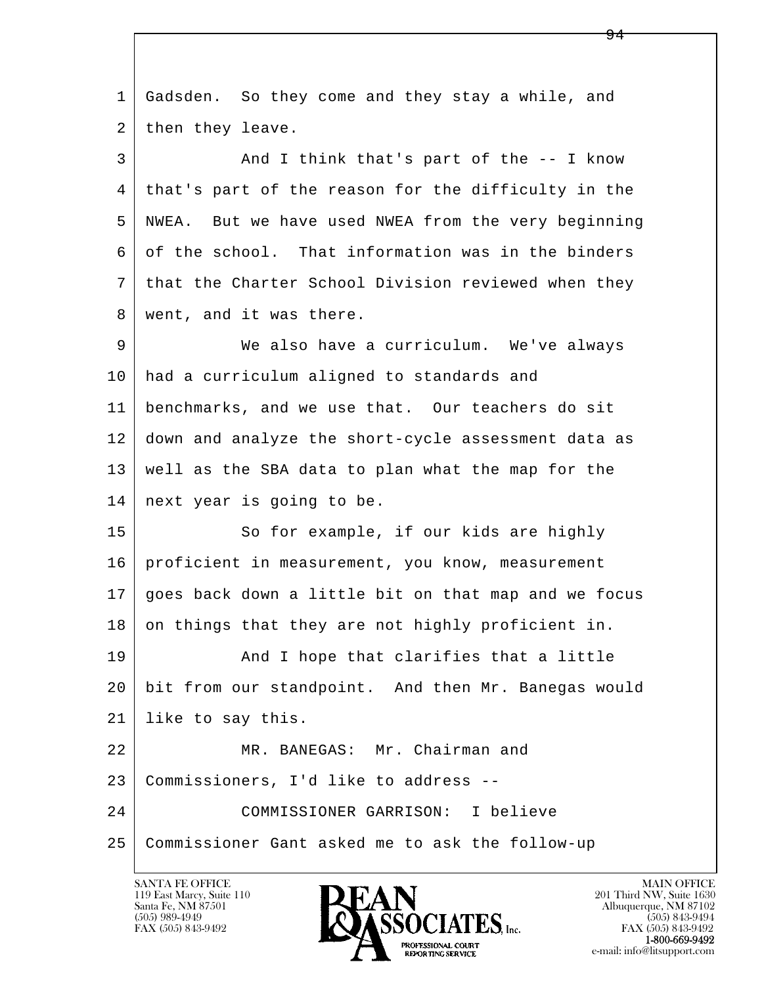| $\mathbf{1}$ | Gadsden. So they come and they stay a while, and     |
|--------------|------------------------------------------------------|
| 2            | then they leave.                                     |
| 3            | And I think that's part of the $-$ - I know          |
| 4            | that's part of the reason for the difficulty in the  |
| 5            | NWEA. But we have used NWEA from the very beginning  |
| 6            | of the school. That information was in the binders   |
| 7            | that the Charter School Division reviewed when they  |
| 8            | went, and it was there.                              |
| 9            | We also have a curriculum. We've always              |
| 10           | had a curriculum aligned to standards and            |
| 11           | benchmarks, and we use that. Our teachers do sit     |
| 12           | down and analyze the short-cycle assessment data as  |
| 13           | well as the SBA data to plan what the map for the    |
| 14           | next year is going to be.                            |
| 15           | So for example, if our kids are highly               |
| 16           | proficient in measurement, you know, measurement     |
| 17           | goes back down a little bit on that map and we focus |
| 18           | on things that they are not highly proficient in.    |
| 19           | And I hope that clarifies that a little              |
| 20           | bit from our standpoint. And then Mr. Banegas would  |
| 21           | like to say this.                                    |
| 22           | MR. BANEGAS: Mr. Chairman and                        |
| 23           | Commissioners, I'd like to address --                |
| 24           | COMMISSIONER GARRISON: I believe                     |
| 25           | Commissioner Gant asked me to ask the follow-up      |
|              |                                                      |

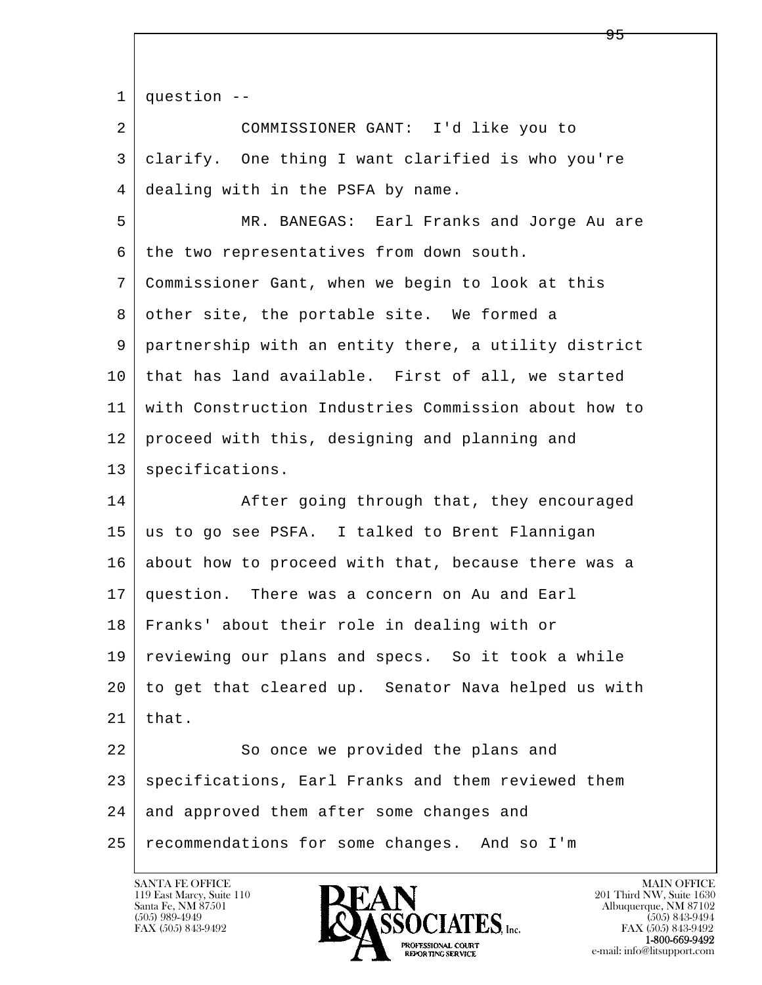l  $\overline{\phantom{a}}$  $1 \mid$  question -- 2 COMMISSIONER GANT: I'd like you to 3 clarify. One thing I want clarified is who you're 4 dealing with in the PSFA by name. 5 MR. BANEGAS: Earl Franks and Jorge Au are 6 the two representatives from down south. 7 Commissioner Gant, when we begin to look at this 8 other site, the portable site. We formed a 9 partnership with an entity there, a utility district 10 that has land available. First of all, we started 11 with Construction Industries Commission about how to 12 proceed with this, designing and planning and 13 | specifications. 14 After going through that, they encouraged 15 us to go see PSFA. I talked to Brent Flannigan 16 about how to proceed with that, because there was a 17 question. There was a concern on Au and Earl 18 Franks' about their role in dealing with or 19 reviewing our plans and specs. So it took a while 20 to get that cleared up. Senator Nava helped us with  $21$  | that. 22 So once we provided the plans and 23 | specifications, Earl Franks and them reviewed them 24 and approved them after some changes and 25 recommendations for some changes. And so I'm

119 East Marcy, Suite 110<br>Santa Fe, NM 87501



FAX (505) 843-9492<br>1-800-669-9492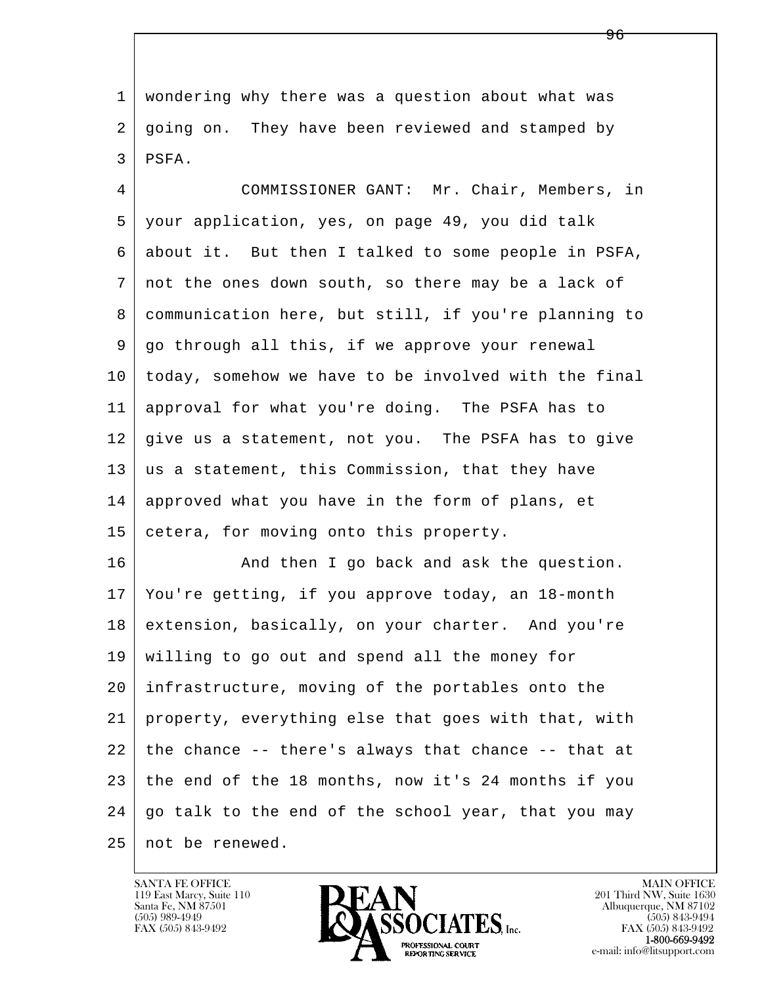1 wondering why there was a question about what was 2 going on. They have been reviewed and stamped by 3 PSFA.

 4 COMMISSIONER GANT: Mr. Chair, Members, in 5 your application, yes, on page 49, you did talk 6 about it. But then I talked to some people in PSFA, 7 not the ones down south, so there may be a lack of 8 communication here, but still, if you're planning to 9 go through all this, if we approve your renewal 10 today, somehow we have to be involved with the final 11 approval for what you're doing. The PSFA has to 12 give us a statement, not you. The PSFA has to give 13 us a statement, this Commission, that they have 14 approved what you have in the form of plans, et 15 cetera, for moving onto this property.

l  $\overline{\phantom{a}}$ 16 And then I go back and ask the question. 17 You're getting, if you approve today, an 18-month 18 extension, basically, on your charter. And you're 19 willing to go out and spend all the money for 20 infrastructure, moving of the portables onto the 21 property, everything else that goes with that, with  $22$  the chance -- there's always that chance -- that at 23 the end of the 18 months, now it's 24 months if you 24 | go talk to the end of the school year, that you may 25 not be renewed.

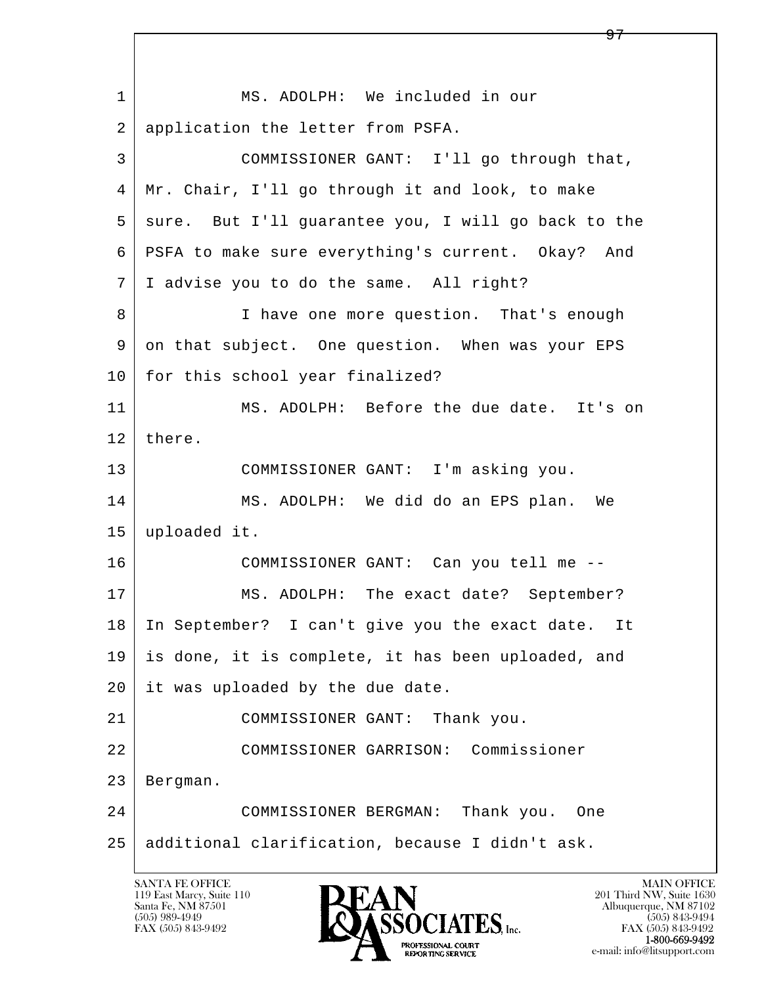l  $\overline{\phantom{a}}$ 1 | MS. ADOLPH: We included in our 2 application the letter from PSFA. 3 COMMISSIONER GANT: I'll go through that, 4 Mr. Chair, I'll go through it and look, to make 5 | sure. But I'll guarantee you, I will go back to the 6 PSFA to make sure everything's current. Okay? And 7 I advise you to do the same. All right? 8 I have one more question. That's enough 9 on that subject. One question. When was your EPS 10 for this school year finalized? 11 MS. ADOLPH: Before the due date. It's on 12 there. 13 COMMISSIONER GANT: I'm asking you. 14 MS. ADOLPH: We did do an EPS plan. We 15 uploaded it. 16 COMMISSIONER GANT: Can you tell me -- 17 | MS. ADOLPH: The exact date? September? 18 In September? I can't give you the exact date. It 19 is done, it is complete, it has been uploaded, and 20 it was uploaded by the due date. 21 COMMISSIONER GANT: Thank you. 22 COMMISSIONER GARRISON: Commissioner 23 Bergman. 24 COMMISSIONER BERGMAN: Thank you. One 25 additional clarification, because I didn't ask.

119 East Marcy, Suite 110<br>Santa Fe, NM 87501



 $\Theta$ 7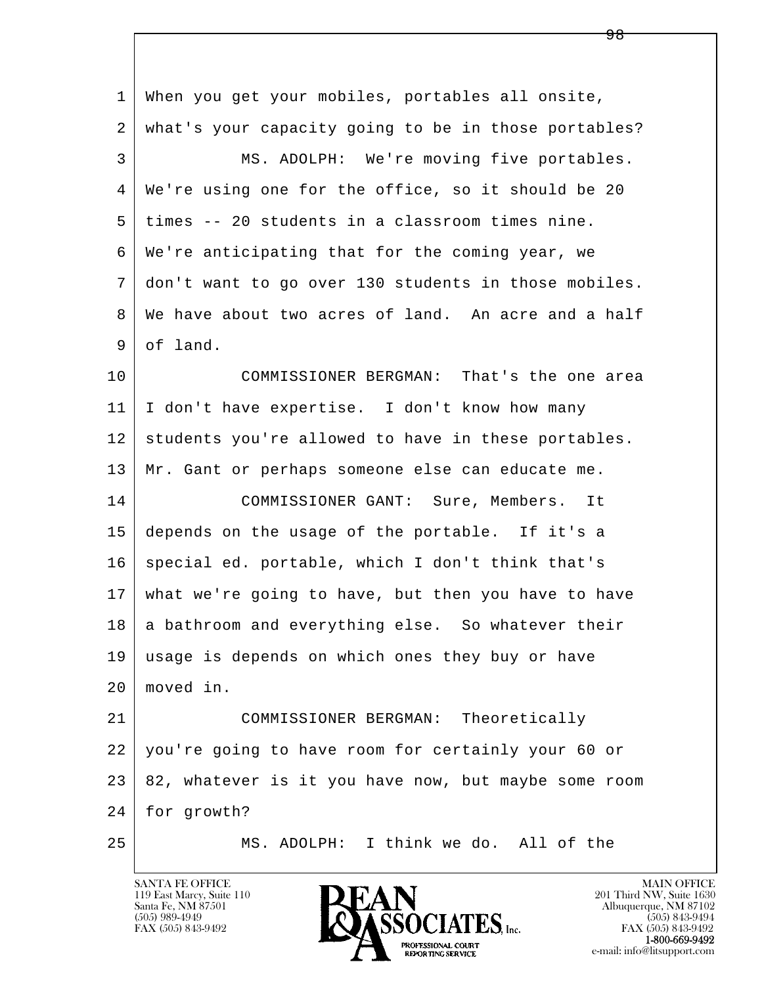l  $\overline{\phantom{a}}$  1 When you get your mobiles, portables all onsite, 2 what's your capacity going to be in those portables? 3 MS. ADOLPH: We're moving five portables. 4 We're using one for the office, so it should be 20 5 times -- 20 students in a classroom times nine. 6 We're anticipating that for the coming year, we 7 don't want to go over 130 students in those mobiles. 8 We have about two acres of land. An acre and a half 9 of land. 10 COMMISSIONER BERGMAN: That's the one area 11 I don't have expertise. I don't know how many 12 students you're allowed to have in these portables. 13 Mr. Gant or perhaps someone else can educate me. 14 COMMISSIONER GANT: Sure, Members. It 15 depends on the usage of the portable. If it's a 16 special ed. portable, which I don't think that's 17 what we're going to have, but then you have to have  $18$  a bathroom and everything else. So whatever their 19 usage is depends on which ones they buy or have 20 moved in. 21 COMMISSIONER BERGMAN: Theoretically 22 you're going to have room for certainly your 60 or 23 82, whatever is it you have now, but maybe some room 24 for growth? 25 MS. ADOLPH: I think we do. All of the

119 East Marcy, Suite 110<br>Santa Fe, NM 87501

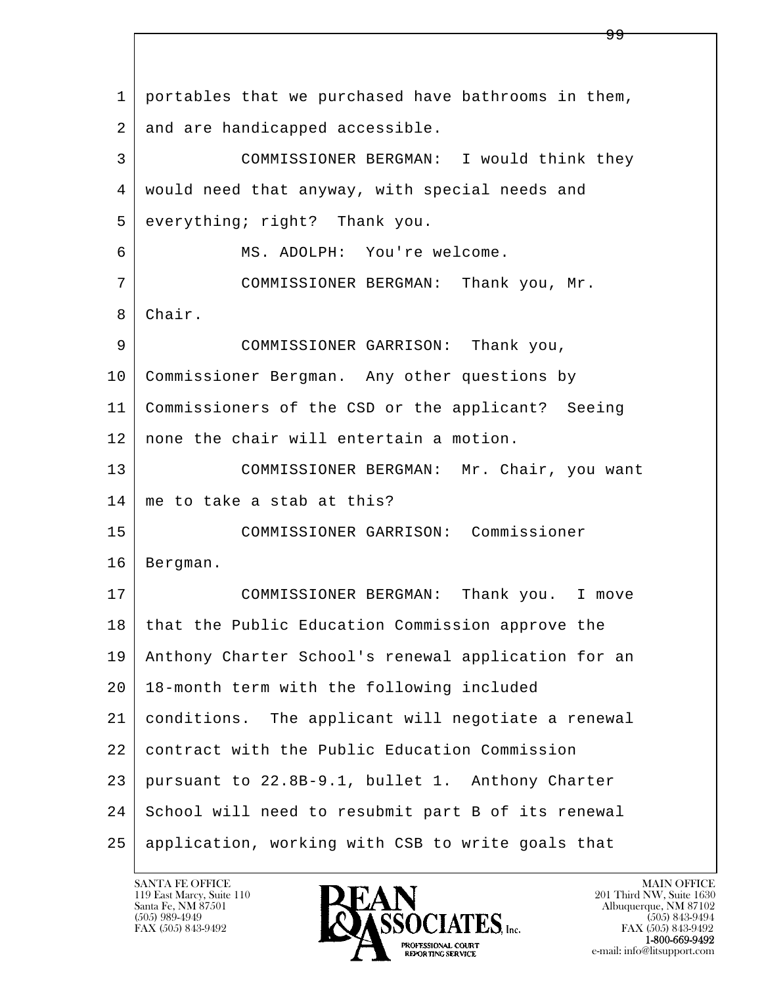l  $\overline{\phantom{a}}$  1 portables that we purchased have bathrooms in them, 2 and are handicapped accessible. 3 COMMISSIONER BERGMAN: I would think they 4 would need that anyway, with special needs and 5 everything; right? Thank you. 6 MS. ADOLPH: You're welcome. 7 COMMISSIONER BERGMAN: Thank you, Mr. 8 Chair. 9 COMMISSIONER GARRISON: Thank you, 10 Commissioner Bergman. Any other questions by 11 Commissioners of the CSD or the applicant? Seeing 12 none the chair will entertain a motion. 13 | COMMISSIONER BERGMAN: Mr. Chair, you want 14 me to take a stab at this? 15 COMMISSIONER GARRISON: Commissioner 16 Bergman. 17 | COMMISSIONER BERGMAN: Thank you. I move 18 | that the Public Education Commission approve the 19 Anthony Charter School's renewal application for an 20 18-month term with the following included 21 conditions. The applicant will negotiate a renewal 22 contract with the Public Education Commission 23 pursuant to 22.8B-9.1, bullet 1. Anthony Charter 24 School will need to resubmit part B of its renewal 25 application, working with CSB to write goals that

119 East Marcy, Suite 110<br>Santa Fe, NM 87501

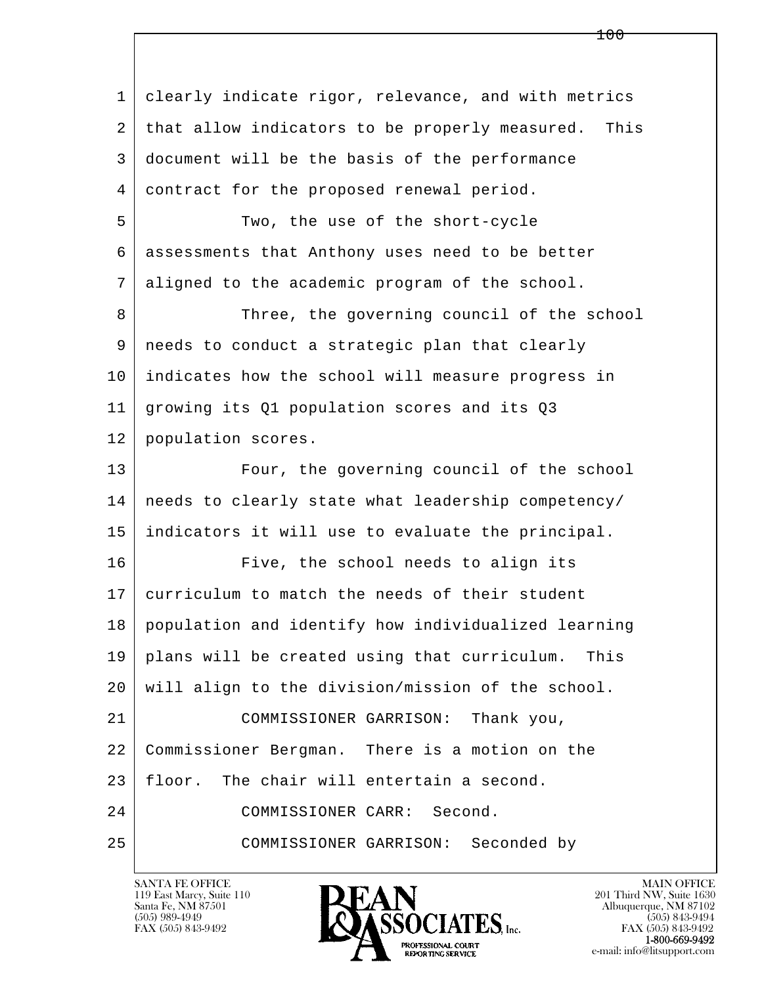| $\mathbf 1$ | clearly indicate rigor, relevance, and with metrics    |
|-------------|--------------------------------------------------------|
| 2           | that allow indicators to be properly measured.<br>This |
| 3           | document will be the basis of the performance          |
| 4           | contract for the proposed renewal period.              |
| 5           | Two, the use of the short-cycle                        |
| 6           | assessments that Anthony uses need to be better        |
| 7           | aligned to the academic program of the school.         |
| 8           | Three, the governing council of the school             |
| 9           | needs to conduct a strategic plan that clearly         |
| 10          | indicates how the school will measure progress in      |
| 11          | growing its Q1 population scores and its Q3            |
| 12          | population scores.                                     |
| 13          | Four, the governing council of the school              |
| 14          | needs to clearly state what leadership competency/     |
| 15          | indicators it will use to evaluate the principal.      |
| 16          | Five, the school needs to align its                    |
| 17          | curriculum to match the needs of their student         |
| 18          | population and identify how individualized learning    |
| 19          | plans will be created using that curriculum.<br>This   |
| 20          | will align to the division/mission of the school.      |
| 21          | COMMISSIONER GARRISON:<br>Thank you,                   |
| 22          | Commissioner Bergman. There is a motion on the         |
| 23          | The chair will entertain a second.<br>floor.           |
| 24          | Second.<br>COMMISSIONER CARR:                          |
| 25          | COMMISSIONER GARRISON:<br>Seconded by                  |

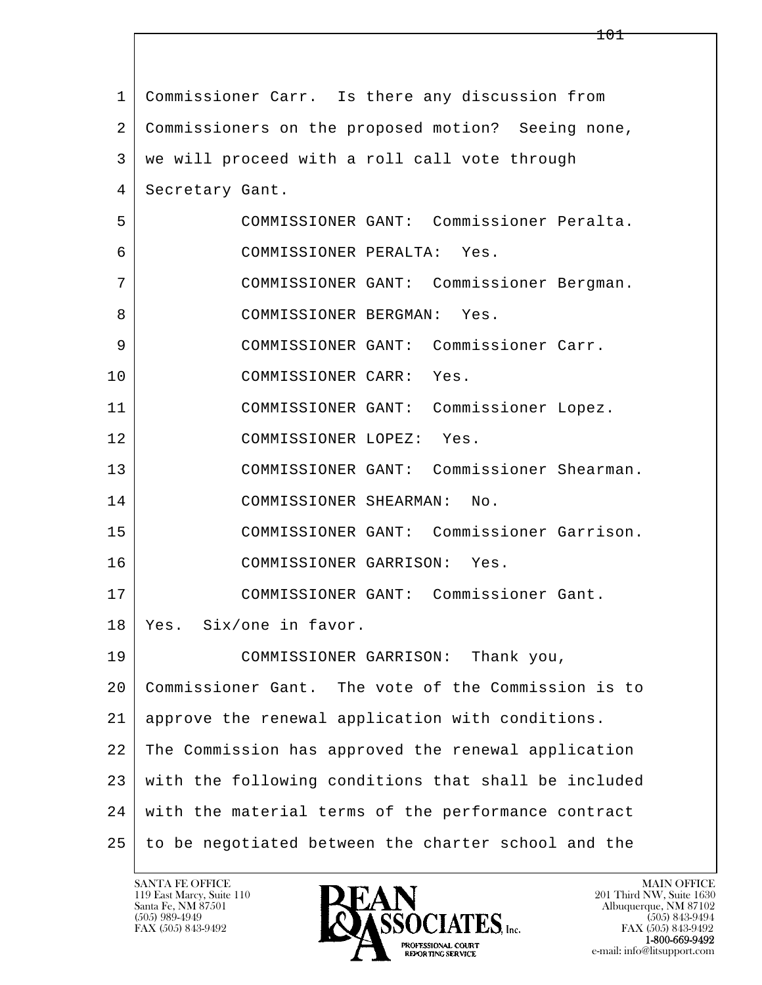| $\mathbf{1}$ | Commissioner Carr. Is there any discussion from      |
|--------------|------------------------------------------------------|
| 2            | Commissioners on the proposed motion? Seeing none,   |
| 3            | we will proceed with a roll call vote through        |
| 4            | Secretary Gant.                                      |
| 5            | COMMISSIONER GANT: Commissioner Peralta.             |
| 6            | COMMISSIONER PERALTA:<br>Yes.                        |
| 7            | COMMISSIONER GANT: Commissioner Bergman.             |
| 8            | COMMISSIONER BERGMAN:<br>Yes.                        |
| 9            | COMMISSIONER GANT: Commissioner Carr.                |
| 10           | COMMISSIONER CARR: Yes.                              |
| 11           | COMMISSIONER GANT: Commissioner Lopez.               |
| 12           | COMMISSIONER LOPEZ:<br>Yes.                          |
| 13           | COMMISSIONER GANT: Commissioner Shearman.            |
| 14           | COMMISSIONER SHEARMAN:<br>No.                        |
| 15           | COMMISSIONER GANT: Commissioner Garrison.            |
| 16           | COMMISSIONER GARRISON: Yes.                          |
| 17           | COMMISSIONER GANT: Commissioner Gant.                |
| 18           | Yes. Six/one in favor.                               |
| 19           | COMMISSIONER GARRISON:<br>Thank you,                 |
| 20           | Commissioner Gant. The vote of the Commission is to  |
| 21           | approve the renewal application with conditions.     |
| 22           | The Commission has approved the renewal application  |
| 23           | with the following conditions that shall be included |
| 24           | with the material terms of the performance contract  |
| 25           | to be negotiated between the charter school and the  |

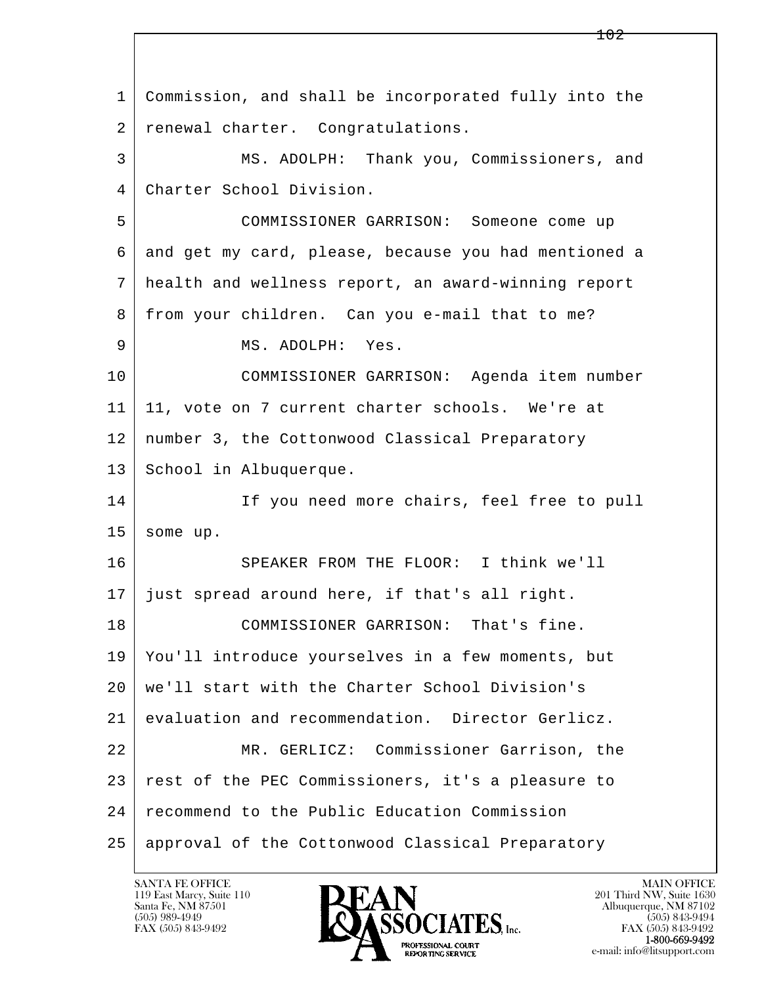| 1  | Commission, and shall be incorporated fully into the |
|----|------------------------------------------------------|
| 2  | renewal charter. Congratulations.                    |
| 3  | MS. ADOLPH: Thank you, Commissioners, and            |
| 4  | Charter School Division.                             |
| 5  | COMMISSIONER GARRISON: Someone come up               |
| 6  | and get my card, please, because you had mentioned a |
| 7  | health and wellness report, an award-winning report  |
| 8  | from your children. Can you e-mail that to me?       |
| 9  | MS. ADOLPH: Yes.                                     |
| 10 | COMMISSIONER GARRISON: Agenda item number            |
| 11 | 11, vote on 7 current charter schools. We're at      |
| 12 | number 3, the Cottonwood Classical Preparatory       |
| 13 | School in Albuquerque.                               |
| 14 | If you need more chairs, feel free to pull           |
| 15 | some up.                                             |
| 16 | SPEAKER FROM THE FLOOR: I think we'll                |
| 17 | just spread around here, if that's all right.        |
| 18 | COMMISSIONER GARRISON: That's fine.                  |
| 19 | You'll introduce yourselves in a few moments, but    |
| 20 | we'll start with the Charter School Division's       |
| 21 | evaluation and recommendation. Director Gerlicz.     |
| 22 | MR. GERLICZ: Commissioner Garrison, the              |
| 23 | rest of the PEC Commissioners, it's a pleasure to    |
| 24 | recommend to the Public Education Commission         |
| 25 | approval of the Cottonwood Classical Preparatory     |

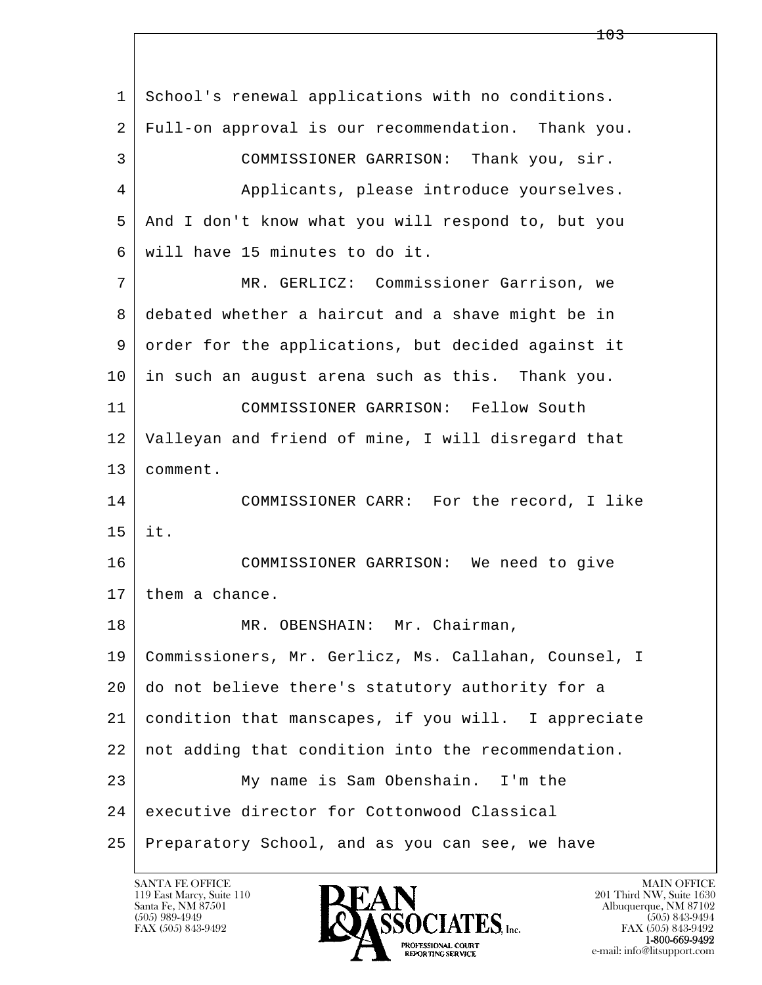l  $\overline{\phantom{a}}$  1 School's renewal applications with no conditions. 2 Full-on approval is our recommendation. Thank you. 3 COMMISSIONER GARRISON: Thank you, sir. 4 Applicants, please introduce yourselves. 5 And I don't know what you will respond to, but you 6 will have 15 minutes to do it. 7 MR. GERLICZ: Commissioner Garrison, we 8 debated whether a haircut and a shave might be in 9 order for the applications, but decided against it 10 in such an august arena such as this. Thank you. 11 COMMISSIONER GARRISON: Fellow South 12 Valleyan and friend of mine, I will disregard that 13 comment. 14 COMMISSIONER CARR: For the record, I like 15 it. 16 COMMISSIONER GARRISON: We need to give 17 them a chance. 18 MR. OBENSHAIN: Mr. Chairman, 19 Commissioners, Mr. Gerlicz, Ms. Callahan, Counsel, I 20 do not believe there's statutory authority for a 21 condition that manscapes, if you will. I appreciate 22 not adding that condition into the recommendation. 23 My name is Sam Obenshain. I'm the 24 executive director for Cottonwood Classical 25 Preparatory School, and as you can see, we have

119 East Marcy, Suite 110<br>Santa Fe, NM 87501

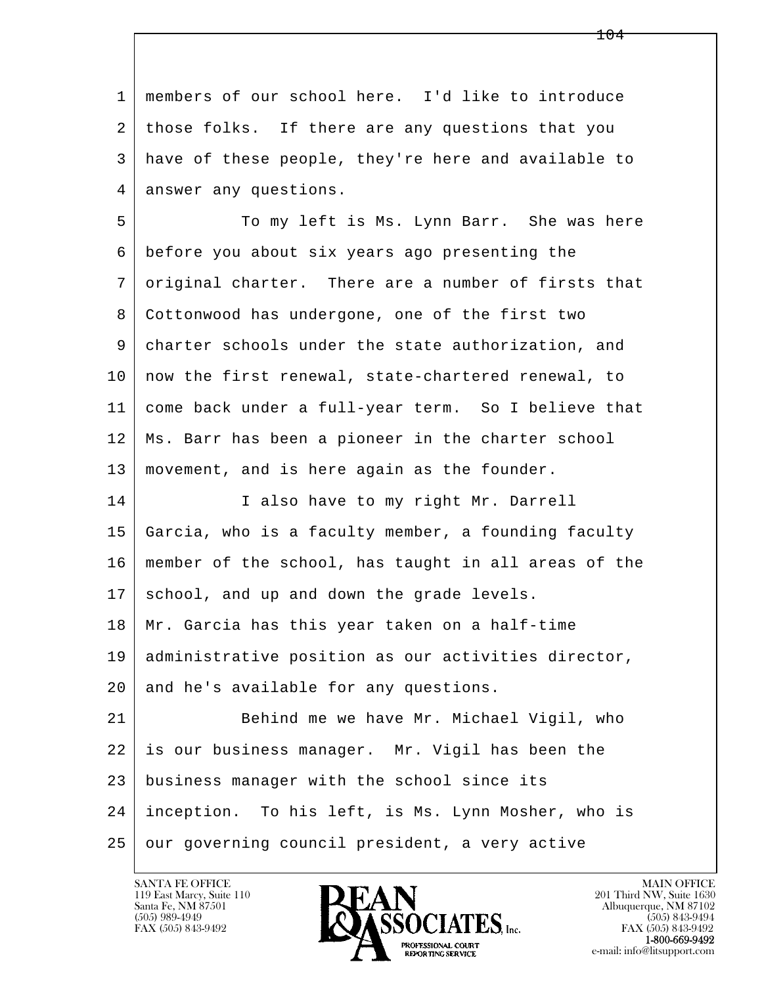l  $\overline{\phantom{a}}$  1 members of our school here. I'd like to introduce 2 those folks. If there are any questions that you 3 have of these people, they're here and available to 4 answer any questions. 5 To my left is Ms. Lynn Barr. She was here 6 before you about six years ago presenting the 7 original charter. There are a number of firsts that 8 Cottonwood has undergone, one of the first two 9 charter schools under the state authorization, and 10 | now the first renewal, state-chartered renewal, to 11 come back under a full-year term. So I believe that 12 Ms. Barr has been a pioneer in the charter school 13 movement, and is here again as the founder. 14 I also have to my right Mr. Darrell 15 Garcia, who is a faculty member, a founding faculty 16 member of the school, has taught in all areas of the 17 school, and up and down the grade levels. 18 Mr. Garcia has this year taken on a half-time 19 administrative position as our activities director, 20 and he's available for any questions. 21 Behind me we have Mr. Michael Vigil, who 22 is our business manager. Mr. Vigil has been the 23 business manager with the school since its 24 inception. To his left, is Ms. Lynn Mosher, who is 25 our governing council president, a very active

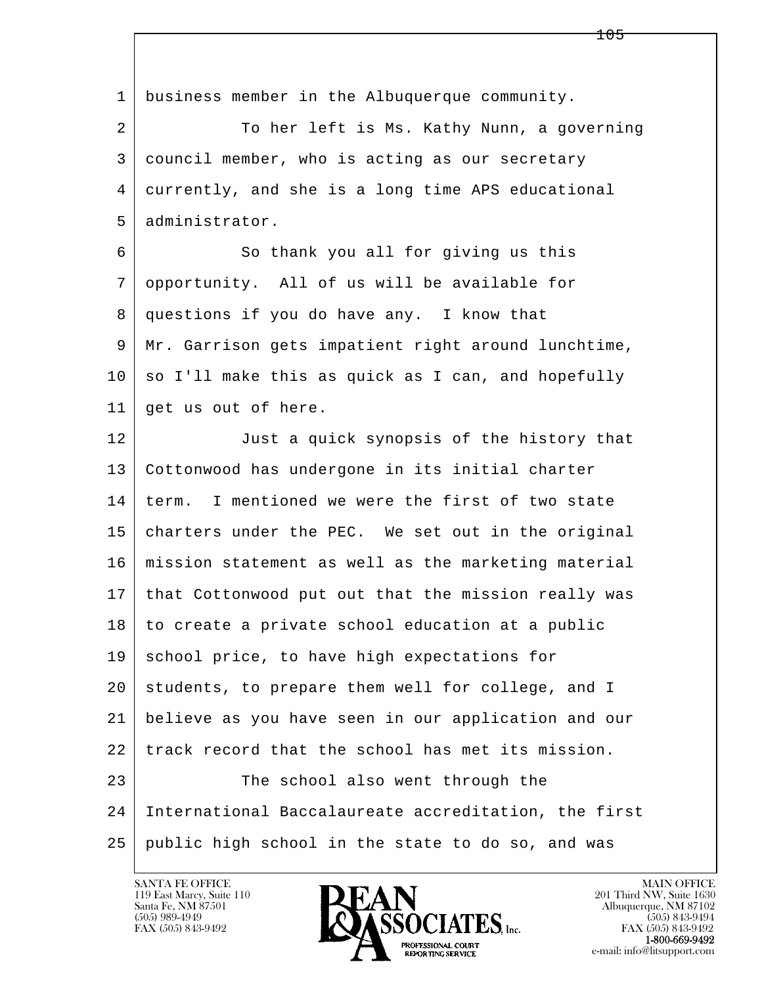l  $\overline{\phantom{a}}$  1 business member in the Albuquerque community. 2 To her left is Ms. Kathy Nunn, a governing 3 council member, who is acting as our secretary 4 currently, and she is a long time APS educational 5 administrator. 6 So thank you all for giving us this 7 opportunity. All of us will be available for 8 questions if you do have any. I know that 9 Mr. Garrison gets impatient right around lunchtime,  $10 \mid$  so I'll make this as quick as I can, and hopefully 11 | get us out of here. 12 Just a quick synopsis of the history that 13 Cottonwood has undergone in its initial charter 14 term. I mentioned we were the first of two state 15 charters under the PEC. We set out in the original 16 mission statement as well as the marketing material 17 that Cottonwood put out that the mission really was 18 to create a private school education at a public 19 school price, to have high expectations for 20 students, to prepare them well for college, and I 21 believe as you have seen in our application and our 22 track record that the school has met its mission. 23 The school also went through the 24 International Baccalaureate accreditation, the first 25 public high school in the state to do so, and was

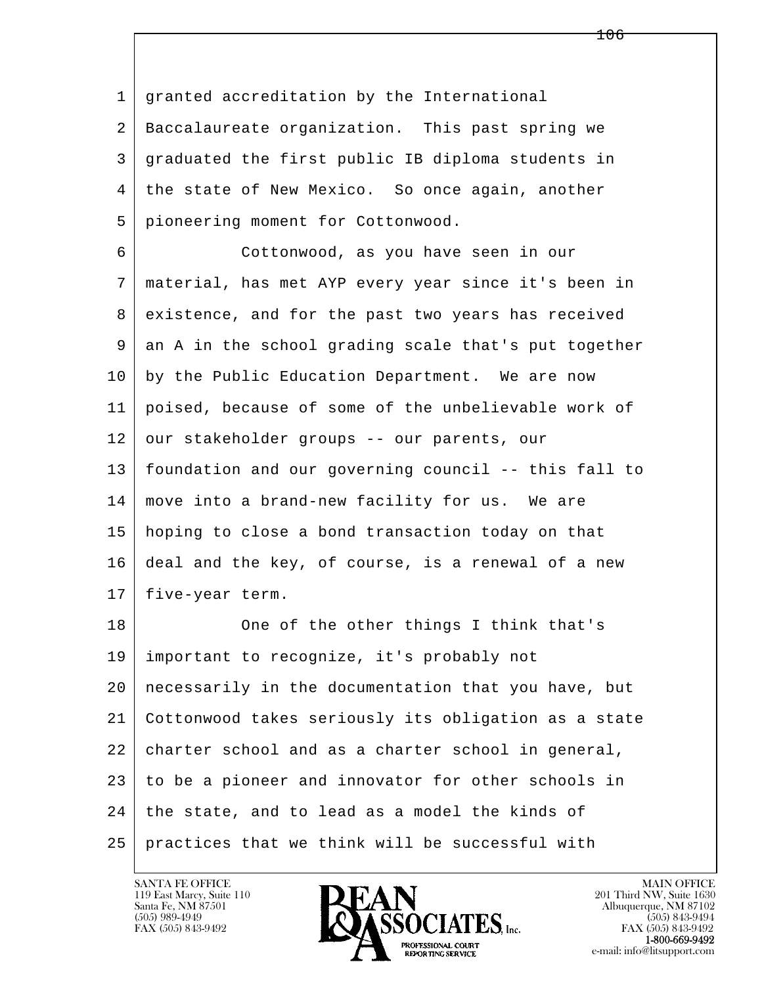1 granted accreditation by the International 2 Baccalaureate organization. This past spring we 3 graduated the first public IB diploma students in 4 the state of New Mexico. So once again, another 5 pioneering moment for Cottonwood.

 6 Cottonwood, as you have seen in our 7 material, has met AYP every year since it's been in 8 existence, and for the past two years has received 9 an A in the school grading scale that's put together 10 by the Public Education Department. We are now 11 poised, because of some of the unbelievable work of 12 our stakeholder groups -- our parents, our 13 foundation and our governing council -- this fall to 14 move into a brand-new facility for us. We are 15 hoping to close a bond transaction today on that 16 deal and the key, of course, is a renewal of a new 17 | five-year term.

l  $\overline{\phantom{a}}$ 18 One of the other things I think that's 19 important to recognize, it's probably not 20 necessarily in the documentation that you have, but 21 Cottonwood takes seriously its obligation as a state 22 charter school and as a charter school in general, 23 to be a pioneer and innovator for other schools in 24 | the state, and to lead as a model the kinds of 25 practices that we think will be successful with

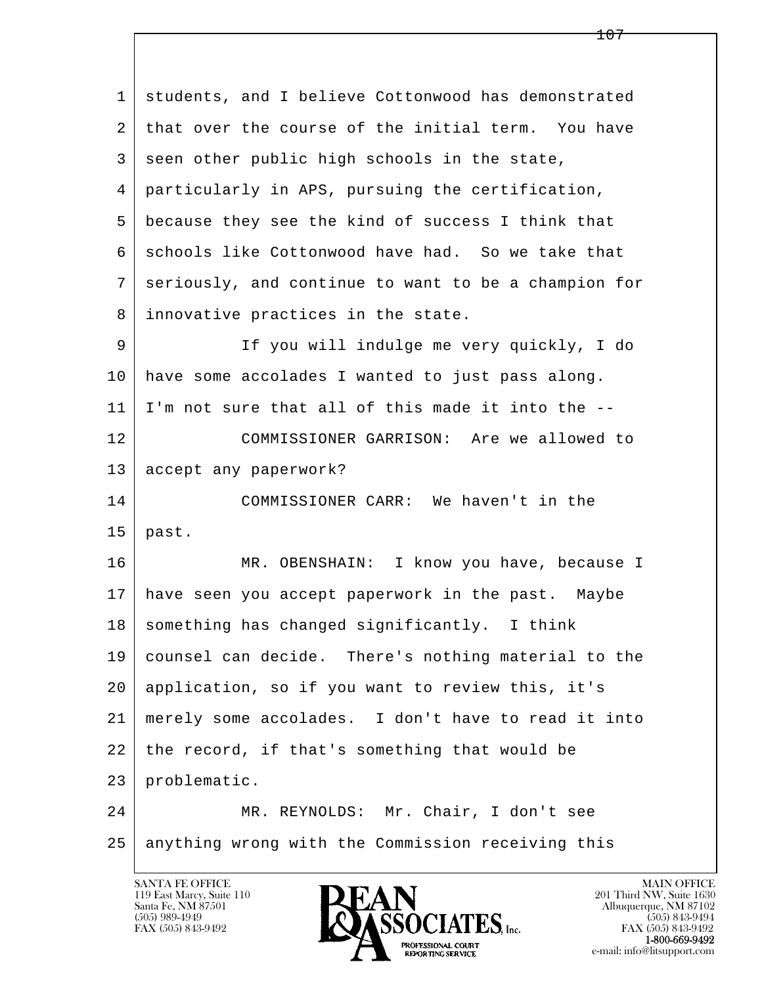l  $\overline{\phantom{a}}$  1 students, and I believe Cottonwood has demonstrated 2 that over the course of the initial term. You have 3 seen other public high schools in the state, 4 particularly in APS, pursuing the certification, 5 because they see the kind of success I think that 6 | schools like Cottonwood have had. So we take that 7 seriously, and continue to want to be a champion for 8 innovative practices in the state. 9 If you will indulge me very quickly, I do 10 have some accolades I wanted to just pass along. 11 I'm not sure that all of this made it into the -- 12 COMMISSIONER GARRISON: Are we allowed to 13 accept any paperwork? 14 COMMISSIONER CARR: We haven't in the  $15$  past. 16 MR. OBENSHAIN: I know you have, because I 17 have seen you accept paperwork in the past. Maybe  $18$  something has changed significantly. I think 19 counsel can decide. There's nothing material to the 20 application, so if you want to review this, it's 21 merely some accolades. I don't have to read it into 22 the record, if that's something that would be 23 problematic. 24 MR. REYNOLDS: Mr. Chair, I don't see 25 anything wrong with the Commission receiving this

119 East Marcy, Suite 110<br>Santa Fe, NM 87501



FAX (505) 843-9492<br>**1-800-669-9492**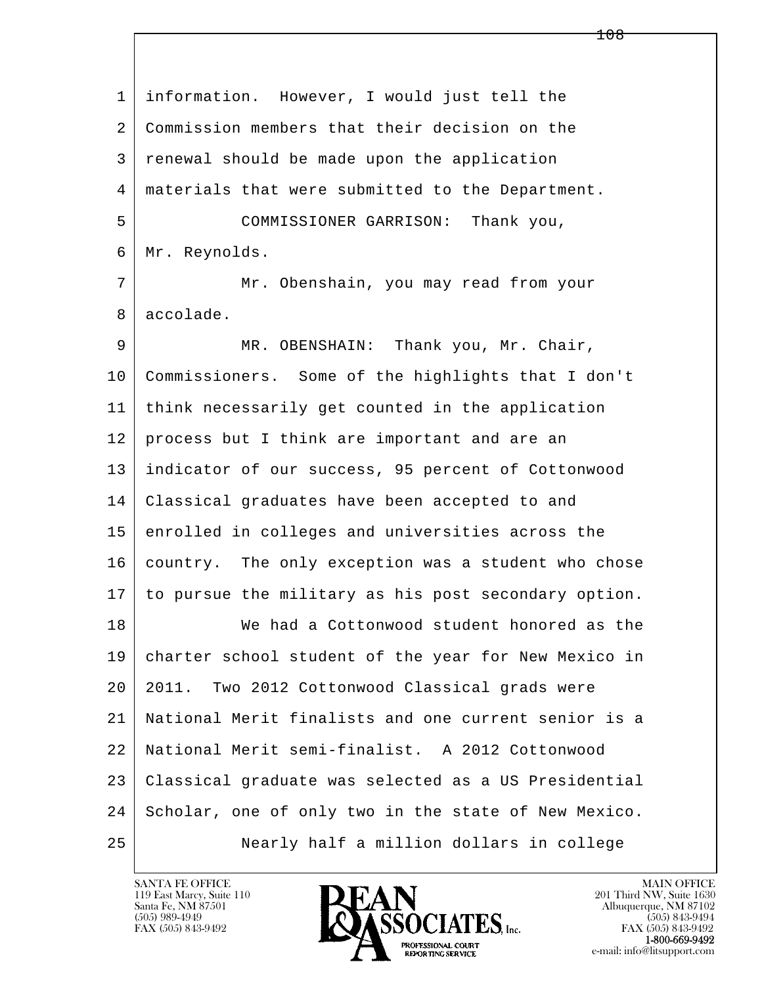l  $\overline{\phantom{a}}$  1 information. However, I would just tell the 2 Commission members that their decision on the 3 renewal should be made upon the application 4 materials that were submitted to the Department. 5 COMMISSIONER GARRISON: Thank you, 6 Mr. Reynolds. 7 | Mr. Obenshain, you may read from your 8 accolade. 9 MR. OBENSHAIN: Thank you, Mr. Chair, 10 Commissioners. Some of the highlights that I don't 11 think necessarily get counted in the application 12 | process but I think are important and are an 13 indicator of our success, 95 percent of Cottonwood 14 Classical graduates have been accepted to and 15 enrolled in colleges and universities across the 16 country. The only exception was a student who chose 17 to pursue the military as his post secondary option. 18 We had a Cottonwood student honored as the 19 charter school student of the year for New Mexico in 20 2011. Two 2012 Cottonwood Classical grads were 21 National Merit finalists and one current senior is a 22 National Merit semi-finalist. A 2012 Cottonwood 23 Classical graduate was selected as a US Presidential 24 Scholar, one of only two in the state of New Mexico. 25 Nearly half a million dollars in college

119 East Marcy, Suite 110<br>Santa Fe, NM 87501

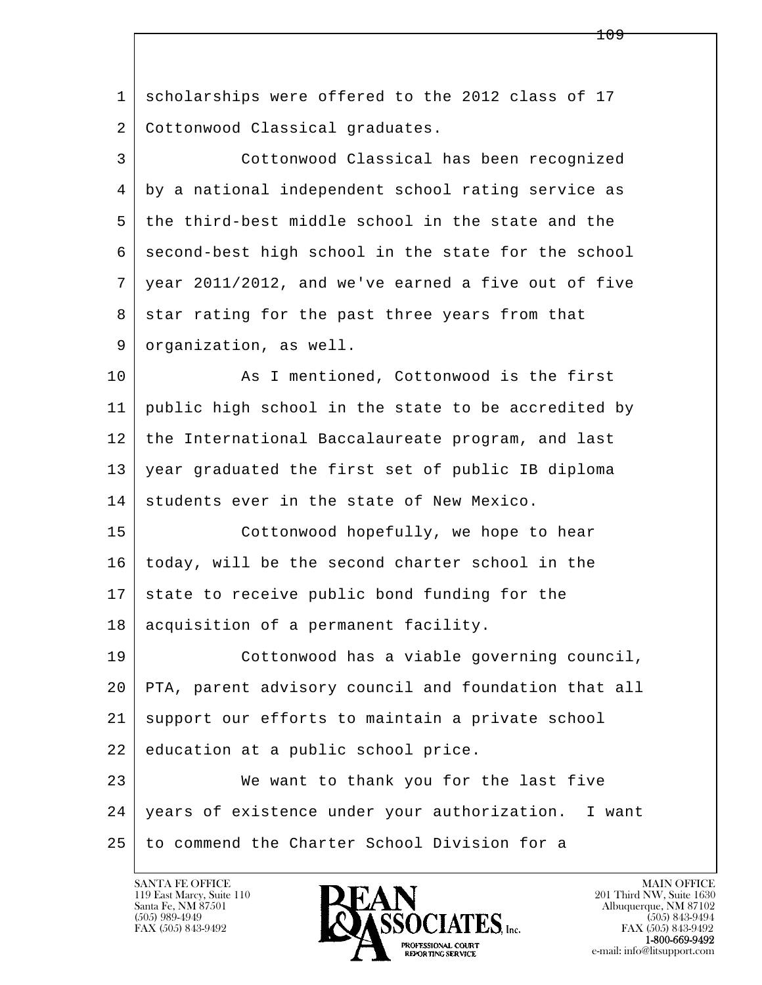l  $\overline{\phantom{a}}$ 1 scholarships were offered to the 2012 class of 17 2 Cottonwood Classical graduates. 3 Cottonwood Classical has been recognized 4 by a national independent school rating service as 5 the third-best middle school in the state and the 6 second-best high school in the state for the school 7 year 2011/2012, and we've earned a five out of five  $8$  star rating for the past three years from that 9 organization, as well. 10 As I mentioned, Cottonwood is the first 11 public high school in the state to be accredited by 12 the International Baccalaureate program, and last 13 year graduated the first set of public IB diploma 14 students ever in the state of New Mexico. 15 Cottonwood hopefully, we hope to hear 16 today, will be the second charter school in the 17 state to receive public bond funding for the 18 | acquisition of a permanent facility. 19 Cottonwood has a viable governing council, 20 PTA, parent advisory council and foundation that all 21 support our efforts to maintain a private school 22 education at a public school price. 23 We want to thank you for the last five 24 years of existence under your authorization. I want 25 to commend the Charter School Division for a

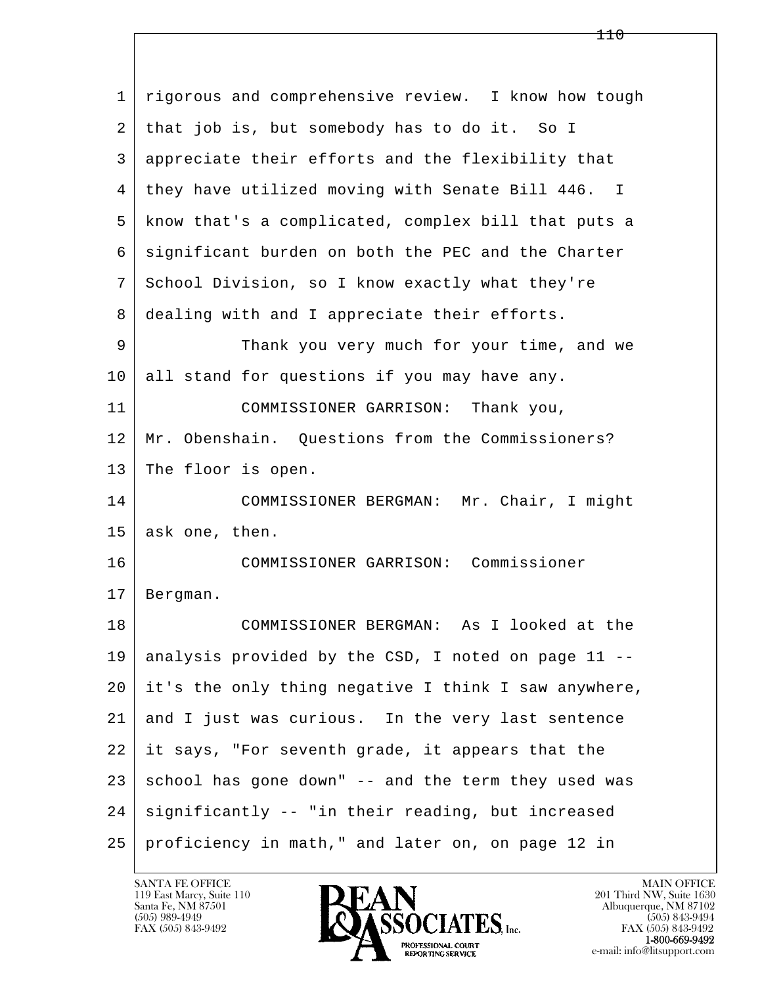| $\mathbf 1$ | rigorous and comprehensive review. I know how tough  |
|-------------|------------------------------------------------------|
| 2           | that job is, but somebody has to do it. So I         |
| 3           | appreciate their efforts and the flexibility that    |
| 4           | they have utilized moving with Senate Bill 446. I    |
| 5           | know that's a complicated, complex bill that puts a  |
| 6           | significant burden on both the PEC and the Charter   |
| 7           | School Division, so I know exactly what they're      |
| 8           | dealing with and I appreciate their efforts.         |
| 9           | Thank you very much for your time, and we            |
| 10          | all stand for questions if you may have any.         |
| 11          | COMMISSIONER GARRISON: Thank you,                    |
| 12          | Mr. Obenshain. Questions from the Commissioners?     |
| 13          | The floor is open.                                   |
| 14          | COMMISSIONER BERGMAN: Mr. Chair, I might             |
| 15          | ask one, then.                                       |
| 16          | COMMISSIONER GARRISON: Commissioner                  |
| 17          | Bergman.                                             |
| 18          | COMMISSIONER BERGMAN: As I looked at the             |
| 19          | analysis provided by the CSD, I noted on page 11 --  |
| 20          | it's the only thing negative I think I saw anywhere, |
| 21          | and I just was curious. In the very last sentence    |
| 22          | it says, "For seventh grade, it appears that the     |
| 23          | school has gone down" -- and the term they used was  |
| 24          | significantly -- "in their reading, but increased    |
| 25          | proficiency in math," and later on, on page 12 in    |

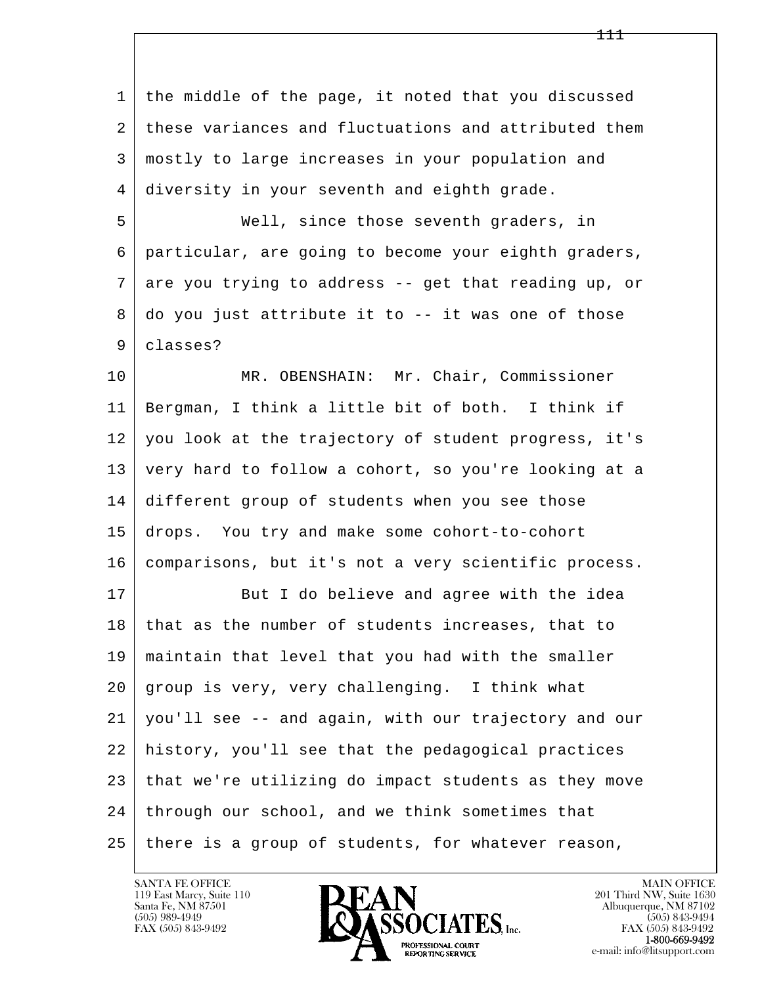| $\mathbf{1}$ | the middle of the page, it noted that you discussed  |
|--------------|------------------------------------------------------|
| 2            | these variances and fluctuations and attributed them |
| 3            | mostly to large increases in your population and     |
| 4            | diversity in your seventh and eighth grade.          |
| 5            | Well, since those seventh graders, in                |
| 6            | particular, are going to become your eighth graders, |
| 7            | are you trying to address -- get that reading up, or |
| 8            | do you just attribute it to -- it was one of those   |
| 9            | classes?                                             |
| 10           | MR. OBENSHAIN: Mr. Chair, Commissioner               |
| 11           | Bergman, I think a little bit of both. I think if    |
| 12           | you look at the trajectory of student progress, it's |
| 13           | very hard to follow a cohort, so you're looking at a |
| 14           | different group of students when you see those       |
| 15           | drops. You try and make some cohort-to-cohort        |
| 16           | comparisons, but it's not a very scientific process. |
| 17           | But I do believe and agree with the idea             |
| $18$         | that as the number of students increases, that to    |
| 19           | maintain that level that you had with the smaller    |
| 20           | group is very, very challenging. I think what        |
| 21           | you'll see -- and again, with our trajectory and our |
| 22           | history, you'll see that the pedagogical practices   |
| 23           | that we're utilizing do impact students as they move |
| 24           | through our school, and we think sometimes that      |
| 25           | there is a group of students, for whatever reason,   |

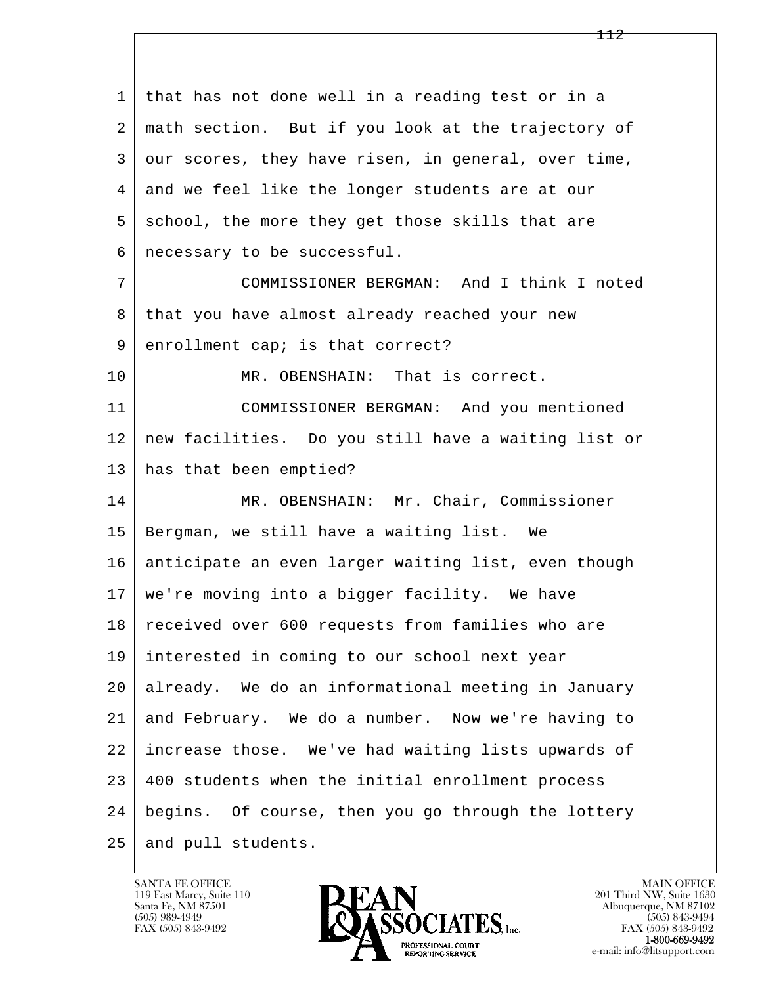l  $\overline{\phantom{a}}$  1 that has not done well in a reading test or in a 2 math section. But if you look at the trajectory of  $3$  our scores, they have risen, in general, over time, 4 and we feel like the longer students are at our 5 school, the more they get those skills that are 6 necessary to be successful. 7 COMMISSIONER BERGMAN: And I think I noted 8 that you have almost already reached your new 9 enrollment cap; is that correct? 10 MR. OBENSHAIN: That is correct. 11 COMMISSIONER BERGMAN: And you mentioned 12 new facilities. Do you still have a waiting list or 13 has that been emptied? 14 | MR. OBENSHAIN: Mr. Chair, Commissioner 15 Bergman, we still have a waiting list. We 16 anticipate an even larger waiting list, even though 17 we're moving into a bigger facility. We have 18 received over 600 requests from families who are 19 interested in coming to our school next year 20 already. We do an informational meeting in January 21 and February. We do a number. Now we're having to 22 increase those. We've had waiting lists upwards of 23 400 students when the initial enrollment process 24 begins. Of course, then you go through the lottery 25 and pull students.

119 East Marcy, Suite 110<br>Santa Fe, NM 87501

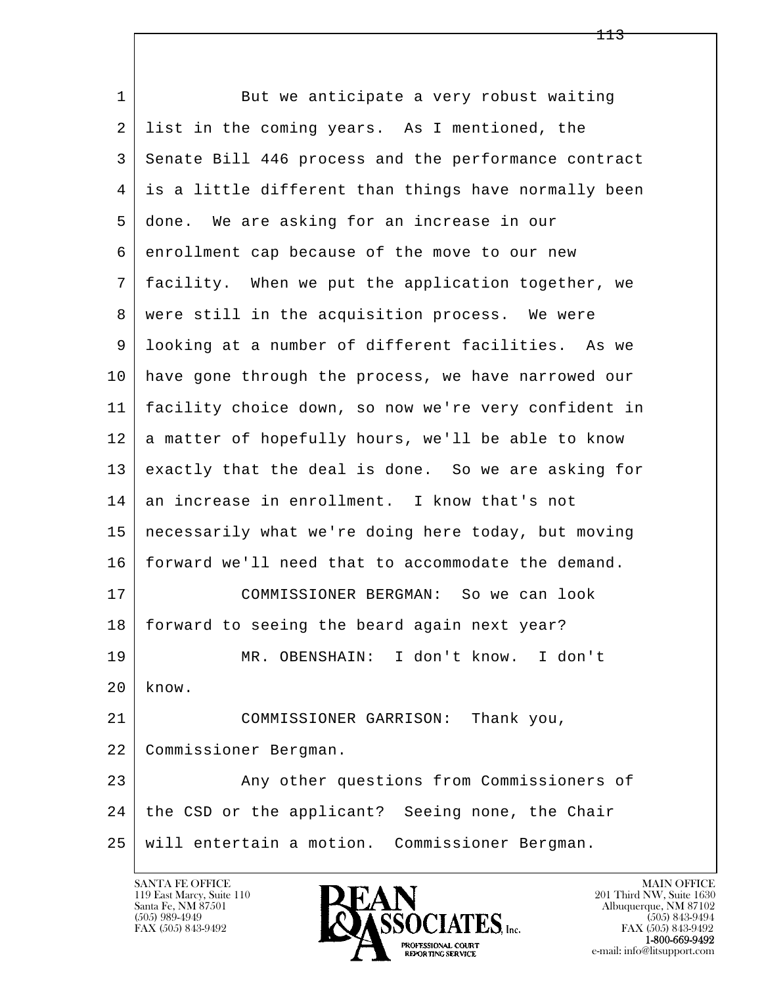l  $\overline{\phantom{a}}$ 1 But we anticipate a very robust waiting 2 list in the coming years. As I mentioned, the 3 Senate Bill 446 process and the performance contract 4 is a little different than things have normally been 5 done. We are asking for an increase in our 6 enrollment cap because of the move to our new 7 facility. When we put the application together, we 8 | were still in the acquisition process. We were 9 looking at a number of different facilities. As we 10 have gone through the process, we have narrowed our 11 facility choice down, so now we're very confident in 12 a matter of hopefully hours, we'll be able to know 13 exactly that the deal is done. So we are asking for 14 an increase in enrollment. I know that's not 15 necessarily what we're doing here today, but moving 16 forward we'll need that to accommodate the demand. 17 COMMISSIONER BERGMAN: So we can look 18 | forward to seeing the beard again next year? 19 MR. OBENSHAIN: I don't know. I don't  $20$  know. 21 COMMISSIONER GARRISON: Thank you, 22 Commissioner Bergman. 23 Any other questions from Commissioners of 24 | the CSD or the applicant? Seeing none, the Chair 25 will entertain a motion. Commissioner Bergman.

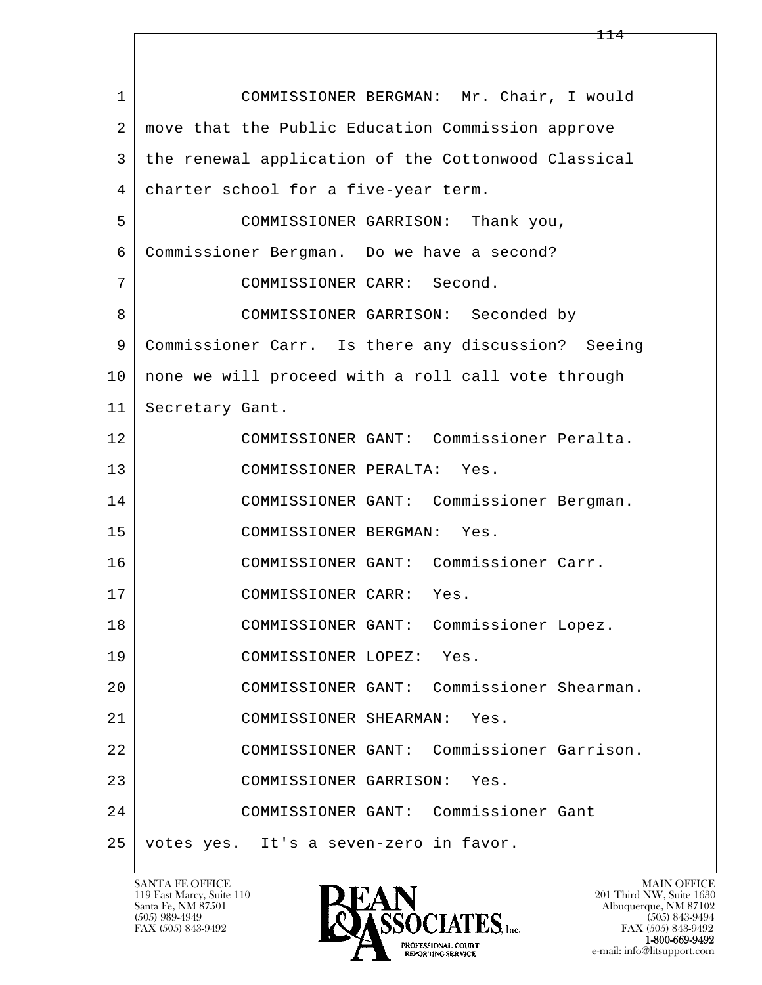| $\mathbf{1}$ | COMMISSIONER BERGMAN: Mr. Chair, I would            |
|--------------|-----------------------------------------------------|
| 2            | move that the Public Education Commission approve   |
| 3            | the renewal application of the Cottonwood Classical |
| 4            | charter school for a five-year term.                |
| 5            | COMMISSIONER GARRISON:<br>Thank you,                |
| 6            | Commissioner Bergman. Do we have a second?          |
| 7            | COMMISSIONER CARR: Second.                          |
| 8            | COMMISSIONER GARRISON: Seconded by                  |
| 9            | Commissioner Carr. Is there any discussion? Seeing  |
| 10           | none we will proceed with a roll call vote through  |
| 11           | Secretary Gant.                                     |
| 12           | COMMISSIONER GANT: Commissioner Peralta.            |
| 13           | COMMISSIONER PERALTA: Yes.                          |
| 14           | COMMISSIONER GANT: Commissioner Bergman.            |
| 15           | COMMISSIONER BERGMAN:<br>Yes.                       |
| 16           | COMMISSIONER GANT: Commissioner Carr.               |
| 17           | COMMISSIONER CARR: Yes.                             |
| 18           | COMMISSIONER GANT: Commissioner Lopez.              |
| 19           | COMMISSIONER LOPEZ: Yes.                            |
| 20           | COMMISSIONER GANT: Commissioner Shearman.           |
| 21           | COMMISSIONER SHEARMAN: Yes.                         |
| 22           | COMMISSIONER GANT: Commissioner Garrison.           |
| 23           | COMMISSIONER GARRISON:<br>Yes.                      |
| 24           | COMMISSIONER GANT: Commissioner Gant                |
| 25           | votes yes. It's a seven-zero in favor.              |

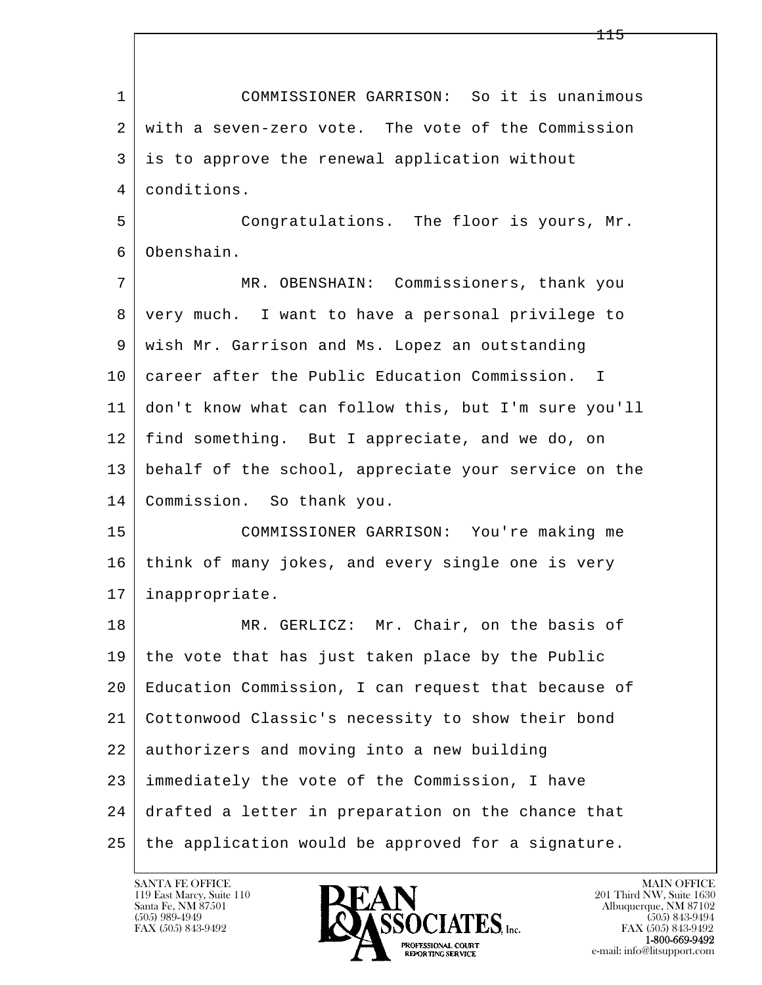l  $\overline{\phantom{a}}$  1 COMMISSIONER GARRISON: So it is unanimous 2 with a seven-zero vote. The vote of the Commission 3 is to approve the renewal application without 4 conditions. 5 Congratulations. The floor is yours, Mr. 6 Obenshain. 7 MR. OBENSHAIN: Commissioners, thank you 8 very much. I want to have a personal privilege to 9 wish Mr. Garrison and Ms. Lopez an outstanding 10 career after the Public Education Commission. I 11 don't know what can follow this, but I'm sure you'll 12 find something. But I appreciate, and we do, on 13 behalf of the school, appreciate your service on the 14 Commission. So thank you. 15 COMMISSIONER GARRISON: You're making me 16 think of many jokes, and every single one is very 17 inappropriate. 18 MR. GERLICZ: Mr. Chair, on the basis of 19 the vote that has just taken place by the Public 20 Education Commission, I can request that because of 21 Cottonwood Classic's necessity to show their bond 22 authorizers and moving into a new building 23 immediately the vote of the Commission, I have 24 drafted a letter in preparation on the chance that 25 | the application would be approved for a signature.

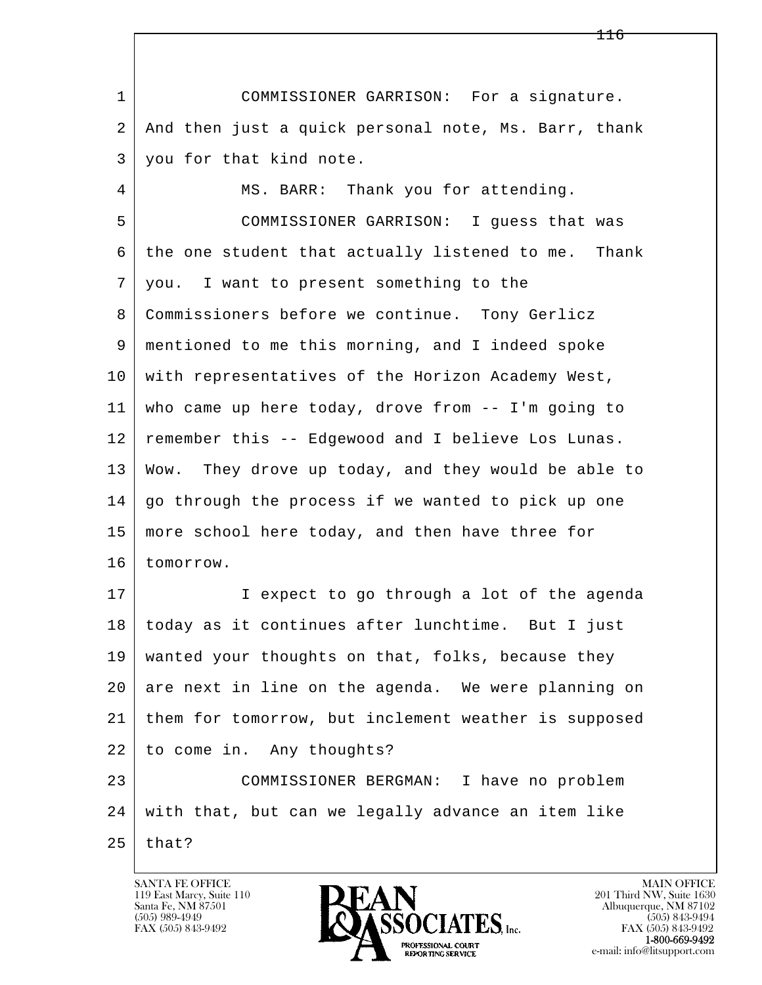l  $\overline{\phantom{a}}$  1 COMMISSIONER GARRISON: For a signature. 2 And then just a quick personal note, Ms. Barr, thank 3 you for that kind note. 4 | MS. BARR: Thank you for attending. 5 COMMISSIONER GARRISON: I guess that was 6 the one student that actually listened to me. Thank 7 you. I want to present something to the 8 | Commissioners before we continue. Tony Gerlicz 9 mentioned to me this morning, and I indeed spoke 10 with representatives of the Horizon Academy West, 11 who came up here today, drove from -- I'm going to 12 remember this -- Edgewood and I believe Los Lunas. 13 Wow. They drove up today, and they would be able to 14 go through the process if we wanted to pick up one 15 | more school here today, and then have three for 16 tomorrow. 17 | I expect to go through a lot of the agenda 18 today as it continues after lunchtime. But I just 19 wanted your thoughts on that, folks, because they 20 are next in line on the agenda. We were planning on 21 them for tomorrow, but inclement weather is supposed 22 to come in. Any thoughts? 23 COMMISSIONER BERGMAN: I have no problem 24 with that, but can we legally advance an item like  $25$  that?

119 East Marcy, Suite 110<br>Santa Fe, NM 87501

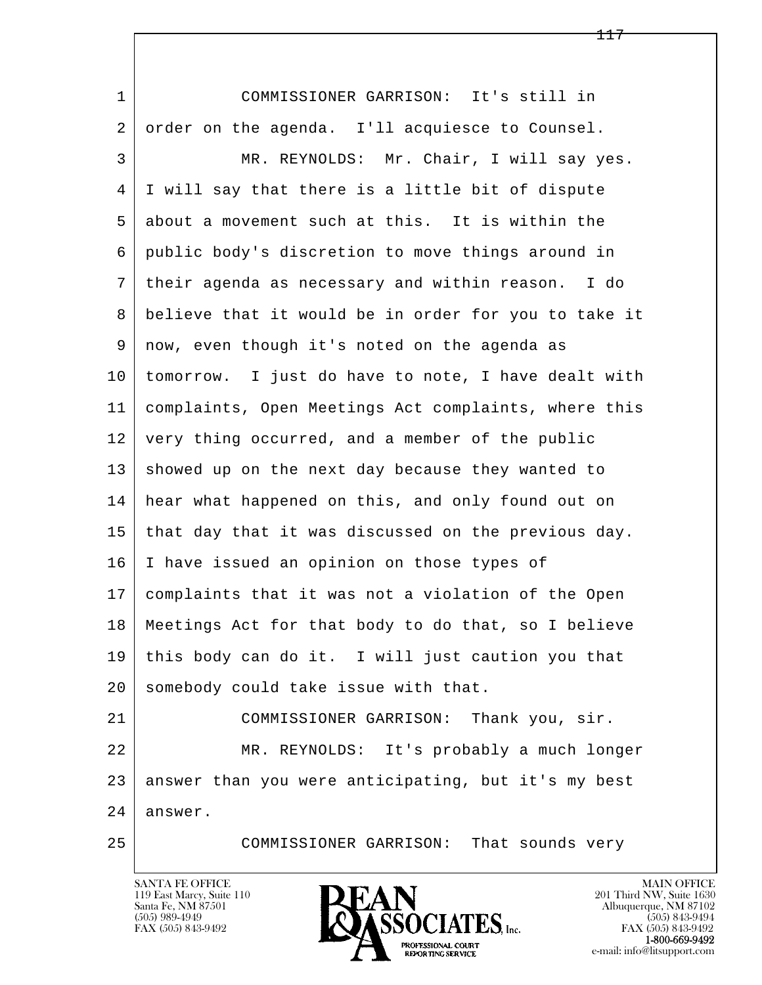| $\mathbf 1$ | COMMISSIONER GARRISON: It's still in                 |
|-------------|------------------------------------------------------|
| 2           | order on the agenda. I'll acquiesce to Counsel.      |
| 3           | MR. REYNOLDS: Mr. Chair, I will say yes.             |
| 4           | I will say that there is a little bit of dispute     |
| 5           | about a movement such at this. It is within the      |
| 6           | public body's discretion to move things around in    |
| 7           | their agenda as necessary and within reason. I do    |
| 8           | believe that it would be in order for you to take it |
| 9           | now, even though it's noted on the agenda as         |
| 10          | tomorrow. I just do have to note, I have dealt with  |
| 11          | complaints, Open Meetings Act complaints, where this |
| 12          | very thing occurred, and a member of the public      |
| 13          | showed up on the next day because they wanted to     |
| 14          | hear what happened on this, and only found out on    |
| 15          | that day that it was discussed on the previous day.  |
| 16          | I have issued an opinion on those types of           |
| 17          | complaints that it was not a violation of the Open   |
| 18          | Meetings Act for that body to do that, so I believe  |
| 19          | this body can do it. I will just caution you that    |
| 20          | somebody could take issue with that.                 |
| 21          | COMMISSIONER GARRISON: Thank you, sir.               |
| 22          | MR. REYNOLDS: It's probably a much longer            |
| 23          | answer than you were anticipating, but it's my best  |
| 24          | answer.                                              |
| 25          | COMMISSIONER GARRISON: That sounds very              |

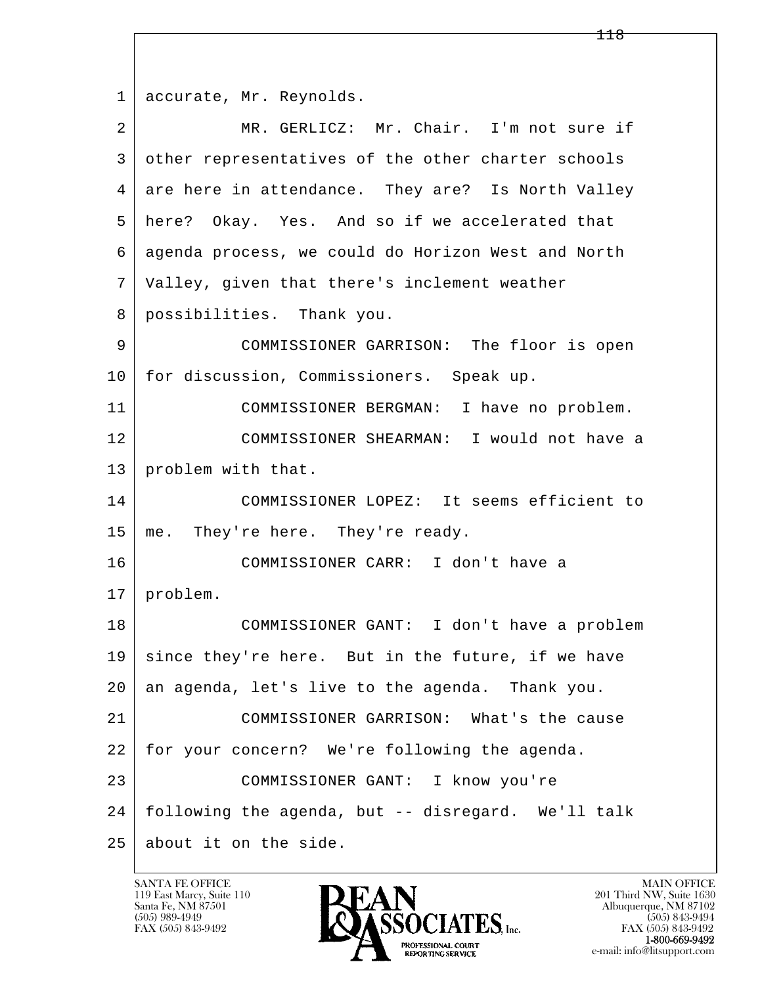l  $\overline{\phantom{a}}$ 1 accurate, Mr. Reynolds. 2 MR. GERLICZ: Mr. Chair. I'm not sure if 3 other representatives of the other charter schools 4 are here in attendance. They are? Is North Valley 5 here? Okay. Yes. And so if we accelerated that 6 agenda process, we could do Horizon West and North 7 Valley, given that there's inclement weather 8 possibilities. Thank you. 9 COMMISSIONER GARRISON: The floor is open 10 for discussion, Commissioners. Speak up. 11 COMMISSIONER BERGMAN: I have no problem. 12 COMMISSIONER SHEARMAN: I would not have a 13 | problem with that. 14 COMMISSIONER LOPEZ: It seems efficient to 15 | me. They're here. They're ready. 16 COMMISSIONER CARR: I don't have a 17 problem. 18 COMMISSIONER GANT: I don't have a problem 19 since they're here. But in the future, if we have 20 an agenda, let's live to the agenda. Thank you. 21 COMMISSIONER GARRISON: What's the cause 22 for your concern? We're following the agenda. 23 COMMISSIONER GANT: I know you're 24 following the agenda, but -- disregard. We'll talk 25 about it on the side.

119 East Marcy, Suite 110<br>Santa Fe, NM 87501

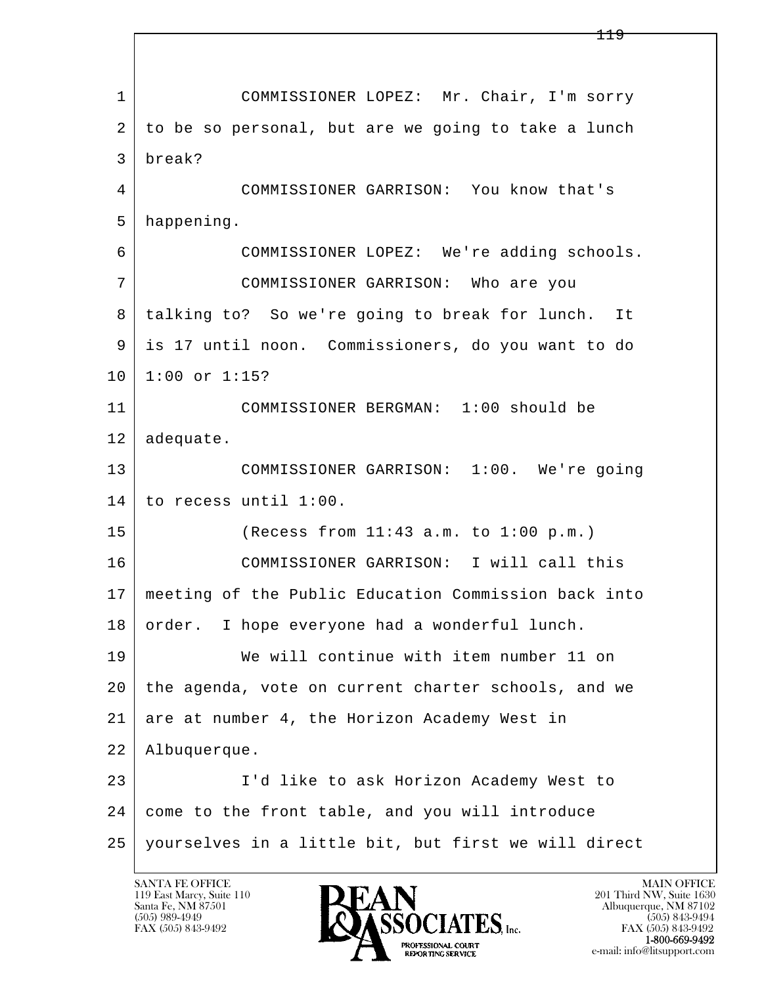l  $\overline{\phantom{a}}$  1 COMMISSIONER LOPEZ: Mr. Chair, I'm sorry 2 to be so personal, but are we going to take a lunch 3 break? 4 COMMISSIONER GARRISON: You know that's 5 happening. 6 COMMISSIONER LOPEZ: We're adding schools. 7 COMMISSIONER GARRISON: Who are you 8 talking to? So we're going to break for lunch. It 9 is 17 until noon. Commissioners, do you want to do 10 1:00 or 1:15? 11 COMMISSIONER BERGMAN: 1:00 should be 12 adequate. 13 COMMISSIONER GARRISON: 1:00. We're going 14 to recess until 1:00. 15 (Recess from 11:43 a.m. to 1:00 p.m.) 16 COMMISSIONER GARRISON: I will call this 17 meeting of the Public Education Commission back into 18 order. I hope everyone had a wonderful lunch. 19 We will continue with item number 11 on 20 the agenda, vote on current charter schools, and we 21 are at number 4, the Horizon Academy West in 22 Albuquerque. 23 I'd like to ask Horizon Academy West to 24 come to the front table, and you will introduce 25 yourselves in a little bit, but first we will direct

119 East Marcy, Suite 110<br>Santa Fe, NM 87501



FAX (505) 843-9492 FAX (505) 843-9492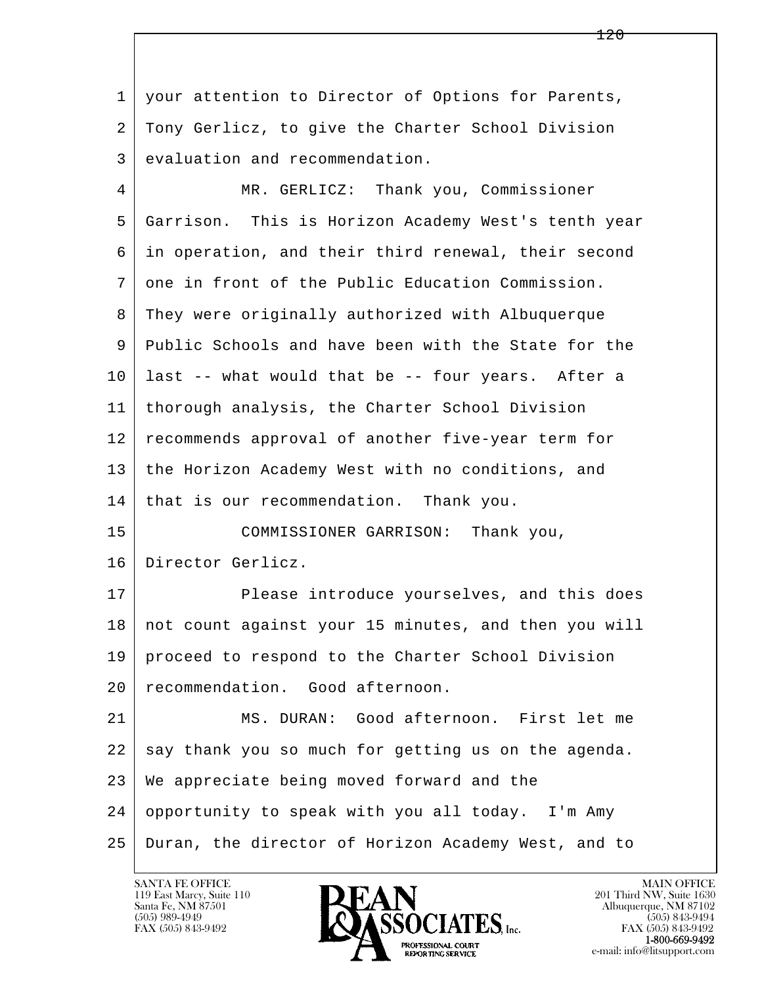l  $\overline{\phantom{a}}$  1 your attention to Director of Options for Parents, 2 Tony Gerlicz, to give the Charter School Division 3 evaluation and recommendation. 4 MR. GERLICZ: Thank you, Commissioner 5 Garrison. This is Horizon Academy West's tenth year 6 in operation, and their third renewal, their second 7 one in front of the Public Education Commission. 8 They were originally authorized with Albuquerque 9 Public Schools and have been with the State for the 10 last -- what would that be -- four years. After a 11 thorough analysis, the Charter School Division 12 recommends approval of another five-year term for 13 the Horizon Academy West with no conditions, and 14 that is our recommendation. Thank you. 15 COMMISSIONER GARRISON: Thank you, 16 Director Gerlicz. 17 Please introduce yourselves, and this does 18 not count against your 15 minutes, and then you will 19 proceed to respond to the Charter School Division 20 recommendation. Good afternoon. 21 MS. DURAN: Good afternoon. First let me 22 say thank you so much for getting us on the agenda. 23 We appreciate being moved forward and the 24 opportunity to speak with you all today. I'm Amy 25 Duran, the director of Horizon Academy West, and to

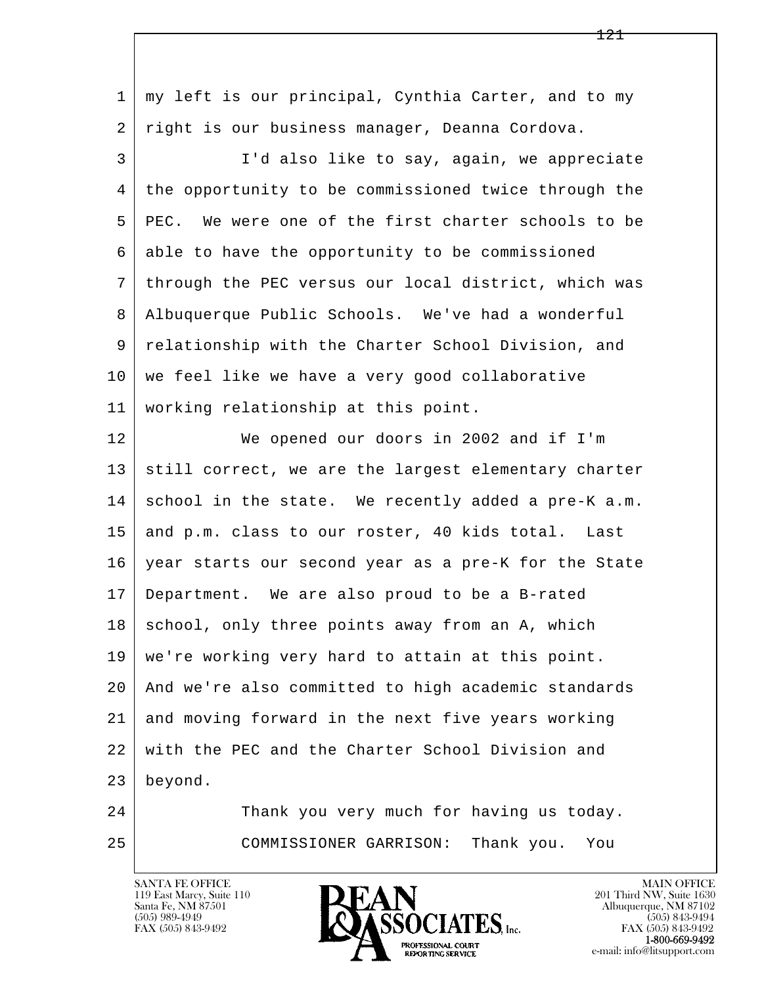| $\mathbf{1}$ | my left is our principal, Cynthia Carter, and to my  |
|--------------|------------------------------------------------------|
| 2            | right is our business manager, Deanna Cordova.       |
| 3            | I'd also like to say, again, we appreciate           |
| 4            | the opportunity to be commissioned twice through the |
| 5            | PEC. We were one of the first charter schools to be  |
| 6            | able to have the opportunity to be commissioned      |
| 7            | through the PEC versus our local district, which was |
| 8            | Albuquerque Public Schools. We've had a wonderful    |
| 9            | relationship with the Charter School Division, and   |
| 10           | we feel like we have a very good collaborative       |
| 11           | working relationship at this point.                  |
| 12           | We opened our doors in 2002 and if I'm               |
| 13           | still correct, we are the largest elementary charter |
| 14           | school in the state. We recently added a pre-K a.m.  |
| 15           | and p.m. class to our roster, 40 kids total. Last    |
| 16           | year starts our second year as a pre-K for the State |
| 17           | Department. We are also proud to be a B-rated        |
| 18           | school, only three points away from an A, which      |
| 19           | we're working very hard to attain at this point.     |
| 20           | And we're also committed to high academic standards  |
| 21           | and moving forward in the next five years working    |
| 22           | with the PEC and the Charter School Division and     |
| 23           | beyond.                                              |
| 24           | Thank you very much for having us today.             |
| 25           | COMMISSIONER GARRISON:<br>Thank you.<br>You          |

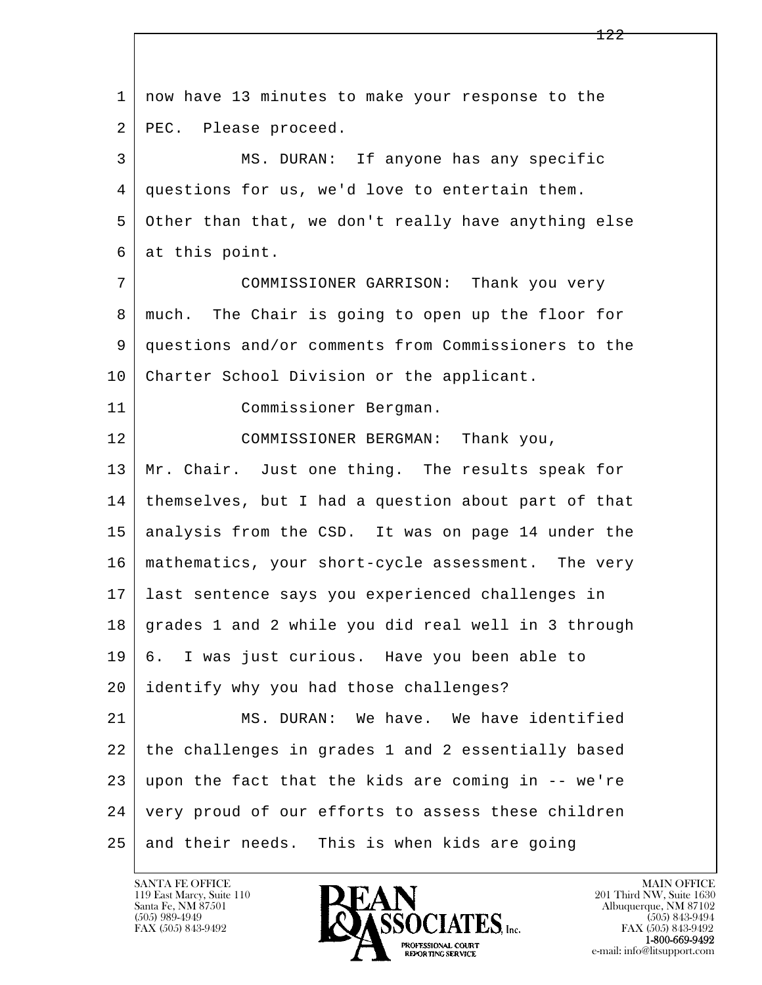l  $\overline{\phantom{a}}$  1 now have 13 minutes to make your response to the 2 PEC. Please proceed. 3 MS. DURAN: If anyone has any specific 4 questions for us, we'd love to entertain them. 5 Other than that, we don't really have anything else 6 at this point. 7 COMMISSIONER GARRISON: Thank you very 8 much. The Chair is going to open up the floor for 9 questions and/or comments from Commissioners to the 10 Charter School Division or the applicant. 11 Commissioner Bergman. 12 COMMISSIONER BERGMAN: Thank you, 13 | Mr. Chair. Just one thing. The results speak for 14 themselves, but I had a question about part of that 15 analysis from the CSD. It was on page 14 under the 16 mathematics, your short-cycle assessment. The very 17 last sentence says you experienced challenges in 18 grades 1 and 2 while you did real well in 3 through 19 6. I was just curious. Have you been able to 20 identify why you had those challenges? 21 MS. DURAN: We have. We have identified 22 the challenges in grades 1 and 2 essentially based  $23$  upon the fact that the kids are coming in  $-$ - we're 24 very proud of our efforts to assess these children  $25$  and their needs. This is when kids are going



FAX (505) 843-9492<br>**1-800-669-9492**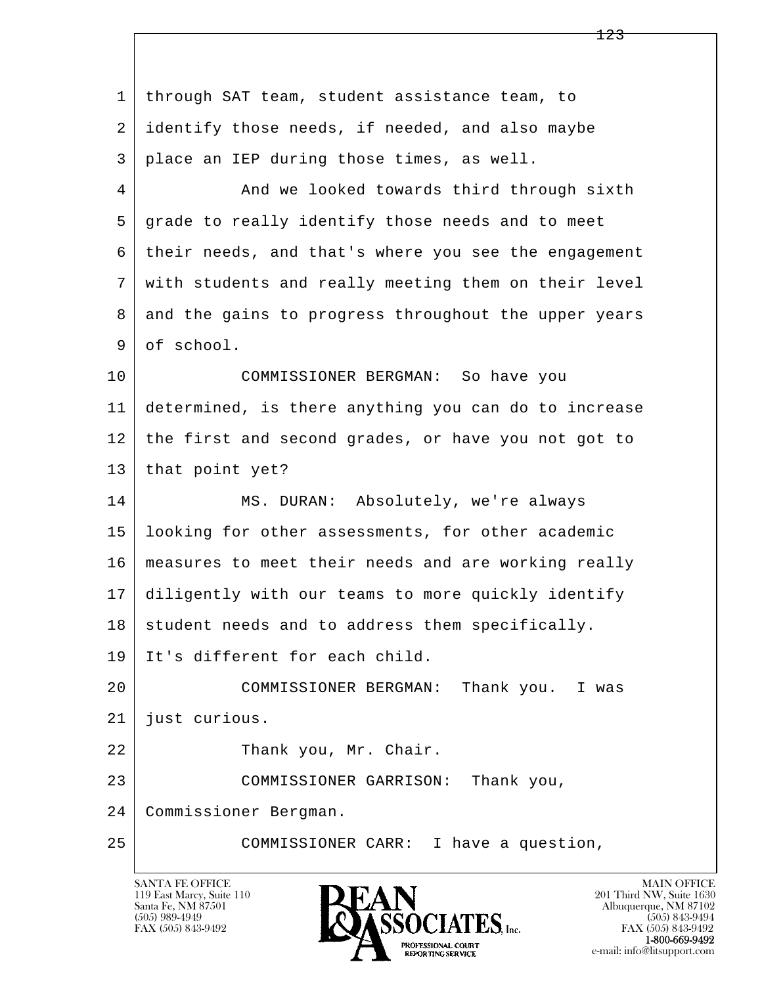l  $\overline{\phantom{a}}$ 1 through SAT team, student assistance team, to 2 identify those needs, if needed, and also maybe 3 place an IEP during those times, as well. 4 And we looked towards third through sixth 5 grade to really identify those needs and to meet 6 their needs, and that's where you see the engagement 7 with students and really meeting them on their level 8 and the gains to progress throughout the upper years 9 of school. 10 COMMISSIONER BERGMAN: So have you 11 determined, is there anything you can do to increase 12 the first and second grades, or have you not got to 13 | that point yet? 14 MS. DURAN: Absolutely, we're always 15 looking for other assessments, for other academic 16 measures to meet their needs and are working really 17 diligently with our teams to more quickly identify  $18$  student needs and to address them specifically. 19 It's different for each child. 20 COMMISSIONER BERGMAN: Thank you. I was 21 just curious. 22 Thank you, Mr. Chair. 23 COMMISSIONER GARRISON: Thank you, 24 Commissioner Bergman. 25 COMMISSIONER CARR: I have a question,

123

119 East Marcy, Suite 110<br>Santa Fe, NM 87501

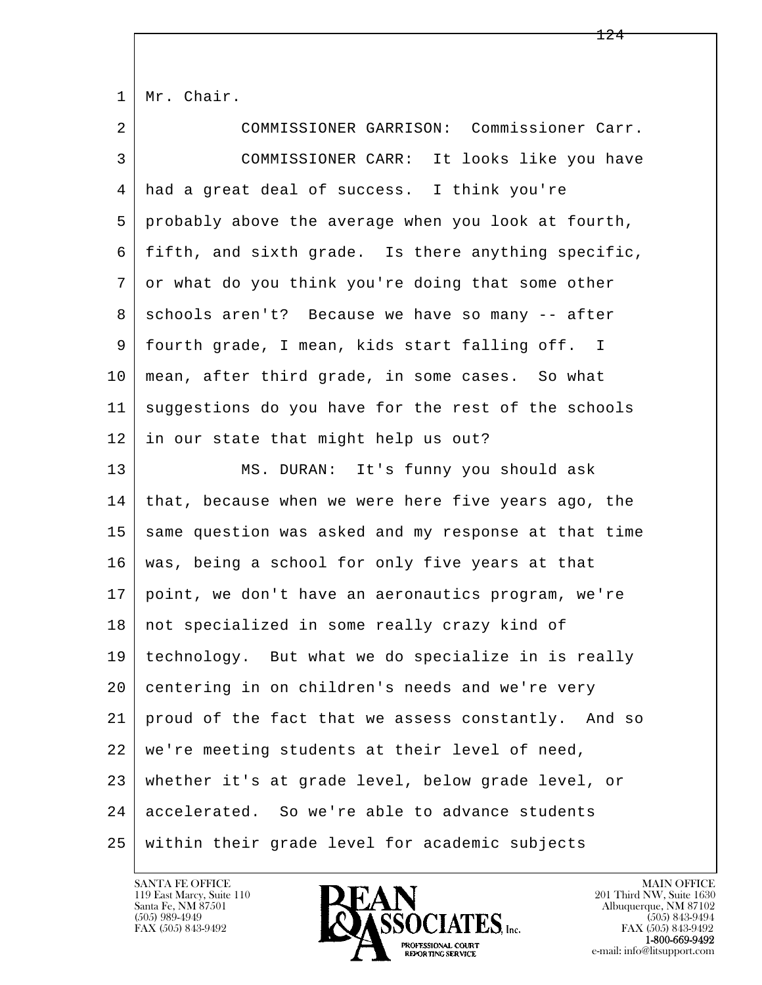| $\mathbf{1}$ | Mr. Chair.                                           |
|--------------|------------------------------------------------------|
| 2            | COMMISSIONER GARRISON: Commissioner Carr.            |
| 3            | COMMISSIONER CARR: It looks like you have            |
| 4            | had a great deal of success. I think you're          |
| 5            | probably above the average when you look at fourth,  |
| 6            | fifth, and sixth grade. Is there anything specific,  |
| 7            | or what do you think you're doing that some other    |
| 8            | schools aren't? Because we have so many -- after     |
| 9            | fourth grade, I mean, kids start falling off. I      |
| 10           | mean, after third grade, in some cases. So what      |
| 11           | suggestions do you have for the rest of the schools  |
| 12           | in our state that might help us out?                 |
| 13           | MS. DURAN: It's funny you should ask                 |
| 14           | that, because when we were here five years ago, the  |
| 15           | same question was asked and my response at that time |
| 16           | was, being a school for only five years at that      |
| 17           | point, we don't have an aeronautics program, we're   |
| 18           | not specialized in some really crazy kind of         |
| 19           | technology. But what we do specialize in is really   |
| 20           | centering in on children's needs and we're very      |
| 21           | proud of the fact that we assess constantly. And so  |
| 22           | we're meeting students at their level of need,       |
| 23           | whether it's at grade level, below grade level, or   |
| 24           | accelerated. So we're able to advance students       |
| 25           | within their grade level for academic subjects       |

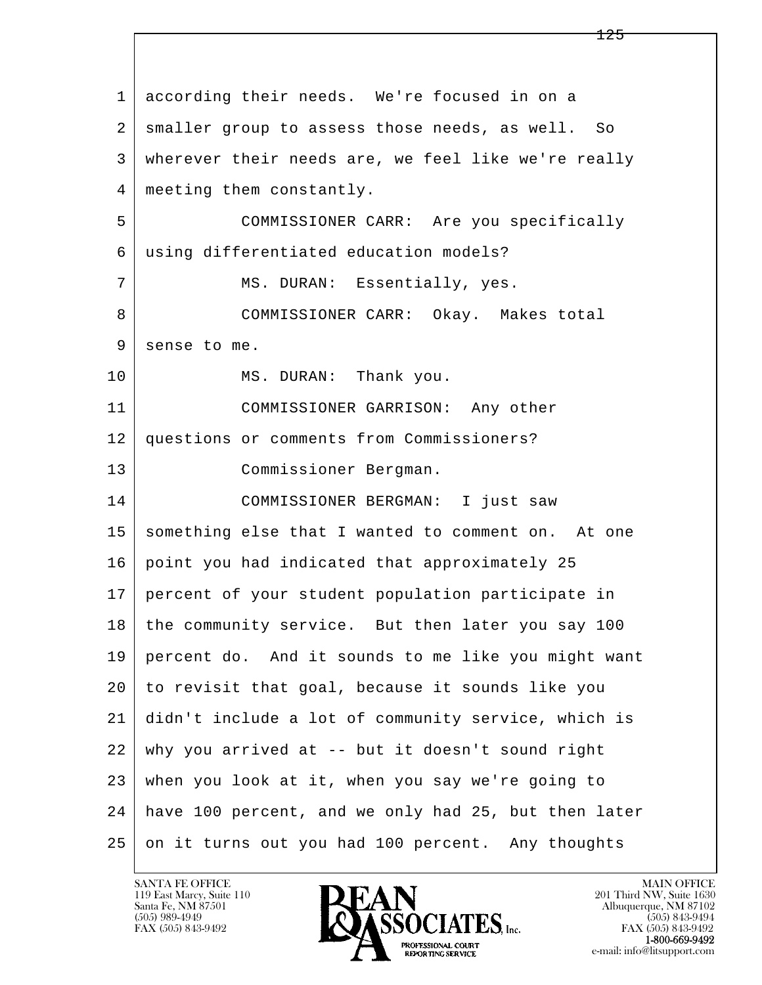l  $\overline{\phantom{a}}$  1 according their needs. We're focused in on a 2 | smaller group to assess those needs, as well. So 3 wherever their needs are, we feel like we're really 4 meeting them constantly. 5 COMMISSIONER CARR: Are you specifically 6 using differentiated education models? 7 | MS. DURAN: Essentially, yes. 8 COMMISSIONER CARR: Okay. Makes total 9 sense to me. 10 MS. DURAN: Thank you. 11 COMMISSIONER GARRISON: Any other 12 questions or comments from Commissioners? 13 Commissioner Bergman. 14 COMMISSIONER BERGMAN: I just saw 15 | something else that I wanted to comment on. At one 16 point you had indicated that approximately 25 17 percent of your student population participate in 18 | the community service. But then later you say 100 19 percent do. And it sounds to me like you might want 20 to revisit that goal, because it sounds like you 21 didn't include a lot of community service, which is 22 why you arrived at -- but it doesn't sound right 23 when you look at it, when you say we're going to 24 have 100 percent, and we only had 25, but then later 25 on it turns out you had 100 percent. Any thoughts

119 East Marcy, Suite 110<br>Santa Fe, NM 87501



FAX (505) 843-9492<br>**1-800-669-9492**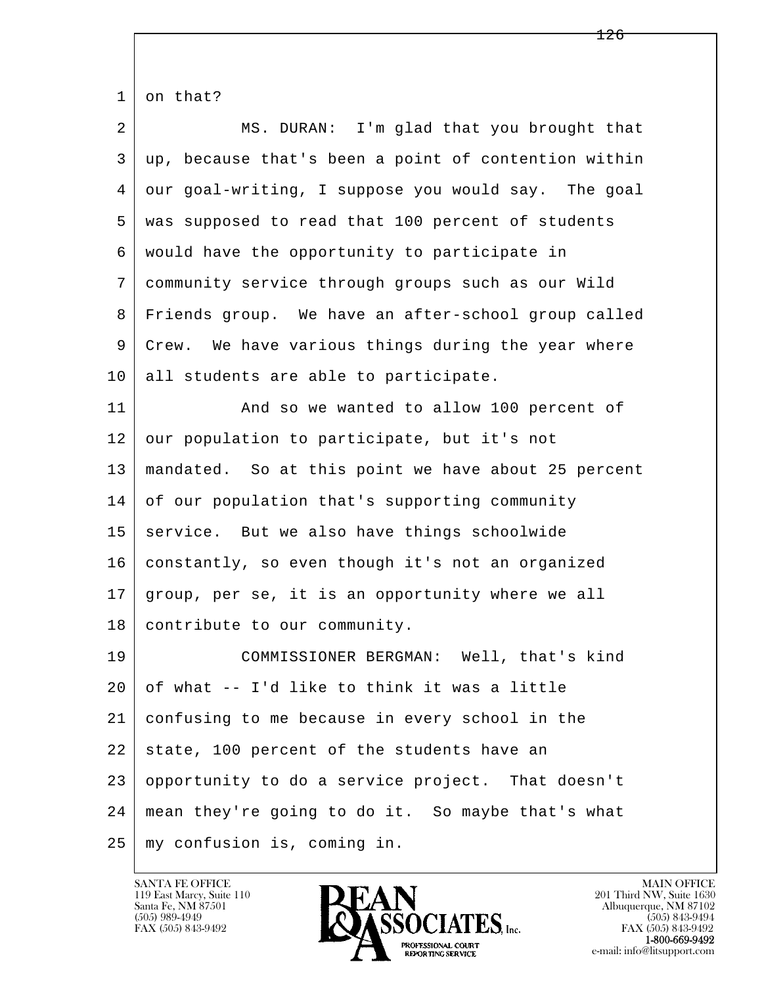l  $\overline{\phantom{a}}$  $1 \mid$  on that? 2 MS. DURAN: I'm glad that you brought that 3 up, because that's been a point of contention within 4 our goal-writing, I suppose you would say. The goal 5 was supposed to read that 100 percent of students 6 would have the opportunity to participate in 7 community service through groups such as our Wild 8 Friends group. We have an after-school group called 9 Crew. We have various things during the year where 10 all students are able to participate. 11 | And so we wanted to allow 100 percent of 12 our population to participate, but it's not 13 mandated. So at this point we have about 25 percent 14 of our population that's supporting community 15 | service. But we also have things schoolwide 16 constantly, so even though it's not an organized 17 group, per se, it is an opportunity where we all 18 contribute to our community. 19 COMMISSIONER BERGMAN: Well, that's kind  $20$  of what  $-$  I'd like to think it was a little 21 confusing to me because in every school in the  $22$  state, 100 percent of the students have an 23 opportunity to do a service project. That doesn't 24 mean they're going to do it. So maybe that's what 25 my confusion is, coming in.

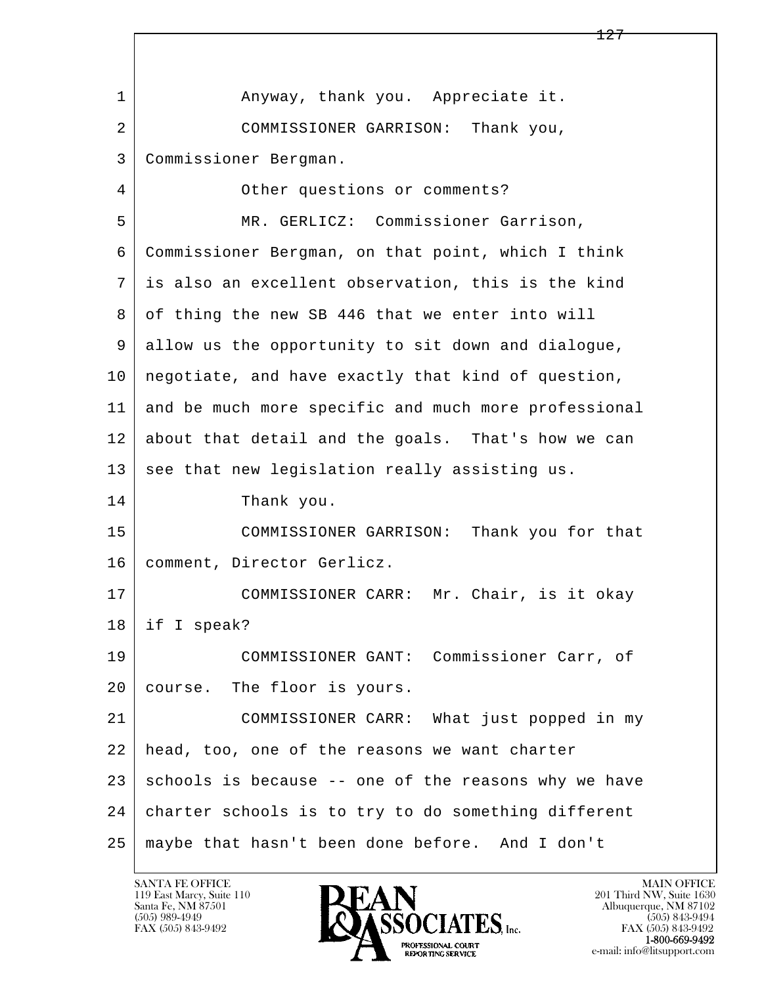l  $\overline{\phantom{a}}$ 127 1 Anyway, thank you. Appreciate it. 2 COMMISSIONER GARRISON: Thank you, 3 Commissioner Bergman. 4 Other questions or comments? 5 MR. GERLICZ: Commissioner Garrison, 6 Commissioner Bergman, on that point, which I think 7 is also an excellent observation, this is the kind 8 of thing the new SB 446 that we enter into will 9 allow us the opportunity to sit down and dialogue, 10 negotiate, and have exactly that kind of question, 11 and be much more specific and much more professional 12 about that detail and the goals. That's how we can 13 see that new legislation really assisting us. 14 Thank you. 15 COMMISSIONER GARRISON: Thank you for that 16 | comment, Director Gerlicz. 17 | COMMISSIONER CARR: Mr. Chair, is it okay 18 if I speak? 19 COMMISSIONER GANT: Commissioner Carr, of 20 course. The floor is yours. 21 COMMISSIONER CARR: What just popped in my 22 head, too, one of the reasons we want charter  $23$  schools is because -- one of the reasons why we have 24 charter schools is to try to do something different 25 maybe that hasn't been done before. And I don't

119 East Marcy, Suite 110<br>Santa Fe, NM 87501

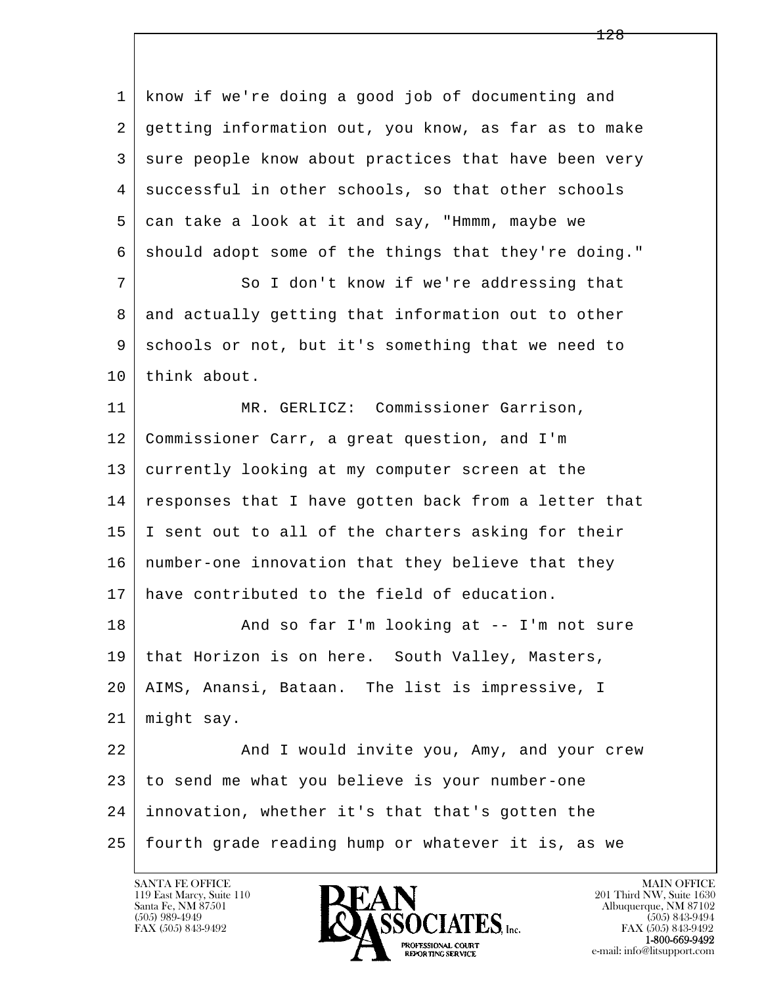l  $\overline{\phantom{a}}$  1 know if we're doing a good job of documenting and 2 getting information out, you know, as far as to make 3 sure people know about practices that have been very 4 successful in other schools, so that other schools 5 can take a look at it and say, "Hmmm, maybe we 6 should adopt some of the things that they're doing." 7 So I don't know if we're addressing that 8 and actually getting that information out to other 9 schools or not, but it's something that we need to 10 think about. 11 | MR. GERLICZ: Commissioner Garrison, 12 Commissioner Carr, a great question, and I'm 13 currently looking at my computer screen at the 14 responses that I have gotten back from a letter that 15 I sent out to all of the charters asking for their 16 number-one innovation that they believe that they 17 have contributed to the field of education. 18 | And so far I'm looking at -- I'm not sure 19 | that Horizon is on here. South Valley, Masters, 20 AIMS, Anansi, Bataan. The list is impressive, I 21 might say. 22 And I would invite you, Amy, and your crew 23 to send me what you believe is your number-one 24 innovation, whether it's that that's gotten the 25 fourth grade reading hump or whatever it is, as we

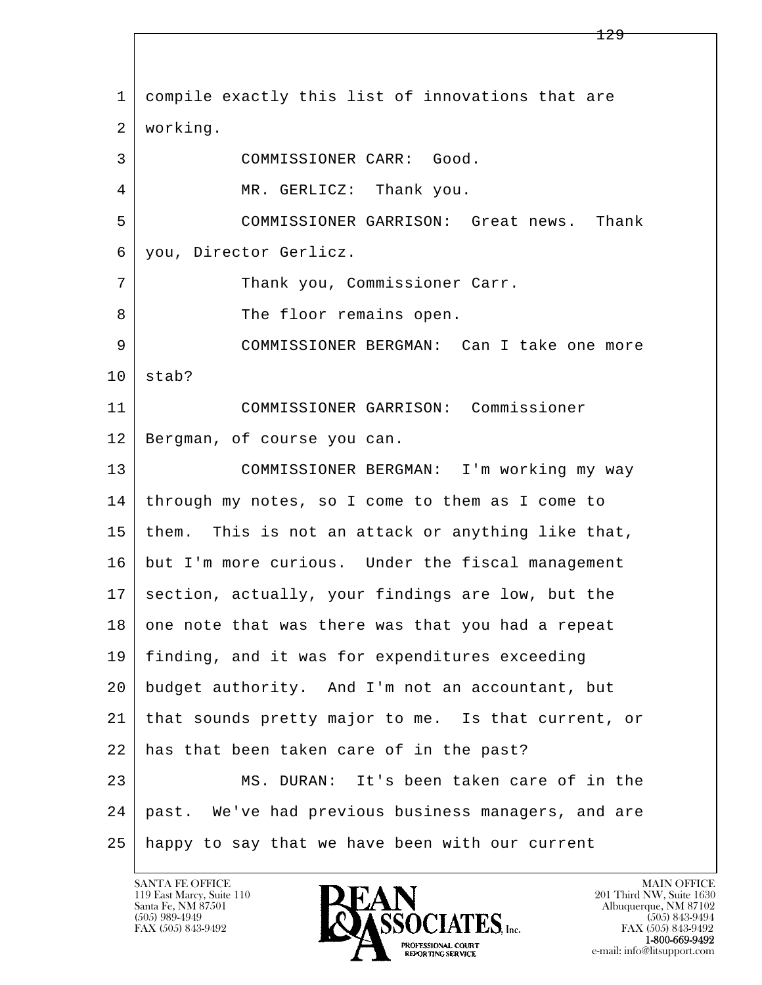l  $\overline{\phantom{a}}$  1 compile exactly this list of innovations that are 2 working. 3 COMMISSIONER CARR: Good. 4 | MR. GERLICZ: Thank you. 5 COMMISSIONER GARRISON: Great news. Thank 6 you, Director Gerlicz. 7 | Thank you, Commissioner Carr. 8 | The floor remains open. 9 COMMISSIONER BERGMAN: Can I take one more  $10$  stab? 11 COMMISSIONER GARRISON: Commissioner 12 Bergman, of course you can. 13 COMMISSIONER BERGMAN: I'm working my way 14 through my notes, so I come to them as I come to  $15$  them. This is not an attack or anything like that, 16 but I'm more curious. Under the fiscal management 17 section, actually, your findings are low, but the 18 one note that was there was that you had a repeat 19 finding, and it was for expenditures exceeding 20 budget authority. And I'm not an accountant, but 21 that sounds pretty major to me. Is that current, or 22 has that been taken care of in the past? 23 MS. DURAN: It's been taken care of in the 24 past. We've had previous business managers, and are 25 happy to say that we have been with our current

119 East Marcy, Suite 110<br>Santa Fe, NM 87501

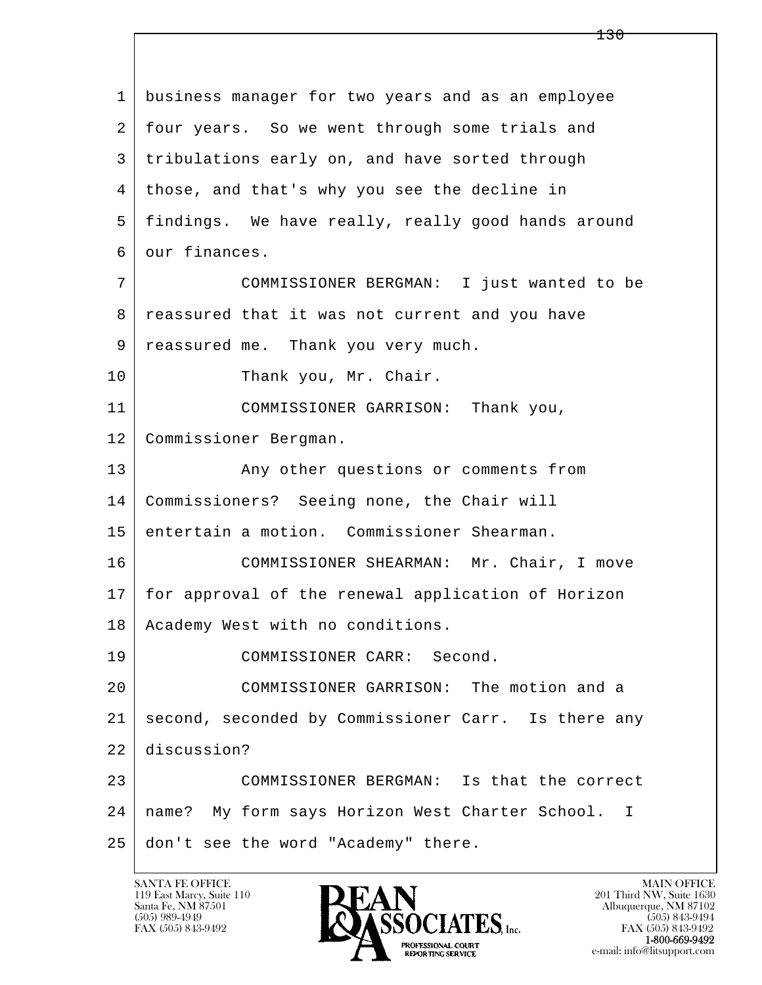l  $\overline{\phantom{a}}$  1 business manager for two years and as an employee 2 four years. So we went through some trials and 3 tribulations early on, and have sorted through 4 those, and that's why you see the decline in 5 findings. We have really, really good hands around 6 our finances. 7 COMMISSIONER BERGMAN: I just wanted to be 8 reassured that it was not current and you have 9 reassured me. Thank you very much. 10 Thank you, Mr. Chair. 11 COMMISSIONER GARRISON: Thank you, 12 Commissioner Bergman. 13 Any other questions or comments from 14 Commissioners? Seeing none, the Chair will 15 entertain a motion. Commissioner Shearman. 16 COMMISSIONER SHEARMAN: Mr. Chair, I move 17 for approval of the renewal application of Horizon 18 | Academy West with no conditions. 19 COMMISSIONER CARR: Second. 20 COMMISSIONER GARRISON: The motion and a 21 second, seconded by Commissioner Carr. Is there any 22 discussion? 23 | COMMISSIONER BERGMAN: Is that the correct 24 name? My form says Horizon West Charter School. I 25 don't see the word "Academy" there.

119 East Marcy, Suite 110<br>Santa Fe, NM 87501

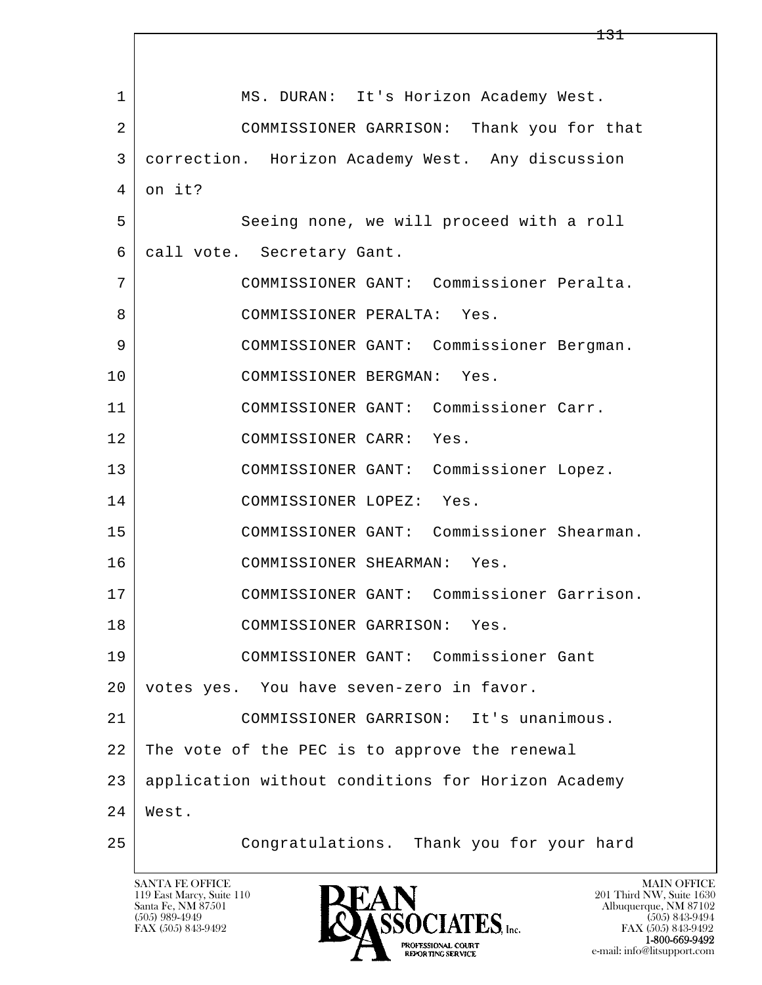l  $\overline{\phantom{a}}$  1 MS. DURAN: It's Horizon Academy West. 2 COMMISSIONER GARRISON: Thank you for that 3 correction. Horizon Academy West. Any discussion  $4$  on it? 5 Seeing none, we will proceed with a roll 6 call vote. Secretary Gant. 7 COMMISSIONER GANT: Commissioner Peralta. 8 | COMMISSIONER PERALTA: Yes. 9 COMMISSIONER GANT: Commissioner Bergman. 10 COMMISSIONER BERGMAN: Yes. 11 COMMISSIONER GANT: Commissioner Carr. 12 COMMISSIONER CARR: Yes. 13 COMMISSIONER GANT: Commissioner Lopez. 14 COMMISSIONER LOPEZ: Yes. 15 COMMISSIONER GANT: Commissioner Shearman. 16 COMMISSIONER SHEARMAN: Yes. 17 COMMISSIONER GANT: Commissioner Garrison. 18 COMMISSIONER GARRISON: Yes. 19 COMMISSIONER GANT: Commissioner Gant 20 votes yes. You have seven-zero in favor. 21 COMMISSIONER GARRISON: It's unanimous. 22 The vote of the PEC is to approve the renewal 23 application without conditions for Horizon Academy 24 West. 25 Congratulations. Thank you for your hard

119 East Marcy, Suite 110<br>Santa Fe, NM 87501

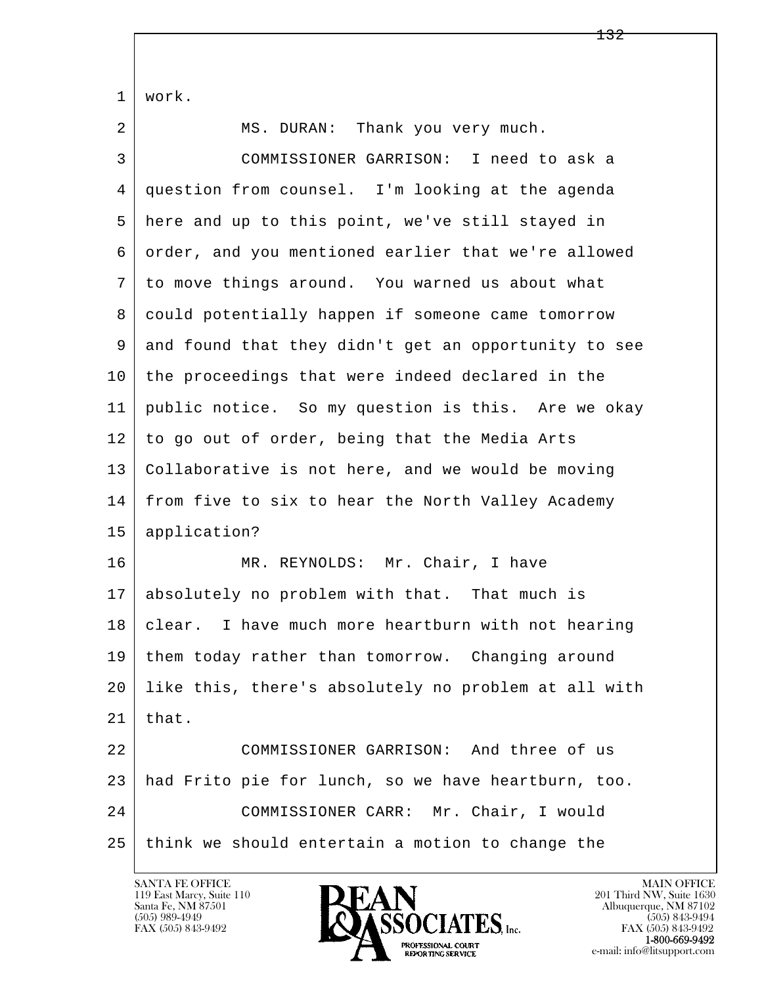l  $\overline{\phantom{a}}$  1 work. 2 | MS. DURAN: Thank you very much. 3 COMMISSIONER GARRISON: I need to ask a 4 question from counsel. I'm looking at the agenda 5 here and up to this point, we've still stayed in 6 order, and you mentioned earlier that we're allowed 7 to move things around. You warned us about what 8 could potentially happen if someone came tomorrow 9 and found that they didn't get an opportunity to see 10 the proceedings that were indeed declared in the 11 public notice. So my question is this. Are we okay 12 to go out of order, being that the Media Arts 13 Collaborative is not here, and we would be moving 14 from five to six to hear the North Valley Academy 15 application? 16 MR. REYNOLDS: Mr. Chair, I have 17 absolutely no problem with that. That much is 18 | clear. I have much more heartburn with not hearing 19 them today rather than tomorrow. Changing around 20 like this, there's absolutely no problem at all with  $21$  | that. 22 COMMISSIONER GARRISON: And three of us 23 had Frito pie for lunch, so we have heartburn, too. 24 COMMISSIONER CARR: Mr. Chair, I would 25 think we should entertain a motion to change the

119 East Marcy, Suite 110<br>Santa Fe, NM 87501

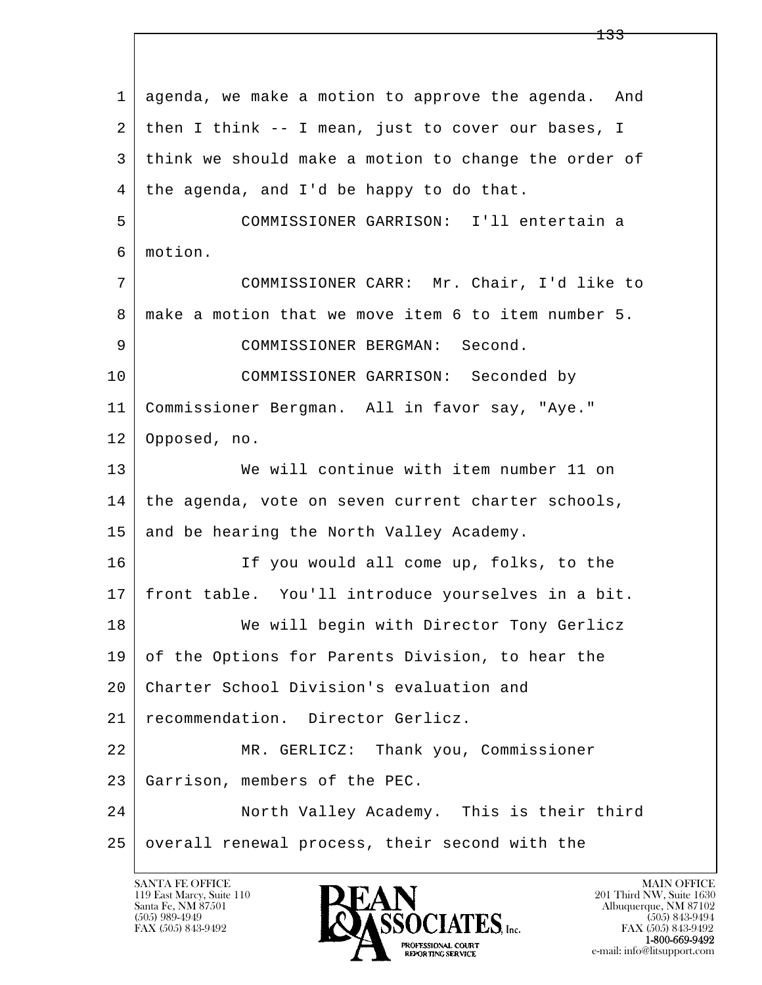l  $\overline{\phantom{a}}$  1 agenda, we make a motion to approve the agenda. And 2 then I think -- I mean, just to cover our bases, I 3 think we should make a motion to change the order of 4 | the agenda, and I'd be happy to do that. 5 COMMISSIONER GARRISON: I'll entertain a 6 motion. 7 COMMISSIONER CARR: Mr. Chair, I'd like to 8 make a motion that we move item 6 to item number 5. 9 COMMISSIONER BERGMAN: Second. 10 COMMISSIONER GARRISON: Seconded by 11 Commissioner Bergman. All in favor say, "Aye." 12 Opposed, no. 13 We will continue with item number 11 on 14 the agenda, vote on seven current charter schools, 15 and be hearing the North Valley Academy. 16 If you would all come up, folks, to the 17 front table. You'll introduce yourselves in a bit. 18 | We will begin with Director Tony Gerlicz 19 of the Options for Parents Division, to hear the 20 Charter School Division's evaluation and 21 recommendation. Director Gerlicz. 22 MR. GERLICZ: Thank you, Commissioner 23 Garrison, members of the PEC. 24 North Valley Academy. This is their third 25 overall renewal process, their second with the

119 East Marcy, Suite 110<br>Santa Fe, NM 87501

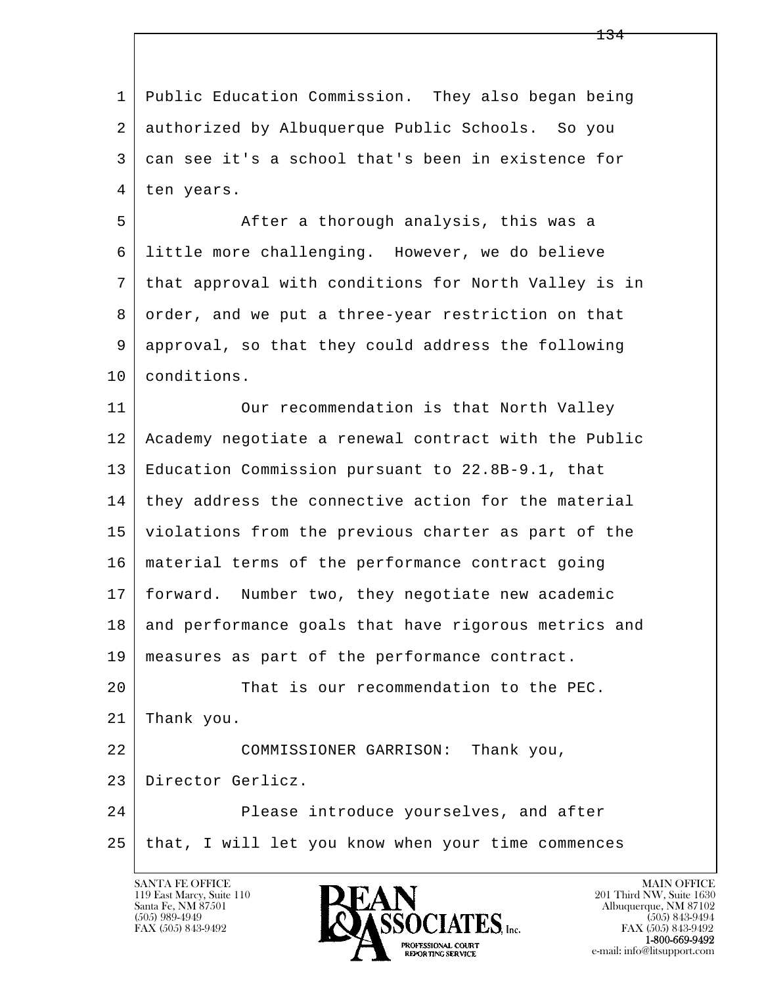l  $\overline{\phantom{a}}$  1 Public Education Commission. They also began being 2 authorized by Albuquerque Public Schools. So you 3 can see it's a school that's been in existence for 4 | ten years. 5 After a thorough analysis, this was a 6 little more challenging. However, we do believe 7 that approval with conditions for North Valley is in 8 order, and we put a three-year restriction on that 9 approval, so that they could address the following 10 conditions. 11 | Our recommendation is that North Valley 12 Academy negotiate a renewal contract with the Public 13 Education Commission pursuant to 22.8B-9.1, that 14 they address the connective action for the material 15 violations from the previous charter as part of the 16 material terms of the performance contract going 17 forward. Number two, they negotiate new academic 18 and performance goals that have rigorous metrics and 19 measures as part of the performance contract. 20 That is our recommendation to the PEC. 21 Thank you. 22 COMMISSIONER GARRISON: Thank you, 23 Director Gerlicz. 24 Please introduce yourselves, and after 25 that, I will let you know when your time commences

119 East Marcy, Suite 110<br>Santa Fe, NM 87501

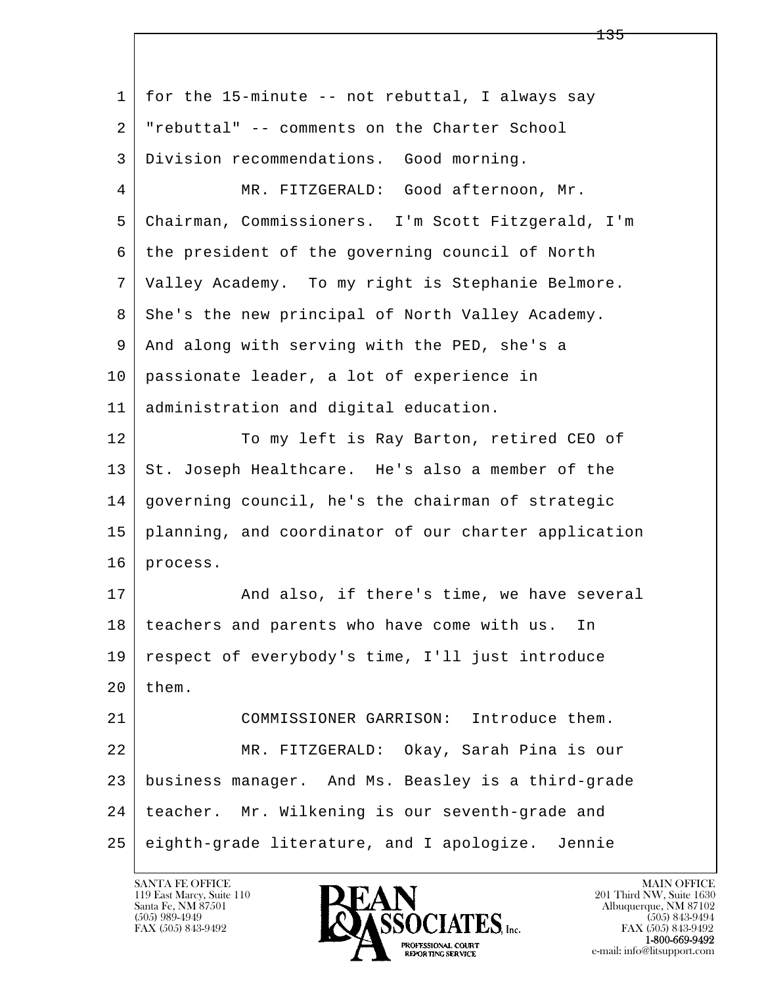l  $\overline{\phantom{a}}$ 1 | for the 15-minute -- not rebuttal, I always say 2 "rebuttal" -- comments on the Charter School 3 Division recommendations. Good morning. 4 MR. FITZGERALD: Good afternoon, Mr. 5 Chairman, Commissioners. I'm Scott Fitzgerald, I'm 6 the president of the governing council of North 7 Valley Academy. To my right is Stephanie Belmore. 8 She's the new principal of North Valley Academy. 9 And along with serving with the PED, she's a 10 passionate leader, a lot of experience in 11 administration and digital education. 12 To my left is Ray Barton, retired CEO of 13 St. Joseph Healthcare. He's also a member of the 14 governing council, he's the chairman of strategic 15 planning, and coordinator of our charter application 16 process. 17 | And also, if there's time, we have several 18 teachers and parents who have come with us. In 19 respect of everybody's time, I'll just introduce  $20$  them. 21 COMMISSIONER GARRISON: Introduce them. 22 MR. FITZGERALD: Okay, Sarah Pina is our 23 business manager. And Ms. Beasley is a third-grade 24 teacher. Mr. Wilkening is our seventh-grade and 25 eighth-grade literature, and I apologize. Jennie

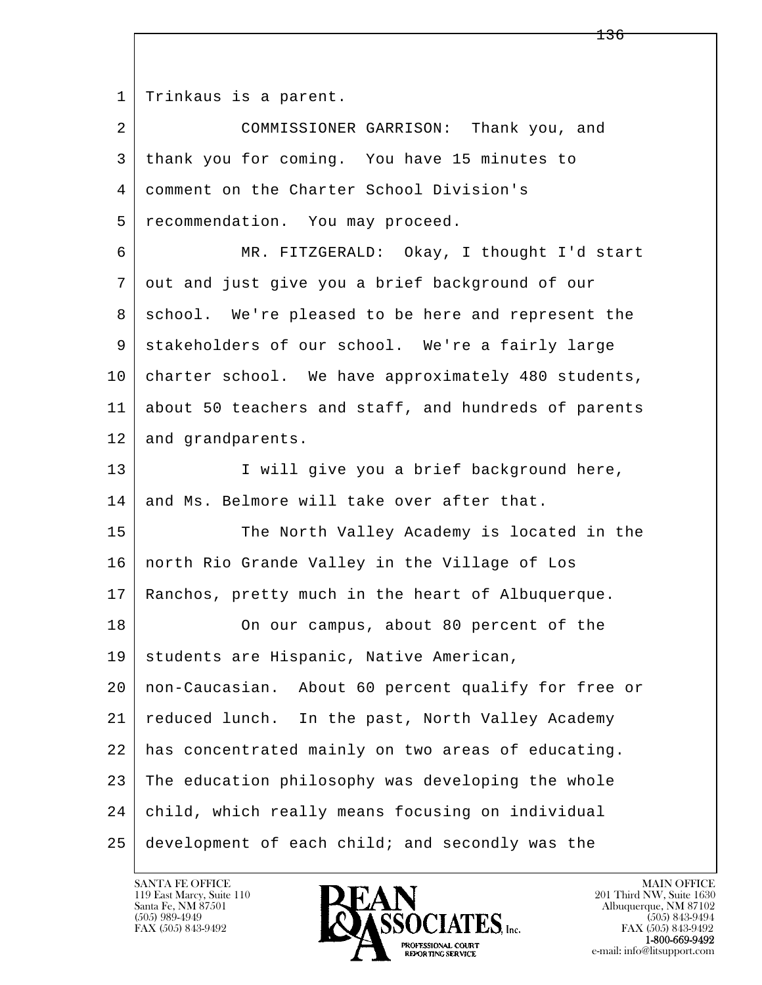1 | Trinkaus is a parent.

l  $\overline{\phantom{a}}$  2 COMMISSIONER GARRISON: Thank you, and 3 thank you for coming. You have 15 minutes to 4 comment on the Charter School Division's 5 recommendation. You may proceed. 6 MR. FITZGERALD: Okay, I thought I'd start 7 out and just give you a brief background of our 8 | school. We're pleased to be here and represent the 9 stakeholders of our school. We're a fairly large 10 charter school. We have approximately 480 students, 11 about 50 teachers and staff, and hundreds of parents 12 and grandparents. 13 | I will give you a brief background here, 14 and Ms. Belmore will take over after that. 15 The North Valley Academy is located in the 16 north Rio Grande Valley in the Village of Los 17 Ranchos, pretty much in the heart of Albuquerque. 18 On our campus, about 80 percent of the 19 | students are Hispanic, Native American, 20 non-Caucasian. About 60 percent qualify for free or 21 reduced lunch. In the past, North Valley Academy 22 has concentrated mainly on two areas of educating. 23 The education philosophy was developing the whole 24 child, which really means focusing on individual 25 development of each child; and secondly was the

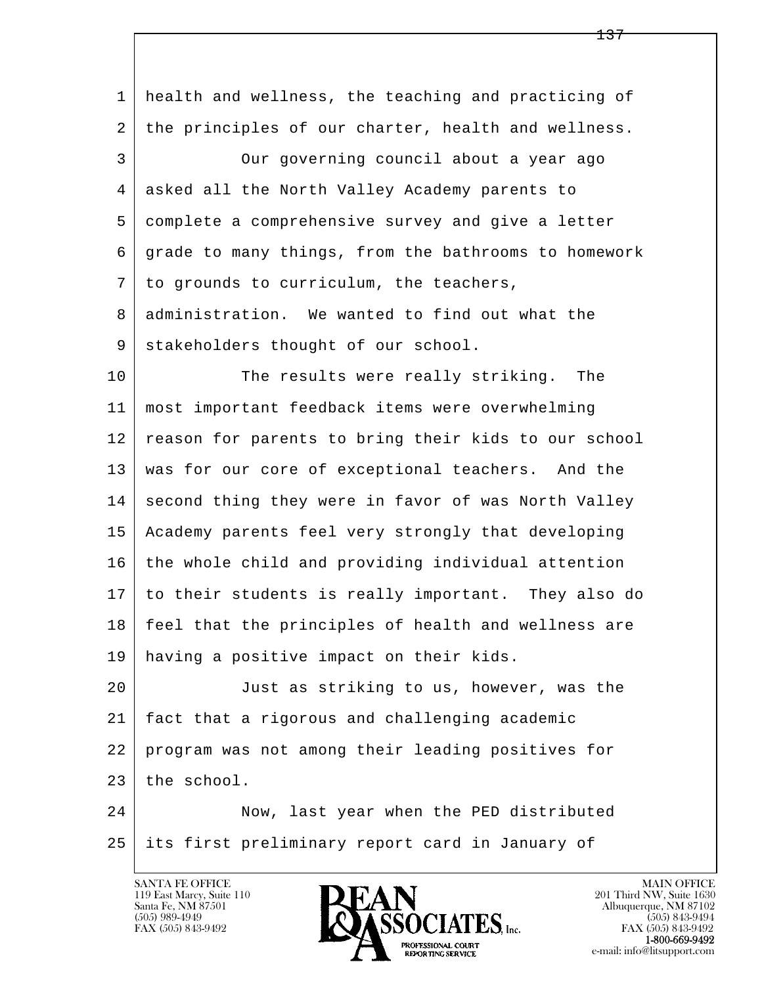| health and wellness, the teaching and practicing of  |
|------------------------------------------------------|
| the principles of our charter, health and wellness.  |
| Our governing council about a year ago               |
| asked all the North Valley Academy parents to        |
| complete a comprehensive survey and give a letter    |
| grade to many things, from the bathrooms to homework |
| to grounds to curriculum, the teachers,              |
| administration. We wanted to find out what the       |
| stakeholders thought of our school.                  |
| The results were really striking.<br>The             |
| most important feedback items were overwhelming      |
| reason for parents to bring their kids to our school |
| was for our core of exceptional teachers. And the    |
| second thing they were in favor of was North Valley  |
| Academy parents feel very strongly that developing   |
| the whole child and providing individual attention   |
| to their students is really important. They also do  |
| feel that the principles of health and wellness are  |
| having a positive impact on their kids.              |
| Just as striking to us, however, was the             |
| fact that a rigorous and challenging academic        |
| program was not among their leading positives for    |
| the school.                                          |
| Now, last year when the PED distributed              |
| its first preliminary report card in January of      |
|                                                      |

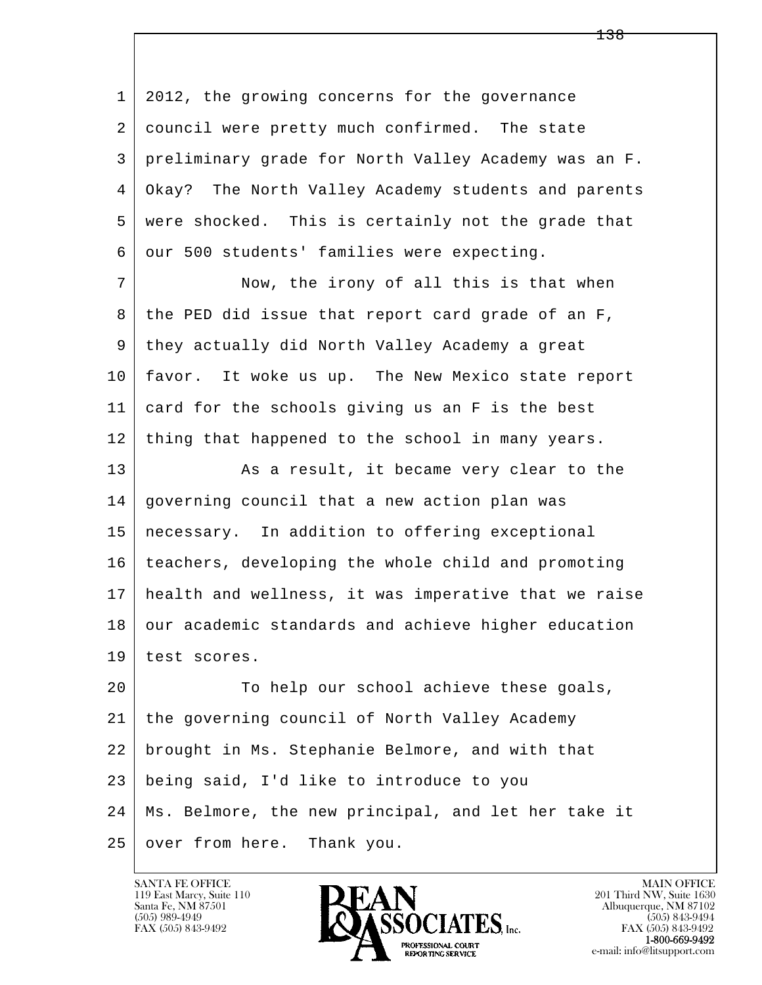l  $\overline{\phantom{a}}$  1 2012, the growing concerns for the governance 2 council were pretty much confirmed. The state 3 preliminary grade for North Valley Academy was an F. 4 Okay? The North Valley Academy students and parents 5 were shocked. This is certainly not the grade that 6 our 500 students' families were expecting. 7 Now, the irony of all this is that when 8 the PED did issue that report card grade of an F, 9 they actually did North Valley Academy a great 10 favor. It woke us up. The New Mexico state report 11 card for the schools giving us an F is the best 12 thing that happened to the school in many years. 13 As a result, it became very clear to the 14 governing council that a new action plan was 15 necessary. In addition to offering exceptional 16 teachers, developing the whole child and promoting 17 health and wellness, it was imperative that we raise 18 our academic standards and achieve higher education 19 test scores. 20 To help our school achieve these goals, 21 the governing council of North Valley Academy 22 brought in Ms. Stephanie Belmore, and with that 23 being said, I'd like to introduce to you 24 Ms. Belmore, the new principal, and let her take it 25 | over from here. Thank you.

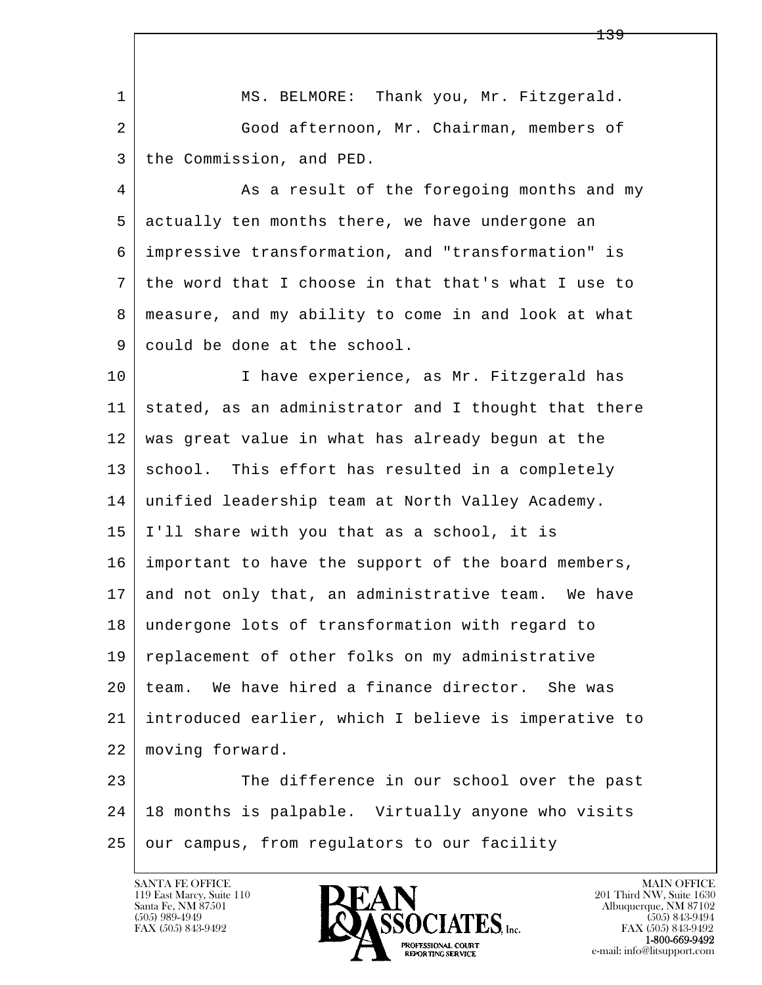|    | <del>139</del>                                       |
|----|------------------------------------------------------|
|    |                                                      |
| 1  | MS. BELMORE: Thank you, Mr. Fitzgerald.              |
| 2  | Good afternoon, Mr. Chairman, members of             |
| 3  | the Commission, and PED.                             |
| 4  | As a result of the foregoing months and my           |
| 5  | actually ten months there, we have undergone an      |
| 6  | impressive transformation, and "transformation" is   |
| 7  | the word that I choose in that that's what I use to  |
| 8  | measure, and my ability to come in and look at what  |
| 9  | could be done at the school.                         |
| 10 | I have experience, as Mr. Fitzgerald has             |
| 11 | stated, as an administrator and I thought that there |
| 12 | was great value in what has already begun at the     |
| 13 | school. This effort has resulted in a completely     |
| 14 | unified leadership team at North Valley Academy.     |
| 15 | I'll share with you that as a school, it is          |
| 16 | important to have the support of the board members,  |
| 17 | and not only that, an administrative team. We have   |
| 18 | undergone lots of transformation with regard to      |
| 19 | replacement of other folks on my administrative      |
| 20 | We have hired a finance director. She was<br>team.   |
| 21 | introduced earlier, which I believe is imperative to |
| 22 | moving forward.                                      |
| 23 | The difference in our school over the past           |
| 24 | 18 months is palpable. Virtually anyone who visits   |
| 25 | our campus, from regulators to our facility          |
|    |                                                      |

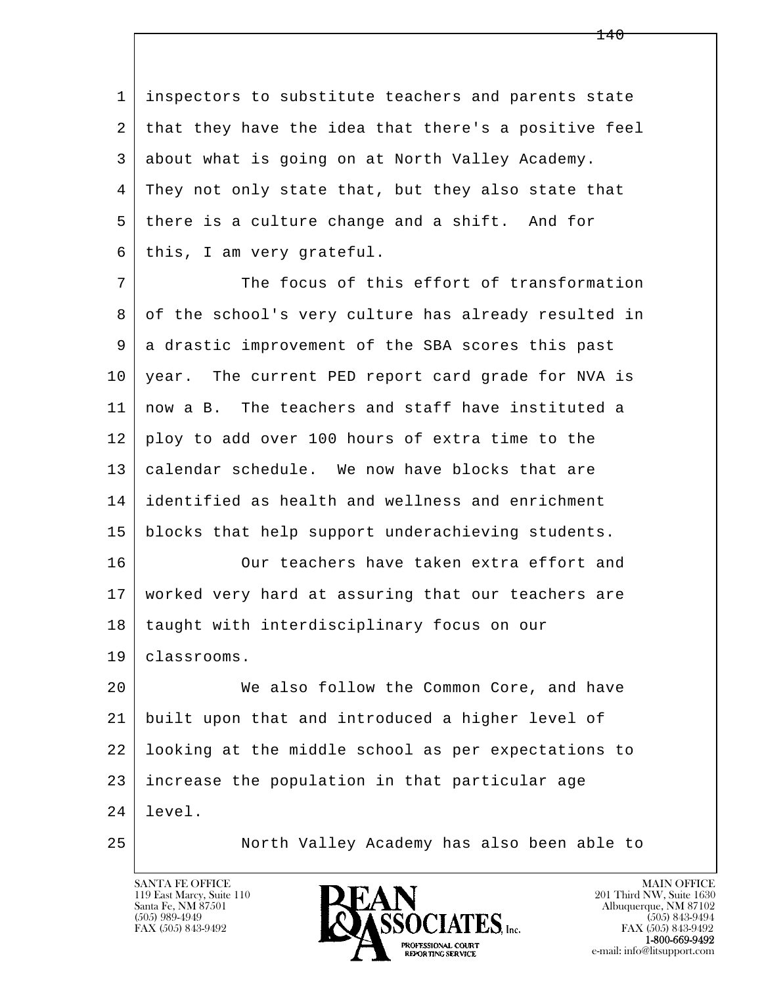1 inspectors to substitute teachers and parents state 2 that they have the idea that there's a positive feel 3 about what is going on at North Valley Academy. 4 They not only state that, but they also state that 5 there is a culture change and a shift. And for 6 | this, I am very grateful.

7 The focus of this effort of transformation 8 of the school's very culture has already resulted in 9 a drastic improvement of the SBA scores this past 10 | year. The current PED report card grade for NVA is 11 now a B. The teachers and staff have instituted a 12 ploy to add over 100 hours of extra time to the 13 calendar schedule. We now have blocks that are 14 identified as health and wellness and enrichment 15 blocks that help support underachieving students. 16 Our teachers have taken extra effort and

 17 worked very hard at assuring that our teachers are 18 | taught with interdisciplinary focus on our 19 classrooms.

l  $\overline{\phantom{a}}$ 20 We also follow the Common Core, and have 21 built upon that and introduced a higher level of 22 looking at the middle school as per expectations to 23 increase the population in that particular age  $24$  | level.

25 North Valley Academy has also been able to

119 East Marcy, Suite 110<br>Santa Fe, NM 87501

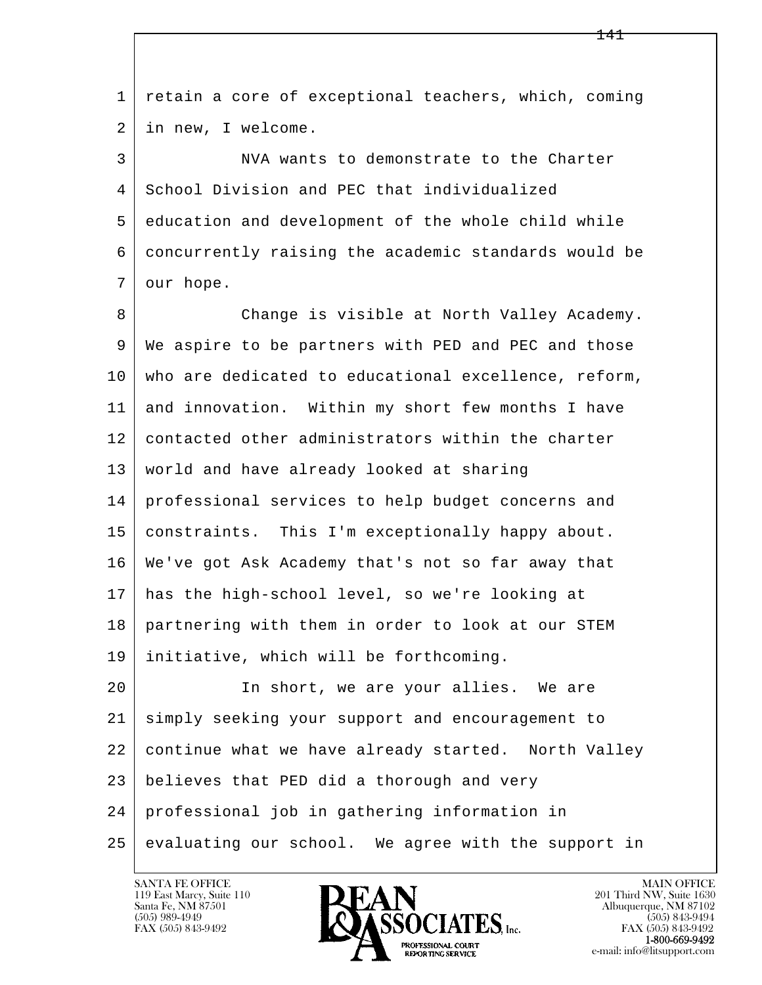l  $\overline{\phantom{a}}$  1 retain a core of exceptional teachers, which, coming 2 in new, I welcome. 3 NVA wants to demonstrate to the Charter 4 School Division and PEC that individualized 5 education and development of the whole child while 6 concurrently raising the academic standards would be 7 our hope. 8 Change is visible at North Valley Academy. 9 We aspire to be partners with PED and PEC and those 10 who are dedicated to educational excellence, reform, 11 and innovation. Within my short few months I have 12 contacted other administrators within the charter 13 world and have already looked at sharing 14 professional services to help budget concerns and 15 constraints. This I'm exceptionally happy about. 16 We've got Ask Academy that's not so far away that 17 has the high-school level, so we're looking at 18 partnering with them in order to look at our STEM 19 initiative, which will be forthcoming. 20 In short, we are your allies. We are 21 simply seeking your support and encouragement to 22 continue what we have already started. North Valley 23 believes that PED did a thorough and very 24 professional job in gathering information in  $25$  evaluating our school. We agree with the support in

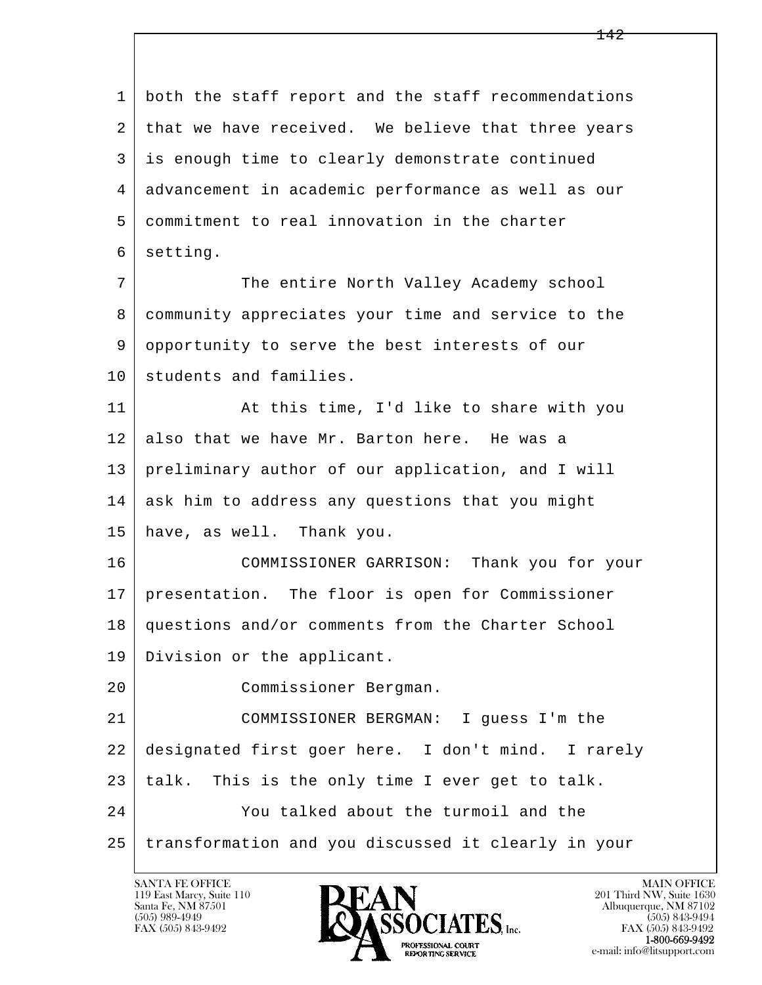l  $\overline{\phantom{a}}$  1 both the staff report and the staff recommendations 2 | that we have received. We believe that three years 3 is enough time to clearly demonstrate continued 4 advancement in academic performance as well as our 5 commitment to real innovation in the charter 6 setting. 7 The entire North Valley Academy school 8 community appreciates your time and service to the 9 opportunity to serve the best interests of our 10 students and families. 11 | At this time, I'd like to share with you 12 also that we have Mr. Barton here. He was a 13 preliminary author of our application, and I will 14 ask him to address any questions that you might 15 have, as well. Thank you. 16 COMMISSIONER GARRISON: Thank you for your 17 presentation. The floor is open for Commissioner 18 questions and/or comments from the Charter School 19 Division or the applicant. 20 Commissioner Bergman. 21 COMMISSIONER BERGMAN: I guess I'm the 22 designated first goer here. I don't mind. I rarely  $23$  | talk. This is the only time I ever get to talk. 24 You talked about the turmoil and the 25 transformation and you discussed it clearly in your

119 East Marcy, Suite 110<br>Santa Fe, NM 87501

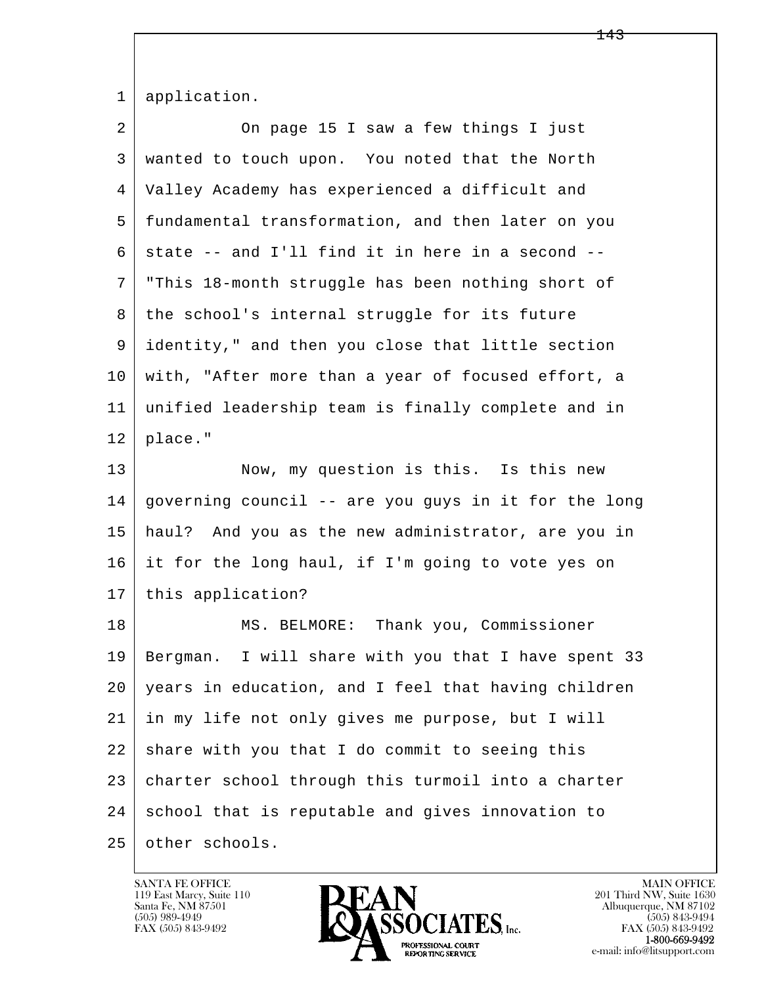|  | 1   application. |
|--|------------------|
|--|------------------|

| 2  | On page 15 I saw a few things I just                 |
|----|------------------------------------------------------|
| 3  | wanted to touch upon. You noted that the North       |
| 4  | Valley Academy has experienced a difficult and       |
| 5  | fundamental transformation, and then later on you    |
| 6  | state -- and I'll find it in here in a second --     |
| 7  | "This 18-month struggle has been nothing short of    |
| 8  | the school's internal struggle for its future        |
| 9  | identity," and then you close that little section    |
| 10 | with, "After more than a year of focused effort, a   |
| 11 | unified leadership team is finally complete and in   |
| 12 | place."                                              |
| 13 | Now, my question is this. Is this new                |
| 14 | governing council -- are you guys in it for the long |
| 15 | haul? And you as the new administrator, are you in   |
| 16 | it for the long haul, if I'm going to vote yes on    |
| 17 | this application?                                    |
| 18 | MS. BELMORE: Thank you, Commissioner                 |
| 19 | Bergman. I will share with you that I have spent 33  |
| 20 | years in education, and I feel that having children  |
| 21 | in my life not only gives me purpose, but I will     |
| 22 | share with you that I do commit to seeing this       |
| 23 | charter school through this turmoil into a charter   |
| 24 | school that is reputable and gives innovation to     |
| 25 | other schools.                                       |

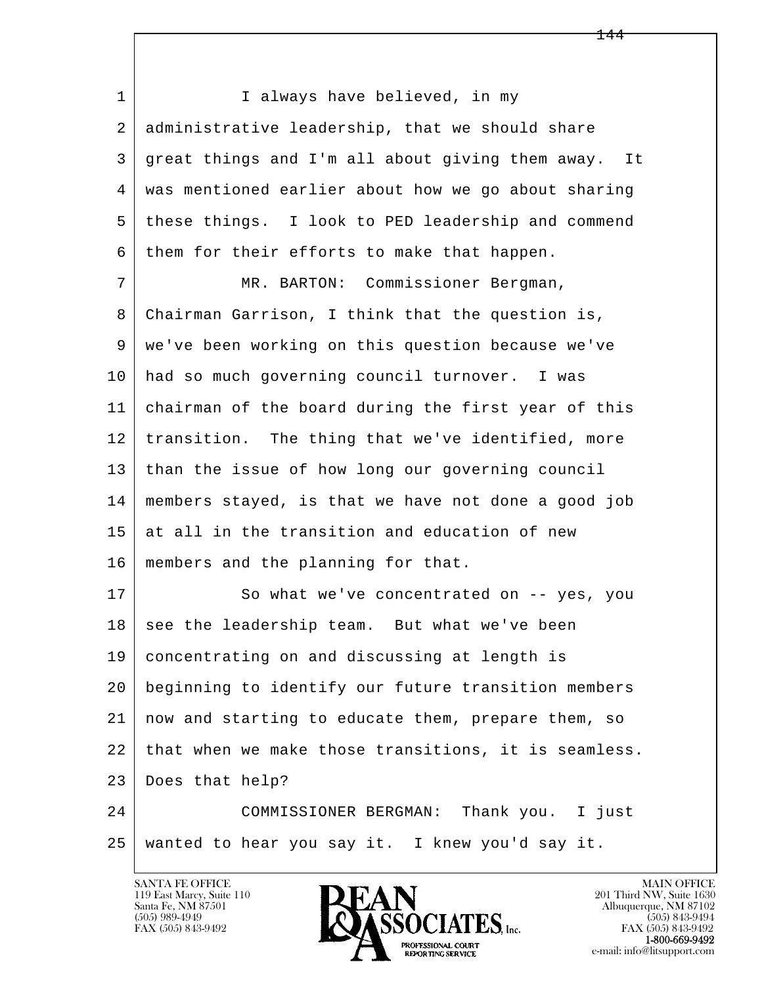l  $\overline{\phantom{a}}$ 1 | I always have believed, in my 2 administrative leadership, that we should share 3 great things and I'm all about giving them away. It 4 was mentioned earlier about how we go about sharing 5 these things. I look to PED leadership and commend 6 them for their efforts to make that happen. 7 MR. BARTON: Commissioner Bergman, 8 Chairman Garrison, I think that the question is, 9 we've been working on this question because we've 10 had so much governing council turnover. I was 11 chairman of the board during the first year of this 12 transition. The thing that we've identified, more 13 than the issue of how long our governing council 14 members stayed, is that we have not done a good job  $15$  at all in the transition and education of new 16 members and the planning for that. 17 So what we've concentrated on -- yes, you  $18$  see the leadership team. But what we've been 19 concentrating on and discussing at length is 20 beginning to identify our future transition members 21 now and starting to educate them, prepare them, so 22 | that when we make those transitions, it is seamless. 23 Does that help? 24 COMMISSIONER BERGMAN: Thank you. I just 25 wanted to hear you say it. I knew you'd say it.

119 East Marcy, Suite 110<br>Santa Fe, NM 87501

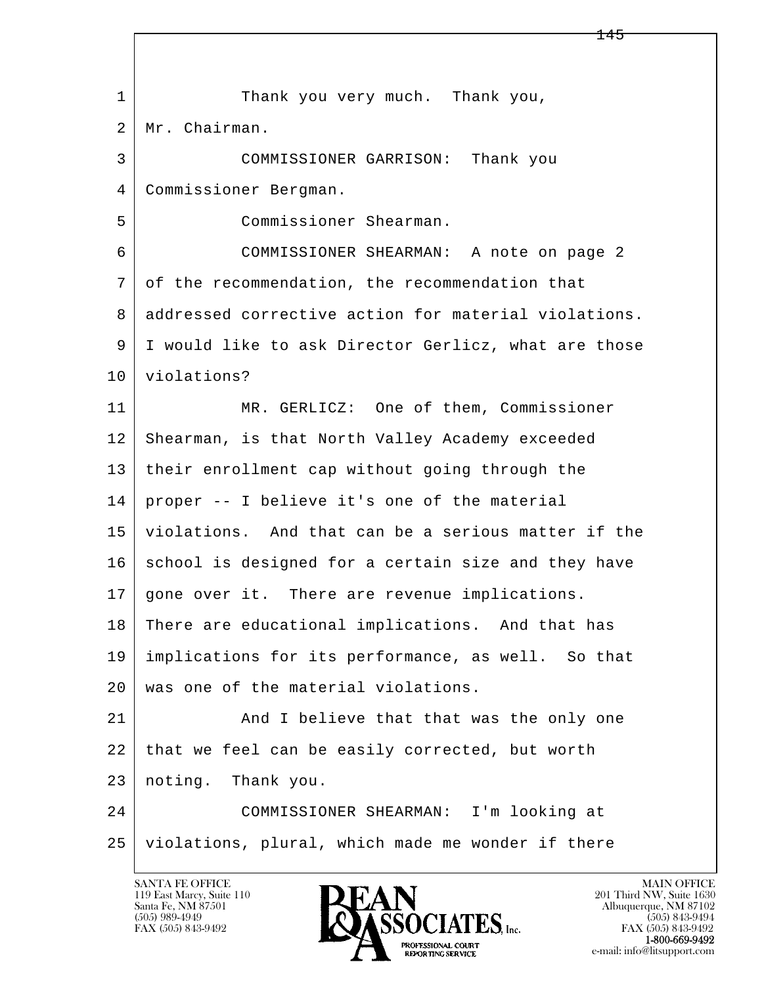|    | ᅩধ৴                                                  |
|----|------------------------------------------------------|
|    |                                                      |
| 1  | Thank you very much. Thank you,                      |
| 2  | Mr. Chairman.                                        |
| 3  | COMMISSIONER GARRISON: Thank you                     |
| 4  | Commissioner Bergman.                                |
| 5  | Commissioner Shearman.                               |
| 6  | COMMISSIONER SHEARMAN: A note on page 2              |
| 7  | of the recommendation, the recommendation that       |
| 8  | addressed corrective action for material violations. |
| 9  | I would like to ask Director Gerlicz, what are those |
| 10 | violations?                                          |
| 11 | MR. GERLICZ: One of them, Commissioner               |
| 12 | Shearman, is that North Valley Academy exceeded      |
| 13 | their enrollment cap without going through the       |
| 14 | proper -- I believe it's one of the material         |
| 15 | violations. And that can be a serious matter if the  |
| 16 | school is designed for a certain size and they have  |
| 17 | gone over it. There are revenue implications.        |
| 18 | There are educational implications. And that has     |
| 19 | implications for its performance, as well. So that   |
| 20 | was one of the material violations.                  |
| 21 | And I believe that that was the only one             |
| 22 | that we feel can be easily corrected, but worth      |
| 23 | noting. Thank you.                                   |
| 24 | COMMISSIONER SHEARMAN: I'm looking at                |
| 25 | violations, plural, which made me wonder if there    |
|    |                                                      |

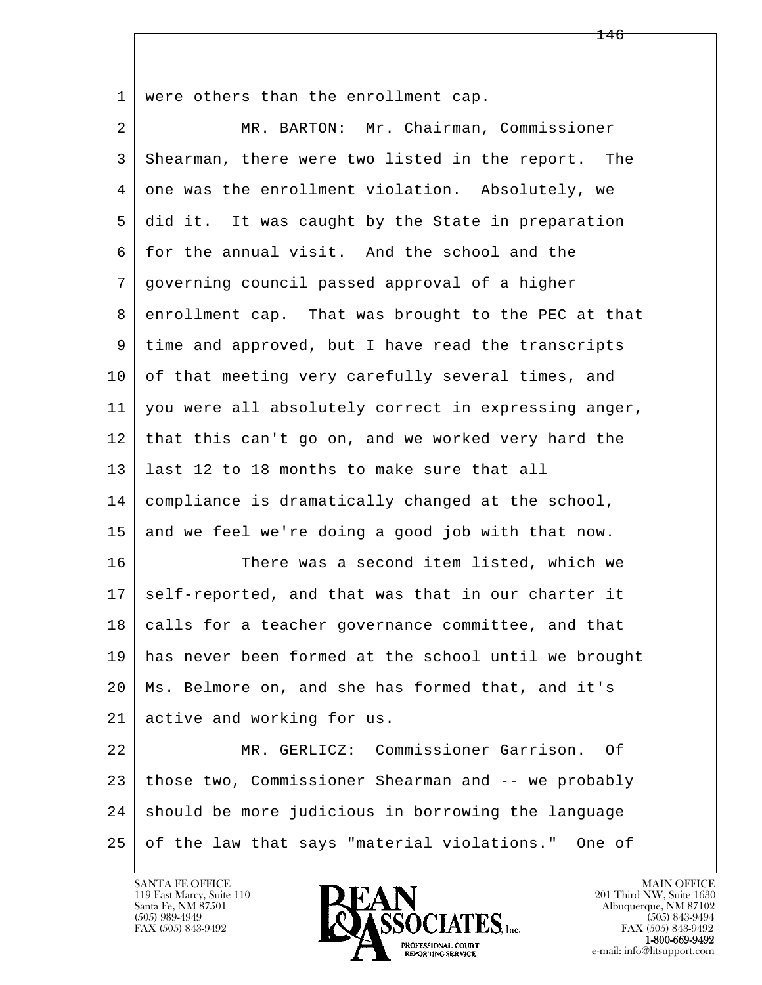1 were others than the enrollment cap.

l  $\overline{\phantom{a}}$  2 MR. BARTON: Mr. Chairman, Commissioner 3 Shearman, there were two listed in the report. The 4 one was the enrollment violation. Absolutely, we 5 did it. It was caught by the State in preparation 6 for the annual visit. And the school and the 7 governing council passed approval of a higher 8 enrollment cap. That was brought to the PEC at that 9 time and approved, but I have read the transcripts 10 of that meeting very carefully several times, and 11 you were all absolutely correct in expressing anger, 12 that this can't go on, and we worked very hard the 13 last 12 to 18 months to make sure that all 14 compliance is dramatically changed at the school, 15 and we feel we're doing a good job with that now. 16 There was a second item listed, which we 17 self-reported, and that was that in our charter it 18 calls for a teacher governance committee, and that 19 has never been formed at the school until we brought 20 Ms. Belmore on, and she has formed that, and it's 21 active and working for us. 22 MR. GERLICZ: Commissioner Garrison. Of 23 those two, Commissioner Shearman and -- we probably 24 | should be more judicious in borrowing the language 25 of the law that says "material violations." One of

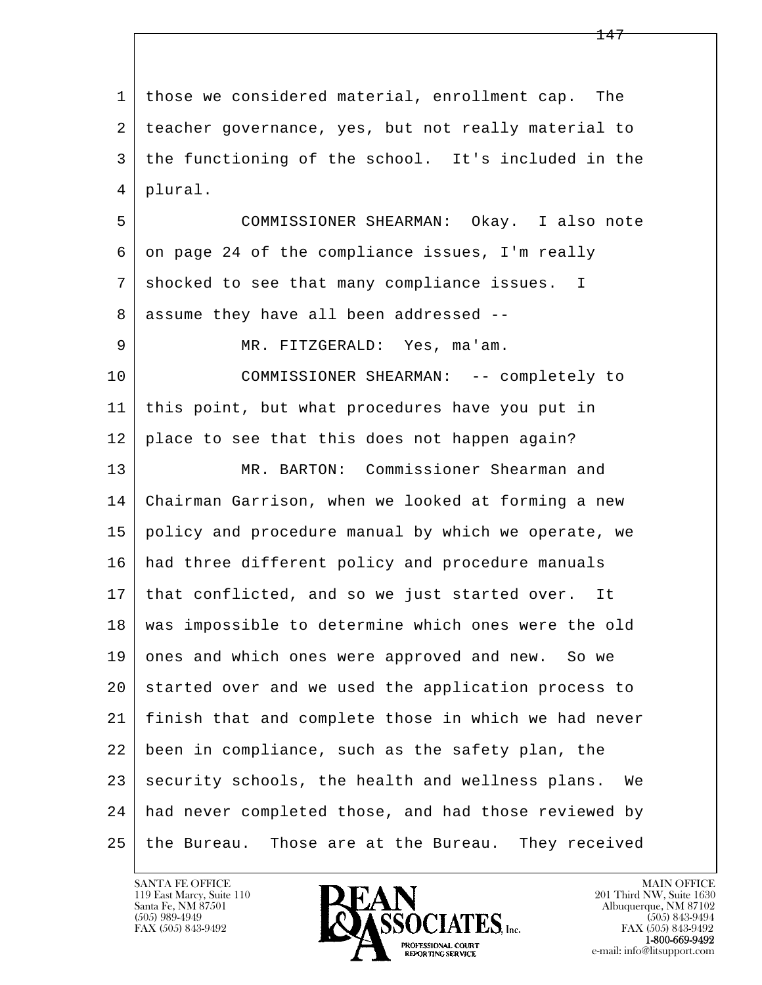l  $\overline{\phantom{a}}$  1 those we considered material, enrollment cap. The 2 teacher governance, yes, but not really material to 3 the functioning of the school. It's included in the 4 plural. 5 COMMISSIONER SHEARMAN: Okay. I also note  $6$  on page 24 of the compliance issues, I'm really 7 shocked to see that many compliance issues. I 8 assume they have all been addressed -- 9 MR. FITZGERALD: Yes, ma'am. 10 COMMISSIONER SHEARMAN: -- completely to 11 this point, but what procedures have you put in 12 | place to see that this does not happen again? 13 MR. BARTON: Commissioner Shearman and 14 Chairman Garrison, when we looked at forming a new 15 policy and procedure manual by which we operate, we 16 had three different policy and procedure manuals 17 that conflicted, and so we just started over. It 18 was impossible to determine which ones were the old 19 ones and which ones were approved and new. So we 20 started over and we used the application process to 21 finish that and complete those in which we had never 22 been in compliance, such as the safety plan, the 23 security schools, the health and wellness plans. We 24 had never completed those, and had those reviewed by 25 the Bureau. Those are at the Bureau. They received

<u>247 - Jan Barnett, mars and a strong strong strong strong strong strong strong strong strong strong strong strong</u>

119 East Marcy, Suite 110<br>Santa Fe, NM 87501

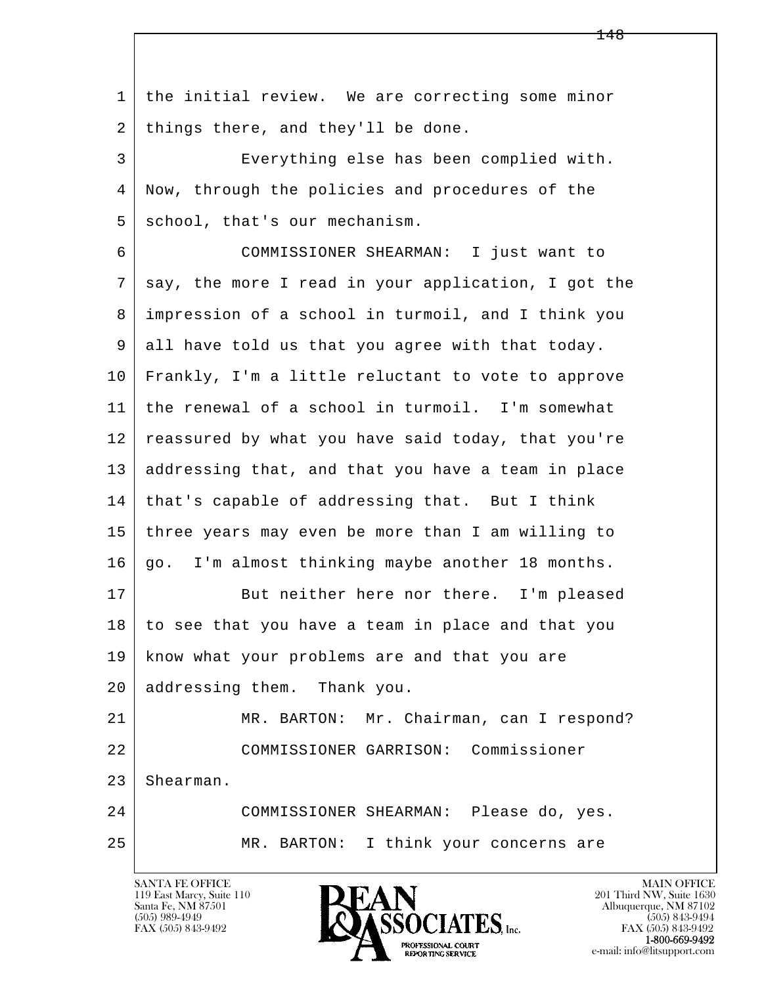l  $\overline{\phantom{a}}$  1 the initial review. We are correcting some minor 2 | things there, and they'll be done. 3 Everything else has been complied with. 4 Now, through the policies and procedures of the 5 school, that's our mechanism. 6 COMMISSIONER SHEARMAN: I just want to 7 | say, the more I read in your application, I got the 8 impression of a school in turmoil, and I think you 9 all have told us that you agree with that today. 10 Frankly, I'm a little reluctant to vote to approve 11 the renewal of a school in turmoil. I'm somewhat 12 reassured by what you have said today, that you're 13 addressing that, and that you have a team in place  $14$  that's capable of addressing that. But I think 15 three years may even be more than I am willing to 16 go. I'm almost thinking maybe another 18 months. 17 But neither here nor there. I'm pleased 18 to see that you have a team in place and that you 19 know what your problems are and that you are 20 addressing them. Thank you. 21 | MR. BARTON: Mr. Chairman, can I respond? 22 COMMISSIONER GARRISON: Commissioner 23 Shearman. 24 COMMISSIONER SHEARMAN: Please do, yes. 25 MR. BARTON: I think your concerns are

119 East Marcy, Suite 110<br>Santa Fe, NM 87501



FAX (505) 843-9492<br>**1-800-669-9492**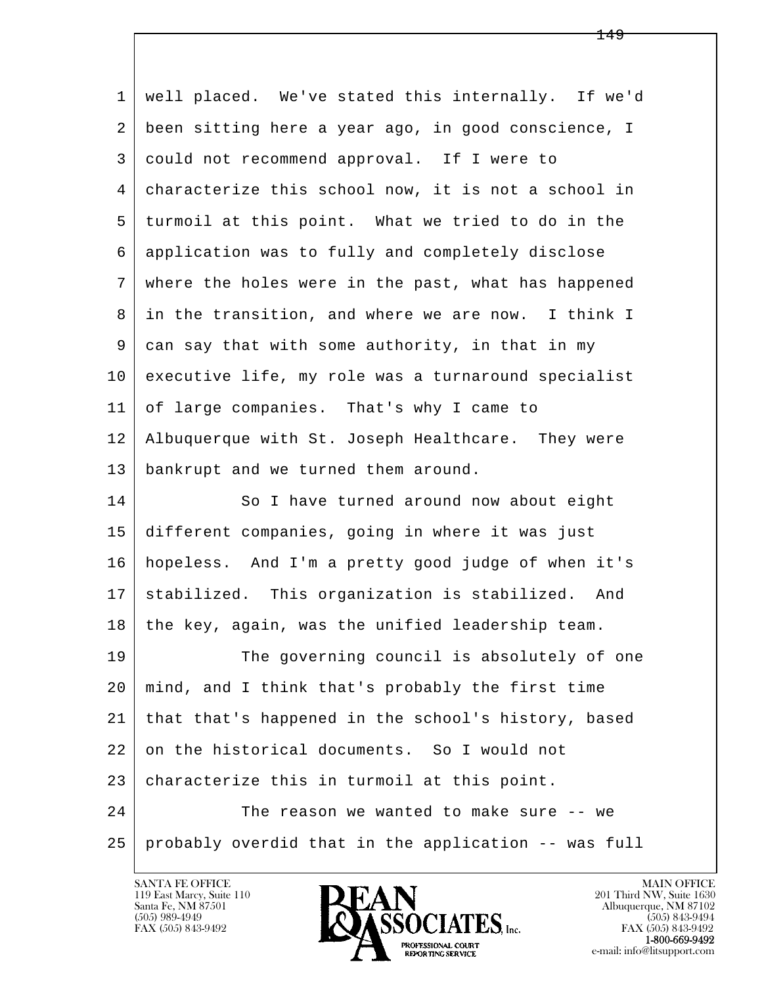l  $\overline{\phantom{a}}$  1 well placed. We've stated this internally. If we'd 2 been sitting here a year ago, in good conscience, I 3 could not recommend approval. If I were to 4 characterize this school now, it is not a school in 5 turmoil at this point. What we tried to do in the 6 application was to fully and completely disclose 7 where the holes were in the past, what has happened 8 in the transition, and where we are now. I think I 9 can say that with some authority, in that in my 10 executive life, my role was a turnaround specialist 11 of large companies. That's why I came to 12 Albuquerque with St. Joseph Healthcare. They were 13 bankrupt and we turned them around. 14 So I have turned around now about eight 15 different companies, going in where it was just 16 hopeless. And I'm a pretty good judge of when it's 17 stabilized. This organization is stabilized. And 18 the key, again, was the unified leadership team. 19 The governing council is absolutely of one 20 mind, and I think that's probably the first time 21 that that's happened in the school's history, based 22 on the historical documents. So I would not 23 characterize this in turmoil at this point. 24 The reason we wanted to make sure -- we 25 probably overdid that in the application -- was full



FAX (505) 843-9492<br>1-800-669-9492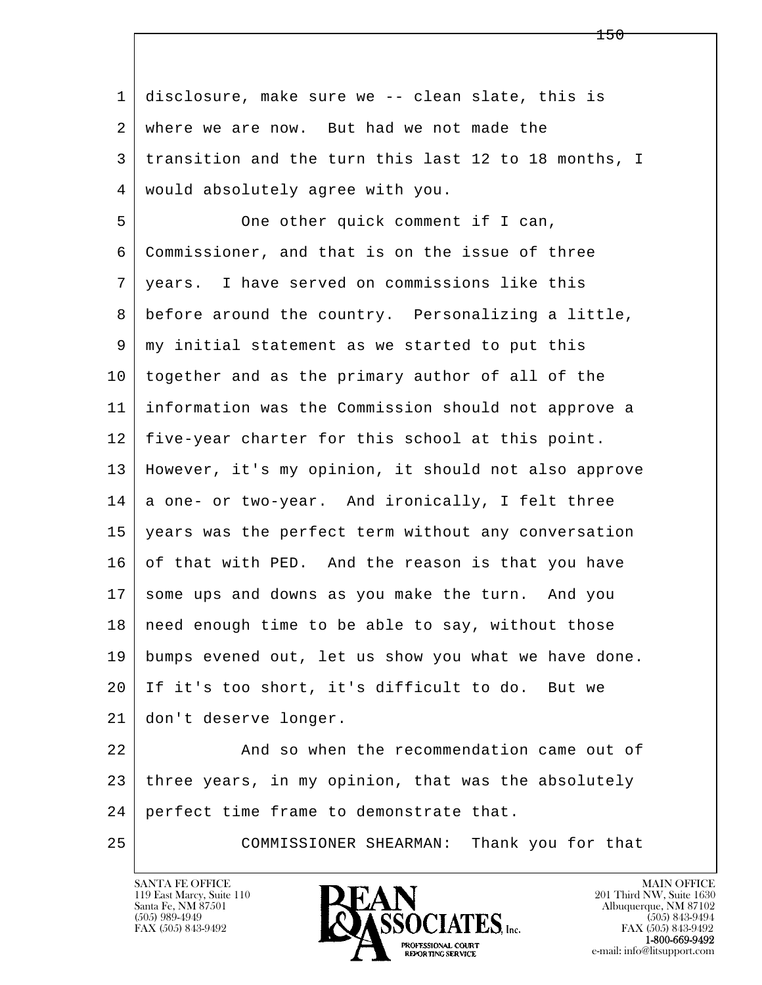l  $\overline{\phantom{a}}$  1 disclosure, make sure we -- clean slate, this is 2 where we are now. But had we not made the 3 transition and the turn this last 12 to 18 months, I 4 would absolutely agree with you. 5 One other quick comment if I can, 6 Commissioner, and that is on the issue of three 7 years. I have served on commissions like this 8 before around the country. Personalizing a little, 9 my initial statement as we started to put this 10 together and as the primary author of all of the 11 information was the Commission should not approve a 12 five-year charter for this school at this point. 13 However, it's my opinion, it should not also approve 14 a one- or two-year. And ironically, I felt three 15 years was the perfect term without any conversation  $16$  of that with PED. And the reason is that you have 17 some ups and downs as you make the turn. And you 18 | need enough time to be able to say, without those 19 bumps evened out, let us show you what we have done. 20 If it's too short, it's difficult to do. But we 21 don't deserve longer. 22 And so when the recommendation came out of 23 three years, in my opinion, that was the absolutely 24 perfect time frame to demonstrate that. 25 COMMISSIONER SHEARMAN: Thank you for that

119 East Marcy, Suite 110<br>Santa Fe, NM 87501

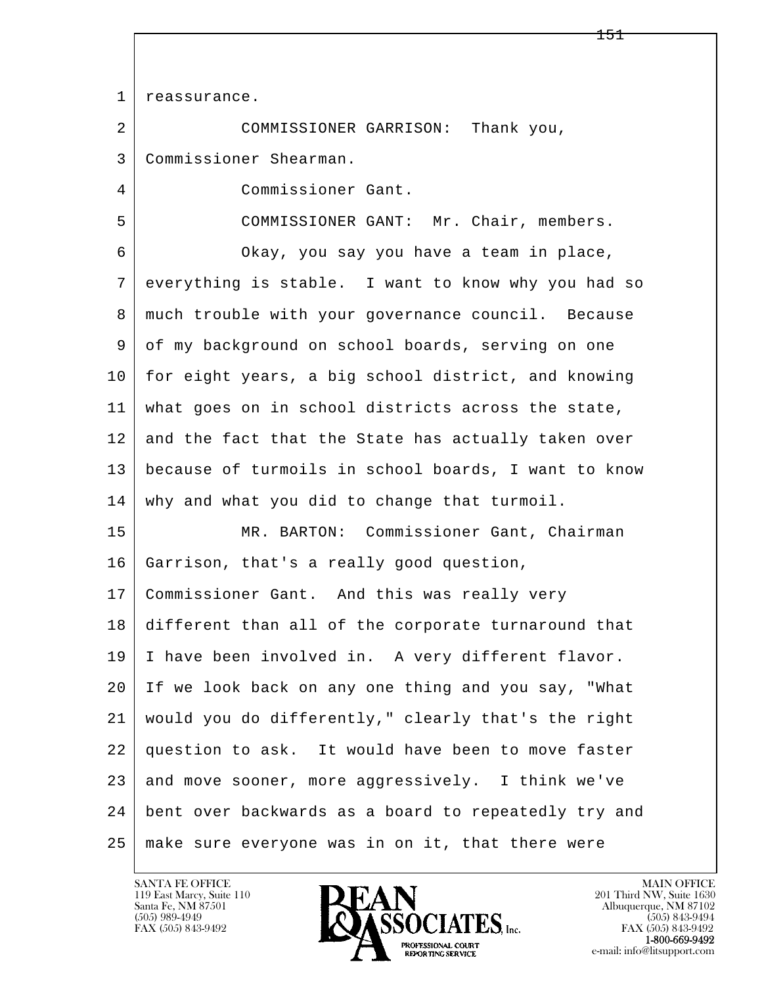l  $\overline{\phantom{a}}$ 1 | reassurance. 2 COMMISSIONER GARRISON: Thank you, 3 Commissioner Shearman. 4 Commissioner Gant. 5 COMMISSIONER GANT: Mr. Chair, members. 6 Okay, you say you have a team in place, 7 everything is stable. I want to know why you had so 8 much trouble with your governance council. Because 9 of my background on school boards, serving on one 10 for eight years, a big school district, and knowing 11 what goes on in school districts across the state, 12 and the fact that the State has actually taken over 13 because of turmoils in school boards, I want to know 14 | why and what you did to change that turmoil. 15 MR. BARTON: Commissioner Gant, Chairman 16 Garrison, that's a really good question, 17 Commissioner Gant. And this was really very 18 different than all of the corporate turnaround that 19 I have been involved in. A very different flavor. 20 If we look back on any one thing and you say, "What 21 would you do differently," clearly that's the right 22 question to ask. It would have been to move faster 23 and move sooner, more aggressively. I think we've 24 bent over backwards as a board to repeatedly try and 25 make sure everyone was in on it, that there were

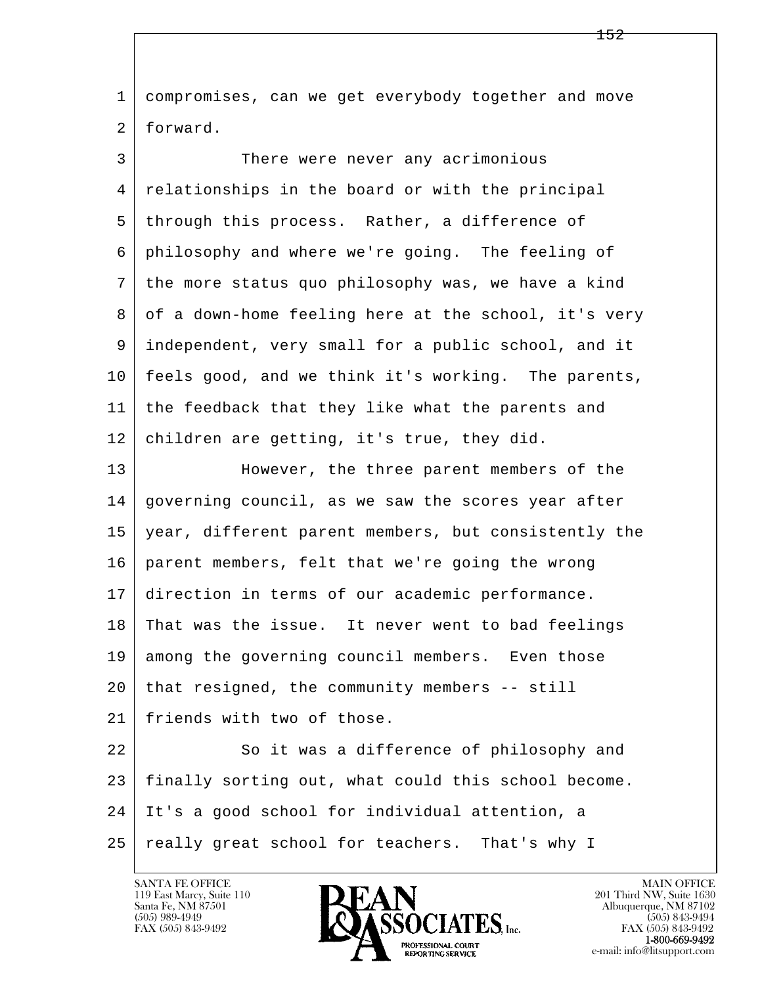l  $\overline{\phantom{a}}$  1 compromises, can we get everybody together and move 2 forward. 3 There were never any acrimonious 4 relationships in the board or with the principal 5 through this process. Rather, a difference of 6 philosophy and where we're going. The feeling of 7 the more status quo philosophy was, we have a kind 8 of a down-home feeling here at the school, it's very 9 independent, very small for a public school, and it 10 feels good, and we think it's working. The parents, 11 the feedback that they like what the parents and 12 children are getting, it's true, they did. 13 However, the three parent members of the 14 governing council, as we saw the scores year after 15 year, different parent members, but consistently the 16 parent members, felt that we're going the wrong 17 direction in terms of our academic performance. 18 That was the issue. It never went to bad feelings 19 among the governing council members. Even those  $20$  that resigned, the community members  $-$ - still 21 friends with two of those. 22 So it was a difference of philosophy and 23 finally sorting out, what could this school become. 24 It's a good school for individual attention, a 25 | really great school for teachers. That's why I



FAX (505) 843-9492<br>**1-800-669-9492**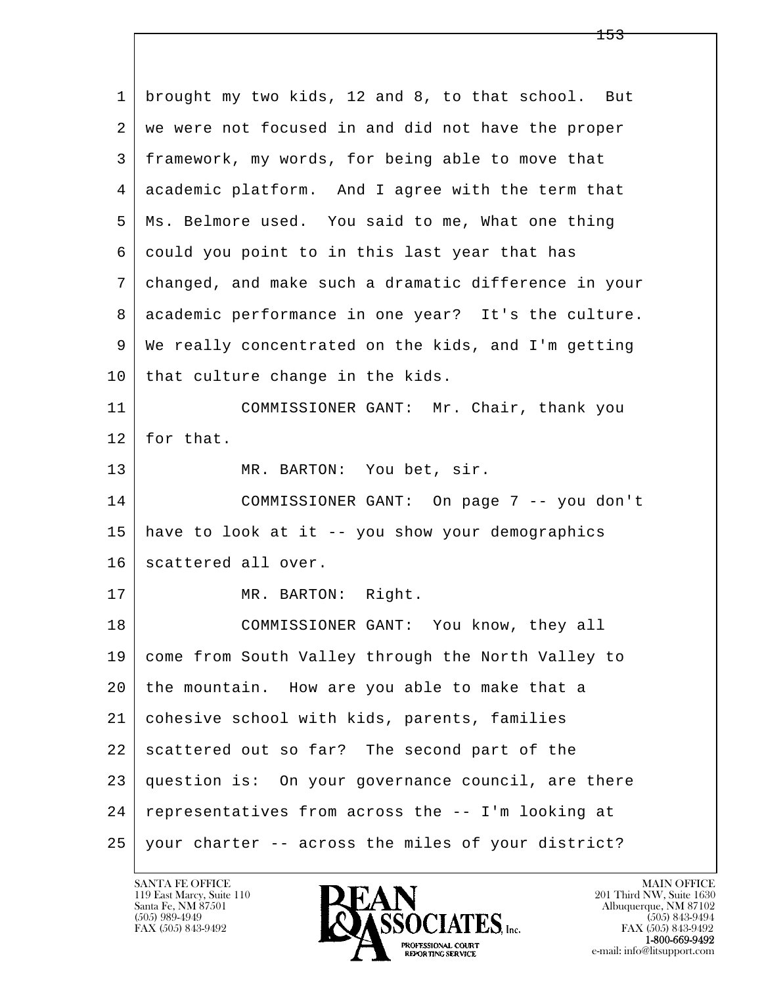l  $\overline{\phantom{a}}$  1 brought my two kids, 12 and 8, to that school. But 2 | we were not focused in and did not have the proper 3 framework, my words, for being able to move that 4 academic platform. And I agree with the term that 5 Ms. Belmore used. You said to me, What one thing 6 could you point to in this last year that has 7 changed, and make such a dramatic difference in your 8 | academic performance in one year? It's the culture. 9 We really concentrated on the kids, and I'm getting 10 that culture change in the kids. 11 COMMISSIONER GANT: Mr. Chair, thank you 12 | for that. 13 MR. BARTON: You bet, sir. 14 COMMISSIONER GANT: On page 7 -- you don't 15 have to look at it -- you show your demographics 16 scattered all over. 17 | MR. BARTON: Right. 18 COMMISSIONER GANT: You know, they all 19 come from South Valley through the North Valley to 20 the mountain. How are you able to make that a 21 cohesive school with kids, parents, families 22 scattered out so far? The second part of the 23 question is: On your governance council, are there 24 representatives from across the -- I'm looking at 25 your charter -- across the miles of your district?

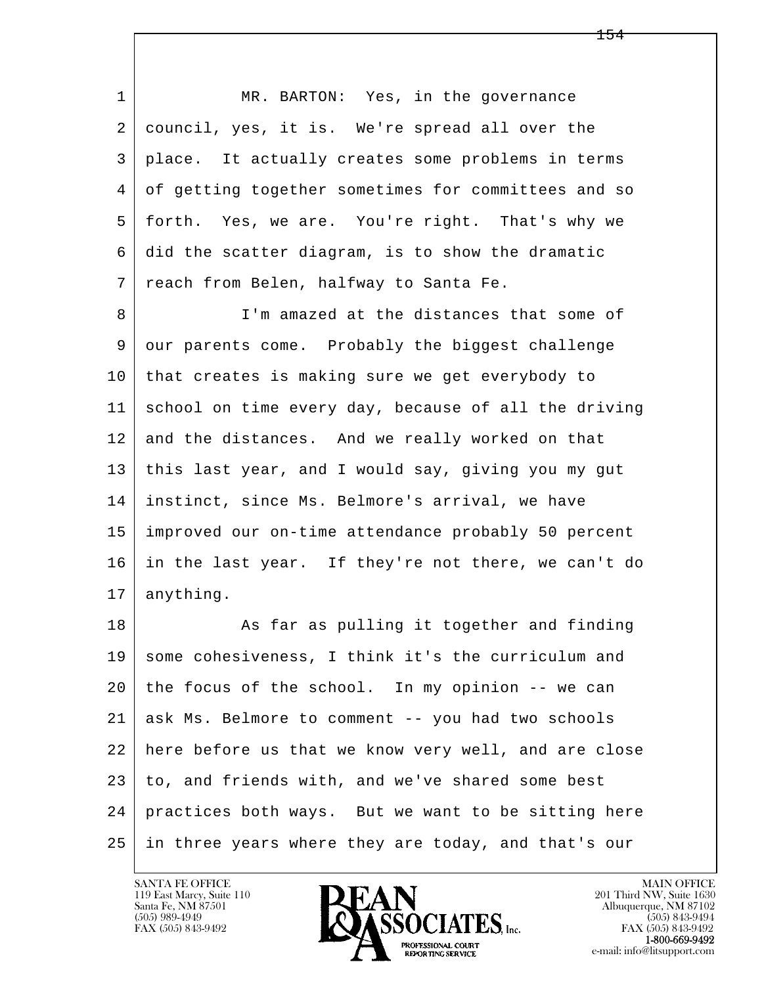l  $\overline{\phantom{a}}$ 1 MR. BARTON: Yes, in the governance 2 council, yes, it is. We're spread all over the 3 place. It actually creates some problems in terms 4 of getting together sometimes for committees and so 5 forth. Yes, we are. You're right. That's why we 6 did the scatter diagram, is to show the dramatic 7 reach from Belen, halfway to Santa Fe. 8 I'm amazed at the distances that some of 9 our parents come. Probably the biggest challenge 10 that creates is making sure we get everybody to 11 school on time every day, because of all the driving 12 and the distances. And we really worked on that 13 this last year, and I would say, giving you my gut 14 instinct, since Ms. Belmore's arrival, we have 15 improved our on-time attendance probably 50 percent 16 in the last year. If they're not there, we can't do 17 | anything. 18 | As far as pulling it together and finding 19 some cohesiveness, I think it's the curriculum and 20 the focus of the school. In my opinion -- we can 21 ask Ms. Belmore to comment -- you had two schools 22 here before us that we know very well, and are close  $23$  to, and friends with, and we've shared some best 24 practices both ways. But we want to be sitting here 25 in three years where they are today, and that's our

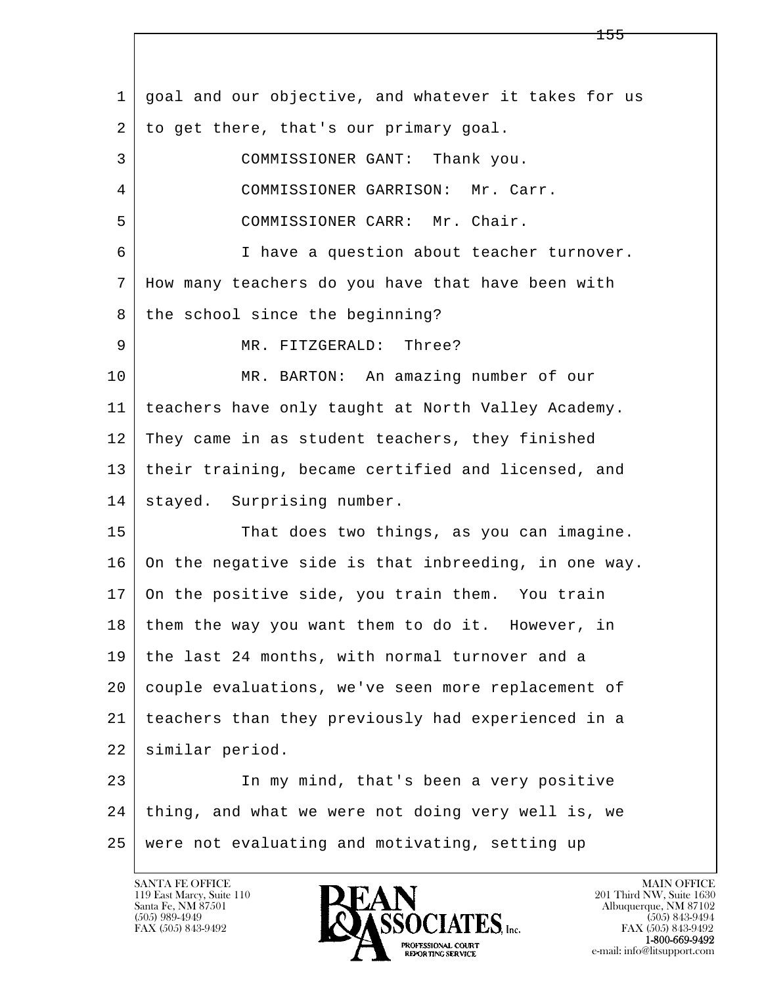l  $\overline{\phantom{a}}$  1 goal and our objective, and whatever it takes for us 2 to get there, that's our primary goal. 3 COMMISSIONER GANT: Thank you. 4 COMMISSIONER GARRISON: Mr. Carr. 5 COMMISSIONER CARR: Mr. Chair. 6 I have a question about teacher turnover. 7 How many teachers do you have that have been with 8 the school since the beginning? 9 MR. FITZGERALD: Three? 10 MR. BARTON: An amazing number of our 11 teachers have only taught at North Valley Academy. 12 They came in as student teachers, they finished 13 their training, became certified and licensed, and 14 | stayed. Surprising number. 15 That does two things, as you can imagine. 16 On the negative side is that inbreeding, in one way. 17 On the positive side, you train them. You train 18 | them the way you want them to do it. However, in 19 the last 24 months, with normal turnover and a 20 couple evaluations, we've seen more replacement of 21 teachers than they previously had experienced in a 22 similar period. 23 In my mind, that's been a very positive 24 thing, and what we were not doing very well is, we 25 were not evaluating and motivating, setting up

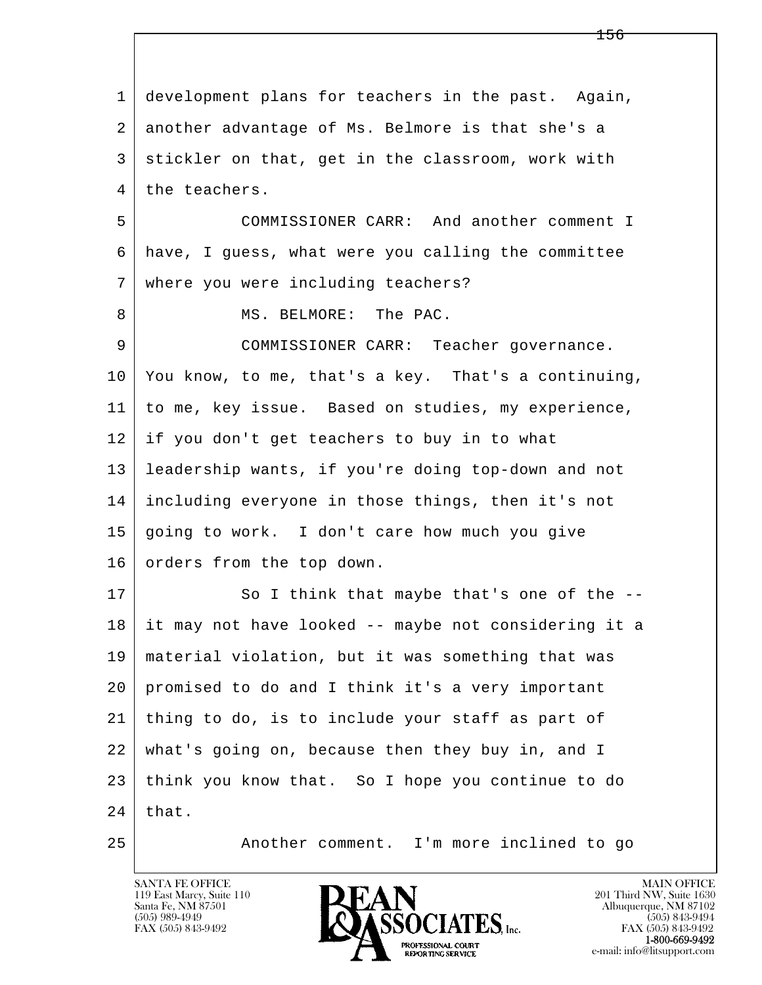l  $\overline{\phantom{a}}$  1 development plans for teachers in the past. Again, 2 another advantage of Ms. Belmore is that she's a 3 stickler on that, get in the classroom, work with 4 the teachers. 5 COMMISSIONER CARR: And another comment I 6 have, I guess, what were you calling the committee 7 where you were including teachers? 8 MS. BELMORE: The PAC. 9 COMMISSIONER CARR: Teacher governance. 10 You know, to me, that's a key. That's a continuing, 11 to me, key issue. Based on studies, my experience, 12 if you don't get teachers to buy in to what 13 leadership wants, if you're doing top-down and not 14 including everyone in those things, then it's not 15 going to work. I don't care how much you give 16 orders from the top down. 17 So I think that maybe that's one of the -- 18 it may not have looked -- maybe not considering it a 19 material violation, but it was something that was 20 promised to do and I think it's a very important 21 thing to do, is to include your staff as part of 22 what's going on, because then they buy in, and I 23 think you know that. So I hope you continue to do  $24$  that. 25 Another comment. I'm more inclined to go

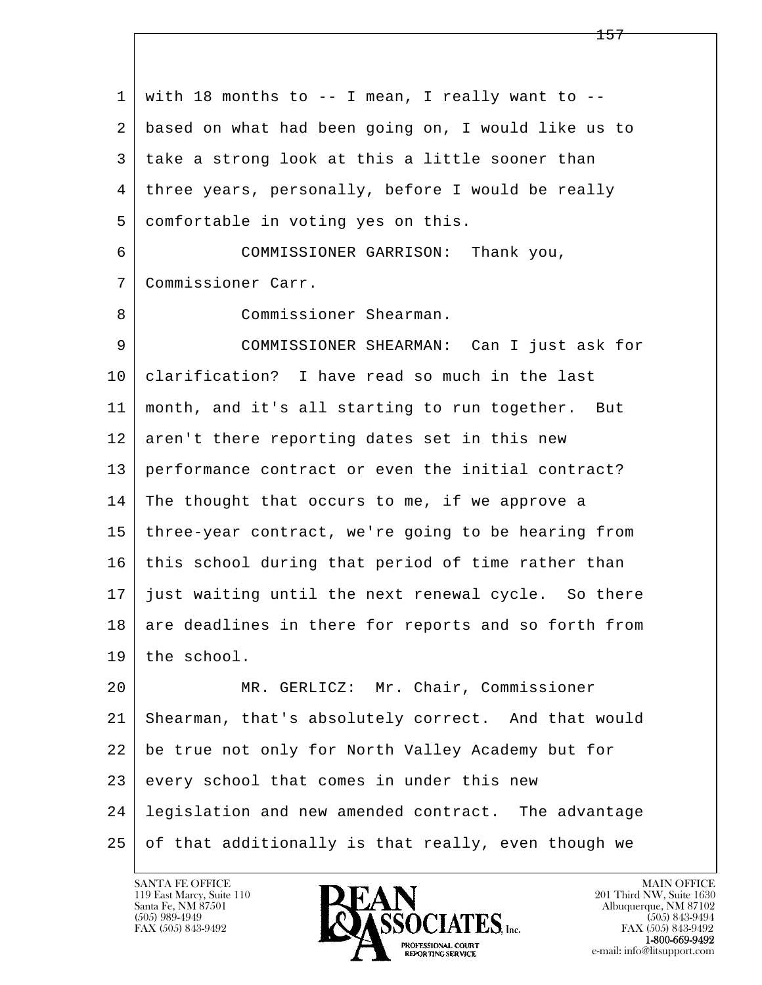l  $\overline{\phantom{a}}$  $1 \mid$  with 18 months to -- I mean, I really want to -- 2 based on what had been going on, I would like us to 3 take a strong look at this a little sooner than 4 three years, personally, before I would be really 5 | comfortable in voting yes on this. 6 COMMISSIONER GARRISON: Thank you, 7 Commissioner Carr. 8 Commissioner Shearman. 9 COMMISSIONER SHEARMAN: Can I just ask for 10 clarification? I have read so much in the last 11 month, and it's all starting to run together. But 12 aren't there reporting dates set in this new 13 performance contract or even the initial contract? 14 | The thought that occurs to me, if we approve a 15 three-year contract, we're going to be hearing from 16 this school during that period of time rather than 17 just waiting until the next renewal cycle. So there 18 are deadlines in there for reports and so forth from 19 the school. 20 MR. GERLICZ: Mr. Chair, Commissioner 21 Shearman, that's absolutely correct. And that would 22 be true not only for North Valley Academy but for 23 every school that comes in under this new 24 legislation and new amended contract. The advantage 25 of that additionally is that really, even though we

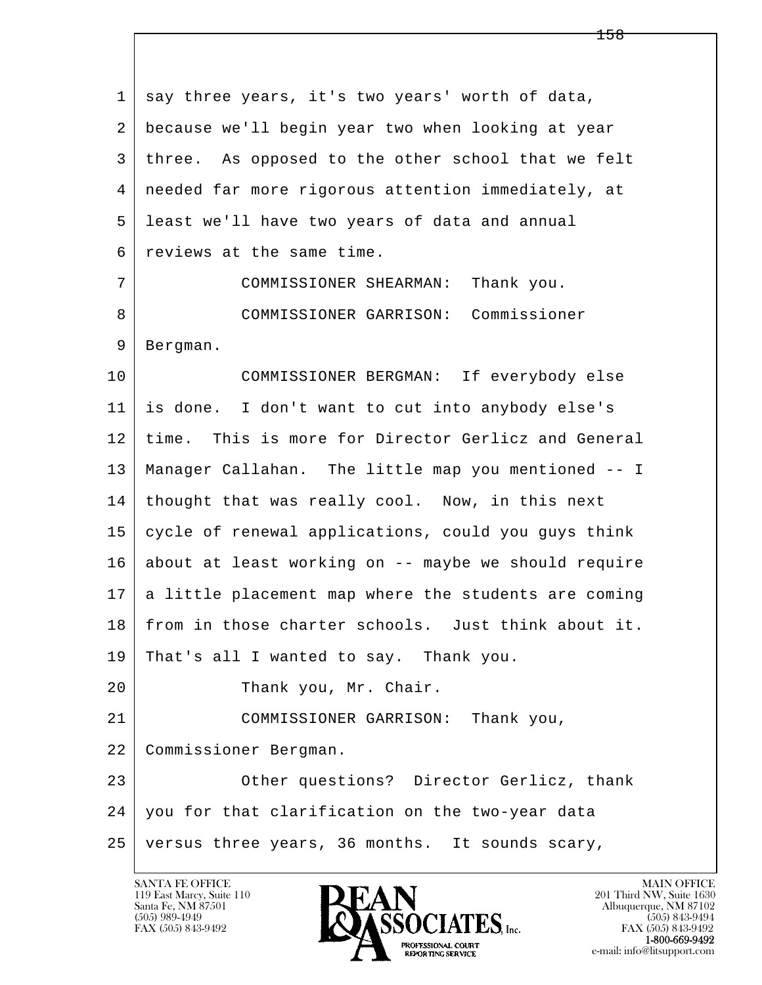l  $\overline{\phantom{a}}$ 1 say three years, it's two years' worth of data, 2 because we'll begin year two when looking at year 3 three. As opposed to the other school that we felt 4 needed far more rigorous attention immediately, at 5 least we'll have two years of data and annual 6 reviews at the same time. 7 COMMISSIONER SHEARMAN: Thank you. 8 COMMISSIONER GARRISON: Commissioner 9 Bergman. 10 COMMISSIONER BERGMAN: If everybody else 11 is done. I don't want to cut into anybody else's 12 time. This is more for Director Gerlicz and General 13 Manager Callahan. The little map you mentioned -- I 14 thought that was really cool. Now, in this next 15 cycle of renewal applications, could you guys think 16 about at least working on -- maybe we should require 17 a little placement map where the students are coming 18 from in those charter schools. Just think about it. 19 That's all I wanted to say. Thank you. 20 Thank you, Mr. Chair. 21 COMMISSIONER GARRISON: Thank you, 22 Commissioner Bergman. 23 Other questions? Director Gerlicz, thank 24 you for that clarification on the two-year data 25 versus three years, 36 months. It sounds scary,

119 East Marcy, Suite 110<br>Santa Fe, NM 87501

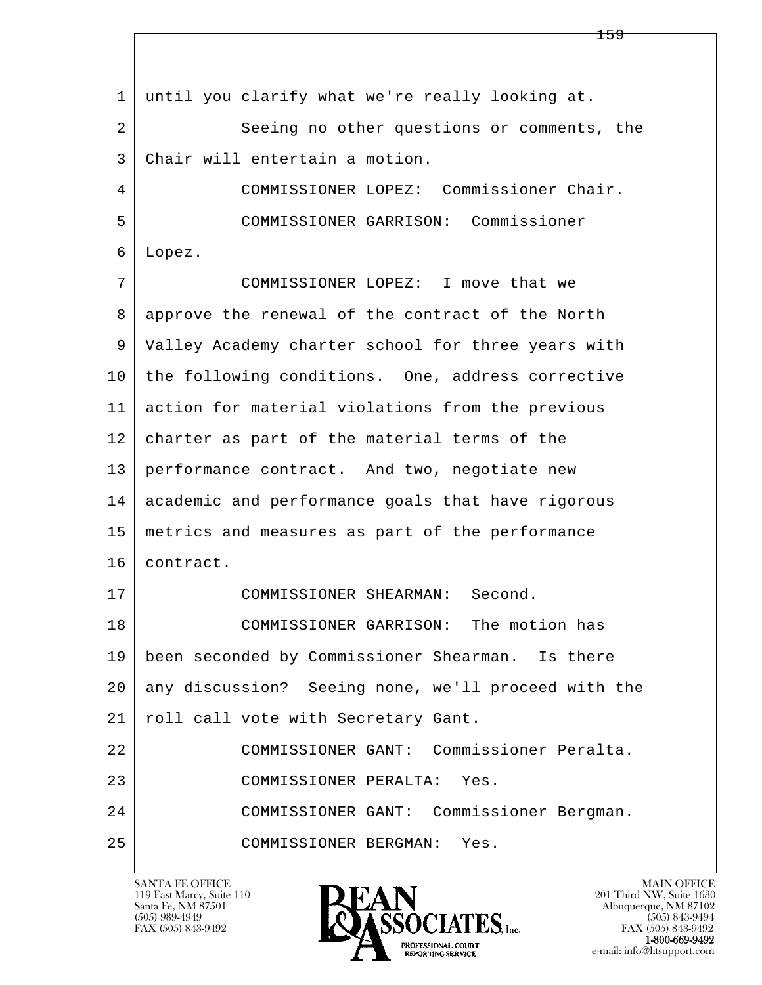l  $\overline{\phantom{a}}$  1 until you clarify what we're really looking at. 2 | Seeing no other questions or comments, the 3 Chair will entertain a motion. 4 COMMISSIONER LOPEZ: Commissioner Chair. 5 COMMISSIONER GARRISON: Commissioner 6 Lopez. 7 COMMISSIONER LOPEZ: I move that we 8 approve the renewal of the contract of the North 9 Valley Academy charter school for three years with 10 the following conditions. One, address corrective 11 action for material violations from the previous 12 charter as part of the material terms of the 13 performance contract. And two, negotiate new 14 academic and performance goals that have rigorous 15 metrics and measures as part of the performance 16 contract. 17 COMMISSIONER SHEARMAN: Second. 18 | COMMISSIONER GARRISON: The motion has 19 been seconded by Commissioner Shearman. Is there 20 any discussion? Seeing none, we'll proceed with the 21 | roll call vote with Secretary Gant. 22 COMMISSIONER GANT: Commissioner Peralta. 23 COMMISSIONER PERALTA: Yes. 24 COMMISSIONER GANT: Commissioner Bergman. 25 COMMISSIONER BERGMAN: Yes.

119 East Marcy, Suite 110<br>Santa Fe, NM 87501



FAX (505) 843-9492<br>**1-800-669-9492**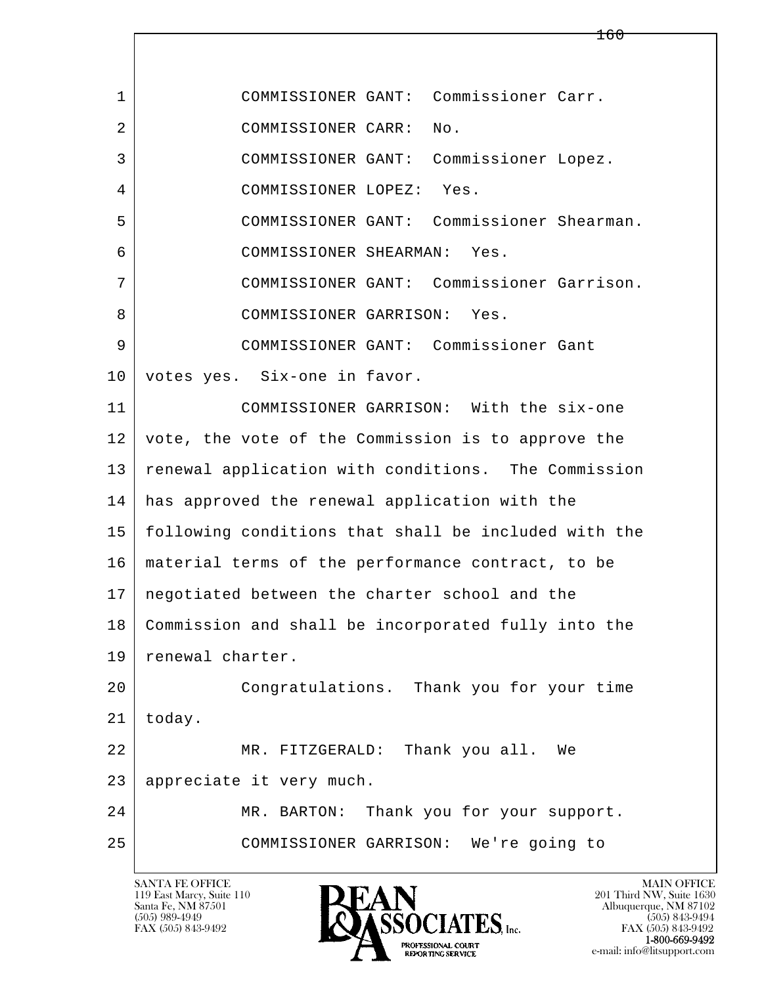l  $\overline{\phantom{a}}$  1 COMMISSIONER GANT: Commissioner Carr. 2 COMMISSIONER CARR: No. 3 COMMISSIONER GANT: Commissioner Lopez. 4 COMMISSIONER LOPEZ: Yes. 5 COMMISSIONER GANT: Commissioner Shearman. 6 COMMISSIONER SHEARMAN: Yes. 7 COMMISSIONER GANT: Commissioner Garrison. 8 COMMISSIONER GARRISON: Yes. 9 COMMISSIONER GANT: Commissioner Gant 10 votes yes. Six-one in favor. 11 COMMISSIONER GARRISON: With the six-one 12 vote, the vote of the Commission is to approve the 13 | renewal application with conditions. The Commission 14 has approved the renewal application with the 15 following conditions that shall be included with the 16 material terms of the performance contract, to be 17 negotiated between the charter school and the 18 Commission and shall be incorporated fully into the 19 | renewal charter. 20 Congratulations. Thank you for your time  $21$  today. 22 MR. FITZGERALD: Thank you all. We 23 appreciate it very much. 24 MR. BARTON: Thank you for your support. 25 COMMISSIONER GARRISON: We're going to

119 East Marcy, Suite 110<br>Santa Fe, NM 87501

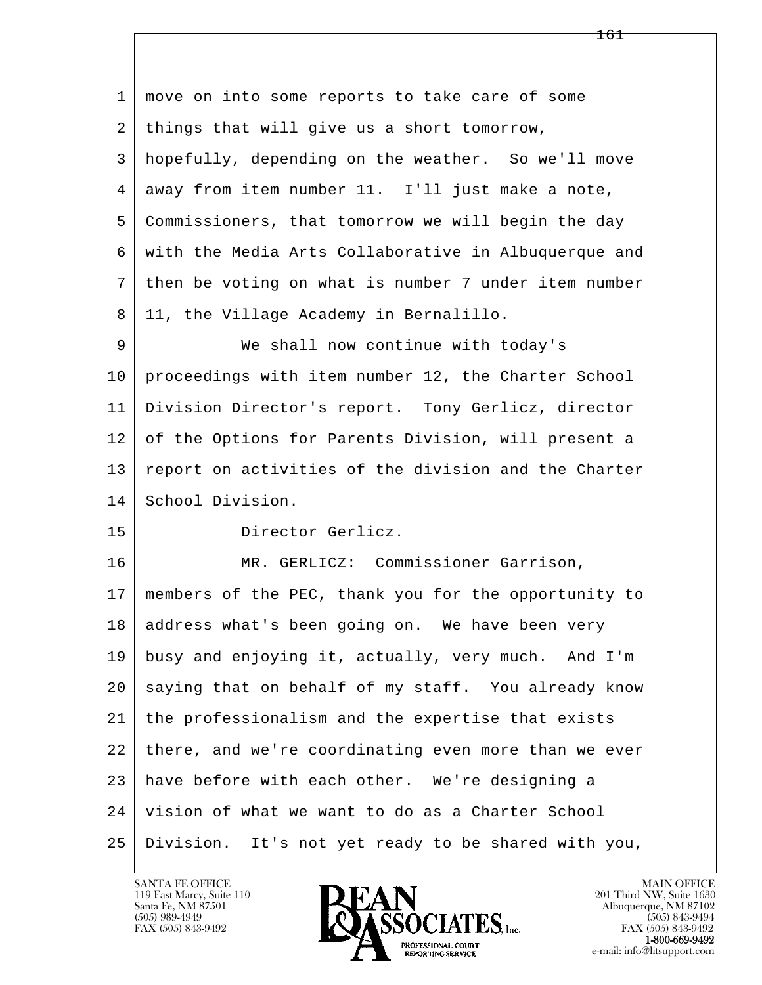l  $\overline{\phantom{a}}$  1 move on into some reports to take care of some 2 | things that will give us a short tomorrow, 3 hopefully, depending on the weather. So we'll move 4 away from item number 11. I'll just make a note, 5 Commissioners, that tomorrow we will begin the day 6 with the Media Arts Collaborative in Albuquerque and 7 then be voting on what is number 7 under item number 8 | 11, the Village Academy in Bernalillo. 9 We shall now continue with today's 10 proceedings with item number 12, the Charter School 11 Division Director's report. Tony Gerlicz, director 12 of the Options for Parents Division, will present a 13 report on activities of the division and the Charter 14 School Division. 15 Director Gerlicz. 16 | MR. GERLICZ: Commissioner Garrison, 17 members of the PEC, thank you for the opportunity to 18 address what's been going on. We have been very 19 busy and enjoying it, actually, very much. And I'm 20 saying that on behalf of my staff. You already know 21 the professionalism and the expertise that exists 22 there, and we're coordinating even more than we ever 23 have before with each other. We're designing a 24 vision of what we want to do as a Charter School 25 Division. It's not yet ready to be shared with you,

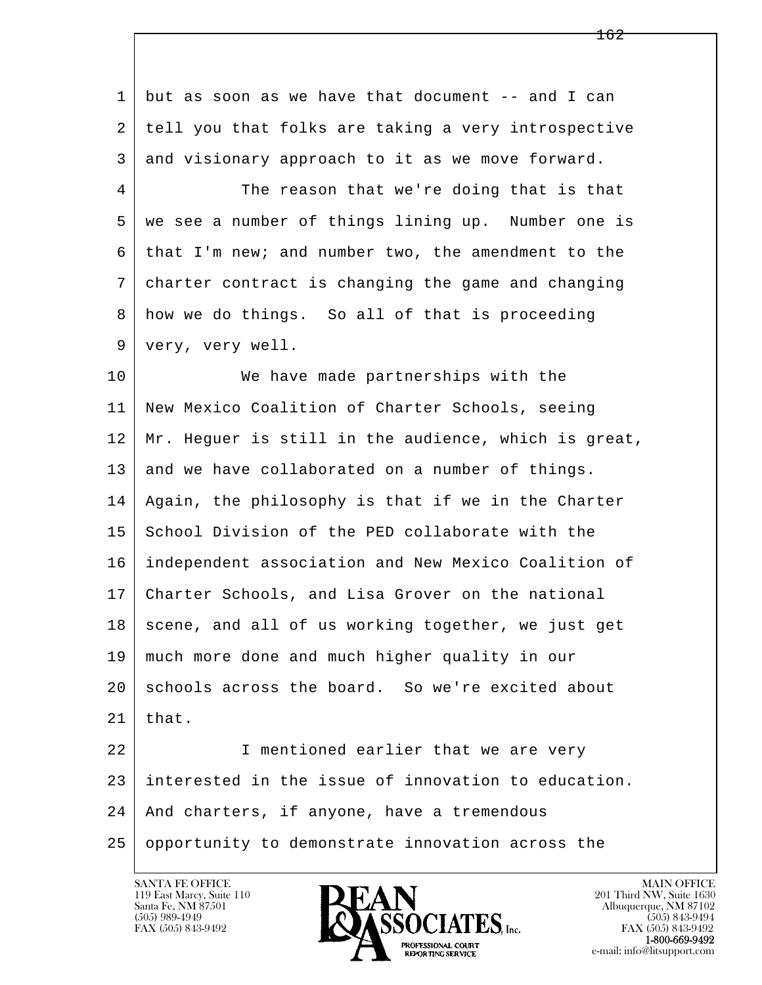l  $\overline{\phantom{a}}$  1 but as soon as we have that document -- and I can 2 tell you that folks are taking a very introspective 3 and visionary approach to it as we move forward. 4 The reason that we're doing that is that 5 we see a number of things lining up. Number one is 6 that I'm new; and number two, the amendment to the 7 charter contract is changing the game and changing 8 how we do things. So all of that is proceeding 9 very, very well. 10 We have made partnerships with the 11 New Mexico Coalition of Charter Schools, seeing 12 Mr. Heguer is still in the audience, which is great, 13 and we have collaborated on a number of things. 14 Again, the philosophy is that if we in the Charter 15 School Division of the PED collaborate with the 16 independent association and New Mexico Coalition of 17 Charter Schools, and Lisa Grover on the national 18 scene, and all of us working together, we just get 19 much more done and much higher quality in our 20 schools across the board. So we're excited about  $21$  that. 22 I mentioned earlier that we are very 23 interested in the issue of innovation to education. 24 | And charters, if anyone, have a tremendous 25 opportunity to demonstrate innovation across the

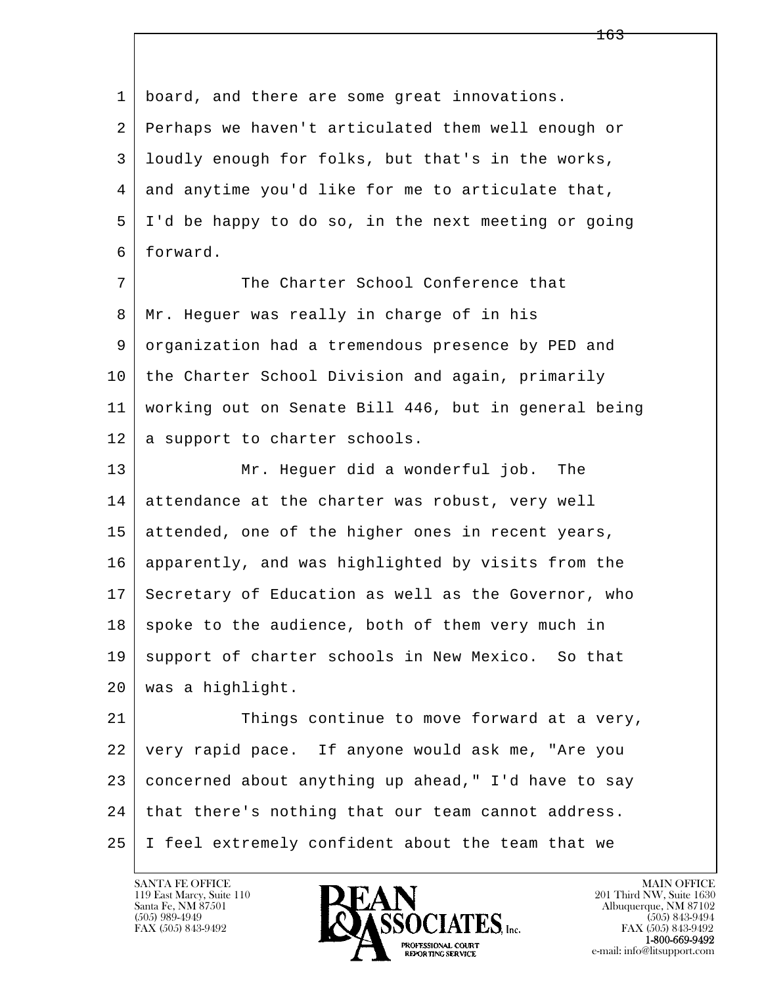l  $\overline{\phantom{a}}$  1 board, and there are some great innovations. 2 Perhaps we haven't articulated them well enough or 3 loudly enough for folks, but that's in the works, 4 and anytime you'd like for me to articulate that, 5 I'd be happy to do so, in the next meeting or going 6 forward. 7 The Charter School Conference that 8 | Mr. Heguer was really in charge of in his 9 organization had a tremendous presence by PED and 10 the Charter School Division and again, primarily 11 working out on Senate Bill 446, but in general being 12 | a support to charter schools. 13 Mr. Heguer did a wonderful job. The 14 attendance at the charter was robust, very well 15 attended, one of the higher ones in recent years, 16 apparently, and was highlighted by visits from the 17 Secretary of Education as well as the Governor, who  $18$  spoke to the audience, both of them very much in 19 support of charter schools in New Mexico. So that 20 was a highlight. 21 Things continue to move forward at a very, 22 very rapid pace. If anyone would ask me, "Are you 23 concerned about anything up ahead," I'd have to say 24 | that there's nothing that our team cannot address. 25 I feel extremely confident about the team that we

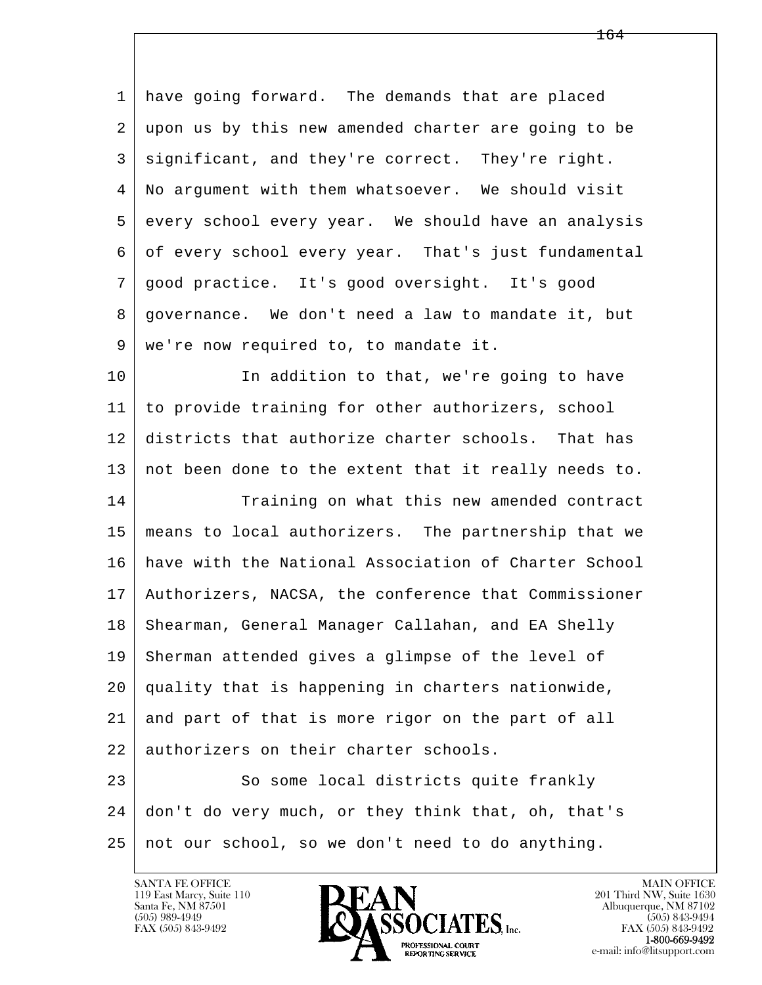1 have going forward. The demands that are placed 2 upon us by this new amended charter are going to be 3 significant, and they're correct. They're right. 4 No argument with them whatsoever. We should visit 5 every school every year. We should have an analysis 6 of every school every year. That's just fundamental 7 good practice. It's good oversight. It's good 8 governance. We don't need a law to mandate it, but 9 we're now required to, to mandate it.

10 In addition to that, we're going to have 11 to provide training for other authorizers, school 12 districts that authorize charter schools. That has 13 not been done to the extent that it really needs to.

14 Training on what this new amended contract 15 means to local authorizers. The partnership that we 16 have with the National Association of Charter School 17 Authorizers, NACSA, the conference that Commissioner 18 | Shearman, General Manager Callahan, and EA Shelly 19 Sherman attended gives a glimpse of the level of 20 quality that is happening in charters nationwide, 21 and part of that is more rigor on the part of all 22 authorizers on their charter schools.

l  $\overline{\phantom{a}}$ 23 So some local districts quite frankly 24 don't do very much, or they think that, oh, that's 25 not our school, so we don't need to do anything.



FAX (505) 843-9492<br>1-800-669-9492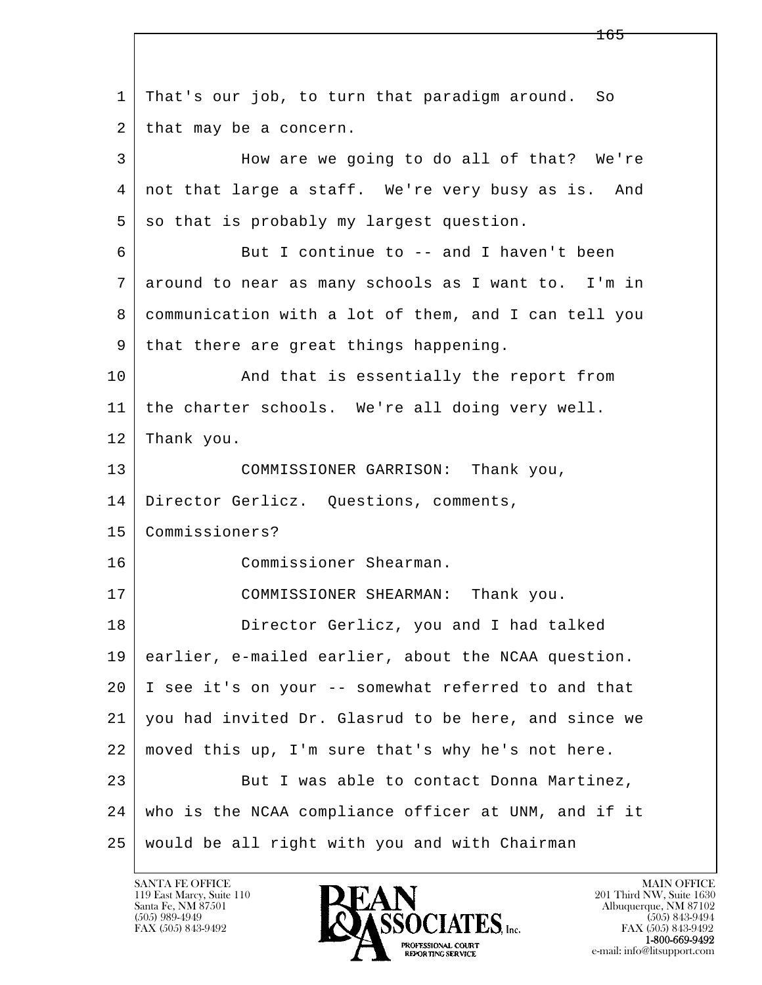l  $\overline{\phantom{a}}$  1 That's our job, to turn that paradigm around. So 2 | that may be a concern. 3 How are we going to do all of that? We're 4 not that large a staff. We're very busy as is. And  $5$  so that is probably my largest question. 6 But I continue to -- and I haven't been 7 around to near as many schools as I want to. I'm in 8 communication with a lot of them, and I can tell you 9 | that there are great things happening. 10 | And that is essentially the report from 11 the charter schools. We're all doing very well. 12 Thank you. 13 COMMISSIONER GARRISON: Thank you, 14 | Director Gerlicz. Questions, comments, 15 Commissioners? 16 Commissioner Shearman. 17 COMMISSIONER SHEARMAN: Thank you. 18 Director Gerlicz, you and I had talked 19 earlier, e-mailed earlier, about the NCAA question. 20 I see it's on your -- somewhat referred to and that 21 you had invited Dr. Glasrud to be here, and since we 22 moved this up, I'm sure that's why he's not here. 23 But I was able to contact Donna Martinez, 24 who is the NCAA compliance officer at UNM, and if it 25 would be all right with you and with Chairman

165

119 East Marcy, Suite 110<br>Santa Fe, NM 87501

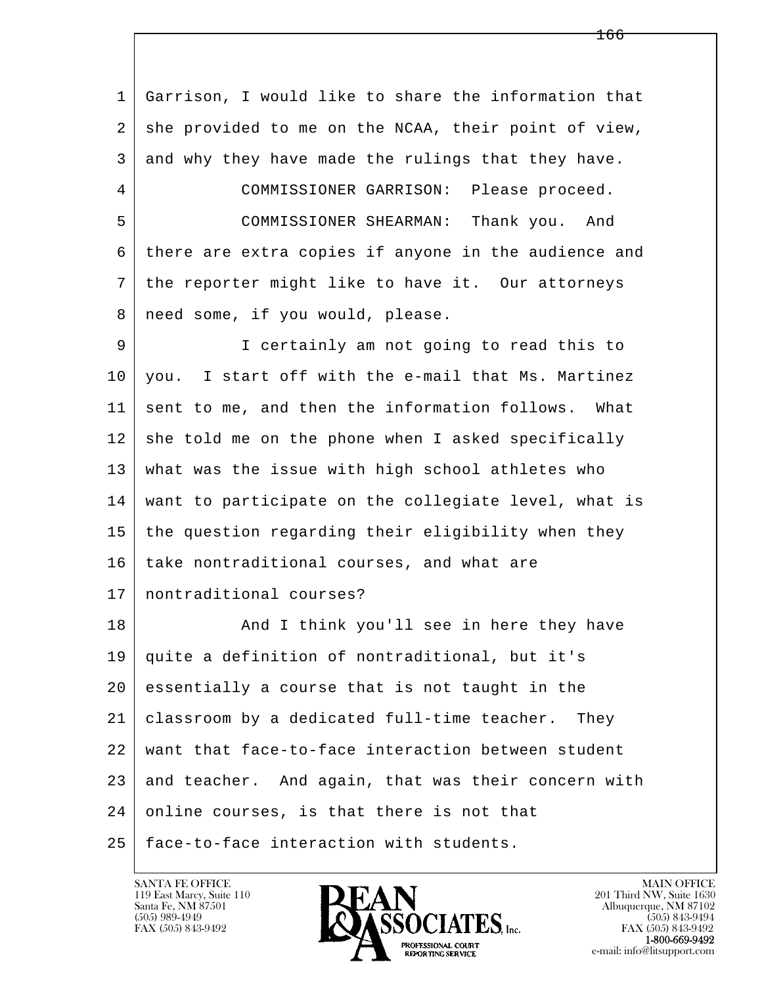l  $\overline{\phantom{a}}$  1 Garrison, I would like to share the information that 2 | she provided to me on the NCAA, their point of view, 3 and why they have made the rulings that they have. 4 COMMISSIONER GARRISON: Please proceed. 5 COMMISSIONER SHEARMAN: Thank you. And 6 there are extra copies if anyone in the audience and 7 the reporter might like to have it. Our attorneys 8 | need some, if you would, please. 9 I certainly am not going to read this to 10 you. I start off with the e-mail that Ms. Martinez 11 sent to me, and then the information follows. What  $12$  she told me on the phone when I asked specifically 13 what was the issue with high school athletes who 14 want to participate on the collegiate level, what is 15 the question regarding their eligibility when they 16 take nontraditional courses, and what are 17 | nontraditional courses? 18 | Think you'll see in here they have 19 quite a definition of nontraditional, but it's 20 essentially a course that is not taught in the 21 classroom by a dedicated full-time teacher. They 22 want that face-to-face interaction between student  $23$  and teacher. And again, that was their concern with 24 online courses, is that there is not that 25 face-to-face interaction with students.

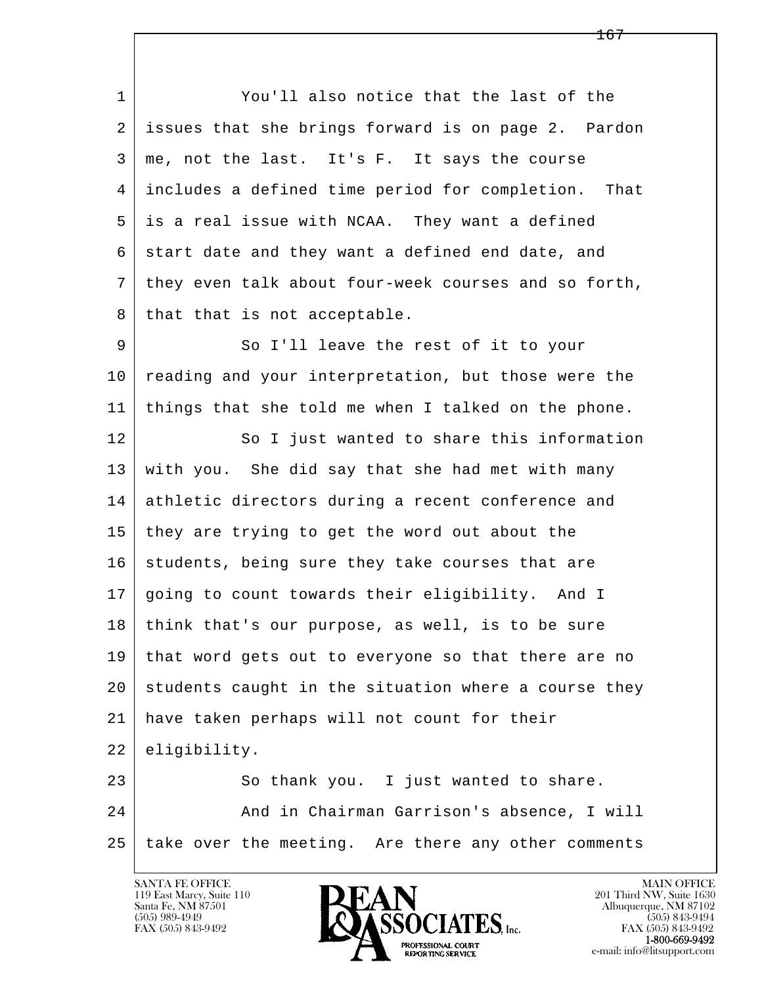l  $\overline{\phantom{a}}$  1 You'll also notice that the last of the 2 issues that she brings forward is on page 2. Pardon 3 me, not the last. It's F. It says the course 4 includes a defined time period for completion. That 5 is a real issue with NCAA. They want a defined  $6$  start date and they want a defined end date, and 7 they even talk about four-week courses and so forth, 8 | that that is not acceptable. 9 So I'll leave the rest of it to your 10 reading and your interpretation, but those were the 11 | things that she told me when I talked on the phone. 12 So I just wanted to share this information 13 with you. She did say that she had met with many 14 athletic directors during a recent conference and 15 they are trying to get the word out about the 16 students, being sure they take courses that are 17 going to count towards their eligibility. And I 18 think that's our purpose, as well, is to be sure 19 that word gets out to everyone so that there are no 20 students caught in the situation where a course they 21 have taken perhaps will not count for their 22 eligibility. 23 So thank you. I just wanted to share. 24 And in Chairman Garrison's absence, I will 25 take over the meeting. Are there any other comments

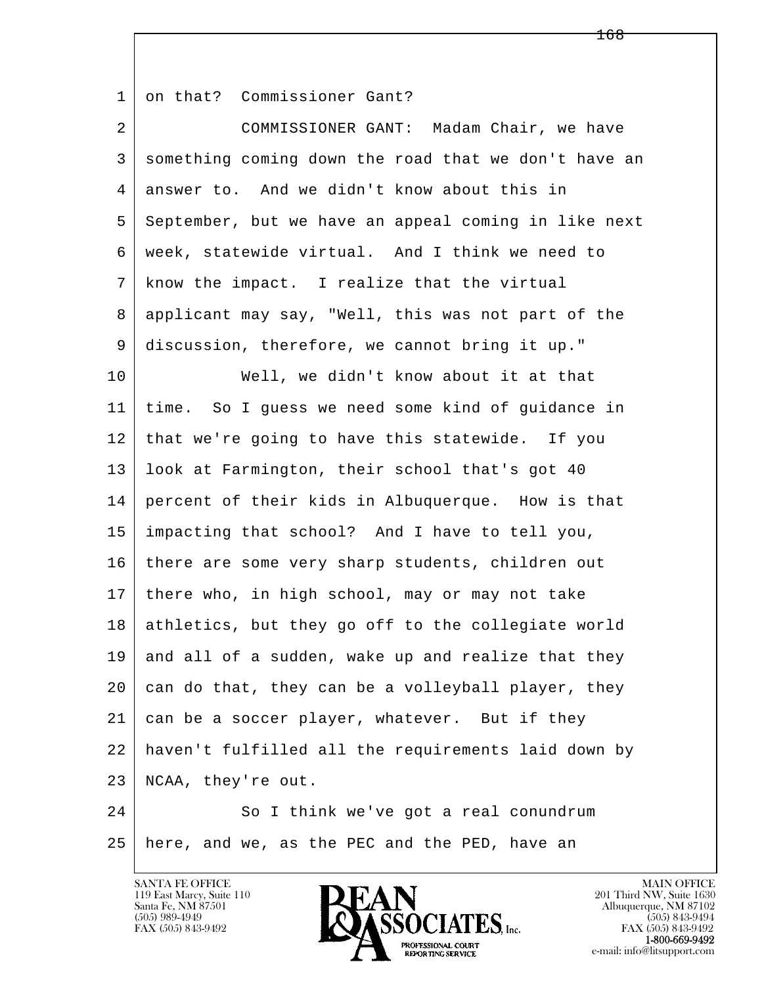1 on that? Commissioner Gant?

l  $\overline{\phantom{a}}$  2 COMMISSIONER GANT: Madam Chair, we have 3 something coming down the road that we don't have an 4 answer to. And we didn't know about this in 5 September, but we have an appeal coming in like next 6 week, statewide virtual. And I think we need to 7 know the impact. I realize that the virtual 8 applicant may say, "Well, this was not part of the 9 discussion, therefore, we cannot bring it up." 10 Well, we didn't know about it at that 11 time. So I guess we need some kind of guidance in 12 that we're going to have this statewide. If you 13 look at Farmington, their school that's got 40 14 percent of their kids in Albuquerque. How is that 15 impacting that school? And I have to tell you, 16 | there are some very sharp students, children out 17 there who, in high school, may or may not take 18 athletics, but they go off to the collegiate world  $19$  and all of a sudden, wake up and realize that they  $20$  can do that, they can be a volleyball player, they 21 can be a soccer player, whatever. But if they 22 haven't fulfilled all the requirements laid down by 23 NCAA, they're out. 24 So I think we've got a real conundrum

25 here, and we, as the PEC and the PED, have an



FAX (505) 843-9492<br>**1-800-669-9492**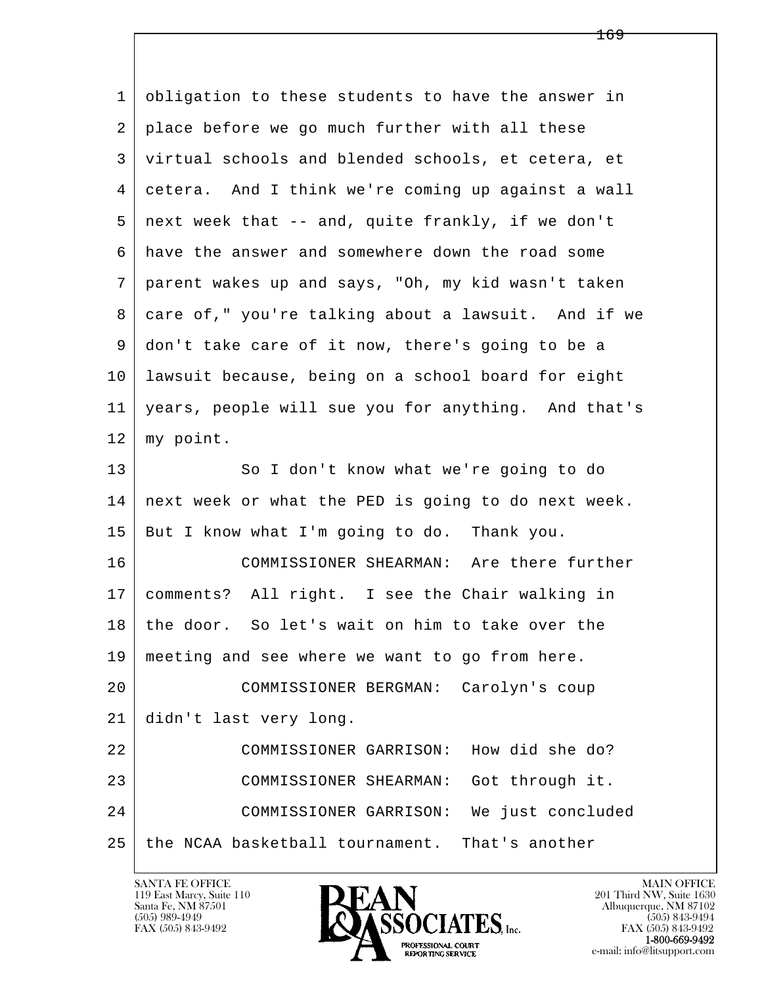l  $\overline{\phantom{a}}$  1 obligation to these students to have the answer in 2 place before we go much further with all these 3 virtual schools and blended schools, et cetera, et 4 cetera. And I think we're coming up against a wall 5 next week that -- and, quite frankly, if we don't 6 have the answer and somewhere down the road some 7 parent wakes up and says, "Oh, my kid wasn't taken 8 care of," you're talking about a lawsuit. And if we 9 don't take care of it now, there's going to be a 10 lawsuit because, being on a school board for eight 11 years, people will sue you for anything. And that's 12 my point. 13 So I don't know what we're going to do 14 next week or what the PED is going to do next week. 15 But I know what I'm going to do. Thank you. 16 COMMISSIONER SHEARMAN: Are there further 17 comments? All right. I see the Chair walking in 18 the door. So let's wait on him to take over the 19 meeting and see where we want to go from here. 20 COMMISSIONER BERGMAN: Carolyn's coup 21 didn't last very long. 22 COMMISSIONER GARRISON: How did she do? 23 COMMISSIONER SHEARMAN: Got through it. 24 COMMISSIONER GARRISON: We just concluded 25 the NCAA basketball tournament. That's another

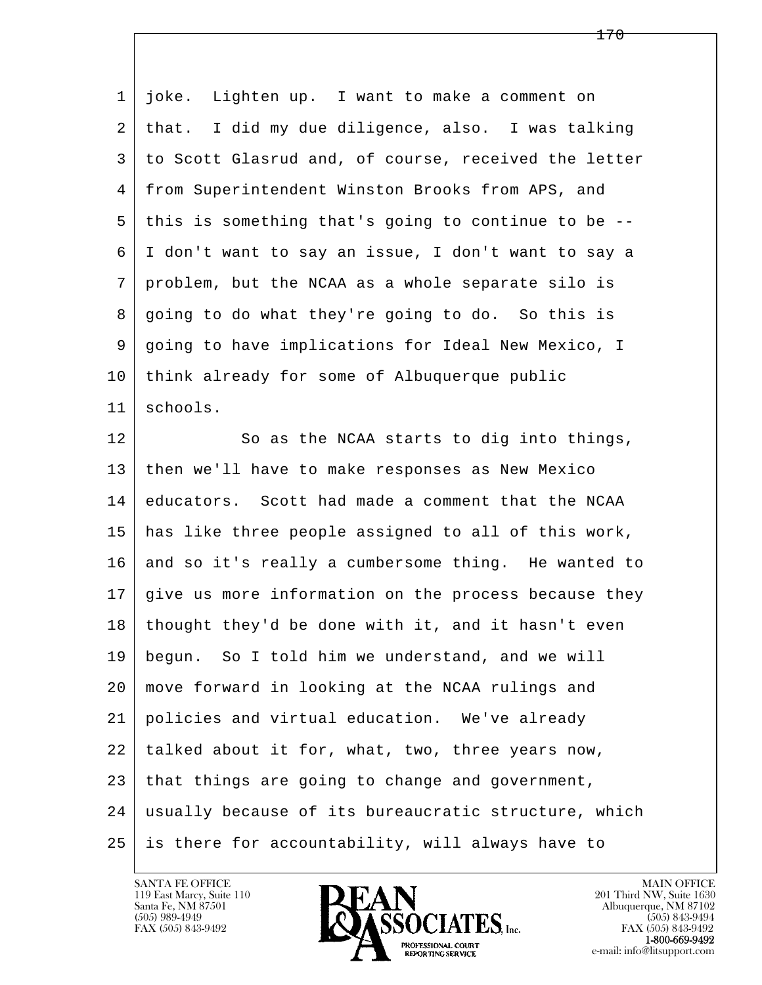| $\mathbf 1$    | Lighten up. I want to make a comment on<br>joke.     |
|----------------|------------------------------------------------------|
| 2              | that. I did my due diligence, also. I was talking    |
| 3              | to Scott Glasrud and, of course, received the letter |
| $\overline{4}$ | from Superintendent Winston Brooks from APS, and     |
| 5              | this is something that's going to continue to be --  |
| 6              | I don't want to say an issue, I don't want to say a  |
| 7              | problem, but the NCAA as a whole separate silo is    |
| 8              | going to do what they're going to do. So this is     |
| 9              | going to have implications for Ideal New Mexico, I   |
| 10             | think already for some of Albuquerque public         |
| 11             | schools.                                             |
| 12             | So as the NCAA starts to dig into things,            |
| 13             | then we'll have to make responses as New Mexico      |
| 14             | educators. Scott had made a comment that the NCAA    |
| 15             | has like three people assigned to all of this work,  |
| 16             | and so it's really a cumbersome thing. He wanted to  |
| 17             | give us more information on the process because they |
| 18             | thought they'd be done with it, and it hasn't even   |
| 19             | begun. So I told him we understand, and we will      |
| 20             | move forward in looking at the NCAA rulings and      |
| 21             | policies and virtual education. We've already        |
| 22             | talked about it for, what, two, three years now,     |
| 23             | that things are going to change and government,      |
| 24             | usually because of its bureaucratic structure, which |
| 25             | is there for accountability, will always have to     |

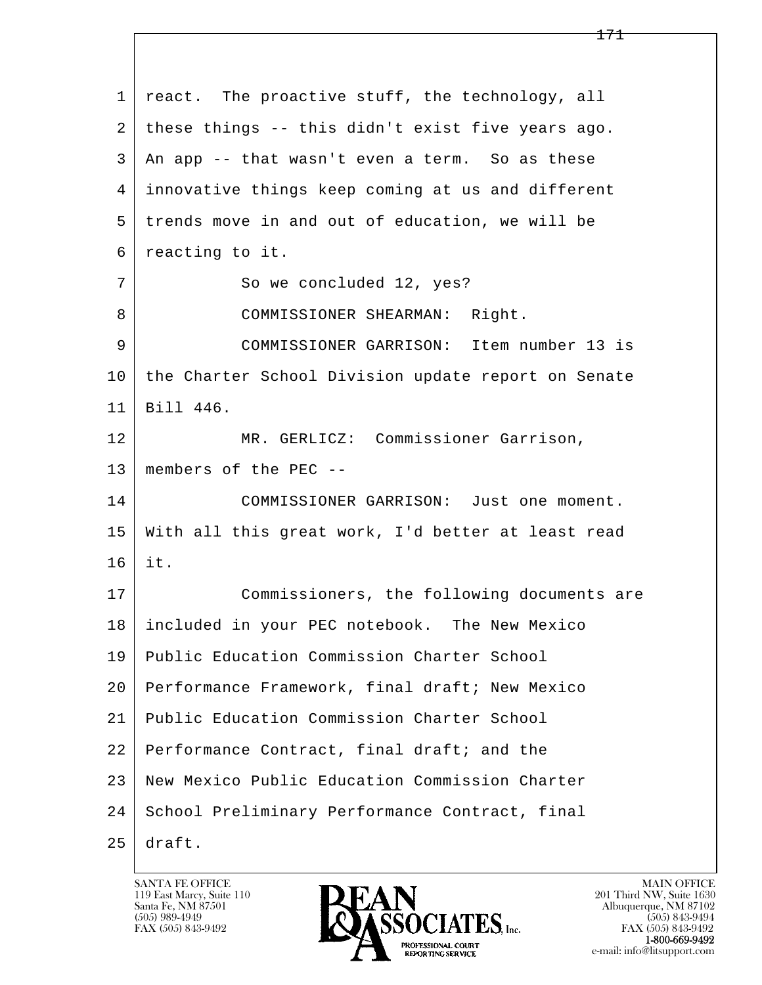l  $\overline{\phantom{a}}$ 1 react. The proactive stuff, the technology, all 2 these things -- this didn't exist five years ago. 3 An app -- that wasn't even a term. So as these 4 innovative things keep coming at us and different 5 trends move in and out of education, we will be 6 reacting to it. 7 So we concluded 12, yes? 8 | COMMISSIONER SHEARMAN: Right. 9 COMMISSIONER GARRISON: Item number 13 is 10 the Charter School Division update report on Senate 11 Bill 446. 12 MR. GERLICZ: Commissioner Garrison, 13 members of the PEC -- 14 COMMISSIONER GARRISON: Just one moment. 15 With all this great work, I'd better at least read 16 it. 17 Commissioners, the following documents are 18 included in your PEC notebook. The New Mexico 19 Public Education Commission Charter School 20 Performance Framework, final draft; New Mexico 21 Public Education Commission Charter School 22 | Performance Contract, final draft; and the 23 New Mexico Public Education Commission Charter 24 | School Preliminary Performance Contract, final 25 draft.

119 East Marcy, Suite 110<br>Santa Fe, NM 87501

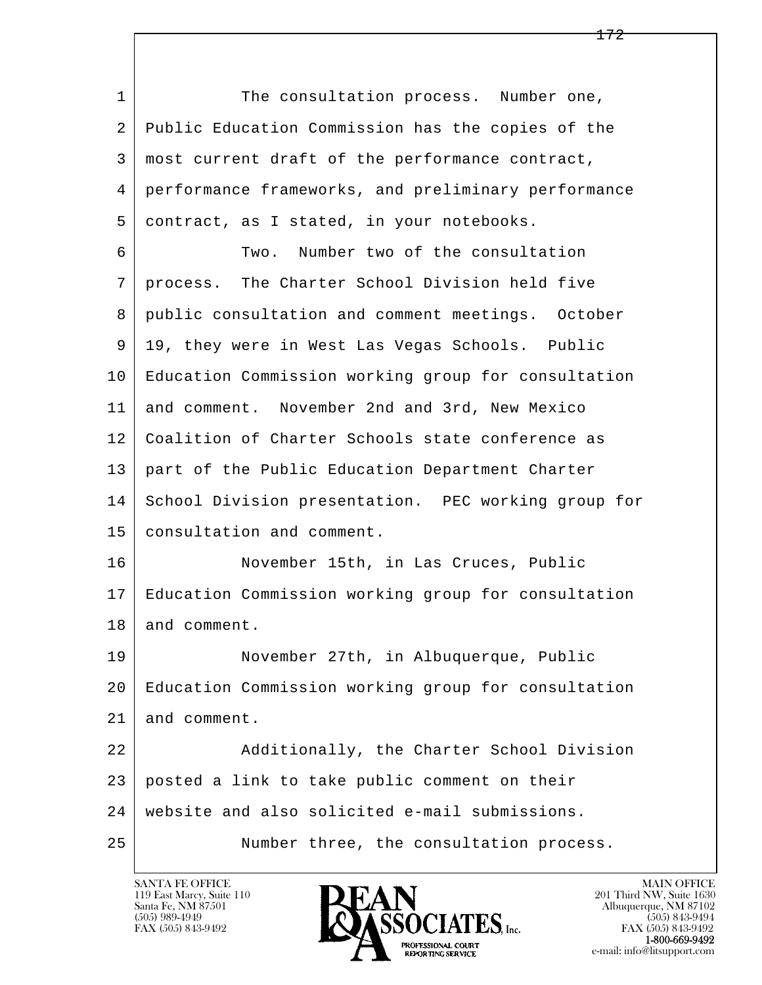l  $\overline{\phantom{a}}$ 1 1 The consultation process. Number one, 2 Public Education Commission has the copies of the 3 most current draft of the performance contract, 4 performance frameworks, and preliminary performance 5 contract, as I stated, in your notebooks. 6 Two. Number two of the consultation 7 process. The Charter School Division held five 8 public consultation and comment meetings. October 9 19, they were in West Las Vegas Schools. Public 10 Education Commission working group for consultation 11 and comment. November 2nd and 3rd, New Mexico 12 | Coalition of Charter Schools state conference as 13 part of the Public Education Department Charter 14 School Division presentation. PEC working group for 15 consultation and comment. 16 November 15th, in Las Cruces, Public 17 Education Commission working group for consultation 18 and comment. 19 November 27th, in Albuquerque, Public 20 Education Commission working group for consultation 21 and comment. 22 Additionally, the Charter School Division 23 posted a link to take public comment on their 24 website and also solicited e-mail submissions. 25 Number three, the consultation process.

172

119 East Marcy, Suite 110<br>Santa Fe, NM 87501

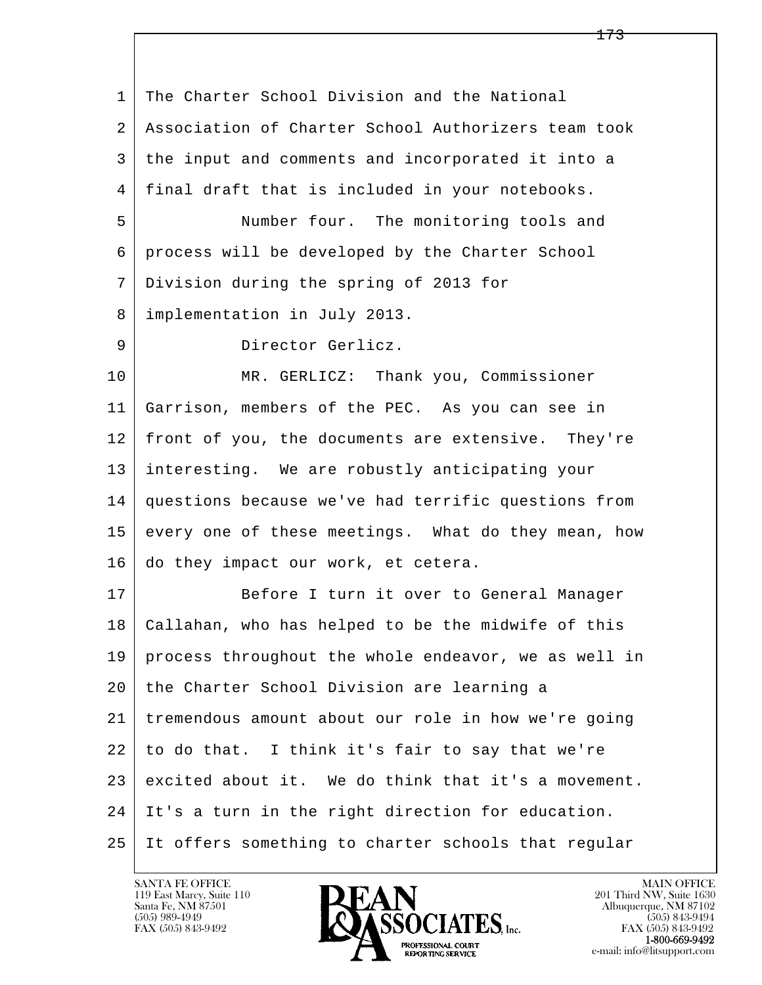l  $\overline{\phantom{a}}$ 1 The Charter School Division and the National 2 Association of Charter School Authorizers team took 3 the input and comments and incorporated it into a 4 final draft that is included in your notebooks. 5 Number four. The monitoring tools and 6 process will be developed by the Charter School 7 Division during the spring of 2013 for 8 implementation in July 2013. 9 Director Gerlicz. 10 | MR. GERLICZ: Thank you, Commissioner 11 Garrison, members of the PEC. As you can see in 12 front of you, the documents are extensive. They're 13 interesting. We are robustly anticipating your 14 questions because we've had terrific questions from 15 every one of these meetings. What do they mean, how 16 do they impact our work, et cetera. 17 Before I turn it over to General Manager 18 Callahan, who has helped to be the midwife of this 19 process throughout the whole endeavor, we as well in 20 the Charter School Division are learning a 21 tremendous amount about our role in how we're going 22 to do that. I think it's fair to say that we're 23 excited about it. We do think that it's a movement. 24 It's a turn in the right direction for education. 25 It offers something to charter schools that regular

119 East Marcy, Suite 110<br>Santa Fe, NM 87501



FAX (505) 843-9492<br>**1-800-669-9492**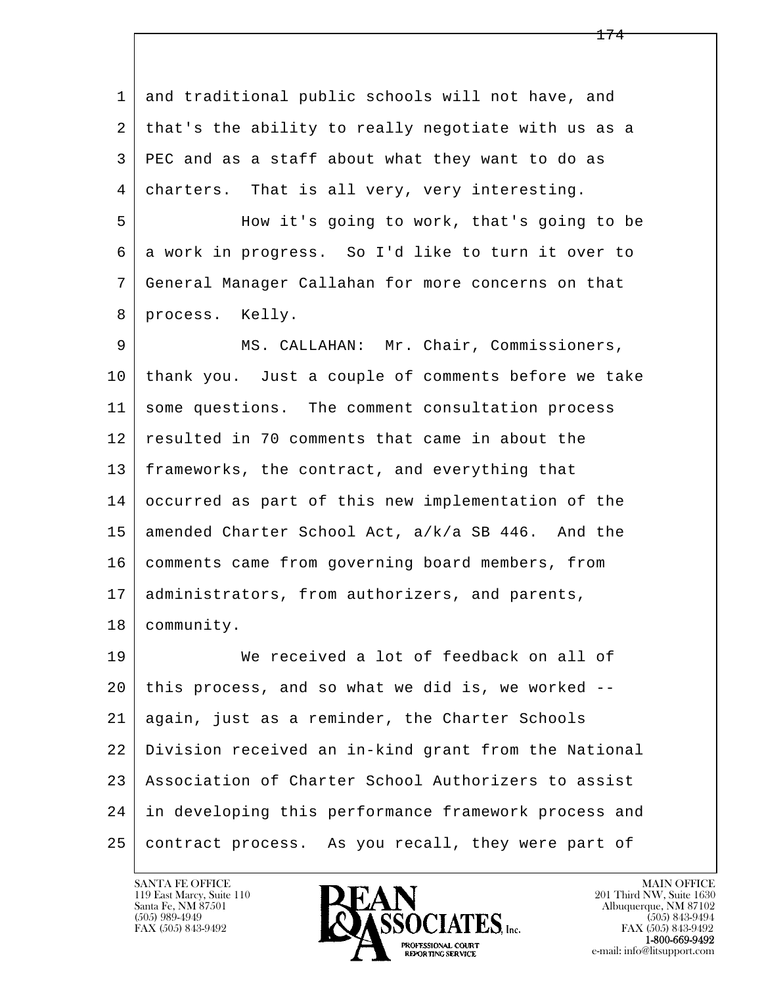1 and traditional public schools will not have, and 2 that's the ability to really negotiate with us as a 3 PEC and as a staff about what they want to do as 4 charters. That is all very, very interesting.

 5 How it's going to work, that's going to be 6 a work in progress. So I'd like to turn it over to 7 General Manager Callahan for more concerns on that 8 process. Kelly.

 9 MS. CALLAHAN: Mr. Chair, Commissioners, 10 thank you. Just a couple of comments before we take 11 some questions. The comment consultation process 12 resulted in 70 comments that came in about the 13 frameworks, the contract, and everything that 14 occurred as part of this new implementation of the 15 amended Charter School Act, a/k/a SB 446. And the 16 comments came from governing board members, from 17 | administrators, from authorizers, and parents, 18 community.

l  $\overline{\phantom{a}}$  19 We received a lot of feedback on all of 20 this process, and so what we did is, we worked -- 21 again, just as a reminder, the Charter Schools 22 Division received an in-kind grant from the National 23 Association of Charter School Authorizers to assist 24 in developing this performance framework process and 25 contract process. As you recall, they were part of

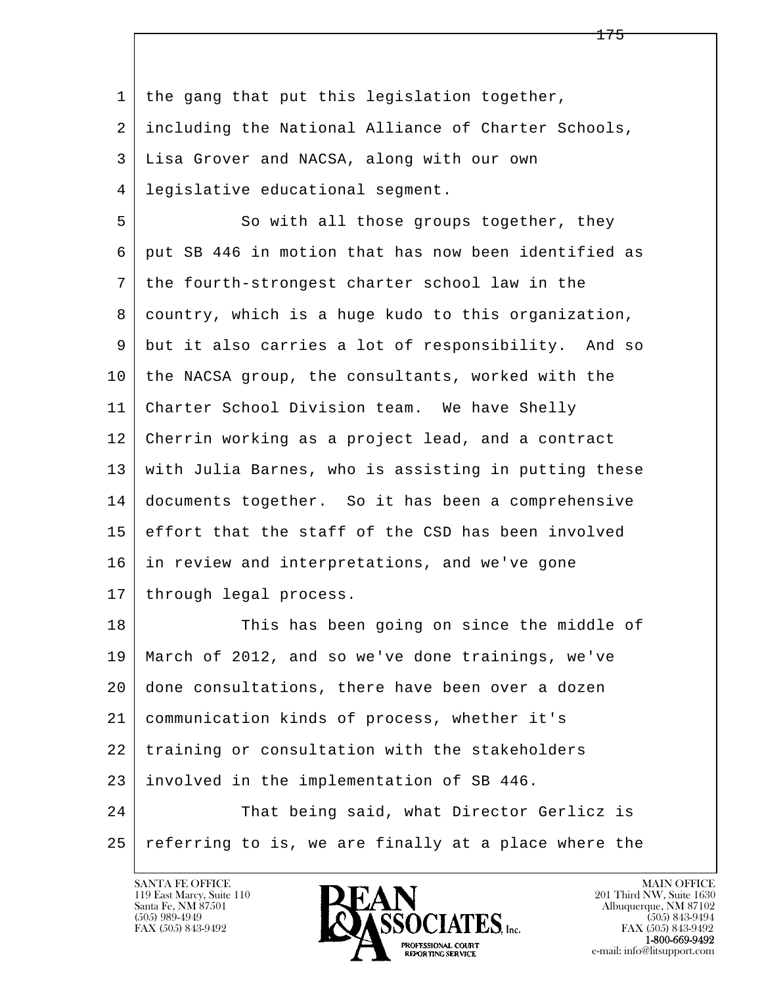l  $\overline{\phantom{a}}$  1 the gang that put this legislation together, 2 including the National Alliance of Charter Schools, 3 Lisa Grover and NACSA, along with our own 4 legislative educational segment. 5 So with all those groups together, they 6 put SB 446 in motion that has now been identified as 7 the fourth-strongest charter school law in the 8 country, which is a huge kudo to this organization, 9 but it also carries a lot of responsibility. And so 10 the NACSA group, the consultants, worked with the 11 Charter School Division team. We have Shelly 12 Cherrin working as a project lead, and a contract 13 with Julia Barnes, who is assisting in putting these 14 documents together. So it has been a comprehensive 15 effort that the staff of the CSD has been involved 16 in review and interpretations, and we've gone 17 | through legal process. 18 This has been going on since the middle of 19 March of 2012, and so we've done trainings, we've 20 done consultations, there have been over a dozen 21 communication kinds of process, whether it's 22 training or consultation with the stakeholders 23 involved in the implementation of SB 446. 24 That being said, what Director Gerlicz is 25 referring to is, we are finally at a place where the

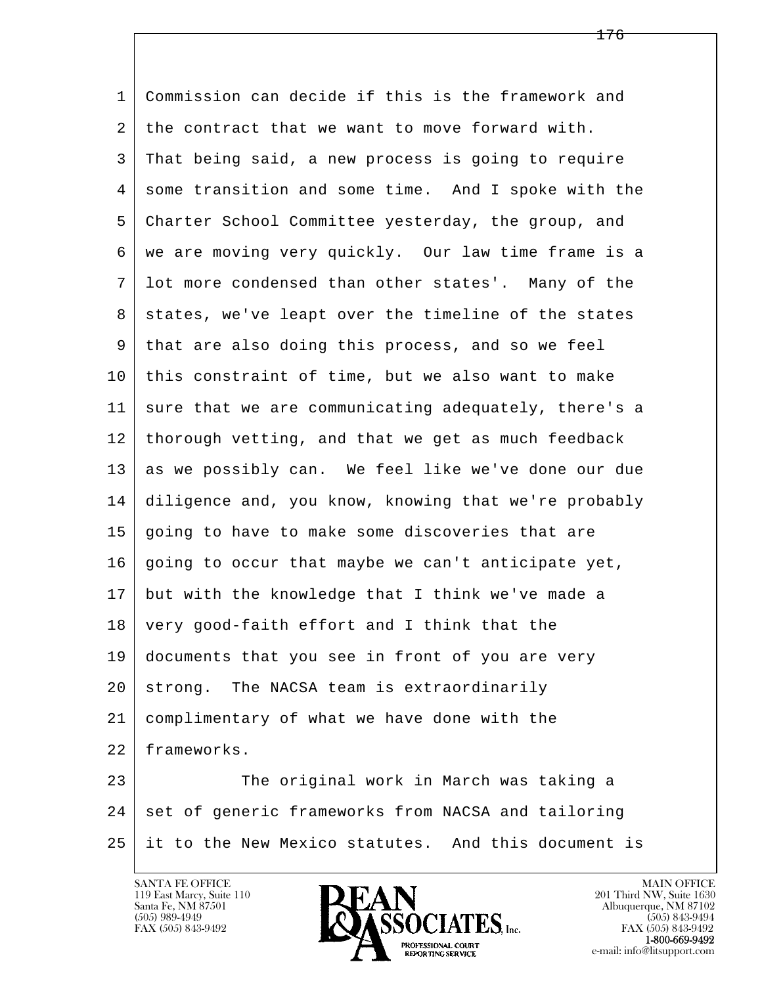l  $\overline{\phantom{a}}$  1 Commission can decide if this is the framework and 2 the contract that we want to move forward with. 3 That being said, a new process is going to require 4 some transition and some time. And I spoke with the 5 Charter School Committee yesterday, the group, and 6 we are moving very quickly. Our law time frame is a 7 lot more condensed than other states'. Many of the 8 | states, we've leapt over the timeline of the states 9 that are also doing this process, and so we feel 10 this constraint of time, but we also want to make 11 sure that we are communicating adequately, there's a 12 thorough vetting, and that we get as much feedback 13 as we possibly can. We feel like we've done our due 14 diligence and, you know, knowing that we're probably 15 going to have to make some discoveries that are 16 going to occur that maybe we can't anticipate yet, 17 but with the knowledge that I think we've made a 18 very good-faith effort and I think that the 19 documents that you see in front of you are very 20 strong. The NACSA team is extraordinarily 21 complimentary of what we have done with the 22 frameworks. 23 The original work in March was taking a 24 set of generic frameworks from NACSA and tailoring 25 it to the New Mexico statutes. And this document is

119 East Marcy, Suite 110<br>Santa Fe, NM 87501

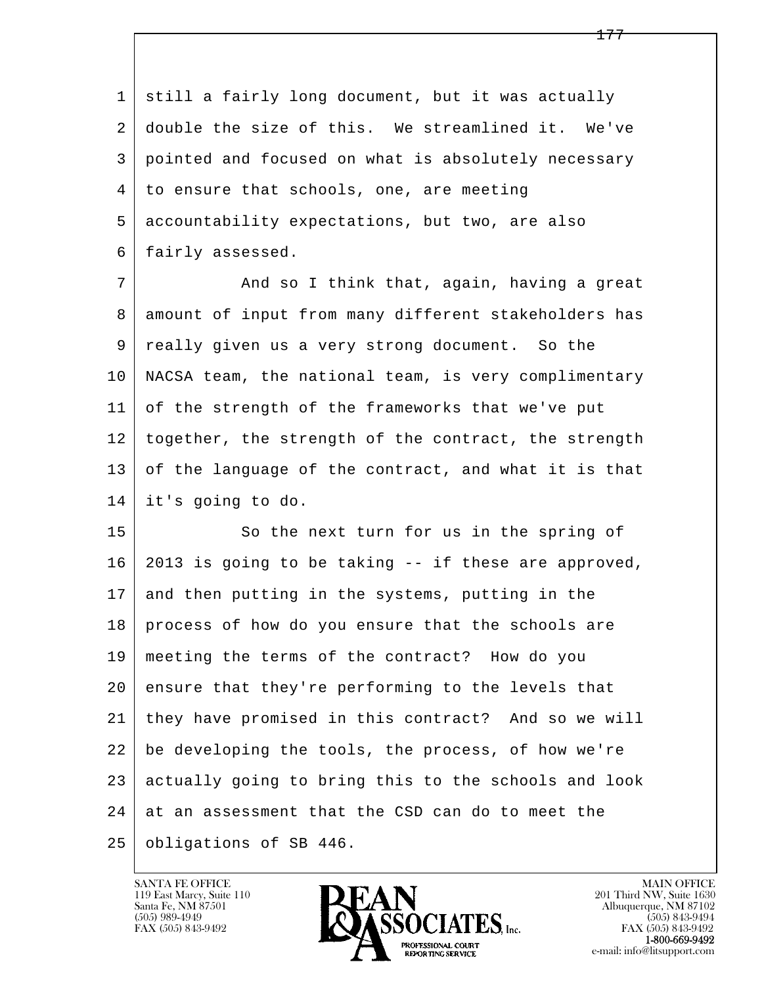1 still a fairly long document, but it was actually 2 double the size of this. We streamlined it. We've 3 pointed and focused on what is absolutely necessary 4 to ensure that schools, one, are meeting 5 accountability expectations, but two, are also 6 fairly assessed.

7 And so I think that, again, having a great 8 | amount of input from many different stakeholders has 9 really given us a very strong document. So the 10 NACSA team, the national team, is very complimentary 11 of the strength of the frameworks that we've put 12 together, the strength of the contract, the strength 13 of the language of the contract, and what it is that 14 it's going to do.

l  $\overline{\phantom{a}}$ 15 So the next turn for us in the spring of 16 2013 is going to be taking -- if these are approved, 17 and then putting in the systems, putting in the 18 | process of how do you ensure that the schools are 19 meeting the terms of the contract? How do you 20 ensure that they're performing to the levels that 21 they have promised in this contract? And so we will 22 be developing the tools, the process, of how we're 23 actually going to bring this to the schools and look  $24$  at an assessment that the CSD can do to meet the 25 obligations of SB 446.

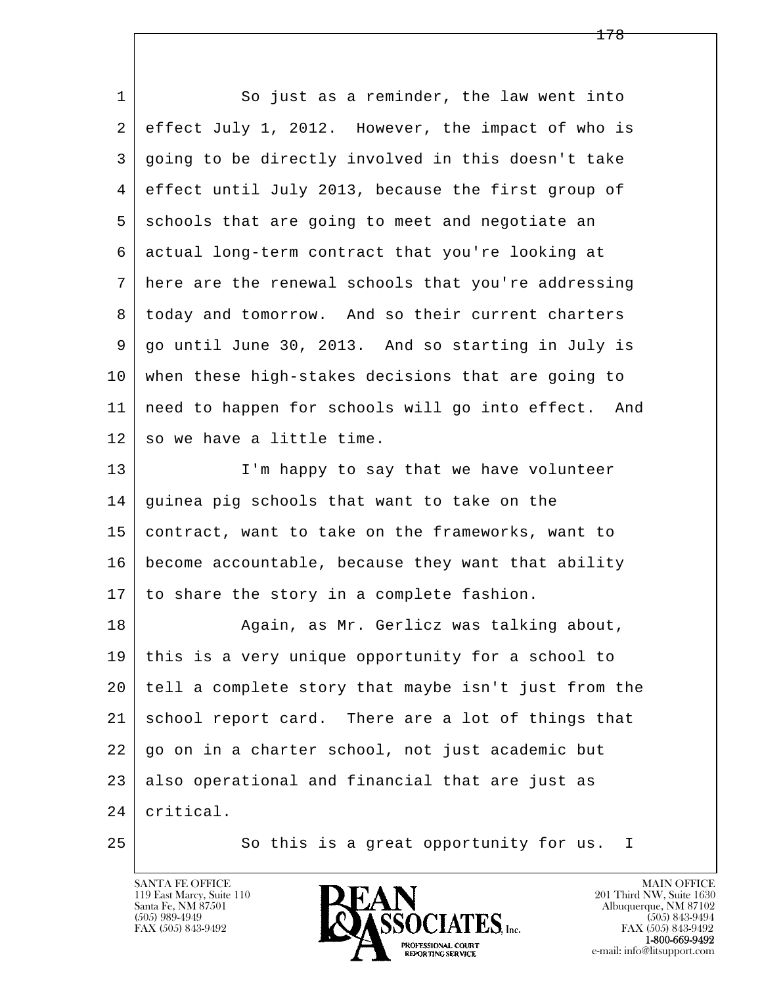| 1  | So just as a reminder, the law went into             |
|----|------------------------------------------------------|
| 2  | effect July 1, 2012. However, the impact of who is   |
| 3  | going to be directly involved in this doesn't take   |
| 4  | effect until July 2013, because the first group of   |
| 5  | schools that are going to meet and negotiate an      |
| 6  | actual long-term contract that you're looking at     |
| 7  | here are the renewal schools that you're addressing  |
| 8  | today and tomorrow. And so their current charters    |
| 9  | go until June 30, 2013. And so starting in July is   |
| 10 | when these high-stakes decisions that are going to   |
| 11 | need to happen for schools will go into effect. And  |
| 12 | so we have a little time.                            |
| 13 | I'm happy to say that we have volunteer              |
| 14 | guinea pig schools that want to take on the          |
| 15 | contract, want to take on the frameworks, want to    |
| 16 | become accountable, because they want that ability   |
| 17 | to share the story in a complete fashion.            |
| 18 | Again, as Mr. Gerlicz was talking about,             |
| 19 | this is a very unique opportunity for a school to    |
| 20 | tell a complete story that maybe isn't just from the |
| 21 | school report card. There are a lot of things that   |
| 22 | go on in a charter school, not just academic but     |
| 23 | also operational and financial that are just as      |
| 24 | critical.                                            |
| 25 | So this is a great opportunity for us.<br>I.         |

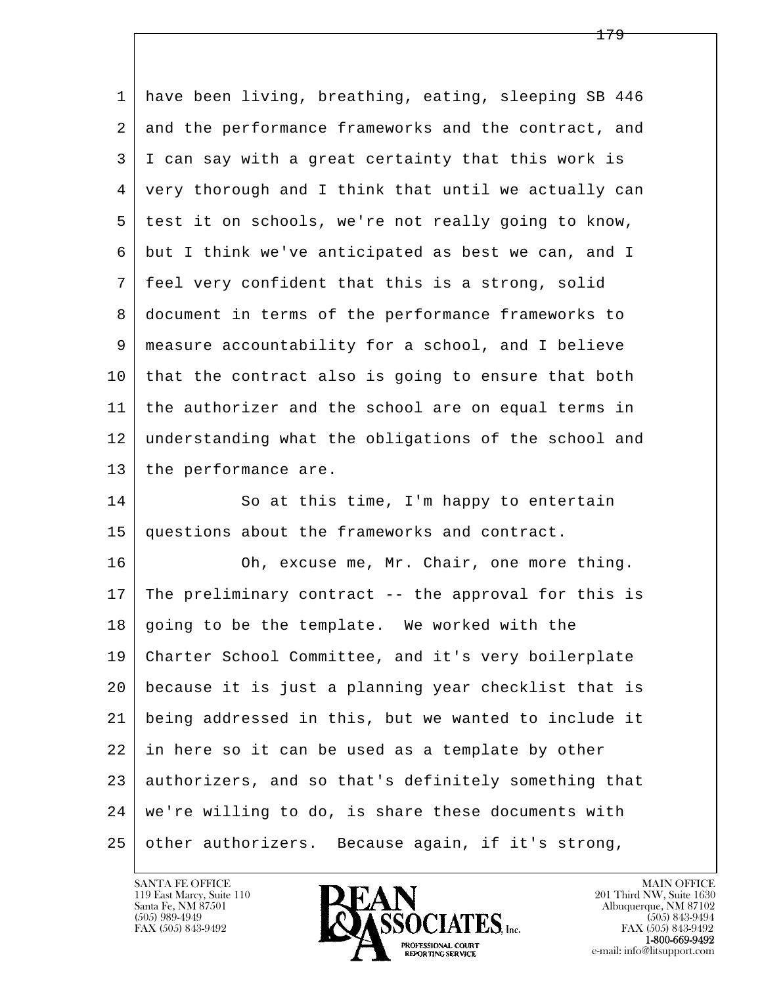l  $\overline{\phantom{a}}$  1 have been living, breathing, eating, sleeping SB 446 2 and the performance frameworks and the contract, and 3 I can say with a great certainty that this work is 4 very thorough and I think that until we actually can 5 test it on schools, we're not really going to know, 6 but I think we've anticipated as best we can, and I 7 feel very confident that this is a strong, solid 8 document in terms of the performance frameworks to 9 measure accountability for a school, and I believe 10 that the contract also is going to ensure that both 11 the authorizer and the school are on equal terms in 12 understanding what the obligations of the school and 13 | the performance are. 14 So at this time, I'm happy to entertain 15 questions about the frameworks and contract. 16 Oh, excuse me, Mr. Chair, one more thing. 17 The preliminary contract -- the approval for this is 18 going to be the template. We worked with the 19 Charter School Committee, and it's very boilerplate 20 because it is just a planning year checklist that is 21 being addressed in this, but we wanted to include it 22 in here so it can be used as a template by other 23 authorizers, and so that's definitely something that 24 we're willing to do, is share these documents with 25 other authorizers. Because again, if it's strong,

119 East Marcy, Suite 110<br>Santa Fe, NM 87501

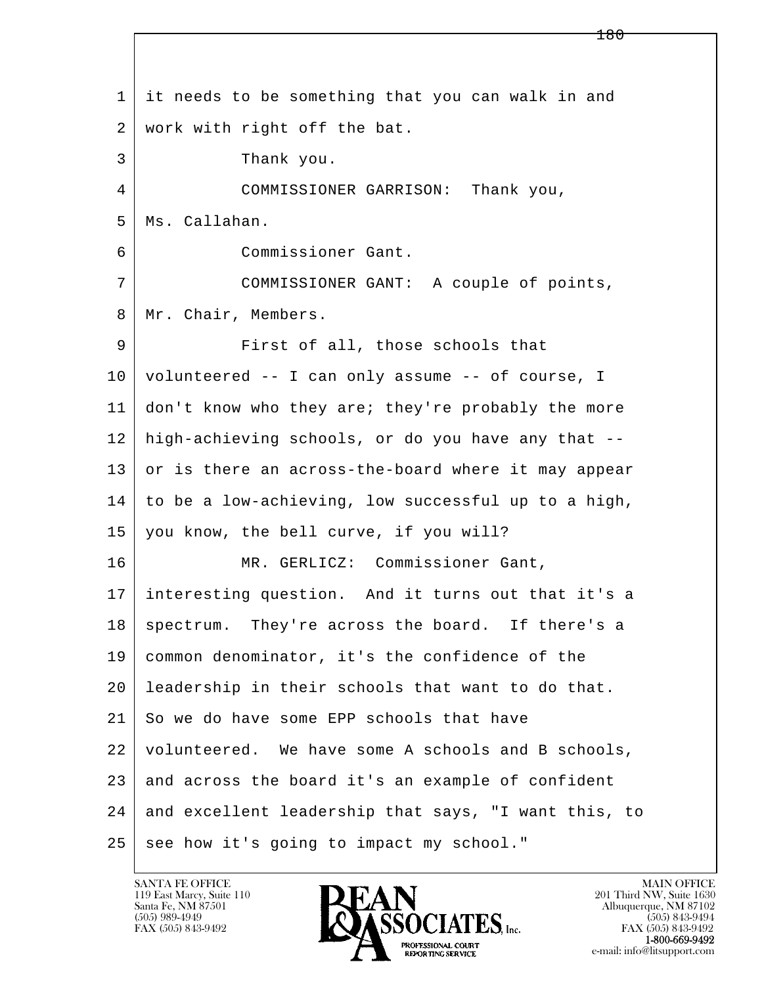l  $\overline{\phantom{a}}$  1 it needs to be something that you can walk in and 2 work with right off the bat. 3 Thank you. 4 COMMISSIONER GARRISON: Thank you, 5 Ms. Callahan. 6 Commissioner Gant. 7 COMMISSIONER GANT: A couple of points, 8 | Mr. Chair, Members. 9 | First of all, those schools that 10 volunteered -- I can only assume -- of course, I 11 don't know who they are; they're probably the more 12 high-achieving schools, or do you have any that -- 13 or is there an across-the-board where it may appear  $14$  to be a low-achieving, low successful up to a high, 15 you know, the bell curve, if you will? 16 | MR. GERLICZ: Commissioner Gant, 17 interesting question. And it turns out that it's a 18 | spectrum. They're across the board. If there's a 19 common denominator, it's the confidence of the 20 leadership in their schools that want to do that. 21 So we do have some EPP schools that have 22 volunteered. We have some A schools and B schools,  $23$  and across the board it's an example of confident 24 and excellent leadership that says, "I want this, to 25 see how it's going to impact my school."

119 East Marcy, Suite 110<br>Santa Fe, NM 87501

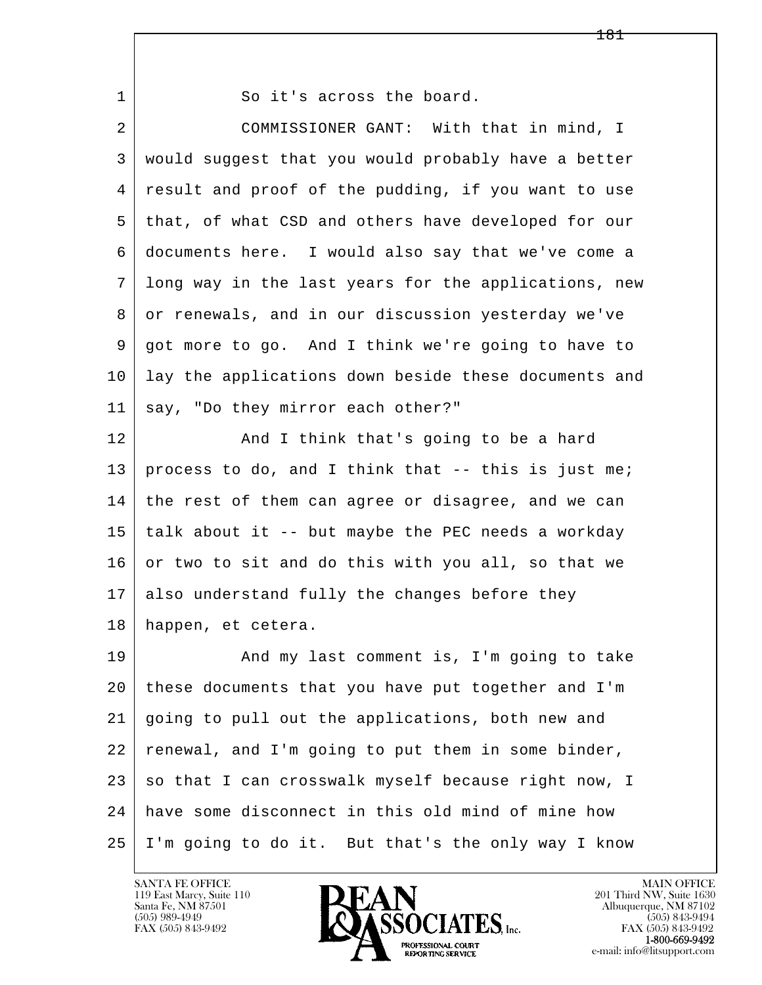| 1  | So it's across the board.                            |
|----|------------------------------------------------------|
| 2  | COMMISSIONER GANT: With that in mind, I              |
| 3  | would suggest that you would probably have a better  |
| 4  | result and proof of the pudding, if you want to use  |
| 5  | that, of what CSD and others have developed for our  |
| 6  | documents here. I would also say that we've come a   |
| 7  | long way in the last years for the applications, new |
| 8  | or renewals, and in our discussion yesterday we've   |
| 9  | got more to go. And I think we're going to have to   |
| 10 | lay the applications down beside these documents and |
| 11 | say, "Do they mirror each other?"                    |
| 12 | And I think that's going to be a hard                |
| 13 | process to do, and I think that -- this is just me;  |
| 14 | the rest of them can agree or disagree, and we can   |
| 15 | talk about it -- but maybe the PEC needs a workday   |
| 16 | or two to sit and do this with you all, so that we   |
| 17 | also understand fully the changes before they        |
| 18 | happen, et cetera.                                   |
| 19 | And my last comment is, I'm going to take            |
| 20 | these documents that you have put together and I'm   |
| 21 | going to pull out the applications, both new and     |
| 22 | renewal, and I'm going to put them in some binder,   |
| 23 | so that I can crosswalk myself because right now, I  |
| 24 | have some disconnect in this old mind of mine how    |
| 25 | I'm going to do it. But that's the only way I know   |

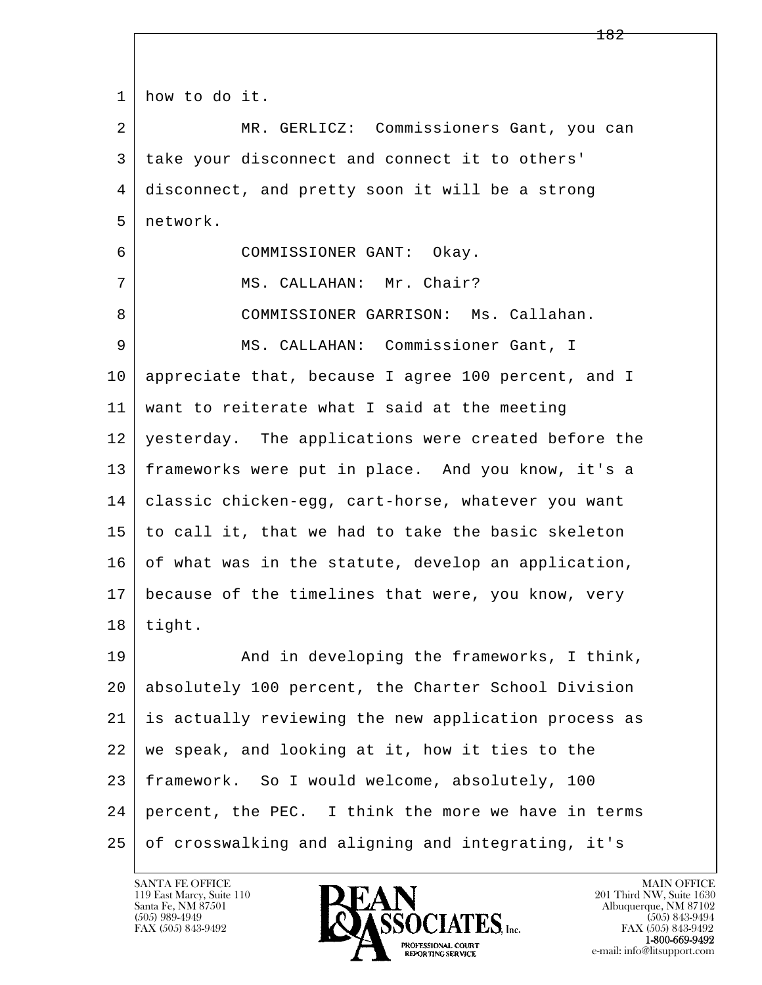l  $\overline{\phantom{a}}$  1 how to do it. 2 MR. GERLICZ: Commissioners Gant, you can 3 take your disconnect and connect it to others' 4 disconnect, and pretty soon it will be a strong 5 network. 6 COMMISSIONER GANT: Okay. 7 | MS. CALLAHAN: Mr. Chair? 8 COMMISSIONER GARRISON: Ms. Callahan. 9 MS. CALLAHAN: Commissioner Gant, I 10 appreciate that, because I agree 100 percent, and I 11 want to reiterate what I said at the meeting 12 yesterday. The applications were created before the 13 frameworks were put in place. And you know, it's a 14 | classic chicken-egg, cart-horse, whatever you want  $15$  to call it, that we had to take the basic skeleton 16 of what was in the statute, develop an application, 17 because of the timelines that were, you know, very  $18$  | tight. 19 | And in developing the frameworks, I think, 20 absolutely 100 percent, the Charter School Division 21 is actually reviewing the new application process as 22 we speak, and looking at it, how it ties to the 23 framework. So I would welcome, absolutely, 100 24 percent, the PEC. I think the more we have in terms 25 of crosswalking and aligning and integrating, it's

119 East Marcy, Suite 110<br>Santa Fe, NM 87501

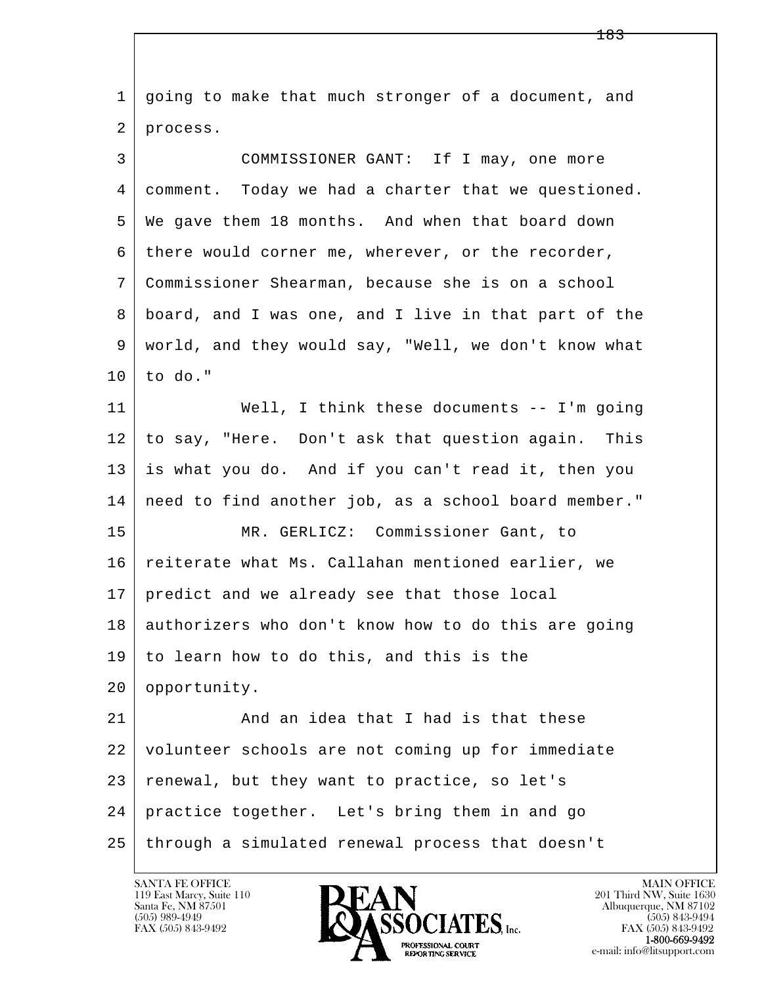l  $\overline{\phantom{a}}$  1 going to make that much stronger of a document, and 2 process. 3 COMMISSIONER GANT: If I may, one more 4 comment. Today we had a charter that we questioned. 5 We gave them 18 months. And when that board down 6 there would corner me, wherever, or the recorder, 7 Commissioner Shearman, because she is on a school 8 board, and I was one, and I live in that part of the 9 world, and they would say, "Well, we don't know what  $10$  to do." 11 Well, I think these documents -- I'm going 12 to say, "Here. Don't ask that question again. This 13 is what you do. And if you can't read it, then you 14 need to find another job, as a school board member." 15 MR. GERLICZ: Commissioner Gant, to 16 reiterate what Ms. Callahan mentioned earlier, we 17 predict and we already see that those local 18 authorizers who don't know how to do this are going 19 to learn how to do this, and this is the 20 opportunity. 21 And an idea that I had is that these 22 volunteer schools are not coming up for immediate 23 | renewal, but they want to practice, so let's 24 practice together. Let's bring them in and go 25 through a simulated renewal process that doesn't

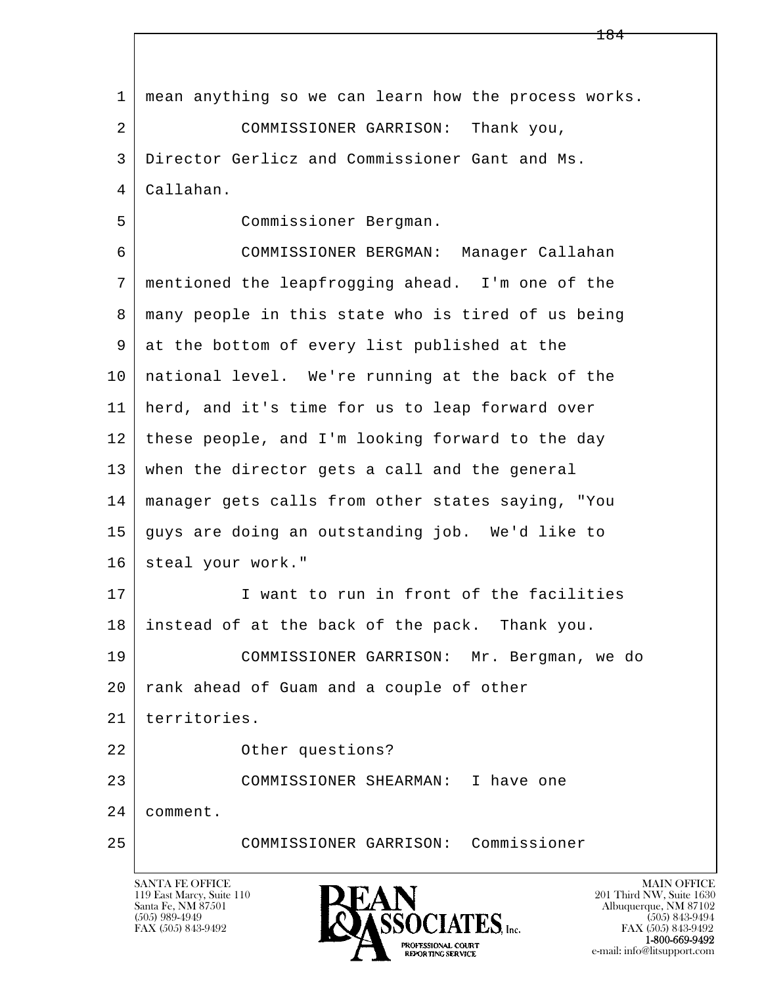l  $\overline{\phantom{a}}$  1 mean anything so we can learn how the process works. 2 COMMISSIONER GARRISON: Thank you, 3 Director Gerlicz and Commissioner Gant and Ms. 4 Callahan. 5 Commissioner Bergman. 6 COMMISSIONER BERGMAN: Manager Callahan 7 mentioned the leapfrogging ahead. I'm one of the 8 many people in this state who is tired of us being 9 at the bottom of every list published at the 10 national level. We're running at the back of the 11 herd, and it's time for us to leap forward over 12 | these people, and I'm looking forward to the day 13 when the director gets a call and the general 14 manager gets calls from other states saying, "You 15 guys are doing an outstanding job. We'd like to 16 steal your work." 17 I want to run in front of the facilities 18 instead of at the back of the pack. Thank you. 19 COMMISSIONER GARRISON: Mr. Bergman, we do 20 | rank ahead of Guam and a couple of other 21 territories. 22 Other questions? 23 COMMISSIONER SHEARMAN: I have one 24 comment. 25 COMMISSIONER GARRISON: Commissioner

119 East Marcy, Suite 110<br>Santa Fe, NM 87501



FAX (505) 843-9492<br>**1-800-669-9492**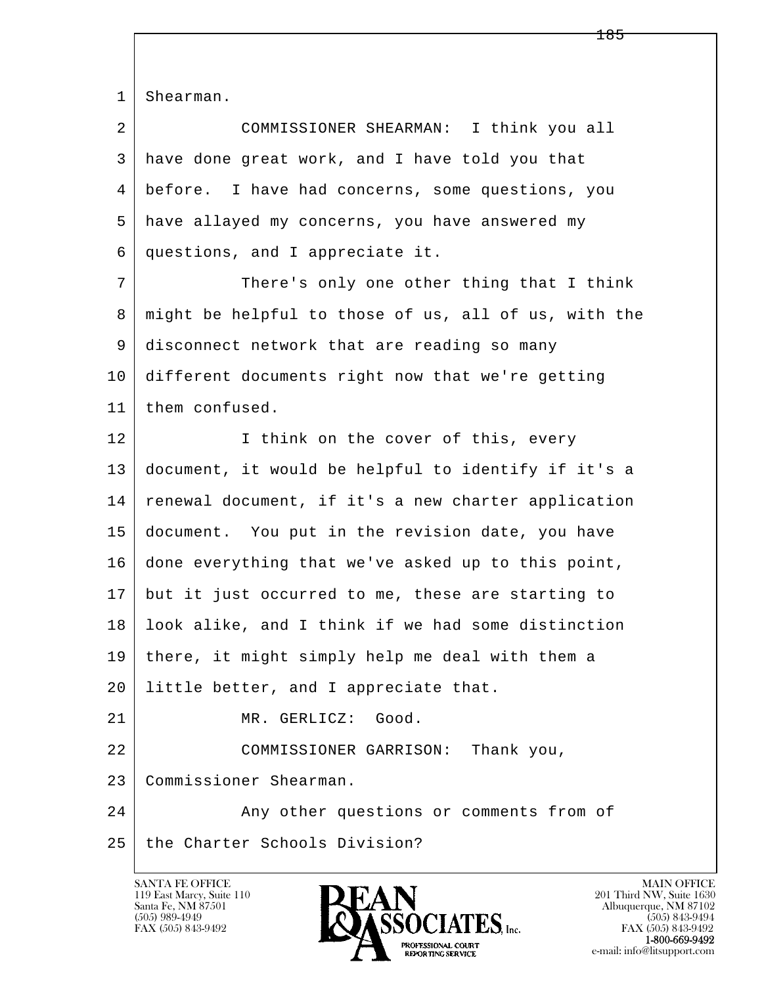1 | Shearman.

| 2 | COMMISSIONER SHEARMAN: I think you all           |
|---|--------------------------------------------------|
| 3 | have done great work, and I have told you that   |
| 4 | before. I have had concerns, some questions, you |
| 5 | have allayed my concerns, you have answered my   |
|   | questions, and I appreciate it.                  |
|   |                                                  |

7 There's only one other thing that I think 8 | might be helpful to those of us, all of us, with the 9 disconnect network that are reading so many 10 different documents right now that we're getting 11 | them confused.

l 12 I think on the cover of this, every 13 document, it would be helpful to identify if it's a 14 renewal document, if it's a new charter application 15 document. You put in the revision date, you have 16 done everything that we've asked up to this point, 17 but it just occurred to me, these are starting to 18 look alike, and I think if we had some distinction 19 there, it might simply help me deal with them a 20 little better, and I appreciate that. 21 MR. GERLICZ: Good. 22 | COMMISSIONER GARRISON: Thank you, 23 Commissioner Shearman.

 $\overline{\phantom{a}}$ 24 Any other questions or comments from of 25 the Charter Schools Division?

119 East Marcy, Suite 110<br>Santa Fe, NM 87501



FAX (505) 843-9492<br>1-800-669-9492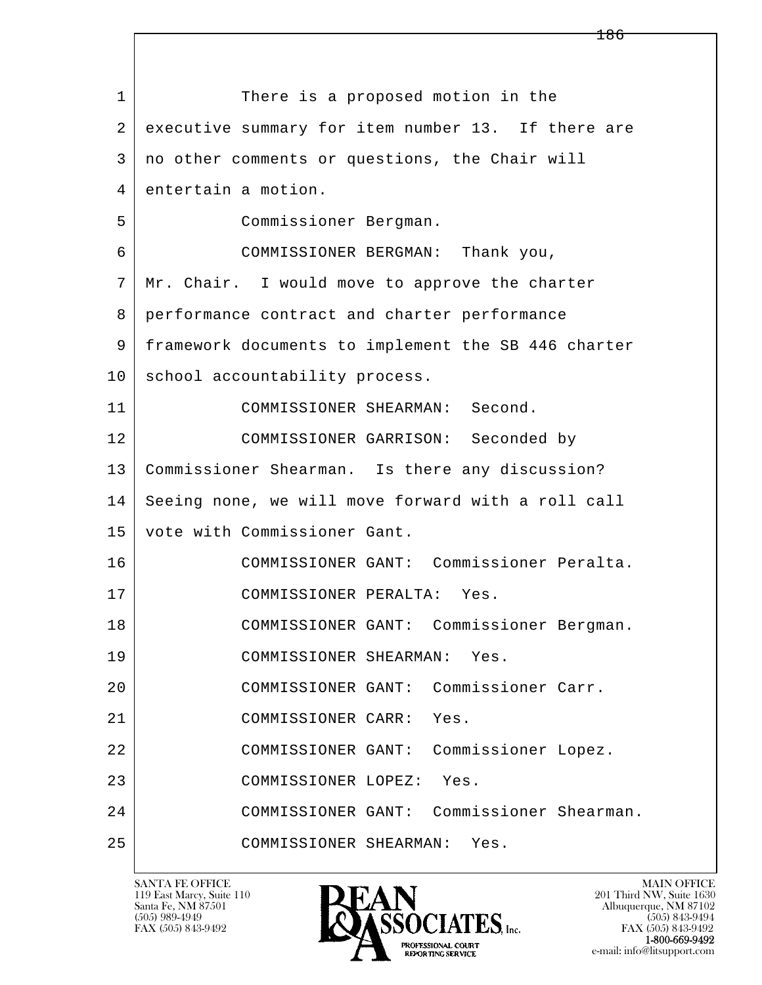l  $\overline{\phantom{a}}$ 1 There is a proposed motion in the 2 executive summary for item number 13. If there are 3 no other comments or questions, the Chair will 4 entertain a motion. 5 Commissioner Bergman. 6 COMMISSIONER BERGMAN: Thank you, 7 Mr. Chair. I would move to approve the charter 8 performance contract and charter performance 9 framework documents to implement the SB 446 charter 10 school accountability process. 11 COMMISSIONER SHEARMAN: Second. 12 COMMISSIONER GARRISON: Seconded by 13 Commissioner Shearman. Is there any discussion? 14 Seeing none, we will move forward with a roll call 15 vote with Commissioner Gant. 16 COMMISSIONER GANT: Commissioner Peralta. 17 COMMISSIONER PERALTA: Yes. 18 COMMISSIONER GANT: Commissioner Bergman. 19 COMMISSIONER SHEARMAN: Yes. 20 COMMISSIONER GANT: Commissioner Carr. 21 COMMISSIONER CARR: Yes. 22 COMMISSIONER GANT: Commissioner Lopez. 23 COMMISSIONER LOPEZ: Yes. 24 COMMISSIONER GANT: Commissioner Shearman. 25 COMMISSIONER SHEARMAN: Yes.

119 East Marcy, Suite 110<br>Santa Fe, NM 87501



FAX (505) 843-9492 FAX (505) 843-9492 e-mail: info@litsupport.com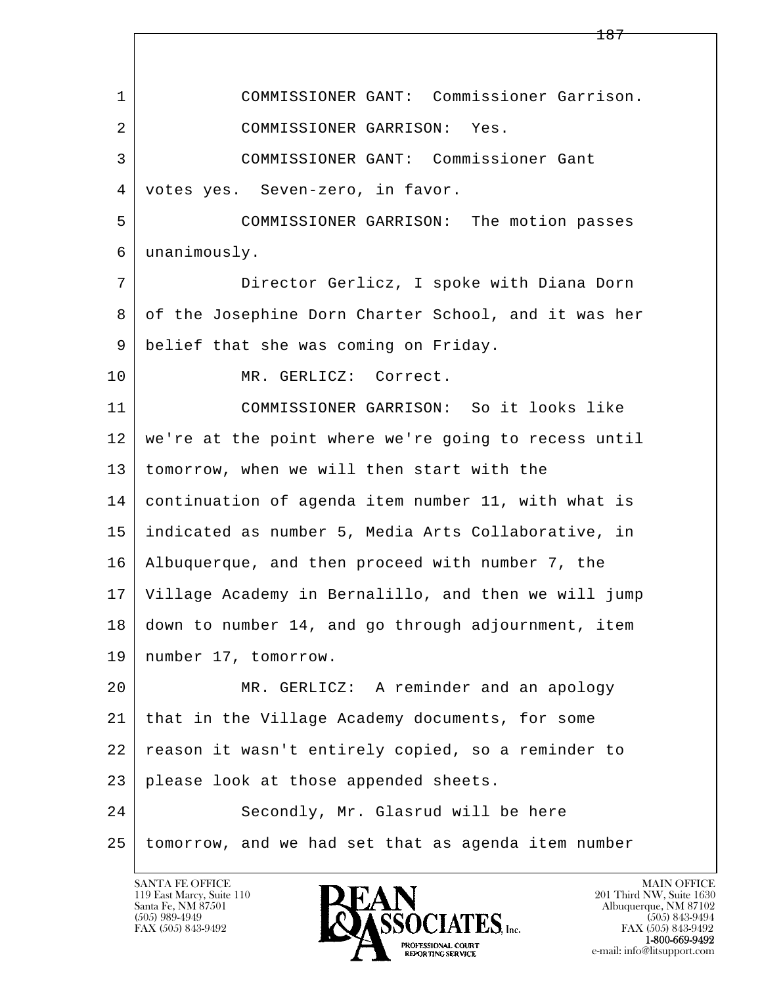l  $\overline{\phantom{a}}$  1 COMMISSIONER GANT: Commissioner Garrison. 2 COMMISSIONER GARRISON: Yes. 3 COMMISSIONER GANT: Commissioner Gant 4 votes yes. Seven-zero, in favor. 5 COMMISSIONER GARRISON: The motion passes 6 unanimously. 7 Director Gerlicz, I spoke with Diana Dorn 8 of the Josephine Dorn Charter School, and it was her 9 belief that she was coming on Friday. 10 MR. GERLICZ: Correct. 11 COMMISSIONER GARRISON: So it looks like 12 we're at the point where we're going to recess until 13 tomorrow, when we will then start with the 14 continuation of agenda item number 11, with what is 15 indicated as number 5, Media Arts Collaborative, in 16 Albuquerque, and then proceed with number 7, the 17 Village Academy in Bernalillo, and then we will jump 18 down to number 14, and go through adjournment, item 19 | number 17, tomorrow. 20 MR. GERLICZ: A reminder and an apology 21 that in the Village Academy documents, for some 22 reason it wasn't entirely copied, so a reminder to 23 please look at those appended sheets. 24 Secondly, Mr. Glasrud will be here 25 tomorrow, and we had set that as agenda item number

119 East Marcy, Suite 110<br>Santa Fe, NM 87501

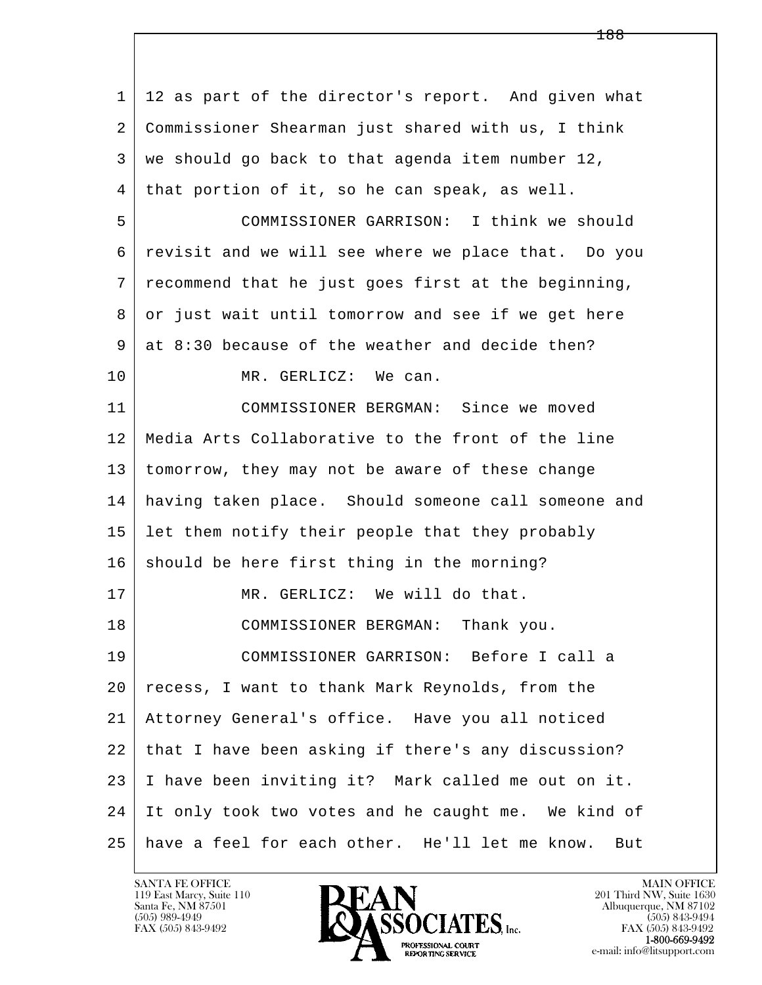l  $\overline{\phantom{a}}$  1 12 as part of the director's report. And given what 2 Commissioner Shearman just shared with us, I think  $3 \mid$  we should go back to that agenda item number 12, 4 that portion of it, so he can speak, as well. 5 COMMISSIONER GARRISON: I think we should 6 revisit and we will see where we place that. Do you 7 recommend that he just goes first at the beginning, 8 or just wait until tomorrow and see if we get here  $9 \mid$  at  $8:30$  because of the weather and decide then? 10 MR. GERLICZ: We can. 11 COMMISSIONER BERGMAN: Since we moved 12 Media Arts Collaborative to the front of the line 13 tomorrow, they may not be aware of these change 14 having taken place. Should someone call someone and 15 let them notify their people that they probably 16 should be here first thing in the morning? 17 MR. GERLICZ: We will do that. 18 COMMISSIONER BERGMAN: Thank you. 19 COMMISSIONER GARRISON: Before I call a 20 recess, I want to thank Mark Reynolds, from the 21 Attorney General's office. Have you all noticed 22 that I have been asking if there's any discussion? 23 I have been inviting it? Mark called me out on it. 24 It only took two votes and he caught me. We kind of 25 have a feel for each other. He'll let me know. But

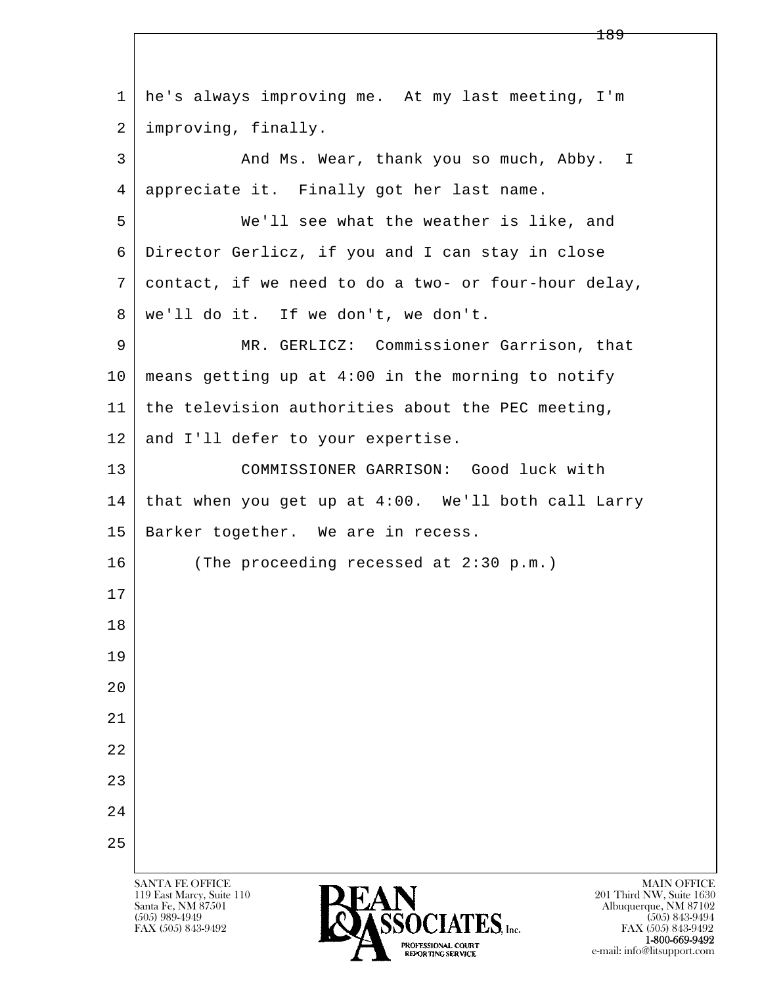l  $\overline{\phantom{a}}$ SANTA FE OFFICE MAIN OFFICE MAIN OFFICE MAIN OFFICE MAIN OFFICE 119 East Marcy, Suite 110<br>Santa Fe, NM 87501 Santa Fe, NM 87501 Albuquerque, NM 87102 1 he's always improving me. At my last meeting, I'm 2 improving, finally. 3 And Ms. Wear, thank you so much, Abby. I 4 appreciate it. Finally got her last name. 5 We'll see what the weather is like, and 6 Director Gerlicz, if you and I can stay in close 7 contact, if we need to do a two- or four-hour delay, 8 we'll do it. If we don't, we don't. 9 MR. GERLICZ: Commissioner Garrison, that  $10$  means getting up at 4:00 in the morning to notify 11 the television authorities about the PEC meeting, 12 and I'll defer to your expertise. 13 COMMISSIONER GARRISON: Good luck with 14 that when you get up at 4:00. We'll both call Larry 15 | Barker together. We are in recess. 16 (The proceeding recessed at 2:30 p.m.) 17 18 19  $2.0$  21 22 23 24 25

 $\sum_{\text{FAX (505) 843-9492}}$   $\sum_{\text{FAX (505) 843-9492}}$   $\sum_{\text{FAX (505) 843-9492}}$ FAX (505) 843-9492<br>1-800-669-9492 **1-800-669-9492**<br> **EXALTERIONAL CN BT** e-mail: info@litsupport.com<br>REPORTING SERVICE REDUCED E-mail: info@litsupport.com